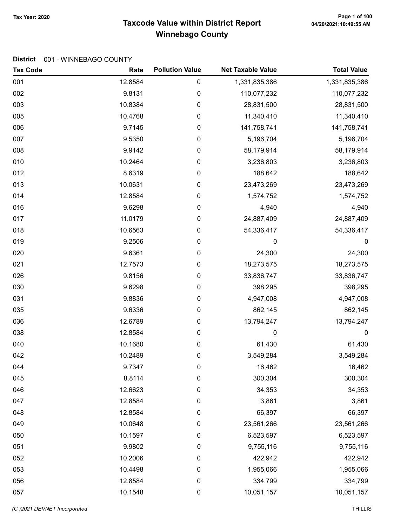## 100 Page 1 of 100 Page 1<br>Taxcode Value within District Report وArcode Value within District Report Winnebago County

| <b>Tax Code</b> | Rate    | <b>Pollution Value</b> | <b>Net Taxable Value</b> | <b>Total Value</b> |
|-----------------|---------|------------------------|--------------------------|--------------------|
| 001             | 12.8584 | 0                      | 1,331,835,386            | 1,331,835,386      |
| 002             | 9.8131  | 0                      | 110,077,232              | 110,077,232        |
| 003             | 10.8384 | 0                      | 28,831,500               | 28,831,500         |
| 005             | 10.4768 | 0                      | 11,340,410               | 11,340,410         |
| 006             | 9.7145  | 0                      | 141,758,741              | 141,758,741        |
| 007             | 9.5350  | 0                      | 5,196,704                | 5,196,704          |
| 008             | 9.9142  | $\pmb{0}$              | 58,179,914               | 58,179,914         |
| 010             | 10.2464 | 0                      | 3,236,803                | 3,236,803          |
| 012             | 8.6319  | 0                      | 188,642                  | 188,642            |
| 013             | 10.0631 | 0                      | 23,473,269               | 23,473,269         |
| 014             | 12.8584 | 0                      | 1,574,752                | 1,574,752          |
| 016             | 9.6298  | 0                      | 4,940                    | 4,940              |
| 017             | 11.0179 | 0                      | 24,887,409               | 24,887,409         |
| 018             | 10.6563 | $\pmb{0}$              | 54,336,417               | 54,336,417         |
| 019             | 9.2506  | $\pmb{0}$              | 0                        | $\boldsymbol{0}$   |
| 020             | 9.6361  | 0                      | 24,300                   | 24,300             |
| 021             | 12.7573 | 0                      | 18,273,575               | 18,273,575         |
| 026             | 9.8156  | 0                      | 33,836,747               | 33,836,747         |
| 030             | 9.6298  | 0                      | 398,295                  | 398,295            |
| 031             | 9.8836  | 0                      | 4,947,008                | 4,947,008          |
| 035             | 9.6336  | $\pmb{0}$              | 862,145                  | 862,145            |
| 036             | 12.6789 | $\pmb{0}$              | 13,794,247               | 13,794,247         |
| 038             | 12.8584 | $\pmb{0}$              | 0                        | $\boldsymbol{0}$   |
| 040             | 10.1680 | $\pmb{0}$              | 61,430                   | 61,430             |
| 042             | 10.2489 | 0                      | 3,549,284                | 3,549,284          |
| 044             | 9.7347  | 0                      | 16,462                   | 16,462             |
| 045             | 8.8114  | 0                      | 300,304                  | 300,304            |
| 046             | 12.6623 | 0                      | 34,353                   | 34,353             |
| 047             | 12.8584 | 0                      | 3,861                    | 3,861              |
| 048             | 12.8584 | 0                      | 66,397                   | 66,397             |
| 049             | 10.0648 | $\pmb{0}$              | 23,561,266               | 23,561,266         |
| 050             | 10.1597 | 0                      | 6,523,597                | 6,523,597          |
| 051             | 9.9802  | 0                      | 9,755,116                | 9,755,116          |
| 052             | 10.2006 | 0                      | 422,942                  | 422,942            |
| 053             | 10.4498 | 0                      | 1,955,066                | 1,955,066          |
| 056             | 12.8584 | $\pmb{0}$              | 334,799                  | 334,799            |
| 057             | 10.1548 | 0                      | 10,051,157               | 10,051,157         |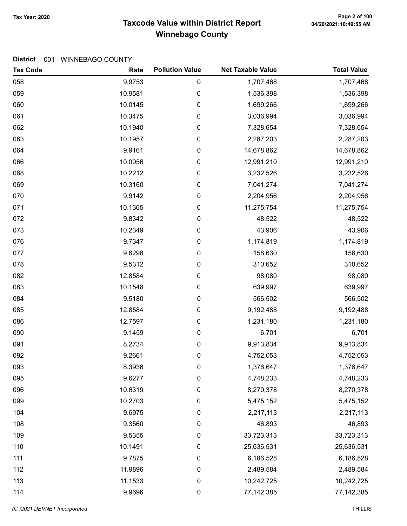## Taxcode Value within District Report Tax Year: 2020 Page 2 of 100 Winnebago County

| <b>Tax Code</b> | Rate    | <b>Pollution Value</b> | <b>Net Taxable Value</b> | <b>Total Value</b> |
|-----------------|---------|------------------------|--------------------------|--------------------|
| 058             | 9.9753  | 0                      | 1,707,468                | 1,707,468          |
| 059             | 10.9581 | 0                      | 1,536,398                | 1,536,398          |
| 060             | 10.0145 | 0                      | 1,699,266                | 1,699,266          |
| 061             | 10.3475 | 0                      | 3,036,994                | 3,036,994          |
| 062             | 10.1940 | 0                      | 7,328,654                | 7,328,654          |
| 063             | 10.1957 | 0                      | 2,287,203                | 2,287,203          |
| 064             | 9.9161  | 0                      | 14,678,862               | 14,678,862         |
| 066             | 10.0956 | 0                      | 12,991,210               | 12,991,210         |
| 068             | 10.2212 | 0                      | 3,232,526                | 3,232,526          |
| 069             | 10.3160 | 0                      | 7,041,274                | 7,041,274          |
| 070             | 9.9142  | 0                      | 2,204,956                | 2,204,956          |
| 071             | 10.1365 | 0                      | 11,275,754               | 11,275,754         |
| 072             | 9.8342  | 0                      | 48,522                   | 48,522             |
| 073             | 10.2349 | 0                      | 43,906                   | 43,906             |
| 076             | 9.7347  | 0                      | 1,174,819                | 1,174,819          |
| 077             | 9.6298  | 0                      | 158,630                  | 158,630            |
| 078             | 9.5312  | 0                      | 310,652                  | 310,652            |
| 082             | 12.8584 | 0                      | 98,080                   | 98,080             |
| 083             | 10.1548 | 0                      | 639,997                  | 639,997            |
| 084             | 9.5180  | 0                      | 566,502                  | 566,502            |
| 085             | 12.8584 | 0                      | 9,192,488                | 9,192,488          |
| 086             | 12.7597 | 0                      | 1,231,180                | 1,231,180          |
| 090             | 9.1459  | 0                      | 6,701                    | 6,701              |
| 091             | 8.2734  | 0                      | 9,913,834                | 9,913,834          |
| 092             | 9.2661  | 0                      | 4,752,053                | 4,752,053          |
| 093             | 8.3936  | 0                      | 1,376,647                | 1,376,647          |
| 095             | 9.6277  | 0                      | 4,748,233                | 4,748,233          |
| 096             | 10.6319 | 0                      | 8,270,378                | 8,270,378          |
| 099             | 10.2703 | 0                      | 5,475,152                | 5,475,152          |
| 104             | 9.6975  | 0                      | 2,217,113                | 2,217,113          |
| 108             | 9.3560  | 0                      | 46,893                   | 46,893             |
| 109             | 9.5355  | 0                      | 33,723,313               | 33,723,313         |
| 110             | 10.1491 | 0                      | 25,636,531               | 25,636,531         |
| 111             | 9.7875  | 0                      | 6,186,528                | 6,186,528          |
| 112             | 11.9896 | 0                      | 2,489,584                | 2,489,584          |
| 113             | 11.1533 | 0                      | 10,242,725               | 10,242,725         |
| 114             | 9.9696  | 0                      | 77, 142, 385             | 77, 142, 385       |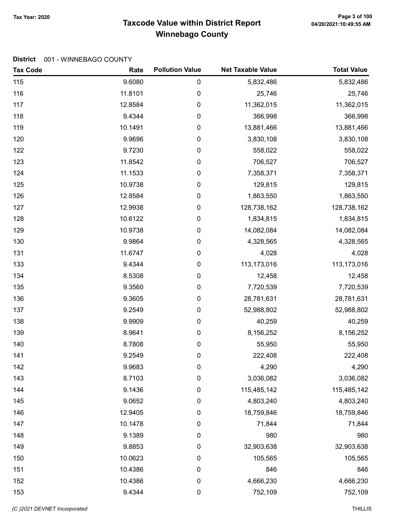## Taxcode Value within District Report Tax Year: 2020 Page 3 of 100 Winnebago County

| <b>Tax Code</b> | Rate    | <b>Pollution Value</b> | <b>Net Taxable Value</b> | <b>Total Value</b> |
|-----------------|---------|------------------------|--------------------------|--------------------|
| 115             | 9.6080  | 0                      | 5,832,486                | 5,832,486          |
| 116             | 11.8101 | 0                      | 25,746                   | 25,746             |
| 117             | 12.8584 | $\pmb{0}$              | 11,362,015               | 11,362,015         |
| 118             | 9.4344  | $\pmb{0}$              | 366,998                  | 366,998            |
| 119             | 10.1491 | 0                      | 13,881,466               | 13,881,466         |
| 120             | 9.9696  | $\boldsymbol{0}$       | 3,830,108                | 3,830,108          |
| 122             | 9.7230  | $\pmb{0}$              | 558,022                  | 558,022            |
| 123             | 11.8542 | $\boldsymbol{0}$       | 706,527                  | 706,527            |
| 124             | 11.1533 | $\pmb{0}$              | 7,358,371                | 7,358,371          |
| 125             | 10.9738 | $\pmb{0}$              | 129,815                  | 129,815            |
| 126             | 12.8584 | $\pmb{0}$              | 1,863,550                | 1,863,550          |
| 127             | 12.9938 | 0                      | 128,738,162              | 128,738,162        |
| 128             | 10.6122 | $\boldsymbol{0}$       | 1,834,815                | 1,834,815          |
| 129             | 10.9738 | $\pmb{0}$              | 14,082,084               | 14,082,084         |
| 130             | 9.9864  | $\boldsymbol{0}$       | 4,328,565                | 4,328,565          |
| 131             | 11.6747 | $\pmb{0}$              | 4,028                    | 4,028              |
| 133             | 9.4344  | $\pmb{0}$              | 113,173,016              | 113,173,016        |
| 134             | 8.5308  | $\pmb{0}$              | 12,458                   | 12,458             |
| 135             | 9.3560  | 0                      | 7,720,539                | 7,720,539          |
| 136             | 9.3605  | $\pmb{0}$              | 28,781,631               | 28,781,631         |
| 137             | 9.2549  | $\pmb{0}$              | 52,988,802               | 52,988,802         |
| 138             | 9.9909  | $\boldsymbol{0}$       | 40,259                   | 40,259             |
| 139             | 8.9641  | 0                      | 8,156,252                | 8,156,252          |
| 140             | 8.7808  | $\pmb{0}$              | 55,950                   | 55,950             |
| 141             | 9.2549  | $\pmb{0}$              | 222,408                  | 222,408            |
| 142             | 9.9683  | 0                      | 4,290                    | 4,290              |
| 143             | 8.7103  | 0                      | 3,036,082                | 3,036,082          |
| 144             | 9.1436  | $\boldsymbol{0}$       | 115,485,142              | 115,485,142        |
| 145             | 9.0652  | 0                      | 4,803,240                | 4,803,240          |
| 146             | 12.9405 | 0                      | 18,759,846               | 18,759,846         |
| 147             | 10.1478 | $\boldsymbol{0}$       | 71,844                   | 71,844             |
| 148             | 9.1389  | $\pmb{0}$              | 980                      | 980                |
| 149             | 9.8853  | $\pmb{0}$              | 32,903,638               | 32,903,638         |
| 150             | 10.0623 | 0                      | 105,565                  | 105,565            |
| 151             | 10.4386 | 0                      | 846                      | 846                |
| 152             | 10.4386 | $\pmb{0}$              | 4,666,230                | 4,666,230          |
| 153             | 9.4344  | $\boldsymbol{0}$       | 752,109                  | 752,109            |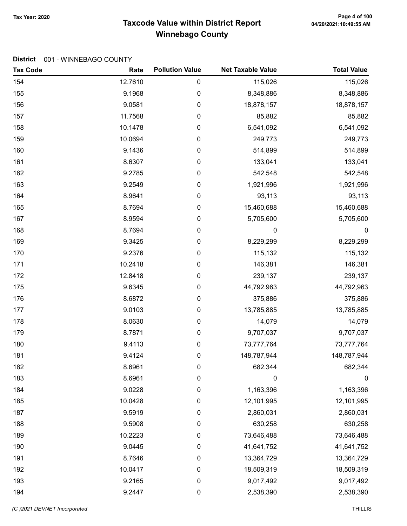## 100 Page 4 of 100 Page 4 of 100<br>Taxcode Value within District Report وAlz0/2021:10:49:55 AM Winnebago County

| <b>Tax Code</b> | Rate    | <b>Pollution Value</b> | <b>Net Taxable Value</b> | <b>Total Value</b> |
|-----------------|---------|------------------------|--------------------------|--------------------|
| 154             | 12.7610 | $\pmb{0}$              | 115,026                  | 115,026            |
| 155             | 9.1968  | 0                      | 8,348,886                | 8,348,886          |
| 156             | 9.0581  | $\pmb{0}$              | 18,878,157               | 18,878,157         |
| 157             | 11.7568 | 0                      | 85,882                   | 85,882             |
| 158             | 10.1478 | 0                      | 6,541,092                | 6,541,092          |
| 159             | 10.0694 | $\pmb{0}$              | 249,773                  | 249,773            |
| 160             | 9.1436  | $\pmb{0}$              | 514,899                  | 514,899            |
| 161             | 8.6307  | $\pmb{0}$              | 133,041                  | 133,041            |
| 162             | 9.2785  | $\pmb{0}$              | 542,548                  | 542,548            |
| 163             | 9.2549  | $\pmb{0}$              | 1,921,996                | 1,921,996          |
| 164             | 8.9641  | $\pmb{0}$              | 93,113                   | 93,113             |
| 165             | 8.7694  | 0                      | 15,460,688               | 15,460,688         |
| 167             | 8.9594  | $\pmb{0}$              | 5,705,600                | 5,705,600          |
| 168             | 8.7694  | $\pmb{0}$              | 0                        | $\boldsymbol{0}$   |
| 169             | 9.3425  | $\pmb{0}$              | 8,229,299                | 8,229,299          |
| 170             | 9.2376  | 0                      | 115,132                  | 115,132            |
| 171             | 10.2418 | $\pmb{0}$              | 146,381                  | 146,381            |
| 172             | 12.8418 | $\pmb{0}$              | 239,137                  | 239,137            |
| 175             | 9.6345  | 0                      | 44,792,963               | 44,792,963         |
| 176             | 8.6872  | $\pmb{0}$              | 375,886                  | 375,886            |
| 177             | 9.0103  | $\pmb{0}$              | 13,785,885               | 13,785,885         |
| 178             | 8.0630  | $\pmb{0}$              | 14,079                   | 14,079             |
| 179             | 8.7871  | $\pmb{0}$              | 9,707,037                | 9,707,037          |
| 180             | 9.4113  | $\pmb{0}$              | 73,777,764               | 73,777,764         |
| 181             | 9.4124  | $\pmb{0}$              | 148,787,944              | 148,787,944        |
| 182             | 8.6961  | 0                      | 682,344                  | 682,344            |
| 183             | 8.6961  | 0                      | 0                        | 0                  |
| 184             | 9.0228  | $\pmb{0}$              | 1,163,396                | 1,163,396          |
| 185             | 10.0428 | 0                      | 12,101,995               | 12,101,995         |
| 187             | 9.5919  | 0                      | 2,860,031                | 2,860,031          |
| 188             | 9.5908  | $\boldsymbol{0}$       | 630,258                  | 630,258            |
| 189             | 10.2223 | $\pmb{0}$              | 73,646,488               | 73,646,488         |
| 190             | 9.0445  | 0                      | 41,641,752               | 41,641,752         |
| 191             | 8.7646  | 0                      | 13,364,729               | 13,364,729         |
| 192             | 10.0417 | $\boldsymbol{0}$       | 18,509,319               | 18,509,319         |
| 193             | 9.2165  | $\mathbf 0$            | 9,017,492                | 9,017,492          |
| 194             | 9.2447  | $\pmb{0}$              | 2,538,390                | 2,538,390          |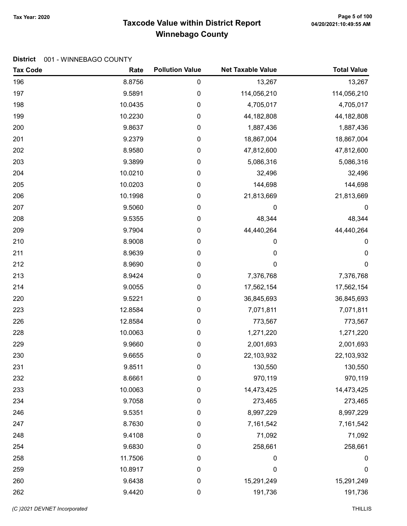## Tax Year: 2020 Page 5 of 100<br>Taxcode Value within District Report 04/20/2021:10:49:55 AM Winnebago County

| <b>Tax Code</b> | Rate    | <b>Pollution Value</b> | <b>Net Taxable Value</b> | <b>Total Value</b> |
|-----------------|---------|------------------------|--------------------------|--------------------|
| 196             | 8.8756  | 0                      | 13,267                   | 13,267             |
| 197             | 9.5891  | 0                      | 114,056,210              | 114,056,210        |
| 198             | 10.0435 | $\pmb{0}$              | 4,705,017                | 4,705,017          |
| 199             | 10.2230 | 0                      | 44,182,808               | 44,182,808         |
| 200             | 9.8637  | 0                      | 1,887,436                | 1,887,436          |
| 201             | 9.2379  | $\pmb{0}$              | 18,867,004               | 18,867,004         |
| 202             | 8.9580  | $\pmb{0}$              | 47,812,600               | 47,812,600         |
| 203             | 9.3899  | $\pmb{0}$              | 5,086,316                | 5,086,316          |
| 204             | 10.0210 | 0                      | 32,496                   | 32,496             |
| 205             | 10.0203 | $\pmb{0}$              | 144,698                  | 144,698            |
| 206             | 10.1998 | $\pmb{0}$              | 21,813,669               | 21,813,669         |
| 207             | 9.5060  | 0                      | 0                        | $\boldsymbol{0}$   |
| 208             | 9.5355  | $\pmb{0}$              | 48,344                   | 48,344             |
| 209             | 9.7904  | $\pmb{0}$              | 44,440,264               | 44,440,264         |
| 210             | 8.9008  | $\pmb{0}$              | 0                        | 0                  |
| 211             | 8.9639  | 0                      | 0                        | 0                  |
| 212             | 8.9690  | $\pmb{0}$              | $\mathbf 0$              | $\mathbf 0$        |
| 213             | 8.9424  | $\pmb{0}$              | 7,376,768                | 7,376,768          |
| 214             | 9.0055  | 0                      | 17,562,154               | 17,562,154         |
| 220             | 9.5221  | 0                      | 36,845,693               | 36,845,693         |
| 223             | 12.8584 | $\pmb{0}$              | 7,071,811                | 7,071,811          |
| 226             | 12.8584 | $\pmb{0}$              | 773,567                  | 773,567            |
| 228             | 10.0063 | 0                      | 1,271,220                | 1,271,220          |
| 229             | 9.9660  | $\pmb{0}$              | 2,001,693                | 2,001,693          |
| 230             | 9.6655  | 0                      | 22,103,932               | 22,103,932         |
| 231             | 9.8511  | 0                      | 130,550                  | 130,550            |
| 232             | 8.6661  | 0                      | 970,119                  | 970,119            |
| 233             | 10.0063 | $\pmb{0}$              | 14,473,425               | 14,473,425         |
| 234             | 9.7058  | 0                      | 273,465                  | 273,465            |
| 246             | 9.5351  | $\mathbf 0$            | 8,997,229                | 8,997,229          |
| 247             | 8.7630  | $\boldsymbol{0}$       | 7,161,542                | 7,161,542          |
| 248             | 9.4108  | $\pmb{0}$              | 71,092                   | 71,092             |
| 254             | 9.6830  | $\pmb{0}$              | 258,661                  | 258,661            |
| 258             | 11.7506 | 0                      | 0                        | 0                  |
| 259             | 10.8917 | $\boldsymbol{0}$       | 0                        | $\boldsymbol{0}$   |
| 260             | 9.6438  | $\pmb{0}$              | 15,291,249               | 15,291,249         |
| 262             | 9.4420  | $\pmb{0}$              | 191,736                  | 191,736            |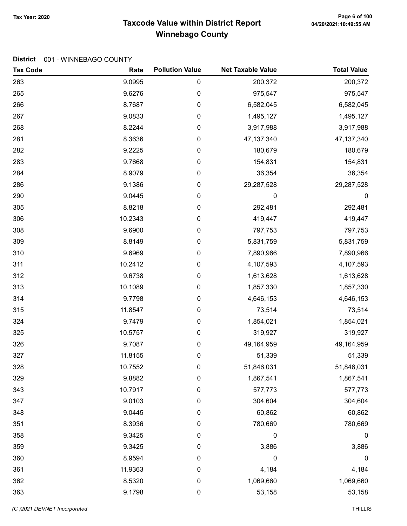## Tax Year: 2020 Page 6 of 100<br>Taxcode Value within District Report 04/20/2021:10:49:55 AM Winnebago County

| <b>Tax Code</b> | Rate    | <b>Pollution Value</b> | <b>Net Taxable Value</b> | <b>Total Value</b> |
|-----------------|---------|------------------------|--------------------------|--------------------|
| 263             | 9.0995  | 0                      | 200,372                  | 200,372            |
| 265             | 9.6276  | 0                      | 975,547                  | 975,547            |
| 266             | 8.7687  | 0                      | 6,582,045                | 6,582,045          |
| 267             | 9.0833  | 0                      | 1,495,127                | 1,495,127          |
| 268             | 8.2244  | 0                      | 3,917,988                | 3,917,988          |
| 281             | 8.3636  | $\pmb{0}$              | 47, 137, 340             | 47, 137, 340       |
| 282             | 9.2225  | 0                      | 180,679                  | 180,679            |
| 283             | 9.7668  | 0                      | 154,831                  | 154,831            |
| 284             | 8.9079  | 0                      | 36,354                   | 36,354             |
| 286             | 9.1386  | 0                      | 29,287,528               | 29,287,528         |
| 290             | 9.0445  | 0                      | 0                        | 0                  |
| 305             | 8.8218  | 0                      | 292,481                  | 292,481            |
| 306             | 10.2343 | 0                      | 419,447                  | 419,447            |
| 308             | 9.6900  | 0                      | 797,753                  | 797,753            |
| 309             | 8.8149  | 0                      | 5,831,759                | 5,831,759          |
| 310             | 9.6969  | 0                      | 7,890,966                | 7,890,966          |
| 311             | 10.2412 | 0                      | 4,107,593                | 4,107,593          |
| 312             | 9.6738  | 0                      | 1,613,628                | 1,613,628          |
| 313             | 10.1089 | 0                      | 1,857,330                | 1,857,330          |
| 314             | 9.7798  | 0                      | 4,646,153                | 4,646,153          |
| 315             | 11.8547 | $\pmb{0}$              | 73,514                   | 73,514             |
| 324             | 9.7479  | 0                      | 1,854,021                | 1,854,021          |
| 325             | 10.5757 | 0                      | 319,927                  | 319,927            |
| 326             | 9.7087  | 0                      | 49,164,959               | 49,164,959         |
| 327             | 11.8155 | 0                      | 51,339                   | 51,339             |
| 328             | 10.7552 | 0                      | 51,846,031               | 51,846,031         |
| 329             | 9.8882  | 0                      | 1,867,541                | 1,867,541          |
| 343             | 10.7917 | 0                      | 577,773                  | 577,773            |
| 347             | 9.0103  | 0                      | 304,604                  | 304,604            |
| 348             | 9.0445  | 0                      | 60,862                   | 60,862             |
| 351             | 8.3936  | 0                      | 780,669                  | 780,669            |
| 358             | 9.3425  | 0                      | 0                        | $\pmb{0}$          |
| 359             | 9.3425  | 0                      | 3,886                    | 3,886              |
| 360             | 8.9594  | 0                      | 0                        | 0                  |
| 361             | 11.9363 | 0                      | 4,184                    | 4,184              |
| 362             | 8.5320  | 0                      | 1,069,660                | 1,069,660          |
| 363             | 9.1798  | 0                      | 53,158                   | 53,158             |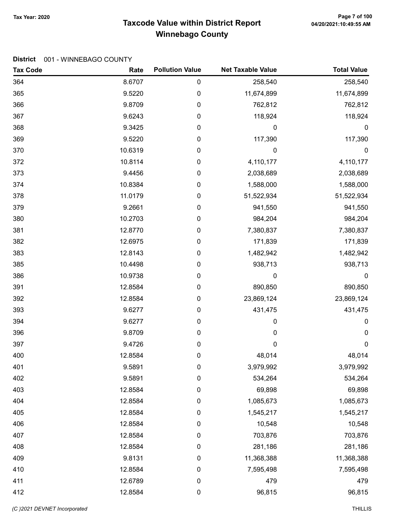## Tax Year: 2020 Page 7 of 100<br>Taxcode Value within District Report 04/20/2021:10:49:55 AM Winnebago County

| <b>Tax Code</b> | Rate    | <b>Pollution Value</b> | <b>Net Taxable Value</b> | <b>Total Value</b> |
|-----------------|---------|------------------------|--------------------------|--------------------|
| 364             | 8.6707  | 0                      | 258,540                  | 258,540            |
| 365             | 9.5220  | 0                      | 11,674,899               | 11,674,899         |
| 366             | 9.8709  | 0                      | 762,812                  | 762,812            |
| 367             | 9.6243  | 0                      | 118,924                  | 118,924            |
| 368             | 9.3425  | 0                      | 0                        | 0                  |
| 369             | 9.5220  | 0                      | 117,390                  | 117,390            |
| 370             | 10.6319 | 0                      | 0                        | $\boldsymbol{0}$   |
| 372             | 10.8114 | 0                      | 4,110,177                | 4,110,177          |
| 373             | 9.4456  | 0                      | 2,038,689                | 2,038,689          |
| 374             | 10.8384 | 0                      | 1,588,000                | 1,588,000          |
| 378             | 11.0179 | 0                      | 51,522,934               | 51,522,934         |
| 379             | 9.2661  | 0                      | 941,550                  | 941,550            |
| 380             | 10.2703 | 0                      | 984,204                  | 984,204            |
| 381             | 12.8770 | 0                      | 7,380,837                | 7,380,837          |
| 382             | 12.6975 | 0                      | 171,839                  | 171,839            |
| 383             | 12.8143 | 0                      | 1,482,942                | 1,482,942          |
| 385             | 10.4498 | 0                      | 938,713                  | 938,713            |
| 386             | 10.9738 | 0                      | 0                        | $\mathbf 0$        |
| 391             | 12.8584 | 0                      | 890,850                  | 890,850            |
| 392             | 12.8584 | 0                      | 23,869,124               | 23,869,124         |
| 393             | 9.6277  | 0                      | 431,475                  | 431,475            |
| 394             | 9.6277  | 0                      | 0                        | 0                  |
| 396             | 9.8709  | 0                      | 0                        | 0                  |
| 397             | 9.4726  | 0                      | $\mathbf 0$              | $\pmb{0}$          |
| 400             | 12.8584 | 0                      | 48,014                   | 48,014             |
| 401             | 9.5891  | 0                      | 3,979,992                | 3,979,992          |
| 402             | 9.5891  | 0                      | 534,264                  | 534,264            |
| 403             | 12.8584 | 0                      | 69,898                   | 69,898             |
| 404             | 12.8584 | 0                      | 1,085,673                | 1,085,673          |
| 405             | 12.8584 | 0                      | 1,545,217                | 1,545,217          |
| 406             | 12.8584 | $\pmb{0}$              | 10,548                   | 10,548             |
| 407             | 12.8584 | $\pmb{0}$              | 703,876                  | 703,876            |
| 408             | 12.8584 | 0                      | 281,186                  | 281,186            |
| 409             | 9.8131  | 0                      | 11,368,388               | 11,368,388         |
| 410             | 12.8584 | 0                      | 7,595,498                | 7,595,498          |
| 411             | 12.6789 | $\pmb{0}$              | 479                      | 479                |
| 412             | 12.8584 | 0                      | 96,815                   | 96,815             |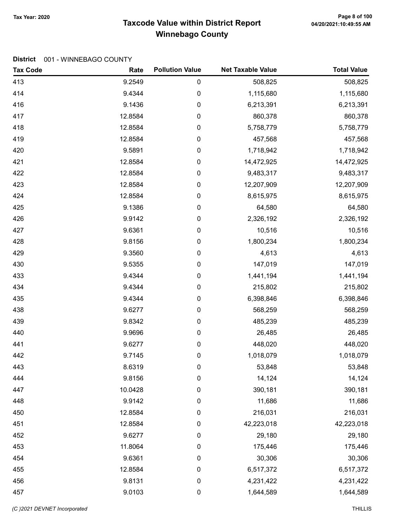## Taxcode Value within District Report Tax Year: 2020 Page 8 of 100 Winnebago County

| <b>Tax Code</b> | Rate    | <b>Pollution Value</b> | <b>Net Taxable Value</b> | <b>Total Value</b> |
|-----------------|---------|------------------------|--------------------------|--------------------|
| 413             | 9.2549  | 0                      | 508,825                  | 508,825            |
| 414             | 9.4344  | 0                      | 1,115,680                | 1,115,680          |
| 416             | 9.1436  | 0                      | 6,213,391                | 6,213,391          |
| 417             | 12.8584 | 0                      | 860,378                  | 860,378            |
| 418             | 12.8584 | 0                      | 5,758,779                | 5,758,779          |
| 419             | 12.8584 | 0                      | 457,568                  | 457,568            |
| 420             | 9.5891  | 0                      | 1,718,942                | 1,718,942          |
| 421             | 12.8584 | 0                      | 14,472,925               | 14,472,925         |
| 422             | 12.8584 | 0                      | 9,483,317                | 9,483,317          |
| 423             | 12.8584 | 0                      | 12,207,909               | 12,207,909         |
| 424             | 12.8584 | 0                      | 8,615,975                | 8,615,975          |
| 425             | 9.1386  | 0                      | 64,580                   | 64,580             |
| 426             | 9.9142  | 0                      | 2,326,192                | 2,326,192          |
| 427             | 9.6361  | 0                      | 10,516                   | 10,516             |
| 428             | 9.8156  | 0                      | 1,800,234                | 1,800,234          |
| 429             | 9.3560  | 0                      | 4,613                    | 4,613              |
| 430             | 9.5355  | 0                      | 147,019                  | 147,019            |
| 433             | 9.4344  | 0                      | 1,441,194                | 1,441,194          |
| 434             | 9.4344  | 0                      | 215,802                  | 215,802            |
| 435             | 9.4344  | 0                      | 6,398,846                | 6,398,846          |
| 438             | 9.6277  | 0                      | 568,259                  | 568,259            |
| 439             | 9.8342  | 0                      | 485,239                  | 485,239            |
| 440             | 9.9696  | 0                      | 26,485                   | 26,485             |
| 441             | 9.6277  | 0                      | 448,020                  | 448,020            |
| 442             | 9.7145  | 0                      | 1,018,079                | 1,018,079          |
| 443             | 8.6319  | 0                      | 53,848                   | 53,848             |
| 444             | 9.8156  | 0                      | 14,124                   | 14,124             |
| 447             | 10.0428 | 0                      | 390,181                  | 390,181            |
| 448             | 9.9142  | 0                      | 11,686                   | 11,686             |
| 450             | 12.8584 | 0                      | 216,031                  | 216,031            |
| 451             | 12.8584 | $\boldsymbol{0}$       | 42,223,018               | 42,223,018         |
| 452             | 9.6277  | $\pmb{0}$              | 29,180                   | 29,180             |
| 453             | 11.8064 | $\pmb{0}$              | 175,446                  | 175,446            |
| 454             | 9.6361  | 0                      | 30,306                   | 30,306             |
| 455             | 12.8584 | $\pmb{0}$              | 6,517,372                | 6,517,372          |
| 456             | 9.8131  | $\pmb{0}$              | 4,231,422                | 4,231,422          |
| 457             | 9.0103  | $\pmb{0}$              | 1,644,589                | 1,644,589          |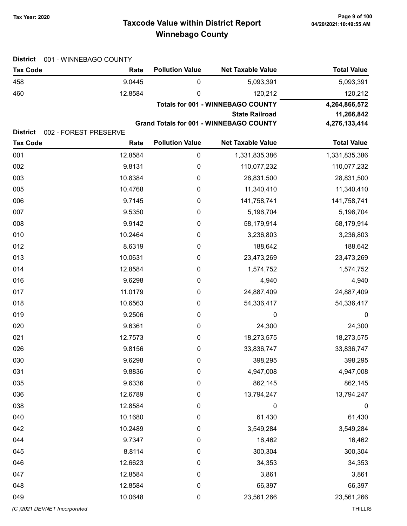## Taxcode Value within District Report Tax Year: 2020 Page 9 of 100 Winnebago County

| <b>District</b> | 001 - WINNEBAGO COUNTY |                        |                                                |                    |  |  |
|-----------------|------------------------|------------------------|------------------------------------------------|--------------------|--|--|
| <b>Tax Code</b> | Rate                   | <b>Pollution Value</b> | <b>Net Taxable Value</b>                       | <b>Total Value</b> |  |  |
| 458             | 9.0445                 | $\boldsymbol{0}$       | 5,093,391                                      | 5,093,391          |  |  |
| 460             | 12.8584                | 0                      | 120,212                                        | 120,212            |  |  |
|                 |                        |                        | <b>Totals for 001 - WINNEBAGO COUNTY</b>       | 4,264,866,572      |  |  |
|                 |                        |                        | <b>State Railroad</b>                          | 11,266,842         |  |  |
| <b>District</b> | 002 - FOREST PRESERVE  |                        | <b>Grand Totals for 001 - WINNEBAGO COUNTY</b> | 4,276,133,414      |  |  |
| <b>Tax Code</b> | Rate                   | <b>Pollution Value</b> | <b>Net Taxable Value</b>                       | <b>Total Value</b> |  |  |
| 001             | 12.8584                | $\pmb{0}$              | 1,331,835,386                                  | 1,331,835,386      |  |  |
| 002             | 9.8131                 | $\boldsymbol{0}$       | 110,077,232                                    | 110,077,232        |  |  |
| 003             | 10.8384                | $\boldsymbol{0}$       | 28,831,500                                     | 28,831,500         |  |  |
| 005             | 10.4768                | 0                      | 11,340,410                                     | 11,340,410         |  |  |
| 006             | 9.7145                 | 0                      | 141,758,741                                    | 141,758,741        |  |  |
| 007             | 9.5350                 | $\boldsymbol{0}$       | 5,196,704                                      | 5,196,704          |  |  |
| 008             | 9.9142                 | 0                      | 58,179,914                                     | 58,179,914         |  |  |
| 010             | 10.2464                | 0                      | 3,236,803                                      | 3,236,803          |  |  |
| 012             | 8.6319                 | $\boldsymbol{0}$       | 188,642                                        | 188,642            |  |  |
| 013             | 10.0631                | $\boldsymbol{0}$       | 23,473,269                                     | 23,473,269         |  |  |
| 014             | 12.8584                | 0                      | 1,574,752                                      | 1,574,752          |  |  |
| 016             | 9.6298                 | 0                      | 4,940                                          | 4,940              |  |  |
| 017             | 11.0179                | 0                      | 24,887,409                                     | 24,887,409         |  |  |
| 018             | 10.6563                | $\boldsymbol{0}$       | 54,336,417                                     | 54,336,417         |  |  |
| 019             | 9.2506                 | 0                      | 0                                              | $\boldsymbol{0}$   |  |  |
| 020             | 9.6361                 | $\boldsymbol{0}$       | 24,300                                         | 24,300             |  |  |
| 021             | 12.7573                | 0                      | 18,273,575                                     | 18,273,575         |  |  |
| 026             | 9.8156                 | 0                      | 33,836,747                                     | 33,836,747         |  |  |
| 030             | 9.6298                 | 0                      | 398,295                                        | 398,295            |  |  |
| 031             | 9.8836                 | $\pmb{0}$              | 4,947,008                                      | 4,947,008          |  |  |
| 035             | 9.6336                 | $\boldsymbol{0}$       | 862,145                                        | 862,145            |  |  |
| 036             | 12.6789                | 0                      | 13,794,247                                     | 13,794,247         |  |  |
| 038             | 12.8584                | $\boldsymbol{0}$       | 0                                              | $\boldsymbol{0}$   |  |  |
| 040             | 10.1680                | $\boldsymbol{0}$       | 61,430                                         | 61,430             |  |  |
| 042             | 10.2489                | 0                      | 3,549,284                                      | 3,549,284          |  |  |
| 044             | 9.7347                 | 0                      | 16,462                                         | 16,462             |  |  |
| 045             | 8.8114                 | $\pmb{0}$              | 300,304                                        | 300,304            |  |  |
| 046             | 12.6623                | $\boldsymbol{0}$       | 34,353                                         | 34,353             |  |  |
| 047             | 12.8584                | $\pmb{0}$              | 3,861                                          | 3,861              |  |  |
| 048             | 12.8584                | $\boldsymbol{0}$       | 66,397                                         | 66,397             |  |  |
| 049             | 10.0648                | $\boldsymbol{0}$       | 23,561,266                                     | 23,561,266         |  |  |
|                 |                        |                        |                                                |                    |  |  |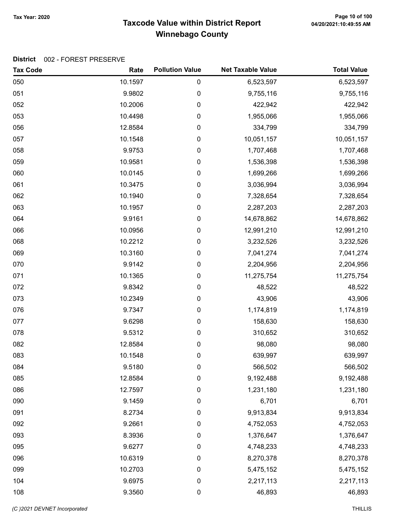## Taxcode Value within District Report Tax Year: 2020 Page 10 of 100 Winnebago County

| <b>Tax Code</b> | Rate    | <b>Pollution Value</b> | <b>Net Taxable Value</b> | <b>Total Value</b> |
|-----------------|---------|------------------------|--------------------------|--------------------|
| 050             | 10.1597 | 0                      | 6,523,597                | 6,523,597          |
| 051             | 9.9802  | 0                      | 9,755,116                | 9,755,116          |
| 052             | 10.2006 | $\pmb{0}$              | 422,942                  | 422,942            |
| 053             | 10.4498 | 0                      | 1,955,066                | 1,955,066          |
| 056             | 12.8584 | 0                      | 334,799                  | 334,799            |
| 057             | 10.1548 | 0                      | 10,051,157               | 10,051,157         |
| 058             | 9.9753  | $\pmb{0}$              | 1,707,468                | 1,707,468          |
| 059             | 10.9581 | 0                      | 1,536,398                | 1,536,398          |
| 060             | 10.0145 | 0                      | 1,699,266                | 1,699,266          |
| 061             | 10.3475 | 0                      | 3,036,994                | 3,036,994          |
| 062             | 10.1940 | 0                      | 7,328,654                | 7,328,654          |
| 063             | 10.1957 | 0                      | 2,287,203                | 2,287,203          |
| 064             | 9.9161  | 0                      | 14,678,862               | 14,678,862         |
| 066             | 10.0956 | $\pmb{0}$              | 12,991,210               | 12,991,210         |
| 068             | 10.2212 | 0                      | 3,232,526                | 3,232,526          |
| 069             | 10.3160 | 0                      | 7,041,274                | 7,041,274          |
| 070             | 9.9142  | 0                      | 2,204,956                | 2,204,956          |
| 071             | 10.1365 | 0                      | 11,275,754               | 11,275,754         |
| 072             | 9.8342  | 0                      | 48,522                   | 48,522             |
| 073             | 10.2349 | $\pmb{0}$              | 43,906                   | 43,906             |
| 076             | 9.7347  | 0                      | 1,174,819                | 1,174,819          |
| 077             | 9.6298  | 0                      | 158,630                  | 158,630            |
| 078             | 9.5312  | 0                      | 310,652                  | 310,652            |
| 082             | 12.8584 | 0                      | 98,080                   | 98,080             |
| 083             | 10.1548 | 0                      | 639,997                  | 639,997            |
| 084             | 9.5180  | 0                      | 566,502                  | 566,502            |
| 085             | 12.8584 | 0                      | 9,192,488                | 9,192,488          |
| 086             | 12.7597 | 0                      | 1,231,180                | 1,231,180          |
| 090             | 9.1459  | 0                      | 6,701                    | 6,701              |
| 091             | 8.2734  | 0                      | 9,913,834                | 9,913,834          |
| 092             | 9.2661  | 0                      | 4,752,053                | 4,752,053          |
| 093             | 8.3936  | 0                      | 1,376,647                | 1,376,647          |
| 095             | 9.6277  | 0                      | 4,748,233                | 4,748,233          |
| 096             | 10.6319 | 0                      | 8,270,378                | 8,270,378          |
| 099             | 10.2703 | 0                      | 5,475,152                | 5,475,152          |
| 104             | 9.6975  | 0                      | 2,217,113                | 2,217,113          |
| 108             | 9.3560  | 0                      | 46,893                   | 46,893             |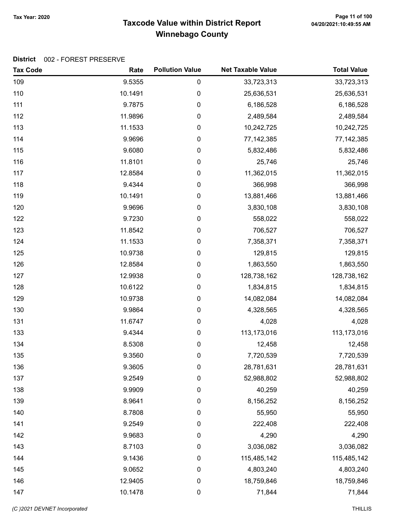## Page 11 of 100 میں Page 11 of 100<br>Taxcode Value within District Report و 20/20/2021:10:49:55 AM Winnebago County

| <b>Tax Code</b> | Rate    | <b>Pollution Value</b> | <b>Net Taxable Value</b> | <b>Total Value</b> |
|-----------------|---------|------------------------|--------------------------|--------------------|
| 109             | 9.5355  | $\pmb{0}$              | 33,723,313               | 33,723,313         |
| 110             | 10.1491 | $\pmb{0}$              | 25,636,531               | 25,636,531         |
| 111             | 9.7875  | 0                      | 6,186,528                | 6,186,528          |
| 112             | 11.9896 | 0                      | 2,489,584                | 2,489,584          |
| 113             | 11.1533 | 0                      | 10,242,725               | 10,242,725         |
| 114             | 9.9696  | 0                      | 77,142,385               | 77,142,385         |
| 115             | 9.6080  | 0                      | 5,832,486                | 5,832,486          |
| 116             | 11.8101 | 0                      | 25,746                   | 25,746             |
| 117             | 12.8584 | 0                      | 11,362,015               | 11,362,015         |
| 118             | 9.4344  | 0                      | 366,998                  | 366,998            |
| 119             | 10.1491 | 0                      | 13,881,466               | 13,881,466         |
| 120             | 9.9696  | 0                      | 3,830,108                | 3,830,108          |
| 122             | 9.7230  | 0                      | 558,022                  | 558,022            |
| 123             | 11.8542 | 0                      | 706,527                  | 706,527            |
| 124             | 11.1533 | 0                      | 7,358,371                | 7,358,371          |
| 125             | 10.9738 | 0                      | 129,815                  | 129,815            |
| 126             | 12.8584 | 0                      | 1,863,550                | 1,863,550          |
| 127             | 12.9938 | 0                      | 128,738,162              | 128,738,162        |
| 128             | 10.6122 | 0                      | 1,834,815                | 1,834,815          |
| 129             | 10.9738 | 0                      | 14,082,084               | 14,082,084         |
| 130             | 9.9864  | 0                      | 4,328,565                | 4,328,565          |
| 131             | 11.6747 | 0                      | 4,028                    | 4,028              |
| 133             | 9.4344  | 0                      | 113,173,016              | 113,173,016        |
| 134             | 8.5308  | 0                      | 12,458                   | 12,458             |
| 135             | 9.3560  | 0                      | 7,720,539                | 7,720,539          |
| 136             | 9.3605  | 0                      | 28,781,631               | 28,781,631         |
| 137             | 9.2549  | 0                      | 52,988,802               | 52,988,802         |
| 138             | 9.9909  | 0                      | 40,259                   | 40,259             |
| 139             | 8.9641  | 0                      | 8,156,252                | 8,156,252          |
| 140             | 8.7808  | 0                      | 55,950                   | 55,950             |
| 141             | 9.2549  | 0                      | 222,408                  | 222,408            |
| 142             | 9.9683  | 0                      | 4,290                    | 4,290              |
| 143             | 8.7103  | 0                      | 3,036,082                | 3,036,082          |
| 144             | 9.1436  | 0                      | 115,485,142              | 115,485,142        |
| 145             | 9.0652  | 0                      | 4,803,240                | 4,803,240          |
| 146             | 12.9405 | 0                      | 18,759,846               | 18,759,846         |
| 147             | 10.1478 | 0                      | 71,844                   | 71,844             |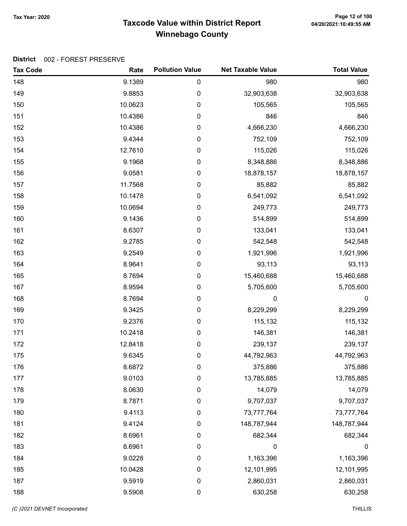## Taxcode Value within District Report Tax Year: 2020 Page 12 of 100 Winnebago County

| <b>Tax Code</b> | Rate    | <b>Pollution Value</b> | <b>Net Taxable Value</b> | <b>Total Value</b> |
|-----------------|---------|------------------------|--------------------------|--------------------|
| 148             | 9.1389  | 0                      | 980                      | 980                |
| 149             | 9.8853  | $\pmb{0}$              | 32,903,638               | 32,903,638         |
| 150             | 10.0623 | $\pmb{0}$              | 105,565                  | 105,565            |
| 151             | 10.4386 | 0                      | 846                      | 846                |
| 152             | 10.4386 | 0                      | 4,666,230                | 4,666,230          |
| 153             | 9.4344  | 0                      | 752,109                  | 752,109            |
| 154             | 12.7610 | $\boldsymbol{0}$       | 115,026                  | 115,026            |
| 155             | 9.1968  | $\mathbf 0$            | 8,348,886                | 8,348,886          |
| 156             | 9.0581  | 0                      | 18,878,157               | 18,878,157         |
| 157             | 11.7568 | $\pmb{0}$              | 85,882                   | 85,882             |
| 158             | 10.1478 | $\pmb{0}$              | 6,541,092                | 6,541,092          |
| 159             | 10.0694 | 0                      | 249,773                  | 249,773            |
| 160             | 9.1436  | $\boldsymbol{0}$       | 514,899                  | 514,899            |
| 161             | 8.6307  | $\boldsymbol{0}$       | 133,041                  | 133,041            |
| 162             | 9.2785  | $\boldsymbol{0}$       | 542,548                  | 542,548            |
| 163             | 9.2549  | 0                      | 1,921,996                | 1,921,996          |
| 164             | 8.9641  | $\pmb{0}$              | 93,113                   | 93,113             |
| 165             | 8.7694  | $\pmb{0}$              | 15,460,688               | 15,460,688         |
| 167             | 8.9594  | 0                      | 5,705,600                | 5,705,600          |
| 168             | 8.7694  | 0                      | 0                        | $\boldsymbol{0}$   |
| 169             | 9.3425  | $\boldsymbol{0}$       | 8,229,299                | 8,229,299          |
| 170             | 9.2376  | $\mathbf 0$            | 115,132                  | 115,132            |
| 171             | 10.2418 | 0                      | 146,381                  | 146,381            |
| 172             | 12.8418 | 0                      | 239,137                  | 239,137            |
| 175             | 9.6345  | 0                      | 44,792,963               | 44,792,963         |
| 176             | 8.6872  | 0                      | 375,886                  | 375,886            |
| 177             | 9.0103  | 0                      | 13,785,885               | 13,785,885         |
| 178             | 8.0630  | $\mathbf 0$            | 14,079                   | 14,079             |
| 179             | 8.7871  | $\boldsymbol{0}$       | 9,707,037                | 9,707,037          |
| 180             | 9.4113  | 0                      | 73,777,764               | 73,777,764         |
| 181             | 9.4124  | 0                      | 148,787,944              | 148,787,944        |
| 182             | 8.6961  | 0                      | 682,344                  | 682,344            |
| 183             | 8.6961  | 0                      | 0                        | $\boldsymbol{0}$   |
| 184             | 9.0228  | 0                      | 1,163,396                | 1,163,396          |
| 185             | 10.0428 | $\boldsymbol{0}$       | 12,101,995               | 12,101,995         |
| 187             | 9.5919  | $\boldsymbol{0}$       | 2,860,031                | 2,860,031          |
| 188             | 9.5908  | $\pmb{0}$              | 630,258                  | 630,258            |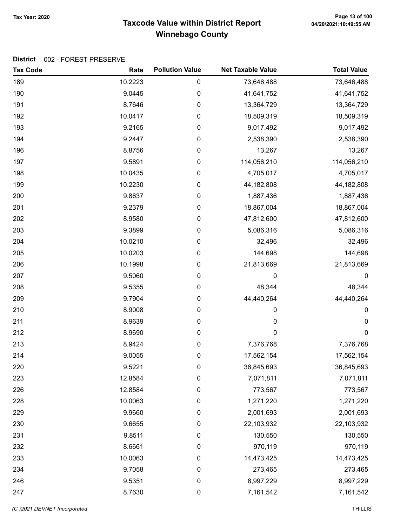## Taxcode Value within District Report Tax Year: 2020 Page 13 of 100 Winnebago County

| <b>Tax Code</b> | Rate    | <b>Pollution Value</b> | <b>Net Taxable Value</b> | <b>Total Value</b> |
|-----------------|---------|------------------------|--------------------------|--------------------|
| 189             | 10.2223 | $\pmb{0}$              | 73,646,488               | 73,646,488         |
| 190             | 9.0445  | 0                      | 41,641,752               | 41,641,752         |
| 191             | 8.7646  | $\pmb{0}$              | 13,364,729               | 13,364,729         |
| 192             | 10.0417 | 0                      | 18,509,319               | 18,509,319         |
| 193             | 9.2165  | 0                      | 9,017,492                | 9,017,492          |
| 194             | 9.2447  | $\pmb{0}$              | 2,538,390                | 2,538,390          |
| 196             | 8.8756  | $\pmb{0}$              | 13,267                   | 13,267             |
| 197             | 9.5891  | $\pmb{0}$              | 114,056,210              | 114,056,210        |
| 198             | 10.0435 | 0                      | 4,705,017                | 4,705,017          |
| 199             | 10.2230 | $\pmb{0}$              | 44,182,808               | 44,182,808         |
| 200             | 9.8637  | 0                      | 1,887,436                | 1,887,436          |
| 201             | 9.2379  | 0                      | 18,867,004               | 18,867,004         |
| 202             | 8.9580  | $\pmb{0}$              | 47,812,600               | 47,812,600         |
| 203             | 9.3899  | $\pmb{0}$              | 5,086,316                | 5,086,316          |
| 204             | 10.0210 | $\pmb{0}$              | 32,496                   | 32,496             |
| 205             | 10.0203 | 0                      | 144,698                  | 144,698            |
| 206             | 10.1998 | $\pmb{0}$              | 21,813,669               | 21,813,669         |
| 207             | 9.5060  | $\pmb{0}$              | 0                        | 0                  |
| 208             | 9.5355  | 0                      | 48,344                   | 48,344             |
| 209             | 9.7904  | $\boldsymbol{0}$       | 44,440,264               | 44,440,264         |
| 210             | 8.9008  | $\pmb{0}$              | 0                        | 0                  |
| 211             | 8.9639  | $\pmb{0}$              | $\mathbf 0$              | 0                  |
| 212             | 8.9690  | $\pmb{0}$              | $\mathbf 0$              | $\boldsymbol{0}$   |
| 213             | 8.9424  | $\pmb{0}$              | 7,376,768                | 7,376,768          |
| 214             | 9.0055  | 0                      | 17,562,154               | 17,562,154         |
| 220             | 9.5221  | 0                      | 36,845,693               | 36,845,693         |
| 223             | 12.8584 | $\pmb{0}$              | 7,071,811                | 7,071,811          |
| 226             | 12.8584 | $\pmb{0}$              | 773,567                  | 773,567            |
| 228             | 10.0063 | 0                      | 1,271,220                | 1,271,220          |
| 229             | 9.9660  | $\mathbf 0$            | 2,001,693                | 2,001,693          |
| 230             | 9.6655  | $\boldsymbol{0}$       | 22,103,932               | 22,103,932         |
| 231             | 9.8511  | $\pmb{0}$              | 130,550                  | 130,550            |
| 232             | 8.6661  | $\pmb{0}$              | 970,119                  | 970,119            |
| 233             | 10.0063 | $\boldsymbol{0}$       | 14,473,425               | 14,473,425         |
| 234             | 9.7058  | $\boldsymbol{0}$       | 273,465                  | 273,465            |
| 246             | 9.5351  | $\pmb{0}$              | 8,997,229                | 8,997,229          |
| 247             | 8.7630  | $\pmb{0}$              | 7,161,542                | 7,161,542          |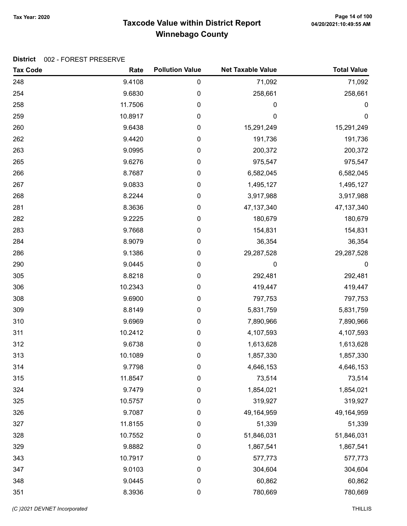## Taxcode Value within District Report Tax Year: 2020 Page 14 of 100 Winnebago County

| <b>Tax Code</b> | Rate    | <b>Pollution Value</b> | <b>Net Taxable Value</b> | <b>Total Value</b> |
|-----------------|---------|------------------------|--------------------------|--------------------|
| 248             | 9.4108  | 0                      | 71,092                   | 71,092             |
| 254             | 9.6830  | 0                      | 258,661                  | 258,661            |
| 258             | 11.7506 | 0                      | 0                        | $\pmb{0}$          |
| 259             | 10.8917 | 0                      | 0                        | $\mathbf 0$        |
| 260             | 9.6438  | 0                      | 15,291,249               | 15,291,249         |
| 262             | 9.4420  | 0                      | 191,736                  | 191,736            |
| 263             | 9.0995  | 0                      | 200,372                  | 200,372            |
| 265             | 9.6276  | 0                      | 975,547                  | 975,547            |
| 266             | 8.7687  | 0                      | 6,582,045                | 6,582,045          |
| 267             | 9.0833  | 0                      | 1,495,127                | 1,495,127          |
| 268             | 8.2244  | 0                      | 3,917,988                | 3,917,988          |
| 281             | 8.3636  | 0                      | 47, 137, 340             | 47, 137, 340       |
| 282             | 9.2225  | 0                      | 180,679                  | 180,679            |
| 283             | 9.7668  | 0                      | 154,831                  | 154,831            |
| 284             | 8.9079  | 0                      | 36,354                   | 36,354             |
| 286             | 9.1386  | 0                      | 29,287,528               | 29,287,528         |
| 290             | 9.0445  | 0                      | 0                        | $\pmb{0}$          |
| 305             | 8.8218  | 0                      | 292,481                  | 292,481            |
| 306             | 10.2343 | 0                      | 419,447                  | 419,447            |
| 308             | 9.6900  | 0                      | 797,753                  | 797,753            |
| 309             | 8.8149  | 0                      | 5,831,759                | 5,831,759          |
| 310             | 9.6969  | 0                      | 7,890,966                | 7,890,966          |
| 311             | 10.2412 | 0                      | 4,107,593                | 4,107,593          |
| 312             | 9.6738  | 0                      | 1,613,628                | 1,613,628          |
| 313             | 10.1089 | 0                      | 1,857,330                | 1,857,330          |
| 314             | 9.7798  | 0                      | 4,646,153                | 4,646,153          |
| 315             | 11.8547 | 0                      | 73,514                   | 73,514             |
| 324             | 9.7479  | $\pmb{0}$              | 1,854,021                | 1,854,021          |
| 325             | 10.5757 | $\boldsymbol{0}$       | 319,927                  | 319,927            |
| 326             | 9.7087  | $\boldsymbol{0}$       | 49,164,959               | 49,164,959         |
| 327             | 11.8155 | $\pmb{0}$              | 51,339                   | 51,339             |
| 328             | 10.7552 | $\pmb{0}$              | 51,846,031               | 51,846,031         |
| 329             | 9.8882  | 0                      | 1,867,541                | 1,867,541          |
| 343             | 10.7917 | 0                      | 577,773                  | 577,773            |
| 347             | 9.0103  | $\boldsymbol{0}$       | 304,604                  | 304,604            |
| 348             | 9.0445  | $\pmb{0}$              | 60,862                   | 60,862             |
| 351             | 8.3936  | $\pmb{0}$              | 780,669                  | 780,669            |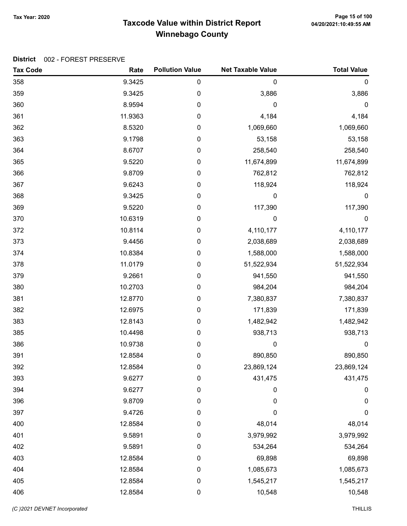## Taxcode Value within District Report Tax Year: 2020 Page 15 of 100 Winnebago County

| <b>Tax Code</b> | Rate    | <b>Pollution Value</b> | <b>Net Taxable Value</b> | <b>Total Value</b> |
|-----------------|---------|------------------------|--------------------------|--------------------|
| 358             | 9.3425  | $\pmb{0}$              | $\mathbf 0$              | $\mathbf 0$        |
| 359             | 9.3425  | $\mathbf 0$            | 3,886                    | 3,886              |
| 360             | 8.9594  | 0                      | $\mathbf 0$              | $\pmb{0}$          |
| 361             | 11.9363 | 0                      | 4,184                    | 4,184              |
| 362             | 8.5320  | 0                      | 1,069,660                | 1,069,660          |
| 363             | 9.1798  | 0                      | 53,158                   | 53,158             |
| 364             | 8.6707  | 0                      | 258,540                  | 258,540            |
| 365             | 9.5220  | 0                      | 11,674,899               | 11,674,899         |
| 366             | 9.8709  | 0                      | 762,812                  | 762,812            |
| 367             | 9.6243  | 0                      | 118,924                  | 118,924            |
| 368             | 9.3425  | 0                      | 0                        | 0                  |
| 369             | 9.5220  | 0                      | 117,390                  | 117,390            |
| 370             | 10.6319 | 0                      | 0                        | $\mathbf 0$        |
| 372             | 10.8114 | 0                      | 4,110,177                | 4,110,177          |
| 373             | 9.4456  | 0                      | 2,038,689                | 2,038,689          |
| 374             | 10.8384 | 0                      | 1,588,000                | 1,588,000          |
| 378             | 11.0179 | 0                      | 51,522,934               | 51,522,934         |
| 379             | 9.2661  | 0                      | 941,550                  | 941,550            |
| 380             | 10.2703 | 0                      | 984,204                  | 984,204            |
| 381             | 12.8770 | 0                      | 7,380,837                | 7,380,837          |
| 382             | 12.6975 | 0                      | 171,839                  | 171,839            |
| 383             | 12.8143 | 0                      | 1,482,942                | 1,482,942          |
| 385             | 10.4498 | 0                      | 938,713                  | 938,713            |
| 386             | 10.9738 | 0                      | 0                        | $\mathbf 0$        |
| 391             | 12.8584 | 0                      | 890,850                  | 890,850            |
| 392             | 12.8584 | 0                      | 23,869,124               | 23,869,124         |
| 393             | 9.6277  | 0                      | 431,475                  | 431,475            |
| 394             | 9.6277  | 0                      | 0                        | $\pmb{0}$          |
| 396             | 9.8709  | 0                      | 0                        | 0                  |
| 397             | 9.4726  | 0                      | $\mathbf 0$              | 0                  |
| 400             | 12.8584 | 0                      | 48,014                   | 48,014             |
| 401             | 9.5891  | 0                      | 3,979,992                | 3,979,992          |
| 402             | 9.5891  | 0                      | 534,264                  | 534,264            |
| 403             | 12.8584 | 0                      | 69,898                   | 69,898             |
| 404             | 12.8584 | 0                      | 1,085,673                | 1,085,673          |
| 405             | 12.8584 | $\pmb{0}$              | 1,545,217                | 1,545,217          |
| 406             | 12.8584 | $\pmb{0}$              | 10,548                   | 10,548             |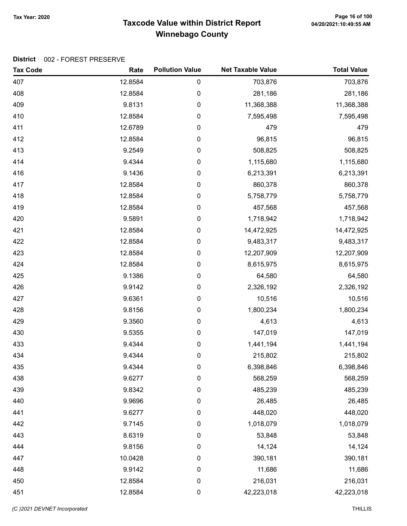## Taxcode Value within District Report Tax Year: 2020 Page 16 of 100 Winnebago County

| <b>Tax Code</b> | Rate    | <b>Pollution Value</b> | <b>Net Taxable Value</b> | <b>Total Value</b> |
|-----------------|---------|------------------------|--------------------------|--------------------|
| 407             | 12.8584 | 0                      | 703,876                  | 703,876            |
| 408             | 12.8584 | 0                      | 281,186                  | 281,186            |
| 409             | 9.8131  | 0                      | 11,368,388               | 11,368,388         |
| 410             | 12.8584 | 0                      | 7,595,498                | 7,595,498          |
| 411             | 12.6789 | 0                      | 479                      | 479                |
| 412             | 12.8584 | 0                      | 96,815                   | 96,815             |
| 413             | 9.2549  | $\pmb{0}$              | 508,825                  | 508,825            |
| 414             | 9.4344  | 0                      | 1,115,680                | 1,115,680          |
| 416             | 9.1436  | 0                      | 6,213,391                | 6,213,391          |
| 417             | 12.8584 | 0                      | 860,378                  | 860,378            |
| 418             | 12.8584 | 0                      | 5,758,779                | 5,758,779          |
| 419             | 12.8584 | 0                      | 457,568                  | 457,568            |
| 420             | 9.5891  | 0                      | 1,718,942                | 1,718,942          |
| 421             | 12.8584 | 0                      | 14,472,925               | 14,472,925         |
| 422             | 12.8584 | 0                      | 9,483,317                | 9,483,317          |
| 423             | 12.8584 | 0                      | 12,207,909               | 12,207,909         |
| 424             | 12.8584 | 0                      | 8,615,975                | 8,615,975          |
| 425             | 9.1386  | 0                      | 64,580                   | 64,580             |
| 426             | 9.9142  | 0                      | 2,326,192                | 2,326,192          |
| 427             | 9.6361  | 0                      | 10,516                   | 10,516             |
| 428             | 9.8156  | 0                      | 1,800,234                | 1,800,234          |
| 429             | 9.3560  | 0                      | 4,613                    | 4,613              |
| 430             | 9.5355  | 0                      | 147,019                  | 147,019            |
| 433             | 9.4344  | 0                      | 1,441,194                | 1,441,194          |
| 434             | 9.4344  | 0                      | 215,802                  | 215,802            |
| 435             | 9.4344  | 0                      | 6,398,846                | 6,398,846          |
| 438             | 9.6277  | 0                      | 568,259                  | 568,259            |
| 439             | 9.8342  | 0                      | 485,239                  | 485,239            |
| 440             | 9.9696  | 0                      | 26,485                   | 26,485             |
| 441             | 9.6277  | 0                      | 448,020                  | 448,020            |
| 442             | 9.7145  | 0                      | 1,018,079                | 1,018,079          |
| 443             | 8.6319  | 0                      | 53,848                   | 53,848             |
| 444             | 9.8156  | 0                      | 14,124                   | 14,124             |
| 447             | 10.0428 | 0                      | 390,181                  | 390,181            |
| 448             | 9.9142  | 0                      | 11,686                   | 11,686             |
| 450             | 12.8584 | 0                      | 216,031                  | 216,031            |
| 451             | 12.8584 | 0                      | 42,223,018               | 42,223,018         |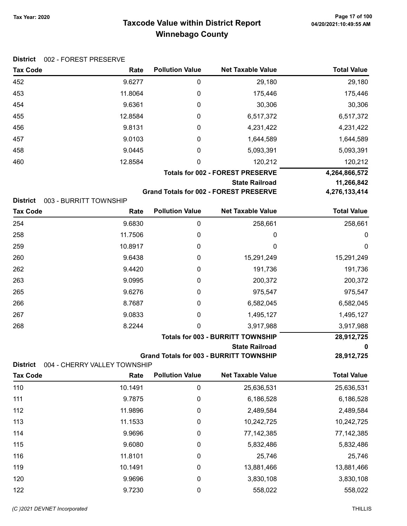## Taxcode Value within District Report Tax Year: 2020 Page 17 of 100 Winnebago County

|  | District 002 - FOREST PRESERVE |
|--|--------------------------------|
|--|--------------------------------|

| <b>Tax Code</b> | Rate                                    | <b>Pollution Value</b> | <b>Net Taxable Value</b>                      | <b>Total Value</b> |
|-----------------|-----------------------------------------|------------------------|-----------------------------------------------|--------------------|
| 452             | 9.6277                                  | 0                      | 29,180                                        | 29,180             |
| 453             | 11.8064                                 | 0                      | 175,446                                       | 175,446            |
| 454             | 9.6361                                  | 0                      | 30,306                                        | 30,306             |
| 455             | 12.8584                                 | 0                      | 6,517,372                                     | 6,517,372          |
| 456             | 9.8131                                  | 0                      | 4,231,422                                     | 4,231,422          |
| 457             | 9.0103                                  | 0                      | 1,644,589                                     | 1,644,589          |
| 458             | 9.0445                                  | 0                      | 5,093,391                                     | 5,093,391          |
| 460             | 12.8584                                 | 0                      | 120,212                                       | 120,212            |
|                 | <b>Totals for 002 - FOREST PRESERVE</b> |                        |                                               | 4,264,866,572      |
|                 | <b>State Railroad</b>                   |                        |                                               | 11,266,842         |
|                 |                                         |                        | <b>Grand Totals for 002 - FOREST PRESERVE</b> | 4,276,133,414      |

| District | 003 - BURRITT TOWNSHIP |
|----------|------------------------|
|          |                        |

| <b>Tax Code</b> | Rate    | <b>Pollution Value</b> | <b>Net Taxable Value</b>                 | <b>Total Value</b> |
|-----------------|---------|------------------------|------------------------------------------|--------------------|
| 254             | 9.6830  | 0                      | 258,661                                  | 258,661            |
| 258             | 11.7506 | 0                      | 0                                        | 0                  |
| 259             | 10.8917 | 0                      | 0                                        | $\mathbf 0$        |
| 260             | 9.6438  | 0                      | 15,291,249                               | 15,291,249         |
| 262             | 9.4420  | 0                      | 191,736                                  | 191,736            |
| 263             | 9.0995  | 0                      | 200,372                                  | 200,372            |
| 265             | 9.6276  | 0                      | 975,547                                  | 975,547            |
| 266             | 8.7687  | 0                      | 6,582,045                                | 6,582,045          |
| 267             | 9.0833  | 0                      | 1,495,127                                | 1,495,127          |
| 268             | 8.2244  | 0                      | 3,917,988                                | 3,917,988          |
|                 |         |                        | <b>Totals for 003 - BURRITT TOWNSHIP</b> | 28,912,725         |
|                 |         |                        | <b>State Railroad</b>                    | 0                  |

Grand Totals for 003 - BURRITT TOWNSHIP 28,912,725

District 004 - CHERRY VALLEY TOWNSHIP

| <b>Tax Code</b> | Rate    | <b>Pollution Value</b> | <b>Net Taxable Value</b> | <b>Total Value</b> |
|-----------------|---------|------------------------|--------------------------|--------------------|
| 110             | 10.1491 | 0                      | 25,636,531               | 25,636,531         |
| 111             | 9.7875  | 0                      | 6,186,528                | 6,186,528          |
| 112             | 11.9896 | 0                      | 2,489,584                | 2,489,584          |
| 113             | 11.1533 | 0                      | 10,242,725               | 10,242,725         |
| 114             | 9.9696  | 0                      | 77,142,385               | 77, 142, 385       |
| 115             | 9.6080  | 0                      | 5,832,486                | 5,832,486          |
| 116             | 11.8101 | 0                      | 25,746                   | 25,746             |
| 119             | 10.1491 | 0                      | 13,881,466               | 13,881,466         |
| 120             | 9.9696  | 0                      | 3,830,108                | 3,830,108          |
| 122             | 9.7230  | 0                      | 558,022                  | 558,022            |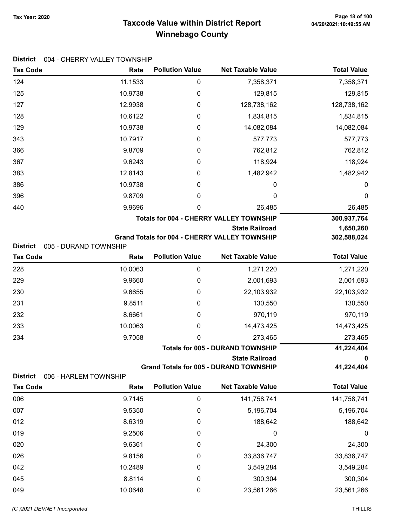## Taxcode Value within District Report Tax Year: 2020 Page 18 of 100 Winnebago County

|  | District 004 - CHERRY VALLEY TOWNSHIP |  |
|--|---------------------------------------|--|
|--|---------------------------------------|--|

| <b>Tax Code</b> | Rate                  | <b>Pollution Value</b>                  | <b>Net Taxable Value</b>                                               | <b>Total Value</b>    |
|-----------------|-----------------------|-----------------------------------------|------------------------------------------------------------------------|-----------------------|
| 124             | 11.1533               | $\boldsymbol{0}$                        | 7,358,371                                                              | 7,358,371             |
| 125             | 10.9738               | 0                                       | 129,815                                                                | 129,815               |
| 127             | 12.9938               | 0                                       | 128,738,162                                                            | 128,738,162           |
| 128             | 10.6122               | 0                                       | 1,834,815                                                              | 1,834,815             |
| 129             | 10.9738               | 0                                       | 14,082,084                                                             | 14,082,084            |
| 343             | 10.7917               | 0                                       | 577,773                                                                | 577,773               |
| 366             | 9.8709                | 0                                       | 762,812                                                                | 762,812               |
| 367             | 9.6243                | 0                                       | 118,924                                                                | 118,924               |
| 383             | 12.8143               | 0                                       | 1,482,942                                                              | 1,482,942             |
| 386             | 10.9738               | 0                                       | 0                                                                      | 0                     |
| 396             | 9.8709                | 0                                       | 0                                                                      | 0                     |
| 440             | 9.9696                | 0                                       | 26,485                                                                 | 26,485                |
|                 |                       |                                         | <b>Totals for 004 - CHERRY VALLEY TOWNSHIP</b>                         | 300,937,764           |
|                 |                       |                                         | <b>State Railroad</b>                                                  | 1,650,260             |
|                 |                       |                                         | Grand Totals for 004 - CHERRY VALLEY TOWNSHIP                          | 302,588,024           |
| <b>District</b> | 005 - DURAND TOWNSHIP | <b>Pollution Value</b>                  | <b>Net Taxable Value</b>                                               | <b>Total Value</b>    |
| <b>Tax Code</b> | Rate                  |                                         |                                                                        |                       |
| 228             | 10.0063               | $\boldsymbol{0}$                        | 1,271,220                                                              | 1,271,220             |
| 229             | 9.9660                | 0                                       | 2,001,693                                                              | 2,001,693             |
| 230             | 9.6655                | 0                                       | 22,103,932                                                             | 22,103,932            |
| 231             | 9.8511                | 0                                       | 130,550                                                                | 130,550               |
| 232             | 8.6661                | 0                                       | 970,119                                                                | 970,119               |
| 233             | 10.0063               | 0                                       | 14,473,425                                                             | 14,473,425            |
| 234             | 9.7058                | 0                                       | 273,465                                                                | 273,465<br>41,224,404 |
|                 |                       | <b>Totals for 005 - DURAND TOWNSHIP</b> |                                                                        |                       |
|                 |                       |                                         | <b>State Railroad</b><br><b>Grand Totals for 005 - DURAND TOWNSHIP</b> | 0<br>41,224,404       |
| <b>District</b> | 006 - HARLEM TOWNSHIP |                                         |                                                                        |                       |
| <b>Tax Code</b> | Rate                  | <b>Pollution Value</b>                  | <b>Net Taxable Value</b>                                               | <b>Total Value</b>    |
| 006             | 9.7145                | $\pmb{0}$                               | 141,758,741                                                            | 141,758,741           |
| 007             | 9.5350                | 0                                       | 5,196,704                                                              | 5,196,704             |
| 012             | 8.6319                | 0                                       | 188,642                                                                | 188,642               |
| 019             | 9.2506                | 0                                       | 0                                                                      | 0                     |
| 020             | 9.6361                | 0                                       | 24,300                                                                 | 24,300                |
| 026             | 9.8156                | 0                                       | 33,836,747                                                             | 33,836,747            |
| 042             | 10.2489               | 0                                       | 3,549,284                                                              | 3,549,284             |
| 045             | 8.8114                | 0                                       | 300,304                                                                | 300,304               |
| 049             | 10.0648               | 0                                       | 23,561,266                                                             | 23,561,266            |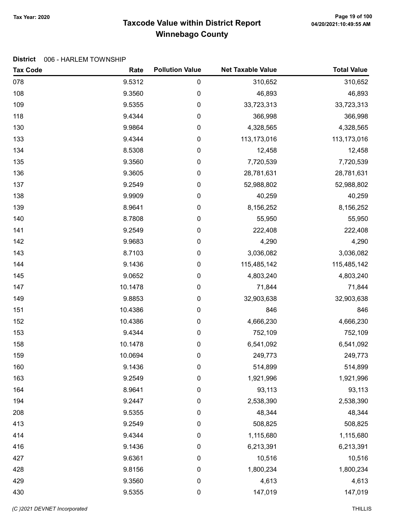## Taxcode Value within District Report Tax Year: 2020 Page 19 of 100 Winnebago County

#### District 006 - HARLEM TOWNSHIP

| <b>Tax Code</b> | Rate    | <b>Pollution Value</b> | <b>Net Taxable Value</b> | <b>Total Value</b> |
|-----------------|---------|------------------------|--------------------------|--------------------|
| 078             | 9.5312  | 0                      | 310,652                  | 310,652            |
| 108             | 9.3560  | 0                      | 46,893                   | 46,893             |
| 109             | 9.5355  | 0                      | 33,723,313               | 33,723,313         |
| 118             | 9.4344  | 0                      | 366,998                  | 366,998            |
| 130             | 9.9864  | 0                      | 4,328,565                | 4,328,565          |
| 133             | 9.4344  | 0                      | 113,173,016              | 113,173,016        |
| 134             | 8.5308  | 0                      | 12,458                   | 12,458             |
| 135             | 9.3560  | 0                      | 7,720,539                | 7,720,539          |
| 136             | 9.3605  | 0                      | 28,781,631               | 28,781,631         |
| 137             | 9.2549  | 0                      | 52,988,802               | 52,988,802         |
| 138             | 9.9909  | 0                      | 40,259                   | 40,259             |
| 139             | 8.9641  | 0                      | 8,156,252                | 8,156,252          |
| 140             | 8.7808  | 0                      | 55,950                   | 55,950             |
| 141             | 9.2549  | 0                      | 222,408                  | 222,408            |
| 142             | 9.9683  | 0                      | 4,290                    | 4,290              |
| 143             | 8.7103  | 0                      | 3,036,082                | 3,036,082          |
| 144             | 9.1436  | 0                      | 115,485,142              | 115,485,142        |
| 145             | 9.0652  | 0                      | 4,803,240                | 4,803,240          |
| 147             | 10.1478 | 0                      | 71,844                   | 71,844             |
| 149             | 9.8853  | 0                      | 32,903,638               | 32,903,638         |
| 151             | 10.4386 | 0                      | 846                      | 846                |
| 152             | 10.4386 | 0                      | 4,666,230                | 4,666,230          |
| 153             | 9.4344  | 0                      | 752,109                  | 752,109            |
| 158             | 10.1478 | 0                      | 6,541,092                | 6,541,092          |
| 159             | 10.0694 | 0                      | 249,773                  | 249,773            |
| 160             | 9.1436  | 0                      | 514,899                  | 514,899            |
| 163             | 9.2549  | 0                      | 1,921,996                | 1,921,996          |
| 164             | 8.9641  | 0                      | 93,113                   | 93,113             |
| 194             | 9.2447  | 0                      | 2,538,390                | 2,538,390          |
| 208             | 9.5355  | 0                      | 48,344                   | 48,344             |
| 413             | 9.2549  | 0                      | 508,825                  | 508,825            |
| 414             | 9.4344  | 0                      | 1,115,680                | 1,115,680          |
| 416             | 9.1436  | 0                      | 6,213,391                | 6,213,391          |
| 427             | 9.6361  | 0                      | 10,516                   | 10,516             |
| 428             | 9.8156  | $\boldsymbol{0}$       | 1,800,234                | 1,800,234          |
| 429             | 9.3560  | 0                      | 4,613                    | 4,613              |
| 430             | 9.5355  | 0                      | 147,019                  | 147,019            |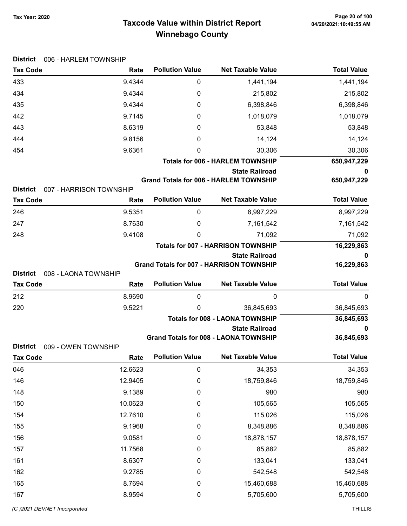## Taxcode Value within District Report Tax Year: 2020 Page 20 of 100 Winnebago County

| Tax Year: 2020 |  |
|----------------|--|
|                |  |

| <b>District</b> | 006 - HARLEM TOWNSHIP   |                        |                                                                 |                    |
|-----------------|-------------------------|------------------------|-----------------------------------------------------------------|--------------------|
| <b>Tax Code</b> | Rate                    | <b>Pollution Value</b> | <b>Net Taxable Value</b>                                        | <b>Total Value</b> |
| 433             | 9.4344                  | 0                      | 1,441,194                                                       | 1,441,194          |
| 434             | 9.4344                  | 0                      | 215,802                                                         | 215,802            |
| 435             | 9.4344                  | 0                      | 6,398,846                                                       | 6,398,846          |
| 442             | 9.7145                  | 0                      | 1,018,079                                                       | 1,018,079          |
| 443             | 8.6319                  | 0                      | 53,848                                                          | 53,848             |
| 444             | 9.8156                  | 0                      | 14,124                                                          | 14,124             |
| 454             | 9.6361                  | 0                      | 30,306                                                          | 30,306             |
|                 |                         |                        | <b>Totals for 006 - HARLEM TOWNSHIP</b>                         | 650,947,229        |
|                 |                         |                        | <b>State Railroad</b>                                           | 0                  |
| <b>District</b> | 007 - HARRISON TOWNSHIP |                        | <b>Grand Totals for 006 - HARLEM TOWNSHIP</b>                   | 650,947,229        |
| <b>Tax Code</b> | Rate                    | <b>Pollution Value</b> | <b>Net Taxable Value</b>                                        | <b>Total Value</b> |
| 246             | 9.5351                  | 0                      | 8,997,229                                                       | 8,997,229          |
| 247             | 8.7630                  | 0                      | 7,161,542                                                       | 7,161,542          |
| 248             | 9.4108                  | 0                      | 71,092                                                          | 71,092             |
|                 |                         |                        | <b>Totals for 007 - HARRISON TOWNSHIP</b>                       | 16,229,863         |
|                 |                         |                        | <b>State Railroad</b>                                           | 0                  |
|                 |                         |                        | <b>Grand Totals for 007 - HARRISON TOWNSHIP</b>                 | 16,229,863         |
| <b>District</b> | 008 - LAONA TOWNSHIP    | <b>Pollution Value</b> | <b>Net Taxable Value</b>                                        | <b>Total Value</b> |
| <b>Tax Code</b> | Rate                    |                        |                                                                 |                    |
| 212             | 8.9690                  | 0                      | 0                                                               | $\mathbf 0$        |
| 220             | 9.5221                  | 0                      | 36,845,693                                                      | 36,845,693         |
|                 |                         |                        | <b>Totals for 008 - LAONA TOWNSHIP</b><br><b>State Railroad</b> | 36,845,693<br>0    |
|                 |                         |                        | <b>Grand Totals for 008 - LAONA TOWNSHIP</b>                    | 36,845,693         |
| <b>District</b> | 009 - OWEN TOWNSHIP     |                        |                                                                 |                    |
| <b>Tax Code</b> | Rate                    | <b>Pollution Value</b> | <b>Net Taxable Value</b>                                        | <b>Total Value</b> |
| 046             | 12.6623                 | $\pmb{0}$              | 34,353                                                          | 34,353             |
| 146             | 12.9405                 | $\boldsymbol{0}$       | 18,759,846                                                      | 18,759,846         |
| 148             | 9.1389                  | $\pmb{0}$              | 980                                                             | 980                |
| 150             | 10.0623                 | $\boldsymbol{0}$       | 105,565                                                         | 105,565            |
| 154             | 12.7610                 | 0                      | 115,026                                                         | 115,026            |
| 155             | 9.1968                  | $\boldsymbol{0}$       | 8,348,886                                                       | 8,348,886          |
| 156             | 9.0581                  | $\boldsymbol{0}$       | 18,878,157                                                      | 18,878,157         |
| 157             | 11.7568                 | $\boldsymbol{0}$       | 85,882                                                          | 85,882             |
| 161             | 8.6307                  | 0                      | 133,041                                                         | 133,041            |
| 162             | 9.2785                  | $\boldsymbol{0}$       | 542,548                                                         | 542,548            |
| 165             | 8.7694                  | $\pmb{0}$              | 15,460,688                                                      | 15,460,688         |
| 167             | 8.9594                  | $\pmb{0}$              | 5,705,600                                                       | 5,705,600          |

(C )2021 DEVNET Incorporated THILLIS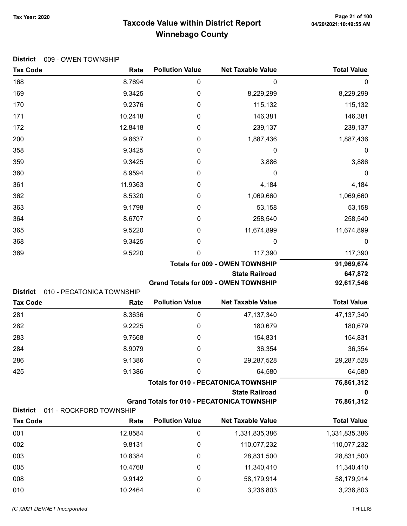## Taxcode Value within District Report Tax Year: 2020 Page 21 of 100 Winnebago County

| <b>District</b>                    | 009 - OWEN TOWNSHIP               |                        |                                                                      |                    |
|------------------------------------|-----------------------------------|------------------------|----------------------------------------------------------------------|--------------------|
| <b>Tax Code</b>                    | Rate                              | <b>Pollution Value</b> | <b>Net Taxable Value</b>                                             | <b>Total Value</b> |
| 168                                | 8.7694                            | 0                      | 0                                                                    | 0                  |
| 169                                | 9.3425                            | 0                      | 8,229,299                                                            | 8,229,299          |
| 170                                | 9.2376                            | 0                      | 115,132                                                              | 115,132            |
| 171                                | 10.2418                           | 0                      | 146,381                                                              | 146,381            |
| 172                                | 12.8418                           | 0                      | 239,137                                                              | 239,137            |
| 200                                | 9.8637                            | 0                      | 1,887,436                                                            | 1,887,436          |
| 358                                | 9.3425                            | 0                      | 0                                                                    | 0                  |
| 359                                | 9.3425                            | 0                      | 3,886                                                                | 3,886              |
| 360                                | 8.9594                            | 0                      | 0                                                                    | 0                  |
| 361                                | 11.9363                           | 0                      | 4,184                                                                | 4,184              |
| 362                                | 8.5320                            | 0                      | 1,069,660                                                            | 1,069,660          |
| 363                                | 9.1798                            | 0                      | 53,158                                                               | 53,158             |
| 364                                | 8.6707                            | 0                      | 258,540                                                              | 258,540            |
| 365                                | 9.5220                            | 0                      | 11,674,899                                                           | 11,674,899         |
| 368                                | 9.3425                            | 0                      | 0                                                                    | 0                  |
| 369                                | 9.5220                            | 0                      | 117,390                                                              | 117,390            |
|                                    |                                   |                        | <b>Totals for 009 - OWEN TOWNSHIP</b>                                | 91,969,674         |
|                                    |                                   |                        | <b>State Railroad</b>                                                | 647,872            |
|                                    |                                   |                        | <b>Grand Totals for 009 - OWEN TOWNSHIP</b>                          | 92,617,546         |
| <b>District</b><br><b>Tax Code</b> | 010 - PECATONICA TOWNSHIP<br>Rate | <b>Pollution Value</b> | <b>Net Taxable Value</b>                                             | <b>Total Value</b> |
| 281                                | 8.3636                            | 0                      | 47, 137, 340                                                         |                    |
|                                    |                                   |                        |                                                                      | 47, 137, 340       |
| 282                                | 9.2225                            | 0                      | 180,679                                                              | 180,679            |
| 283                                | 9.7668                            | 0                      | 154,831                                                              | 154,831            |
| 284                                | 8.9079                            | 0                      | 36,354                                                               | 36,354             |
| 286                                | 9.1386                            | 0                      | 29,287,528                                                           | 29,287,528         |
| 425                                | 9.1386                            | 0                      | 64,580                                                               | 64,580             |
|                                    |                                   |                        | <b>Totals for 010 - PECATONICA TOWNSHIP</b><br><b>State Railroad</b> | 76,861,312<br>0    |
|                                    |                                   |                        | <b>Grand Totals for 010 - PECATONICA TOWNSHIP</b>                    | 76,861,312         |
| <b>District</b>                    | 011 - ROCKFORD TOWNSHIP           |                        |                                                                      |                    |
| <b>Tax Code</b>                    | Rate                              | <b>Pollution Value</b> | <b>Net Taxable Value</b>                                             | <b>Total Value</b> |
| 001                                | 12.8584                           | 0                      | 1,331,835,386                                                        | 1,331,835,386      |
| 002                                | 9.8131                            | 0                      | 110,077,232                                                          | 110,077,232        |
| 003                                | 10.8384                           | 0                      | 28,831,500                                                           | 28,831,500         |
| 005                                | 10.4768                           | 0                      | 11,340,410                                                           | 11,340,410         |
| 008                                | 9.9142                            | $\boldsymbol{0}$       | 58,179,914                                                           | 58,179,914         |
| 010                                | 10.2464                           | 0                      | 3,236,803                                                            | 3,236,803          |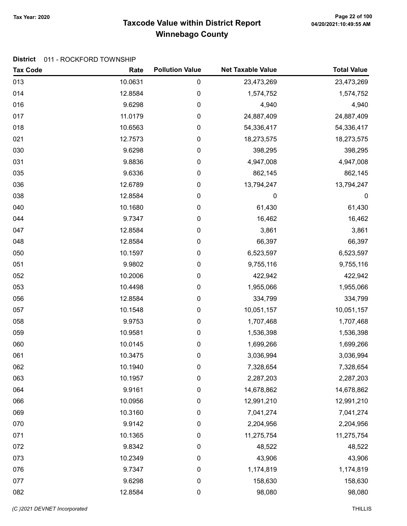## Taxcode Value within District Report Tax Year: 2020 Page 22 of 100 Winnebago County

#### District 011 - ROCKFORD TOWNSHIP

| <b>Tax Code</b> | Rate    | <b>Pollution Value</b> | <b>Net Taxable Value</b> | <b>Total Value</b> |
|-----------------|---------|------------------------|--------------------------|--------------------|
| 013             | 10.0631 | $\pmb{0}$              | 23,473,269               | 23,473,269         |
| 014             | 12.8584 | $\mathbf 0$            | 1,574,752                | 1,574,752          |
| 016             | 9.6298  | 0                      | 4,940                    | 4,940              |
| 017             | 11.0179 | 0                      | 24,887,409               | 24,887,409         |
| 018             | 10.6563 | 0                      | 54,336,417               | 54,336,417         |
| 021             | 12.7573 | 0                      | 18,273,575               | 18,273,575         |
| 030             | 9.6298  | 0                      | 398,295                  | 398,295            |
| 031             | 9.8836  | 0                      | 4,947,008                | 4,947,008          |
| 035             | 9.6336  | 0                      | 862,145                  | 862,145            |
| 036             | 12.6789 | 0                      | 13,794,247               | 13,794,247         |
| 038             | 12.8584 | $\pmb{0}$              | 0                        | $\mathbf 0$        |
| 040             | 10.1680 | 0                      | 61,430                   | 61,430             |
| 044             | 9.7347  | 0                      | 16,462                   | 16,462             |
| 047             | 12.8584 | 0                      | 3,861                    | 3,861              |
| 048             | 12.8584 | $\pmb{0}$              | 66,397                   | 66,397             |
| 050             | 10.1597 | 0                      | 6,523,597                | 6,523,597          |
| 051             | 9.9802  | 0                      | 9,755,116                | 9,755,116          |
| 052             | 10.2006 | $\pmb{0}$              | 422,942                  | 422,942            |
| 053             | 10.4498 | 0                      | 1,955,066                | 1,955,066          |
| 056             | 12.8584 | 0                      | 334,799                  | 334,799            |
| 057             | 10.1548 | 0                      | 10,051,157               | 10,051,157         |
| 058             | 9.9753  | 0                      | 1,707,468                | 1,707,468          |
| 059             | 10.9581 | 0                      | 1,536,398                | 1,536,398          |
| 060             | 10.0145 | 0                      | 1,699,266                | 1,699,266          |
| 061             | 10.3475 | 0                      | 3,036,994                | 3,036,994          |
| 062             | 10.1940 | 0                      | 7,328,654                | 7,328,654          |
| 063             | 10.1957 | 0                      | 2,287,203                | 2,287,203          |
| 064             | 9.9161  | $\pmb{0}$              | 14,678,862               | 14,678,862         |
| 066             | 10.0956 | 0                      | 12,991,210               | 12,991,210         |
| 069             | 10.3160 | 0                      | 7,041,274                | 7,041,274          |
| 070             | 9.9142  | $\pmb{0}$              | 2,204,956                | 2,204,956          |
| 071             | 10.1365 | 0                      | 11,275,754               | 11,275,754         |
| 072             | 9.8342  | $\pmb{0}$              | 48,522                   | 48,522             |
| 073             | 10.2349 | 0                      | 43,906                   | 43,906             |
| 076             | 9.7347  | $\boldsymbol{0}$       | 1,174,819                | 1,174,819          |
| 077             | 9.6298  | $\boldsymbol{0}$       | 158,630                  | 158,630            |
| 082             | 12.8584 | $\pmb{0}$              | 98,080                   | 98,080             |

(C)2021 DEVNET Incorporated THILLIS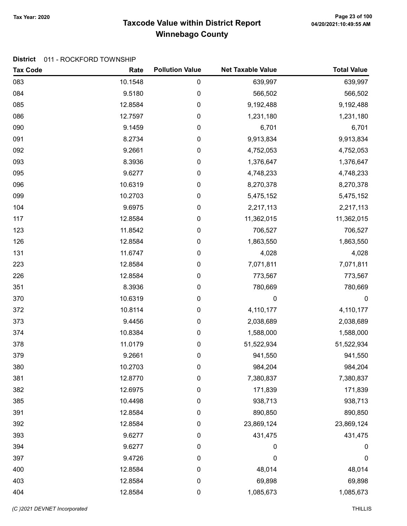## Taxcode Value within District Report Tax Year: 2020 Page 23 of 100 Winnebago County

#### District 011 - ROCKFORD TOWNSHIP

| <b>Tax Code</b> | Rate    | <b>Pollution Value</b> | <b>Net Taxable Value</b> | <b>Total Value</b> |
|-----------------|---------|------------------------|--------------------------|--------------------|
| 083             | 10.1548 | 0                      | 639,997                  | 639,997            |
| 084             | 9.5180  | 0                      | 566,502                  | 566,502            |
| 085             | 12.8584 | 0                      | 9,192,488                | 9,192,488          |
| 086             | 12.7597 | 0                      | 1,231,180                | 1,231,180          |
| 090             | 9.1459  | 0                      | 6,701                    | 6,701              |
| 091             | 8.2734  | 0                      | 9,913,834                | 9,913,834          |
| 092             | 9.2661  | 0                      | 4,752,053                | 4,752,053          |
| 093             | 8.3936  | 0                      | 1,376,647                | 1,376,647          |
| 095             | 9.6277  | 0                      | 4,748,233                | 4,748,233          |
| 096             | 10.6319 | 0                      | 8,270,378                | 8,270,378          |
| 099             | 10.2703 | 0                      | 5,475,152                | 5,475,152          |
| 104             | 9.6975  | 0                      | 2,217,113                | 2,217,113          |
| 117             | 12.8584 | 0                      | 11,362,015               | 11,362,015         |
| 123             | 11.8542 | 0                      | 706,527                  | 706,527            |
| 126             | 12.8584 | 0                      | 1,863,550                | 1,863,550          |
| 131             | 11.6747 | 0                      | 4,028                    | 4,028              |
| 223             | 12.8584 | 0                      | 7,071,811                | 7,071,811          |
| 226             | 12.8584 | 0                      | 773,567                  | 773,567            |
| 351             | 8.3936  | 0                      | 780,669                  | 780,669            |
| 370             | 10.6319 | 0                      | 0                        | $\mathbf 0$        |
| 372             | 10.8114 | 0                      | 4,110,177                | 4,110,177          |
| 373             | 9.4456  | 0                      | 2,038,689                | 2,038,689          |
| 374             | 10.8384 | 0                      | 1,588,000                | 1,588,000          |
| 378             | 11.0179 | 0                      | 51,522,934               | 51,522,934         |
| 379             | 9.2661  | 0                      | 941,550                  | 941,550            |
| 380             | 10.2703 | 0                      | 984,204                  | 984,204            |
| 381             | 12.8770 | 0                      | 7,380,837                | 7,380,837          |
| 382             | 12.6975 | 0                      | 171,839                  | 171,839            |
| 385             | 10.4498 | 0                      | 938,713                  | 938,713            |
| 391             | 12.8584 | 0                      | 890,850                  | 890,850            |
| 392             | 12.8584 | 0                      | 23,869,124               | 23,869,124         |
| 393             | 9.6277  | 0                      | 431,475                  | 431,475            |
| 394             | 9.6277  | 0                      | 0                        | 0                  |
| 397             | 9.4726  | 0                      | 0                        | 0                  |
| 400             | 12.8584 | 0                      | 48,014                   | 48,014             |
| 403             | 12.8584 | 0                      | 69,898                   | 69,898             |
| 404             | 12.8584 | 0                      | 1,085,673                | 1,085,673          |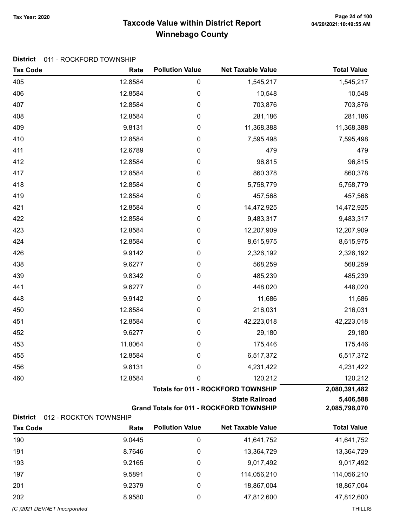## Taxcode Value within District Report Tax Year: 2020 Page 24 of 100 Winnebago County

#### District 011 - ROCKFORD TOWNSHIP

| <b>Tax Code</b>              | Rate                   | <b>Pollution Value</b> | <b>Net Taxable Value</b>                        | <b>Total Value</b> |
|------------------------------|------------------------|------------------------|-------------------------------------------------|--------------------|
| 405                          | 12.8584                | $\pmb{0}$              | 1,545,217                                       | 1,545,217          |
| 406                          | 12.8584                | $\pmb{0}$              | 10,548                                          | 10,548             |
| 407                          | 12.8584                | $\pmb{0}$              | 703,876                                         | 703,876            |
| 408                          | 12.8584                | $\boldsymbol{0}$       | 281,186                                         | 281,186            |
| 409                          | 9.8131                 | $\boldsymbol{0}$       | 11,368,388                                      | 11,368,388         |
| 410                          | 12.8584                | $\pmb{0}$              | 7,595,498                                       | 7,595,498          |
| 411                          | 12.6789                | $\pmb{0}$              | 479                                             | 479                |
| 412                          | 12.8584                | $\pmb{0}$              | 96,815                                          | 96,815             |
| 417                          | 12.8584                | $\boldsymbol{0}$       | 860,378                                         | 860,378            |
| 418                          | 12.8584                | $\boldsymbol{0}$       | 5,758,779                                       | 5,758,779          |
| 419                          | 12.8584                | $\pmb{0}$              | 457,568                                         | 457,568            |
| 421                          | 12.8584                | $\boldsymbol{0}$       | 14,472,925                                      | 14,472,925         |
| 422                          | 12.8584                | $\pmb{0}$              | 9,483,317                                       | 9,483,317          |
| 423                          | 12.8584                | $\pmb{0}$              | 12,207,909                                      | 12,207,909         |
| 424                          | 12.8584                | $\pmb{0}$              | 8,615,975                                       | 8,615,975          |
| 426                          | 9.9142                 | $\pmb{0}$              | 2,326,192                                       | 2,326,192          |
| 438                          | 9.6277                 | $\boldsymbol{0}$       | 568,259                                         | 568,259            |
| 439                          | 9.8342                 | $\boldsymbol{0}$       | 485,239                                         | 485,239            |
| 441                          | 9.6277                 | $\boldsymbol{0}$       | 448,020                                         | 448,020            |
| 448                          | 9.9142                 | $\boldsymbol{0}$       | 11,686                                          | 11,686             |
| 450                          | 12.8584                | $\pmb{0}$              | 216,031                                         | 216,031            |
| 451                          | 12.8584                | $\pmb{0}$              | 42,223,018                                      | 42,223,018         |
| 452                          | 9.6277                 | $\pmb{0}$              | 29,180                                          | 29,180             |
| 453                          | 11.8064                | $\pmb{0}$              | 175,446                                         | 175,446            |
| 455                          | 12.8584                | $\boldsymbol{0}$       | 6,517,372                                       | 6,517,372          |
| 456                          | 9.8131                 | 0                      | 4,231,422                                       | 4,231,422          |
| 460                          | 12.8584                | 0                      | 120,212                                         | 120,212            |
|                              |                        |                        | <b>Totals for 011 - ROCKFORD TOWNSHIP</b>       | 2,080,391,482      |
|                              |                        |                        | <b>State Railroad</b>                           | 5,406,588          |
| <b>District</b>              | 012 - ROCKTON TOWNSHIP |                        | <b>Grand Totals for 011 - ROCKFORD TOWNSHIP</b> | 2,085,798,070      |
| <b>Tax Code</b>              | Rate                   | <b>Pollution Value</b> | <b>Net Taxable Value</b>                        | <b>Total Value</b> |
| 190                          | 9.0445                 | $\mathbf 0$            | 41,641,752                                      | 41,641,752         |
| 191                          | 8.7646                 | 0                      | 13,364,729                                      | 13,364,729         |
| 193                          | 9.2165                 | 0                      | 9,017,492                                       | 9,017,492          |
| 197                          | 9.5891                 | 0                      | 114,056,210                                     | 114,056,210        |
| 201                          | 9.2379                 | 0                      | 18,867,004                                      | 18,867,004         |
| 202                          | 8.9580                 | 0                      | 47,812,600                                      | 47,812,600         |
| (C) 2021 DEVNET Incorporated |                        |                        |                                                 | <b>THILLIS</b>     |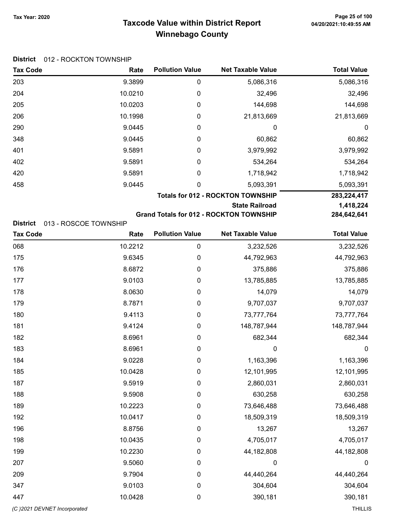## Taxcode Value within District Report Tax Year: 2020 Page 25 of 100 Winnebago County

#### District 012 - ROCKTON TOWNSHIP

| <b>Tax Code</b> | Rate                  | <b>Pollution Value</b> | <b>Net Taxable Value</b>                       | <b>Total Value</b> |
|-----------------|-----------------------|------------------------|------------------------------------------------|--------------------|
| 203             | 9.3899                | 0                      | 5,086,316                                      | 5,086,316          |
| 204             | 10.0210               | 0                      | 32,496                                         | 32,496             |
| 205             | 10.0203               | 0                      | 144,698                                        | 144,698            |
| 206             | 10.1998               | 0                      | 21,813,669                                     | 21,813,669         |
| 290             | 9.0445                | 0                      | 0                                              | 0                  |
| 348             | 9.0445                | 0                      | 60,862                                         | 60,862             |
| 401             | 9.5891                | 0                      | 3,979,992                                      | 3,979,992          |
| 402             | 9.5891                | 0                      | 534,264                                        | 534,264            |
| 420             | 9.5891                | 0                      | 1,718,942                                      | 1,718,942          |
| 458             | 9.0445                | 0                      | 5,093,391                                      | 5,093,391          |
|                 |                       |                        | <b>Totals for 012 - ROCKTON TOWNSHIP</b>       | 283,224,417        |
|                 |                       |                        | <b>State Railroad</b>                          | 1,418,224          |
|                 |                       |                        | <b>Grand Totals for 012 - ROCKTON TOWNSHIP</b> | 284,642,641        |
| <b>District</b> | 013 - ROSCOE TOWNSHIP |                        |                                                |                    |

| <b>Tax Code</b> | Rate    | <b>Pollution Value</b> | <b>Net Taxable Value</b> | <b>Total Value</b> |
|-----------------|---------|------------------------|--------------------------|--------------------|
| 068             | 10.2212 | 0                      | 3,232,526                | 3,232,526          |
| 175             | 9.6345  | 0                      | 44,792,963               | 44,792,963         |
| 176             | 8.6872  | $\boldsymbol{0}$       | 375,886                  | 375,886            |
| 177             | 9.0103  | $\boldsymbol{0}$       | 13,785,885               | 13,785,885         |
| 178             | 8.0630  | $\boldsymbol{0}$       | 14,079                   | 14,079             |
| 179             | 8.7871  | $\boldsymbol{0}$       | 9,707,037                | 9,707,037          |
| 180             | 9.4113  | $\boldsymbol{0}$       | 73,777,764               | 73,777,764         |
| 181             | 9.4124  | 0                      | 148,787,944              | 148,787,944        |
| 182             | 8.6961  | 0                      | 682,344                  | 682,344            |
| 183             | 8.6961  | 0                      | $\mathbf 0$              | 0                  |
| 184             | 9.0228  | 0                      | 1,163,396                | 1,163,396          |
| 185             | 10.0428 | 0                      | 12,101,995               | 12,101,995         |
| 187             | 9.5919  | 0                      | 2,860,031                | 2,860,031          |
| 188             | 9.5908  | $\boldsymbol{0}$       | 630,258                  | 630,258            |
| 189             | 10.2223 | $\boldsymbol{0}$       | 73,646,488               | 73,646,488         |
| 192             | 10.0417 | $\boldsymbol{0}$       | 18,509,319               | 18,509,319         |
| 196             | 8.8756  | $\boldsymbol{0}$       | 13,267                   | 13,267             |
| 198             | 10.0435 | $\boldsymbol{0}$       | 4,705,017                | 4,705,017          |
| 199             | 10.2230 | 0                      | 44,182,808               | 44,182,808         |
| 207             | 9.5060  | 0                      | $\mathbf 0$              | $\boldsymbol{0}$   |
| 209             | 9.7904  | 0                      | 44,440,264               | 44,440,264         |
| 347             | 9.0103  | 0                      | 304,604                  | 304,604            |
| 447             | 10.0428 | 0                      | 390,181                  | 390,181            |

(C)2021 DEVNET Incorporated THILLIS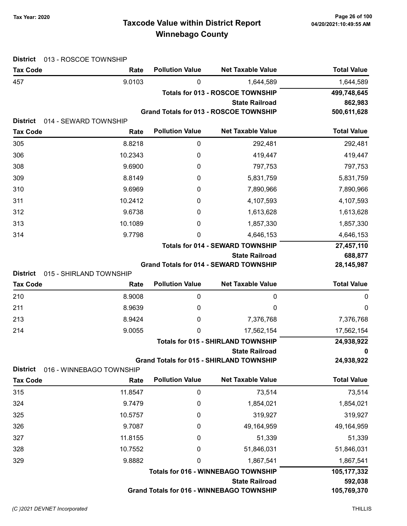## Taxcode Value within District Report Tax Year: 2020 Page 26 of 100 Winnebago County

| <b>District</b><br>013 - ROSCOE TOWNSHIP   |                          |                        |                                                                          |                    |
|--------------------------------------------|--------------------------|------------------------|--------------------------------------------------------------------------|--------------------|
| <b>Tax Code</b>                            | Rate                     | <b>Pollution Value</b> | <b>Net Taxable Value</b>                                                 | <b>Total Value</b> |
| 457                                        | 9.0103                   | 0                      | 1,644,589                                                                | 1,644,589          |
|                                            |                          |                        | <b>Totals for 013 - ROSCOE TOWNSHIP</b>                                  | 499,748,645        |
|                                            |                          |                        | <b>State Railroad</b>                                                    | 862,983            |
| <b>District</b>                            |                          |                        | <b>Grand Totals for 013 - ROSCOE TOWNSHIP</b>                            | 500,611,628        |
| 014 - SEWARD TOWNSHIP<br><b>Tax Code</b>   | Rate                     | <b>Pollution Value</b> | <b>Net Taxable Value</b>                                                 | <b>Total Value</b> |
| 305                                        | 8.8218                   | $\boldsymbol{0}$       | 292,481                                                                  | 292,481            |
| 306                                        | 10.2343                  | 0                      | 419,447                                                                  | 419,447            |
| 308                                        | 9.6900                   | 0                      | 797,753                                                                  | 797,753            |
| 309                                        | 8.8149                   | 0                      | 5,831,759                                                                | 5,831,759          |
| 310                                        | 9.6969                   | 0                      | 7,890,966                                                                | 7,890,966          |
| 311                                        | 10.2412                  | 0                      | 4,107,593                                                                | 4,107,593          |
| 312                                        | 9.6738                   | 0                      | 1,613,628                                                                | 1,613,628          |
| 313                                        | 10.1089                  | 0                      | 1,857,330                                                                | 1,857,330          |
| 314                                        | 9.7798                   | 0                      | 4,646,153                                                                | 4,646,153          |
|                                            |                          |                        | <b>Totals for 014 - SEWARD TOWNSHIP</b>                                  | 27,457,110         |
|                                            |                          |                        | <b>State Railroad</b>                                                    | 688,877            |
|                                            |                          |                        | <b>Grand Totals for 014 - SEWARD TOWNSHIP</b>                            | 28, 145, 987       |
| <b>District</b><br>015 - SHIRLAND TOWNSHIP |                          |                        |                                                                          |                    |
| <b>Tax Code</b>                            | Rate                     | <b>Pollution Value</b> | <b>Net Taxable Value</b>                                                 | <b>Total Value</b> |
| 210                                        | 8.9008                   | 0                      | 0                                                                        | 0                  |
| 211                                        | 8.9639                   | 0                      | 0                                                                        | 0                  |
| 213                                        | 8.9424                   | 0                      | 7,376,768                                                                | 7,376,768          |
| 214                                        | 9.0055                   | 0                      | 17,562,154                                                               | 17,562,154         |
|                                            |                          |                        | <b>Totals for 015 - SHIRLAND TOWNSHIP</b>                                | 24,938,922         |
|                                            |                          |                        | <b>State Railroad</b><br><b>Grand Totals for 015 - SHIRLAND TOWNSHIP</b> | 0<br>24,938,922    |
| <b>District</b>                            | 016 - WINNEBAGO TOWNSHIP |                        |                                                                          |                    |
| <b>Tax Code</b>                            | Rate                     | <b>Pollution Value</b> | <b>Net Taxable Value</b>                                                 | <b>Total Value</b> |
| 315                                        | 11.8547                  | $\pmb{0}$              | 73,514                                                                   | 73,514             |
| 324                                        | 9.7479                   | 0                      | 1,854,021                                                                | 1,854,021          |
| 325                                        | 10.5757                  | 0                      | 319,927                                                                  | 319,927            |
| 326                                        | 9.7087                   | 0                      | 49,164,959                                                               | 49,164,959         |
| 327                                        | 11.8155                  | 0                      | 51,339                                                                   | 51,339             |
| 328                                        | 10.7552                  | 0                      | 51,846,031                                                               | 51,846,031         |
| 329                                        | 9.8882                   | 0                      | 1,867,541                                                                | 1,867,541          |
|                                            |                          |                        | <b>Totals for 016 - WINNEBAGO TOWNSHIP</b>                               | 105,177,332        |
|                                            |                          |                        | <b>State Railroad</b>                                                    | 592,038            |
|                                            |                          |                        | <b>Grand Totals for 016 - WINNEBAGO TOWNSHIP</b>                         | 105,769,370        |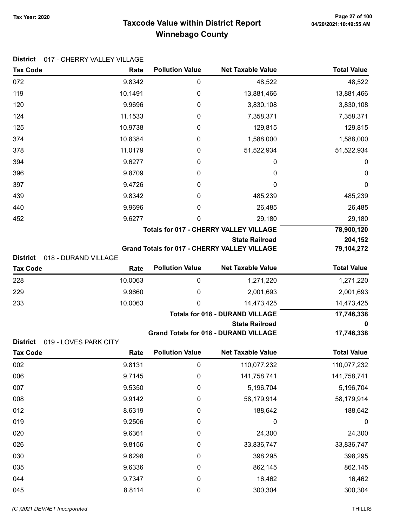## Taxcode Value within District Report Tax Year: 2020 Page 27 of 100 Winnebago County

| <b>DISTRICT</b> | 017 - CHERRY VALLEY VILLAGE |                        |                                                     |                          |
|-----------------|-----------------------------|------------------------|-----------------------------------------------------|--------------------------|
| <b>Tax Code</b> | Rate                        | <b>Pollution Value</b> | <b>Net Taxable Value</b>                            | <b>Total Value</b>       |
| 072             | 9.8342                      | 0                      | 48,522                                              | 48,522                   |
| 119             | 10.1491                     | 0                      | 13,881,466                                          | 13,881,466               |
| 120             | 9.9696                      | 0                      | 3,830,108                                           | 3,830,108                |
| 124             | 11.1533                     | 0                      | 7,358,371                                           | 7,358,371                |
| 125             | 10.9738                     | 0                      | 129,815                                             | 129,815                  |
| 374             | 10.8384                     | 0                      | 1,588,000                                           | 1,588,000                |
| 378             | 11.0179                     | 0                      | 51,522,934                                          | 51,522,934               |
| 394             | 9.6277                      | 0                      | 0                                                   | 0                        |
| 396             | 9.8709                      | 0                      | 0                                                   | 0                        |
| 397             | 9.4726                      | 0                      | 0                                                   | 0                        |
| 439             | 9.8342                      | 0                      | 485,239                                             | 485,239                  |
| 440             | 9.9696                      | 0                      | 26,485                                              | 26,485                   |
| 452             | 9.6277                      | 0                      | 29,180                                              | 29,180                   |
|                 |                             |                        | <b>Totals for 017 - CHERRY VALLEY VILLAGE</b>       | 78,900,120               |
|                 |                             |                        | <b>State Railroad</b>                               | 204,152                  |
| <b>District</b> | 018 - DURAND VILLAGE        |                        | <b>Grand Totals for 017 - CHERRY VALLEY VILLAGE</b> | 79,104,272               |
| <b>Tax Code</b> | Rate                        | <b>Pollution Value</b> | <b>Net Taxable Value</b>                            | <b>Total Value</b>       |
| 228             | 10.0063                     | 0                      | 1,271,220                                           |                          |
| 229             | 9.9660                      | 0                      | 2,001,693                                           | 1,271,220<br>2,001,693   |
| 233             | 10.0063                     | 0                      | 14,473,425                                          |                          |
|                 |                             |                        | <b>Totals for 018 - DURAND VILLAGE</b>              | 14,473,425<br>17,746,338 |
|                 |                             |                        | <b>State Railroad</b>                               | 0                        |
|                 |                             |                        | <b>Grand Totals for 018 - DURAND VILLAGE</b>        | 17,746,338               |
| <b>District</b> | 019 - LOVES PARK CITY       |                        |                                                     |                          |
| <b>Tax Code</b> | Rate                        | <b>Pollution Value</b> | <b>Net Taxable Value</b>                            | <b>Total Value</b>       |
| 002             | 9.8131                      | $\pmb{0}$              | 110,077,232                                         | 110,077,232              |
| 006             | 9.7145                      | 0                      | 141,758,741                                         | 141,758,741              |
| 007             | 9.5350                      | 0                      | 5,196,704                                           | 5,196,704                |
| 008             | 9.9142                      | 0                      | 58,179,914                                          | 58,179,914               |
| 012             | 8.6319                      | 0                      | 188,642                                             | 188,642                  |
| 019             | 9.2506                      | 0                      | $\mathbf 0$                                         | $\boldsymbol{0}$         |
| 020             | 9.6361                      | 0                      | 24,300                                              | 24,300                   |
| 026             | 9.8156                      | 0                      | 33,836,747                                          | 33,836,747               |
| 030             | 9.6298                      | 0                      | 398,295                                             | 398,295                  |
| 035             | 9.6336                      | 0                      | 862,145                                             | 862,145                  |
| 044             | 9.7347                      | $\boldsymbol{0}$       | 16,462                                              | 16,462                   |
| 045             | 8.8114                      | 0                      | 300,304                                             | 300,304                  |

#### District 017 CHERRY VALLEY VILLAGE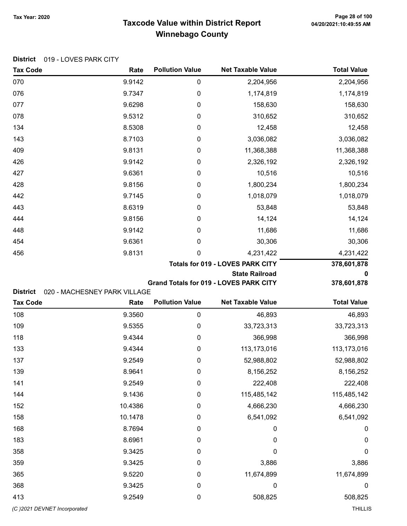District 019 - LOVES PARK CITY

## Taxcode Value within District Report Tax Year: 2020 Page 28 of 100 Winnebago County

| <b>Tax Code</b> | Rate   | <b>Pollution Value</b> | <b>Net Taxable Value</b>                | <b>Total Value</b> |
|-----------------|--------|------------------------|-----------------------------------------|--------------------|
| 070             | 9.9142 | $\boldsymbol{0}$       | 2,204,956                               | 2,204,956          |
| 076             | 9.7347 | $\mathbf 0$            | 1,174,819                               | 1,174,819          |
| 077             | 9.6298 | $\boldsymbol{0}$       | 158,630                                 | 158,630            |
| 078             | 9.5312 | $\boldsymbol{0}$       | 310,652                                 | 310,652            |
| 134             | 8.5308 | $\boldsymbol{0}$       | 12,458                                  | 12,458             |
| 143             | 8.7103 | $\boldsymbol{0}$       | 3,036,082                               | 3,036,082          |
| 409             | 9.8131 | $\boldsymbol{0}$       | 11,368,388                              | 11,368,388         |
| 426             | 9.9142 | $\boldsymbol{0}$       | 2,326,192                               | 2,326,192          |
| 427             | 9.6361 | $\boldsymbol{0}$       | 10,516                                  | 10,516             |
| 428             | 9.8156 | $\boldsymbol{0}$       | 1,800,234                               | 1,800,234          |
| 442             | 9.7145 | $\boldsymbol{0}$       | 1,018,079                               | 1,018,079          |
| 443             | 8.6319 | $\boldsymbol{0}$       | 53,848                                  | 53,848             |
| 444             | 9.8156 | $\boldsymbol{0}$       | 14,124                                  | 14,124             |
| 448             | 9.9142 | $\boldsymbol{0}$       | 11,686                                  | 11,686             |
| 454             | 9.6361 | $\boldsymbol{0}$       | 30,306                                  | 30,306             |
| 456             | 9.8131 | $\mathbf 0$            | 4,231,422                               | 4,231,422          |
|                 |        |                        | <b>Totals for 019 - LOVES PARK CITY</b> | 378,601,878        |
|                 |        |                        | State Dailroad                          |                    |

Grand Totals for 019 - LOVES PARK CITY

State Railroad 0

District 020 - MACHESNEY PARK VILLAGE

| <b>Tax Code</b>             | Rate    | <b>Pollution Value</b> | <b>Net Taxable Value</b> | <b>Total Value</b> |
|-----------------------------|---------|------------------------|--------------------------|--------------------|
| 108                         | 9.3560  | 0                      | 46,893                   | 46,893             |
| 109                         | 9.5355  | 0                      | 33,723,313               | 33,723,313         |
| 118                         | 9.4344  | 0                      | 366,998                  | 366,998            |
| 133                         | 9.4344  | 0                      | 113,173,016              | 113,173,016        |
| 137                         | 9.2549  | 0                      | 52,988,802               | 52,988,802         |
| 139                         | 8.9641  | 0                      | 8,156,252                | 8,156,252          |
| 141                         | 9.2549  | 0                      | 222,408                  | 222,408            |
| 144                         | 9.1436  | 0                      | 115,485,142              | 115,485,142        |
| 152                         | 10.4386 | 0                      | 4,666,230                | 4,666,230          |
| 158                         | 10.1478 | 0                      | 6,541,092                | 6,541,092          |
| 168                         | 8.7694  | 0                      | 0                        | $\pmb{0}$          |
| 183                         | 8.6961  | 0                      | 0                        | $\mathbf 0$        |
| 358                         | 9.3425  | 0                      | 0                        | $\mathbf 0$        |
| 359                         | 9.3425  | 0                      | 3,886                    | 3,886              |
| 365                         | 9.5220  | 0                      | 11,674,899               | 11,674,899         |
| 368                         | 9.3425  | 0                      | 0                        | $\boldsymbol{0}$   |
| 413                         | 9.2549  | 0                      | 508,825                  | 508,825            |
| (C)2021 DEVNET Incorporated |         |                        |                          | <b>THILLIS</b>     |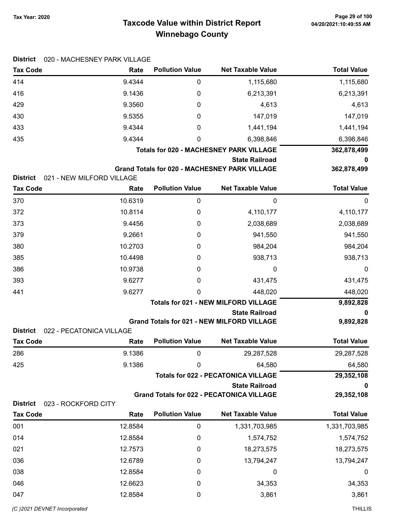# 04/20/2021:10:49:55 AM

## Taxcode Value within District Report Tax Year: 2020 Page 29 of 100 Winnebago County

| <b>District</b>                    | 020 - MACHESNEY PARK VILLAGE |                        |                                                                               |                    |
|------------------------------------|------------------------------|------------------------|-------------------------------------------------------------------------------|--------------------|
| <b>Tax Code</b>                    | Rate                         | <b>Pollution Value</b> | <b>Net Taxable Value</b>                                                      | <b>Total Value</b> |
| 414                                | 9.4344                       | 0                      | 1,115,680                                                                     | 1,115,680          |
| 416                                | 9.1436                       | 0                      | 6,213,391                                                                     | 6,213,391          |
| 429                                | 9.3560                       | 0                      | 4,613                                                                         | 4,613              |
| 430                                | 9.5355                       | 0                      | 147,019                                                                       | 147,019            |
| 433                                | 9.4344                       | 0                      | 1,441,194                                                                     | 1,441,194          |
| 435                                | 9.4344                       | 0                      | 6,398,846                                                                     | 6,398,846          |
|                                    |                              |                        | <b>Totals for 020 - MACHESNEY PARK VILLAGE</b>                                | 362,878,499        |
|                                    |                              |                        | <b>State Railroad</b><br><b>Grand Totals for 020 - MACHESNEY PARK VILLAGE</b> | 0<br>362,878,499   |
| <b>District</b>                    | 021 - NEW MILFORD VILLAGE    |                        |                                                                               |                    |
| <b>Tax Code</b>                    | Rate                         | <b>Pollution Value</b> | <b>Net Taxable Value</b>                                                      | <b>Total Value</b> |
| 370                                | 10.6319                      | $\pmb{0}$              | 0                                                                             | 0                  |
| 372                                | 10.8114                      | 0                      | 4,110,177                                                                     | 4,110,177          |
| 373                                | 9.4456                       | 0                      | 2,038,689                                                                     | 2,038,689          |
| 379                                | 9.2661                       | 0                      | 941,550                                                                       | 941,550            |
| 380                                | 10.2703                      | 0                      | 984,204                                                                       | 984,204            |
| 385                                | 10.4498                      | 0                      | 938,713                                                                       | 938,713            |
| 386                                | 10.9738                      | 0                      | 0                                                                             | $\boldsymbol{0}$   |
| 393                                | 9.6277                       | 0                      | 431,475                                                                       | 431,475            |
| 441                                | 9.6277                       | 0                      | 448,020                                                                       | 448,020            |
|                                    |                              |                        | <b>Totals for 021 - NEW MILFORD VILLAGE</b>                                   | 9,892,828          |
|                                    |                              |                        | <b>State Railroad</b>                                                         | 0                  |
| <b>District</b>                    | 022 - PECATONICA VILLAGE     |                        | <b>Grand Totals for 021 - NEW MILFORD VILLAGE</b>                             | 9,892,828          |
| <b>Tax Code</b>                    | Rate                         | <b>Pollution Value</b> | <b>Net Taxable Value</b>                                                      | <b>Total Value</b> |
| 286                                | 9.1386                       | 0                      | 29,287,528                                                                    | 29,287,528         |
| 425                                | 9.1386                       | 0                      | 64,580                                                                        | 64,580             |
|                                    |                              |                        | <b>Totals for 022 - PECATONICA VILLAGE</b>                                    | 29,352,108         |
|                                    |                              |                        | <b>State Railroad</b>                                                         | 0                  |
|                                    |                              |                        | <b>Grand Totals for 022 - PECATONICA VILLAGE</b>                              | 29,352,108         |
| <b>District</b><br><b>Tax Code</b> | 023 - ROCKFORD CITY<br>Rate  | <b>Pollution Value</b> | <b>Net Taxable Value</b>                                                      | <b>Total Value</b> |
| 001                                | 12.8584                      | 0                      | 1,331,703,985                                                                 | 1,331,703,985      |
| 014                                | 12.8584                      | 0                      | 1,574,752                                                                     | 1,574,752          |
|                                    |                              |                        |                                                                               |                    |
| 021                                | 12.7573                      | 0                      | 18,273,575                                                                    | 18,273,575         |
| 036                                | 12.6789                      | 0                      | 13,794,247                                                                    | 13,794,247         |
| 038                                | 12.8584                      | 0                      | 0                                                                             | 0                  |
| 046                                | 12.6623                      | 0                      | 34,353                                                                        | 34,353             |
| 047                                | 12.8584                      | 0                      | 3,861                                                                         | 3,861              |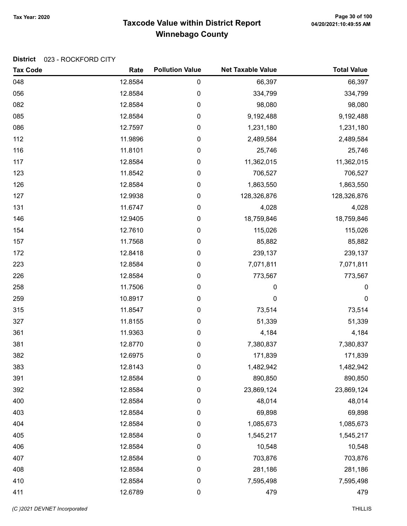## Taxcode Value within District Report Tax Year: 2020 Page 30 of 100 Winnebago County

#### District 023 - ROCKFORD CITY

| <b>Tax Code</b> | Rate    | <b>Pollution Value</b> | <b>Net Taxable Value</b> | <b>Total Value</b> |
|-----------------|---------|------------------------|--------------------------|--------------------|
| 048             | 12.8584 | $\pmb{0}$              | 66,397                   | 66,397             |
| 056             | 12.8584 | 0                      | 334,799                  | 334,799            |
| 082             | 12.8584 | $\pmb{0}$              | 98,080                   | 98,080             |
| 085             | 12.8584 | 0                      | 9,192,488                | 9,192,488          |
| 086             | 12.7597 | 0                      | 1,231,180                | 1,231,180          |
| 112             | 11.9896 | $\pmb{0}$              | 2,489,584                | 2,489,584          |
| 116             | 11.8101 | $\pmb{0}$              | 25,746                   | 25,746             |
| 117             | 12.8584 | $\pmb{0}$              | 11,362,015               | 11,362,015         |
| 123             | 11.8542 | 0                      | 706,527                  | 706,527            |
| 126             | 12.8584 | $\pmb{0}$              | 1,863,550                | 1,863,550          |
| 127             | 12.9938 | 0                      | 128,326,876              | 128,326,876        |
| 131             | 11.6747 | 0                      | 4,028                    | 4,028              |
| 146             | 12.9405 | $\pmb{0}$              | 18,759,846               | 18,759,846         |
| 154             | 12.7610 | 0                      | 115,026                  | 115,026            |
| 157             | 11.7568 | $\pmb{0}$              | 85,882                   | 85,882             |
| 172             | 12.8418 | 0                      | 239,137                  | 239,137            |
| 223             | 12.8584 | $\pmb{0}$              | 7,071,811                | 7,071,811          |
| 226             | 12.8584 | $\pmb{0}$              | 773,567                  | 773,567            |
| 258             | 11.7506 | 0                      | 0                        | 0                  |
| 259             | 10.8917 | $\pmb{0}$              | 0                        | $\pmb{0}$          |
| 315             | 11.8547 | $\pmb{0}$              | 73,514                   | 73,514             |
| 327             | 11.8155 | $\pmb{0}$              | 51,339                   | 51,339             |
| 361             | 11.9363 | 0                      | 4,184                    | 4,184              |
| 381             | 12.8770 | 0                      | 7,380,837                | 7,380,837          |
| 382             | 12.6975 | 0                      | 171,839                  | 171,839            |
| 383             | 12.8143 | 0                      | 1,482,942                | 1,482,942          |
| 391             | 12.8584 | 0                      | 890,850                  | 890,850            |
| 392             | 12.8584 | $\pmb{0}$              | 23,869,124               | 23,869,124         |
| 400             | 12.8584 | 0                      | 48,014                   | 48,014             |
| 403             | 12.8584 | 0                      | 69,898                   | 69,898             |
| 404             | 12.8584 | $\pmb{0}$              | 1,085,673                | 1,085,673          |
| 405             | 12.8584 | $\pmb{0}$              | 1,545,217                | 1,545,217          |
| 406             | 12.8584 | $\pmb{0}$              | 10,548                   | 10,548             |
| 407             | 12.8584 | 0                      | 703,876                  | 703,876            |
| 408             | 12.8584 | $\boldsymbol{0}$       | 281,186                  | 281,186            |
| 410             | 12.8584 | $\pmb{0}$              | 7,595,498                | 7,595,498          |
| 411             | 12.6789 | $\pmb{0}$              | 479                      | 479                |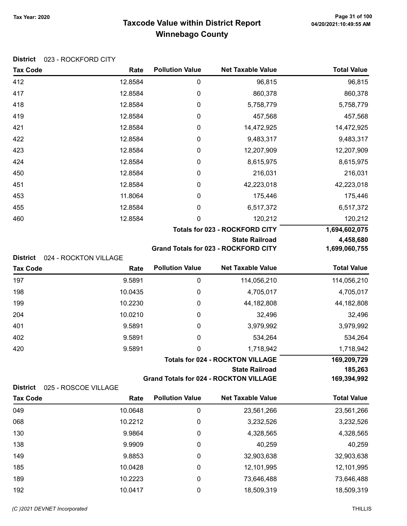## Taxcode Value within District Report Tax Year: 2020 Page 31 of 100 Winnebago County

|  | District 023 - ROCKFORD CITY |
|--|------------------------------|
|--|------------------------------|

| <b>Tax Code</b>                                             | Rate    | <b>Pollution Value</b> | <b>Net Taxable Value</b>                      | <b>Total Value</b> |
|-------------------------------------------------------------|---------|------------------------|-----------------------------------------------|--------------------|
| 412                                                         | 12.8584 | 0                      | 96,815                                        | 96,815             |
| 417                                                         | 12.8584 | 0                      | 860,378                                       | 860,378            |
| 418                                                         | 12.8584 | 0                      | 5,758,779                                     | 5,758,779          |
| 419                                                         | 12.8584 | 0                      | 457,568                                       | 457,568            |
| 421                                                         | 12.8584 | 0                      | 14,472,925                                    | 14,472,925         |
| 422                                                         | 12.8584 | $\boldsymbol{0}$       | 9,483,317                                     | 9,483,317          |
| 423                                                         | 12.8584 | $\boldsymbol{0}$       | 12,207,909                                    | 12,207,909         |
| 424                                                         | 12.8584 | 0                      | 8,615,975                                     | 8,615,975          |
| 450                                                         | 12.8584 | 0                      | 216,031                                       | 216,031            |
| 451                                                         | 12.8584 | 0                      | 42,223,018                                    | 42,223,018         |
| 453                                                         | 11.8064 | 0                      | 175,446                                       | 175,446            |
| 455                                                         | 12.8584 | 0                      | 6,517,372                                     | 6,517,372          |
| 460                                                         | 12.8584 | 0                      | 120,212                                       | 120,212            |
|                                                             |         |                        | <b>Totals for 023 - ROCKFORD CITY</b>         | 1,694,602,075      |
|                                                             |         |                        | <b>State Railroad</b>                         | 4,458,680          |
|                                                             |         |                        | <b>Grand Totals for 023 - ROCKFORD CITY</b>   | 1,699,060,755      |
| <b>District</b><br>024 - ROCKTON VILLAGE<br><b>Tax Code</b> | Rate    | <b>Pollution Value</b> | <b>Net Taxable Value</b>                      | <b>Total Value</b> |
| 197                                                         | 9.5891  | $\boldsymbol{0}$       | 114,056,210                                   | 114,056,210        |
| 198                                                         | 10.0435 | 0                      | 4,705,017                                     | 4,705,017          |
| 199                                                         | 10.2230 | 0                      | 44,182,808                                    | 44,182,808         |
| 204                                                         | 10.0210 | 0                      | 32,496                                        | 32,496             |
| 401                                                         | 9.5891  | 0                      | 3,979,992                                     | 3,979,992          |
| 402                                                         | 9.5891  | 0                      | 534,264                                       | 534,264            |
| 420                                                         | 9.5891  | 0                      | 1,718,942                                     | 1,718,942          |
|                                                             |         |                        | <b>Totals for 024 - ROCKTON VILLAGE</b>       | 169,209,729        |
|                                                             |         |                        | <b>State Railroad</b>                         | 185,263            |
|                                                             |         |                        | <b>Grand Totals for 024 - ROCKTON VILLAGE</b> | 169,394,992        |
| <b>District</b><br>025 - ROSCOE VILLAGE                     |         |                        |                                               |                    |
| <b>Tax Code</b>                                             | Rate    | <b>Pollution Value</b> | <b>Net Taxable Value</b>                      | <b>Total Value</b> |
| 049                                                         | 10.0648 | 0                      | 23,561,266                                    | 23,561,266         |
| 068                                                         | 10.2212 | 0                      | 3,232,526                                     | 3,232,526          |
| 130                                                         | 9.9864  | 0                      | 4,328,565                                     | 4,328,565          |
| 138                                                         | 9.9909  | 0                      | 40,259                                        | 40,259             |
| 149                                                         | 9.8853  | 0                      | 32,903,638                                    | 32,903,638         |
| 185                                                         | 10.0428 | 0                      | 12,101,995                                    | 12,101,995         |
| 189                                                         | 10.2223 | 0                      | 73,646,488                                    | 73,646,488         |
| 192                                                         | 10.0417 | 0                      | 18,509,319                                    | 18,509,319         |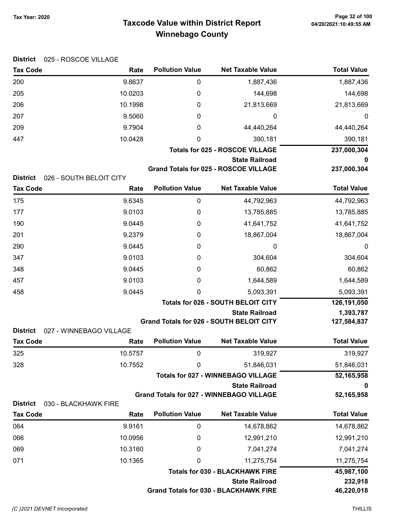## Taxcode Value within District Report Tax Year: 2020 Page 32 of 100 Winnebago County

| Tax Year: 2020 |  |
|----------------|--|
|                |  |

| <b>District</b> | 025 - ROSCOE VILLAGE            |                        |                                                                    |                    |
|-----------------|---------------------------------|------------------------|--------------------------------------------------------------------|--------------------|
| <b>Tax Code</b> | Rate                            | <b>Pollution Value</b> | <b>Net Taxable Value</b>                                           | <b>Total Value</b> |
| 200             | 9.8637                          | 0                      | 1,887,436                                                          | 1,887,436          |
| 205             | 10.0203                         | 0                      | 144,698                                                            | 144,698            |
| 206             | 10.1998                         | 0                      | 21,813,669                                                         | 21,813,669         |
| 207             | 9.5060                          | 0                      | 0                                                                  | 0                  |
| 209             | 9.7904                          | 0                      | 44,440,264                                                         | 44,440,264         |
| 447             | 10.0428                         | 0                      | 390,181                                                            | 390,181            |
|                 |                                 |                        | <b>Totals for 025 - ROSCOE VILLAGE</b>                             | 237,000,304        |
|                 |                                 |                        | <b>State Railroad</b>                                              | 0                  |
| <b>District</b> |                                 |                        | <b>Grand Totals for 025 - ROSCOE VILLAGE</b>                       | 237,000,304        |
| <b>Tax Code</b> | 026 - SOUTH BELOIT CITY<br>Rate | <b>Pollution Value</b> | <b>Net Taxable Value</b>                                           | <b>Total Value</b> |
| 175             | 9.6345                          | 0                      | 44,792,963                                                         | 44,792,963         |
| 177             | 9.0103                          | 0                      | 13,785,885                                                         | 13,785,885         |
| 190             | 9.0445                          | 0                      | 41,641,752                                                         | 41,641,752         |
| 201             | 9.2379                          | 0                      | 18,867,004                                                         | 18,867,004         |
| 290             | 9.0445                          | 0                      | 0                                                                  | 0                  |
| 347             | 9.0103                          | 0                      | 304,604                                                            | 304,604            |
| 348             | 9.0445                          | 0                      | 60,862                                                             | 60,862             |
| 457             | 9.0103                          | 0                      | 1,644,589                                                          | 1,644,589          |
| 458             | 9.0445                          | 0                      | 5,093,391                                                          | 5,093,391          |
|                 |                                 |                        | <b>Totals for 026 - SOUTH BELOIT CITY</b>                          | 126,191,050        |
|                 |                                 |                        | <b>State Railroad</b>                                              | 1,393,787          |
|                 |                                 |                        | Grand Totals for 026 - SOUTH BELOIT CITY                           | 127,584,837        |
| <b>District</b> | 027 - WINNEBAGO VILLAGE         | <b>Pollution Value</b> | <b>Net Taxable Value</b>                                           | <b>Total Value</b> |
| <b>Tax Code</b> | Rate                            |                        |                                                                    |                    |
| 325             | 10.5757                         | 0                      | 319,927                                                            | 319,927            |
| 328             | 10.7552                         | 0                      | 51,846,031                                                         | 51,846,031         |
|                 |                                 |                        | <b>Totals for 027 - WINNEBAGO VILLAGE</b><br><b>State Railroad</b> | 52,165,958<br>0    |
|                 |                                 |                        | <b>Grand Totals for 027 - WINNEBAGO VILLAGE</b>                    | 52,165,958         |
| <b>District</b> | 030 - BLACKHAWK FIRE            |                        |                                                                    |                    |
| <b>Tax Code</b> | Rate                            | <b>Pollution Value</b> | <b>Net Taxable Value</b>                                           | <b>Total Value</b> |
| 064             | 9.9161                          | 0                      | 14,678,862                                                         | 14,678,862         |
| 066             | 10.0956                         | 0                      | 12,991,210                                                         | 12,991,210         |
| 069             | 10.3160                         | 0                      | 7,041,274                                                          | 7,041,274          |
| 071             | 10.1365                         | 0                      | 11,275,754                                                         | 11,275,754         |
|                 |                                 |                        | <b>Totals for 030 - BLACKHAWK FIRE</b>                             | 45,987,100         |
|                 |                                 |                        | <b>State Railroad</b>                                              | 232,918            |
|                 |                                 |                        | <b>Grand Totals for 030 - BLACKHAWK FIRE</b>                       | 46,220,018         |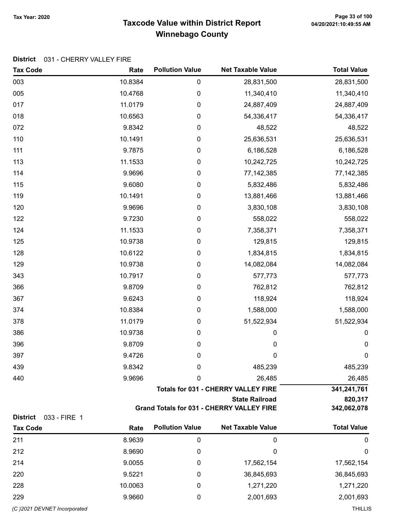#### Taxcode Value within District Report Tax Year: 2020 Page 33 of 100 Winnebago County

#### District 031 - CHERRY VALLEY FIRE

| <b>Tax Code</b>                 | Rate              | <b>Pollution Value</b> | <b>Net Taxable Value</b>                         | <b>Total Value</b>    |
|---------------------------------|-------------------|------------------------|--------------------------------------------------|-----------------------|
| 003                             | 10.8384           | $\boldsymbol{0}$       | 28,831,500                                       | 28,831,500            |
| 005                             | 10.4768           | 0                      | 11,340,410                                       | 11,340,410            |
| 017                             | 11.0179           | 0                      | 24,887,409                                       | 24,887,409            |
| 018                             | 10.6563           | 0                      | 54,336,417                                       | 54,336,417            |
| 072                             | 9.8342            | 0                      | 48,522                                           | 48,522                |
| 110                             | 10.1491           | $\boldsymbol{0}$       | 25,636,531                                       | 25,636,531            |
| 111                             | 9.7875            | $\boldsymbol{0}$       | 6,186,528                                        | 6,186,528             |
| 113                             | 11.1533           | $\boldsymbol{0}$       | 10,242,725                                       | 10,242,725            |
| 114                             | 9.9696            | 0                      | 77, 142, 385                                     | 77, 142, 385          |
| 115                             | 9.6080            | 0                      | 5,832,486                                        | 5,832,486             |
| 119                             | 10.1491           | 0                      | 13,881,466                                       | 13,881,466            |
| 120                             | 9.9696            | 0                      | 3,830,108                                        | 3,830,108             |
| 122                             | 9.7230            | 0                      | 558,022                                          | 558,022               |
| 124                             | 11.1533           | $\boldsymbol{0}$       | 7,358,371                                        | 7,358,371             |
| 125                             | 10.9738           | $\boldsymbol{0}$       | 129,815                                          | 129,815               |
| 128                             | 10.6122           | 0                      | 1,834,815                                        | 1,834,815             |
| 129                             | 10.9738           | 0                      | 14,082,084                                       | 14,082,084            |
| 343                             | 10.7917           | 0                      | 577,773                                          | 577,773               |
| 366                             | 9.8709            | 0                      | 762,812                                          | 762,812               |
| 367                             | 9.6243            | 0                      | 118,924                                          | 118,924               |
| 374                             | 10.8384           | $\boldsymbol{0}$       | 1,588,000                                        | 1,588,000             |
| 378                             | 11.0179           | $\boldsymbol{0}$       | 51,522,934                                       | 51,522,934            |
| 386                             | 10.9738           | 0                      | 0                                                | $\boldsymbol{0}$      |
| 396                             | 9.8709            | $\pmb{0}$              | $\pmb{0}$                                        | $\pmb{0}$             |
| 397                             | 9.4726            | 0                      | $\pmb{0}$                                        | $\mathbf 0$           |
| 439                             | 9.8342            | 0                      | 485,239                                          | 485,239               |
| 440                             | 9.9696            | 0                      | 26,485                                           | 26,485                |
|                                 |                   |                        | <b>Totals for 031 - CHERRY VALLEY FIRE</b>       | 341,241,761           |
|                                 |                   |                        | <b>State Railroad</b>                            | 820,317               |
| <b>District</b>                 |                   |                        | <b>Grand Totals for 031 - CHERRY VALLEY FIRE</b> | 342,062,078           |
| 033 - FIRE 1<br><b>Tax Code</b> | Rate              | <b>Pollution Value</b> | <b>Net Taxable Value</b>                         | <b>Total Value</b>    |
| 211                             | 8.9639            | $\boldsymbol{0}$       | $\boldsymbol{0}$                                 |                       |
| 212                             | 8.9690            |                        | $\mathbf 0$                                      | 0<br>$\boldsymbol{0}$ |
|                                 |                   | 0                      |                                                  |                       |
| 214                             | 9.0055            | 0                      | 17,562,154                                       | 17,562,154            |
| 220                             | 9.5221<br>10.0063 | 0                      | 36,845,693                                       | 36,845,693            |
| 228                             |                   | 0                      | 1,271,220                                        | 1,271,220             |
| 229                             | 9.9660            | 0                      | 2,001,693                                        | 2,001,693             |

(C)2021 DEVNET Incorporated THILLIS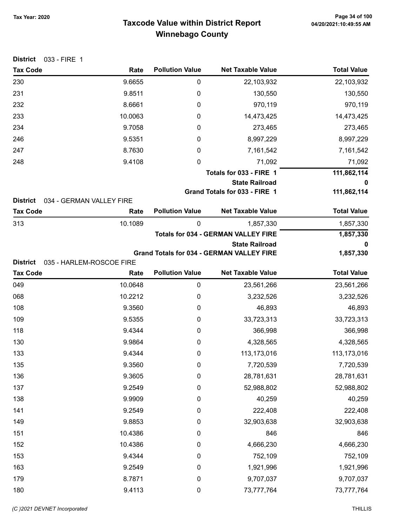## Taxcode Value within District Report Tax Year: 2020 Page 34 of 100 Winnebago County

| <b>District</b><br>033 - FIRE 1    |                                  |                        |                                                  |                    |
|------------------------------------|----------------------------------|------------------------|--------------------------------------------------|--------------------|
| <b>Tax Code</b>                    | Rate                             | <b>Pollution Value</b> | <b>Net Taxable Value</b>                         | <b>Total Value</b> |
| 230                                | 9.6655                           | $\pmb{0}$              | 22,103,932                                       | 22,103,932         |
| 231                                | 9.8511                           | 0                      | 130,550                                          | 130,550            |
| 232                                | 8.6661                           | 0                      | 970,119                                          | 970,119            |
| 233                                | 10.0063                          | 0                      | 14,473,425                                       | 14,473,425         |
| 234                                | 9.7058                           | 0                      | 273,465                                          | 273,465            |
| 246                                | 9.5351                           | 0                      | 8,997,229                                        | 8,997,229          |
| 247                                | 8.7630                           | $\mathbf 0$            | 7,161,542                                        | 7,161,542          |
| 248                                | 9.4108                           | 0                      | 71,092                                           | 71,092             |
|                                    |                                  |                        | Totals for 033 - FIRE 1                          | 111,862,114        |
|                                    |                                  |                        | <b>State Railroad</b>                            | 0                  |
|                                    |                                  |                        | Grand Totals for 033 - FIRE 1                    | 111,862,114        |
| <b>District</b><br><b>Tax Code</b> | 034 - GERMAN VALLEY FIRE<br>Rate | <b>Pollution Value</b> | <b>Net Taxable Value</b>                         | <b>Total Value</b> |
| 313                                | 10.1089                          | 0                      | 1,857,330                                        | 1,857,330          |
|                                    |                                  |                        | <b>Totals for 034 - GERMAN VALLEY FIRE</b>       | 1,857,330          |
|                                    |                                  |                        | <b>State Railroad</b>                            | 0                  |
|                                    |                                  |                        | <b>Grand Totals for 034 - GERMAN VALLEY FIRE</b> | 1,857,330          |
| <b>District</b>                    | 035 - HARLEM-ROSCOE FIRE         |                        |                                                  |                    |
| <b>Tax Code</b>                    | Rate                             | <b>Pollution Value</b> | <b>Net Taxable Value</b>                         | <b>Total Value</b> |
| 049                                | 10.0648                          | $\pmb{0}$              | 23,561,266                                       | 23,561,266         |
| 068                                | 10.2212                          | 0                      | 3,232,526                                        | 3,232,526          |
| 108                                | 9.3560                           | 0                      | 46,893                                           | 46,893             |
| 109                                | 9.5355                           | 0                      | 33,723,313                                       | 33,723,313         |
| 118                                | 9.4344                           | 0                      | 366,998                                          | 366,998            |
| 130                                | 9.9864                           | 0                      | 4,328,565                                        | 4,328,565          |
| 133                                | 9.4344                           | 0                      | 113,173,016                                      | 113,173,016        |
| 135                                | 9.3560                           | $\pmb{0}$              | 7,720,539                                        | 7,720,539          |
| 136                                | 9.3605                           | $\pmb{0}$              | 28,781,631                                       | 28,781,631         |
| 137                                | 9.2549                           | $\pmb{0}$              | 52,988,802                                       | 52,988,802         |
| 138                                | 9.9909                           | $\pmb{0}$              | 40,259                                           | 40,259             |
| 141                                | 9.2549                           | $\pmb{0}$              | 222,408                                          | 222,408            |
| 149                                | 9.8853                           | $\boldsymbol{0}$       | 32,903,638                                       | 32,903,638         |
| 151                                | 10.4386                          | $\mathbf 0$            | 846                                              | 846                |
| 152                                | 10.4386                          | $\boldsymbol{0}$       | 4,666,230                                        | 4,666,230          |
| 153                                | 9.4344                           | $\pmb{0}$              | 752,109                                          | 752,109            |
| 163                                | 9.2549                           | $\pmb{0}$              | 1,921,996                                        | 1,921,996          |
| 179                                | 8.7871                           | $\mathbf 0$            | 9,707,037                                        | 9,707,037          |
| 180                                | 9.4113                           | $\pmb{0}$              | 73,777,764                                       | 73,777,764         |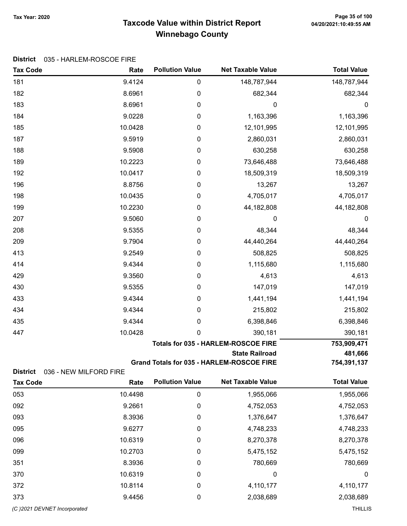## Taxcode Value within District Report Tax Year: 2020 Page 35 of 100 Winnebago County

#### District 035 - HARLEM-ROSCOE FIRE

| 181<br>9.4124<br>0<br>148,787,944<br>182<br>8.6961<br>0<br>682,344<br>183<br>8.6961<br>0<br>0<br>184<br>9.0228<br>0<br>1,163,396<br>185<br>10.0428<br>12,101,995<br>0<br>187<br>9.5919<br>0<br>2,860,031<br>188<br>9.5908<br>630,258<br>0<br>189<br>10.2223<br>0<br>73,646,488<br>10.0417<br>192<br>0<br>18,509,319<br>196<br>8.8756<br>0<br>13,267<br>10.0435<br>0<br>4,705,017<br>198<br>199<br>10.2230<br>0<br>44,182,808 | <b>Total Value</b>     |
|------------------------------------------------------------------------------------------------------------------------------------------------------------------------------------------------------------------------------------------------------------------------------------------------------------------------------------------------------------------------------------------------------------------------------|------------------------|
|                                                                                                                                                                                                                                                                                                                                                                                                                              | 148,787,944            |
|                                                                                                                                                                                                                                                                                                                                                                                                                              | 682,344                |
|                                                                                                                                                                                                                                                                                                                                                                                                                              | 0                      |
|                                                                                                                                                                                                                                                                                                                                                                                                                              | 1,163,396              |
|                                                                                                                                                                                                                                                                                                                                                                                                                              | 12,101,995             |
|                                                                                                                                                                                                                                                                                                                                                                                                                              | 2,860,031              |
|                                                                                                                                                                                                                                                                                                                                                                                                                              | 630,258                |
|                                                                                                                                                                                                                                                                                                                                                                                                                              | 73,646,488             |
|                                                                                                                                                                                                                                                                                                                                                                                                                              | 18,509,319             |
|                                                                                                                                                                                                                                                                                                                                                                                                                              | 13,267                 |
|                                                                                                                                                                                                                                                                                                                                                                                                                              | 4,705,017              |
|                                                                                                                                                                                                                                                                                                                                                                                                                              | 44,182,808             |
| 207<br>9.5060<br>0<br>0                                                                                                                                                                                                                                                                                                                                                                                                      | 0                      |
| 208<br>9.5355<br>48,344<br>0                                                                                                                                                                                                                                                                                                                                                                                                 | 48,344                 |
| 209<br>9.7904<br>0<br>44,440,264                                                                                                                                                                                                                                                                                                                                                                                             | 44,440,264             |
| 413<br>9.2549<br>508,825<br>0                                                                                                                                                                                                                                                                                                                                                                                                | 508,825                |
| 414<br>9.4344<br>0<br>1,115,680                                                                                                                                                                                                                                                                                                                                                                                              | 1,115,680              |
| 9.3560<br>429<br>0<br>4,613                                                                                                                                                                                                                                                                                                                                                                                                  | 4,613                  |
| 430<br>9.5355<br>0<br>147,019                                                                                                                                                                                                                                                                                                                                                                                                | 147,019                |
| 9.4344<br>433<br>0<br>1,441,194                                                                                                                                                                                                                                                                                                                                                                                              | 1,441,194              |
| 434<br>9.4344<br>215,802<br>0                                                                                                                                                                                                                                                                                                                                                                                                | 215,802                |
| 9.4344<br>435<br>0<br>6,398,846                                                                                                                                                                                                                                                                                                                                                                                              | 6,398,846              |
| 447<br>10.0428<br>0<br>390,181                                                                                                                                                                                                                                                                                                                                                                                               | 390,181                |
| <b>Totals for 035 - HARLEM-ROSCOE FIRE</b><br>753,909,471                                                                                                                                                                                                                                                                                                                                                                    |                        |
| <b>State Railroad</b>                                                                                                                                                                                                                                                                                                                                                                                                        | 481,666                |
| Grand Totals for 035 - HARLEM-ROSCOE FIRE                                                                                                                                                                                                                                                                                                                                                                                    | 754,391,137            |
| <b>District</b><br>036 - NEW MILFORD FIRE<br><b>Pollution Value</b><br><b>Net Taxable Value</b><br><b>Tax Code</b><br>Rate                                                                                                                                                                                                                                                                                                   | <b>Total Value</b>     |
| 10.4498<br>$\pmb{0}$<br>053<br>1,955,066                                                                                                                                                                                                                                                                                                                                                                                     | 1,955,066              |
| 092<br>9.2661<br>0<br>4,752,053                                                                                                                                                                                                                                                                                                                                                                                              | 4,752,053              |
| 093<br>8.3936<br>1,376,647<br>0                                                                                                                                                                                                                                                                                                                                                                                              | 1,376,647              |
| 095<br>9.6277<br>4,748,233<br>0                                                                                                                                                                                                                                                                                                                                                                                              | 4,748,233              |
| 10.6319<br>8,270,378<br>096<br>0                                                                                                                                                                                                                                                                                                                                                                                             |                        |
| 099<br>10.2703<br>5,475,152<br>0                                                                                                                                                                                                                                                                                                                                                                                             |                        |
| 8.3936<br>351<br>780,669<br>0                                                                                                                                                                                                                                                                                                                                                                                                | 8,270,378              |
| 10.6319<br>370<br>0<br>0                                                                                                                                                                                                                                                                                                                                                                                                     | 5,475,152              |
| 372<br>10.8114<br>4,110,177<br>0                                                                                                                                                                                                                                                                                                                                                                                             | 780,669                |
| 373<br>9.4456<br>2,038,689<br>0                                                                                                                                                                                                                                                                                                                                                                                              | $\boldsymbol{0}$       |
| (C) 2021 DEVNET Incorporated                                                                                                                                                                                                                                                                                                                                                                                                 | 4,110,177<br>2,038,689 |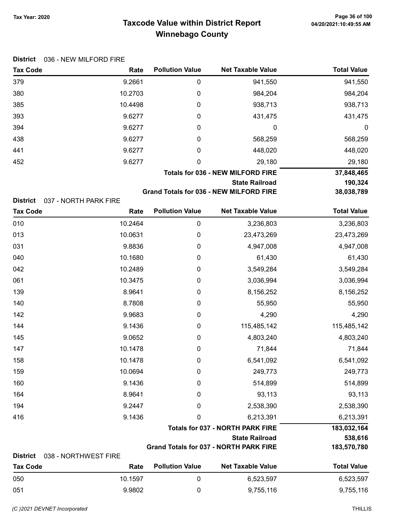## Taxcode Value within District Report Tax Year: 2020 Page 36 of 100 Winnebago County

|  | District 036 - NEW MILFORD FIRE |
|--|---------------------------------|
|--|---------------------------------|

| <b>Tax Code</b> | Rate    | <b>Pollution Value</b> | <b>Net Taxable Value</b>                 | <b>Total Value</b> |
|-----------------|---------|------------------------|------------------------------------------|--------------------|
| 379             | 9.2661  | 0                      | 941,550                                  | 941,550            |
| 380             | 10.2703 | 0                      | 984,204                                  | 984,204            |
| 385             | 10.4498 | 0                      | 938,713                                  | 938,713            |
| 393             | 9.6277  | 0                      | 431,475                                  | 431,475            |
| 394             | 9.6277  | 0                      | 0                                        | 0                  |
| 438             | 9.6277  | 0                      | 568,259                                  | 568,259            |
| 441             | 9.6277  | 0                      | 448,020                                  | 448,020            |
| 452             | 9.6277  | 0                      | 29,180                                   | 29,180             |
|                 |         |                        | <b>Totals for 036 - NEW MILFORD FIRE</b> | 37,848,465         |
|                 |         |                        | <b>State Railroad</b>                    | 190,324            |
|                 |         | $\sim$ $\sim$ $\sim$   |                                          |                    |

Grand Totals for 036 - NEW MILFORD FIRE 38,038,789

District 037 - NORTH PARK FIRE

| <b>Tax Code</b>                    | Rate                         | <b>Pollution Value</b> | <b>Net Taxable Value</b>                      | <b>Total Value</b> |
|------------------------------------|------------------------------|------------------------|-----------------------------------------------|--------------------|
| 010                                | 10.2464                      | 0                      | 3,236,803                                     | 3,236,803          |
| 013                                | 10.0631                      | 0                      | 23,473,269                                    | 23,473,269         |
| 031                                | 9.8836                       | 0                      | 4,947,008                                     | 4,947,008          |
| 040                                | 10.1680                      | $\boldsymbol{0}$       | 61,430                                        | 61,430             |
| 042                                | 10.2489                      | 0                      | 3,549,284                                     | 3,549,284          |
| 061                                | 10.3475                      | $\pmb{0}$              | 3,036,994                                     | 3,036,994          |
| 139                                | 8.9641                       | $\boldsymbol{0}$       | 8,156,252                                     | 8,156,252          |
| 140                                | 8.7808                       | 0                      | 55,950                                        | 55,950             |
| 142                                | 9.9683                       | $\boldsymbol{0}$       | 4,290                                         | 4,290              |
| 144                                | 9.1436                       | $\boldsymbol{0}$       | 115,485,142                                   | 115,485,142        |
| 145                                | 9.0652                       | $\boldsymbol{0}$       | 4,803,240                                     | 4,803,240          |
| 147                                | 10.1478                      | 0                      | 71,844                                        | 71,844             |
| 158                                | 10.1478                      | $\boldsymbol{0}$       | 6,541,092                                     | 6,541,092          |
| 159                                | 10.0694                      | 0                      | 249,773                                       | 249,773            |
| 160                                | 9.1436                       | 0                      | 514,899                                       | 514,899            |
| 164                                | 8.9641                       | 0                      | 93,113                                        | 93,113             |
| 194                                | 9.2447                       | 0                      | 2,538,390                                     | 2,538,390          |
| 416                                | 9.1436                       | 0                      | 6,213,391                                     | 6,213,391          |
|                                    |                              |                        | <b>Totals for 037 - NORTH PARK FIRE</b>       | 183,032,164        |
|                                    |                              |                        | <b>State Railroad</b>                         | 538,616            |
|                                    |                              |                        | <b>Grand Totals for 037 - NORTH PARK FIRE</b> | 183,570,780        |
| <b>District</b><br><b>Tax Code</b> | 038 - NORTHWEST FIRE<br>Rate | <b>Pollution Value</b> | <b>Net Taxable Value</b>                      | <b>Total Value</b> |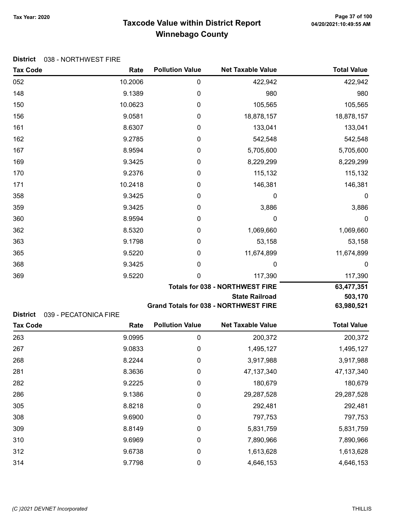# Taxcode Value within District Report Tax Year: 2020 Page 37 of 100 Winnebago County

#### District 038 - NORTHWEST FIRE

| <b>Tax Code</b> | Rate                  | <b>Pollution Value</b>                 | <b>Net Taxable Value</b>                     | <b>Total Value</b> |  |  |
|-----------------|-----------------------|----------------------------------------|----------------------------------------------|--------------------|--|--|
| 052             | 10.2006               | 0                                      | 422,942                                      | 422,942            |  |  |
| 148             | 9.1389                | 0                                      | 980                                          | 980                |  |  |
| 150             | 10.0623               | 0                                      | 105,565                                      | 105,565            |  |  |
| 156             | 9.0581                | 0                                      | 18,878,157                                   | 18,878,157         |  |  |
| 161             | 8.6307                | 0                                      | 133,041                                      | 133,041            |  |  |
| 162             | 9.2785                | 0                                      | 542,548                                      | 542,548            |  |  |
| 167             | 8.9594                | 0                                      | 5,705,600                                    | 5,705,600          |  |  |
| 169             | 9.3425                | 0                                      | 8,229,299                                    | 8,229,299          |  |  |
| 170             | 9.2376                | 0                                      | 115,132                                      | 115,132            |  |  |
| 171             | 10.2418               | 0                                      | 146,381                                      | 146,381            |  |  |
| 358             | 9.3425                | 0                                      | 0                                            | 0                  |  |  |
| 359             | 9.3425                | 0                                      | 3,886                                        | 3,886              |  |  |
| 360             | 8.9594                | 0                                      | 0                                            | $\mathbf 0$        |  |  |
| 362             | 8.5320                | 0                                      | 1,069,660                                    | 1,069,660          |  |  |
| 363             | 9.1798                | 0                                      | 53,158                                       | 53,158             |  |  |
| 365             | 9.5220                | 0                                      | 11,674,899                                   | 11,674,899         |  |  |
| 368             | 9.3425                | 0                                      | 0                                            | $\mathbf 0$        |  |  |
| 369             | 9.5220                | $\mathbf 0$                            | 117,390                                      | 117,390            |  |  |
|                 |                       | <b>Totals for 038 - NORTHWEST FIRE</b> |                                              |                    |  |  |
|                 |                       |                                        | <b>State Railroad</b>                        | 503,170            |  |  |
| <b>District</b> | 039 - PECATONICA FIRE |                                        | <b>Grand Totals for 038 - NORTHWEST FIRE</b> | 63,980,521         |  |  |
| <b>Tax Code</b> | Rate                  | <b>Pollution Value</b>                 | <b>Net Taxable Value</b>                     | <b>Total Value</b> |  |  |
| 263             | 9.0995                | 0                                      | 200,372                                      | 200,372            |  |  |
| 267             | 9.0833                | 0                                      | 1,495,127                                    | 1,495,127          |  |  |
| 268             | 8.2244                | 0                                      | 3,917,988                                    | 3,917,988          |  |  |
| 281             | 8.3636                | $\pmb{0}$                              | 47, 137, 340                                 | 47, 137, 340       |  |  |
| 282             | 9.2225                | 0                                      | 180,679                                      | 180,679            |  |  |
| 286             | 9.1386                | 0                                      | 29,287,528                                   | 29,287,528         |  |  |
| 305             | 8.8218                | $\boldsymbol{0}$                       | 292,481                                      | 292,481            |  |  |
| 308             | 9.6900                | $\boldsymbol{0}$                       | 797,753                                      | 797,753            |  |  |
| 309             | 8.8149                | 0                                      | 5,831,759                                    | 5,831,759          |  |  |
| 310             | 9.6969                | $\boldsymbol{0}$                       | 7,890,966                                    | 7,890,966          |  |  |
| 312             | 9.6738                | $\pmb{0}$                              | 1,613,628                                    | 1,613,628          |  |  |
| 314             | 9.7798                | $\pmb{0}$                              | 4,646,153                                    | 4,646,153          |  |  |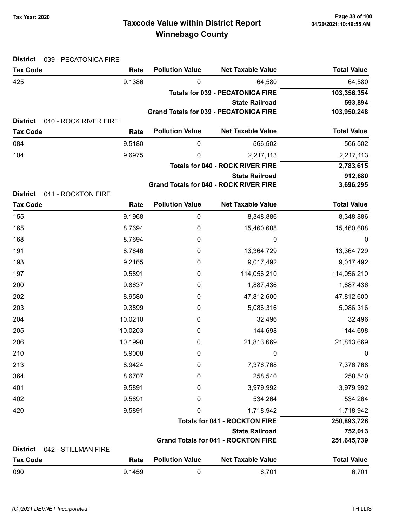# Taxcode Value within District Report Tax Year: 2020 Page 38 of 100 Winnebago County

| <b>District</b><br>039 - PECATONICA FIRE                    |         |                        |                                               |                    |
|-------------------------------------------------------------|---------|------------------------|-----------------------------------------------|--------------------|
| <b>Tax Code</b>                                             | Rate    | <b>Pollution Value</b> | <b>Net Taxable Value</b>                      | <b>Total Value</b> |
| 425                                                         | 9.1386  | 0                      | 64,580                                        | 64,580             |
|                                                             |         |                        | <b>Totals for 039 - PECATONICA FIRE</b>       | 103,356,354        |
|                                                             |         |                        | <b>State Railroad</b>                         | 593,894            |
|                                                             |         |                        | <b>Grand Totals for 039 - PECATONICA FIRE</b> | 103,950,248        |
| <b>District</b><br>040 - ROCK RIVER FIRE<br><b>Tax Code</b> | Rate    | <b>Pollution Value</b> | <b>Net Taxable Value</b>                      | <b>Total Value</b> |
| 084                                                         | 9.5180  | 0                      | 566,502                                       | 566,502            |
| 104                                                         | 9.6975  | 0                      | 2,217,113                                     | 2,217,113          |
|                                                             |         |                        | <b>Totals for 040 - ROCK RIVER FIRE</b>       | 2,783,615          |
|                                                             |         |                        | <b>State Railroad</b>                         | 912,680            |
|                                                             |         |                        | Grand Totals for 040 - ROCK RIVER FIRE        | 3,696,295          |
| <b>District</b><br>041 - ROCKTON FIRE                       |         |                        |                                               |                    |
| <b>Tax Code</b>                                             | Rate    | <b>Pollution Value</b> | <b>Net Taxable Value</b>                      | <b>Total Value</b> |
| 155                                                         | 9.1968  | 0                      | 8,348,886                                     | 8,348,886          |
| 165                                                         | 8.7694  | 0                      | 15,460,688                                    | 15,460,688         |
| 168                                                         | 8.7694  | 0                      | 0                                             | 0                  |
| 191                                                         | 8.7646  | 0                      | 13,364,729                                    | 13,364,729         |
| 193                                                         | 9.2165  | 0                      | 9,017,492                                     | 9,017,492          |
| 197                                                         | 9.5891  | 0                      | 114,056,210                                   | 114,056,210        |
| 200                                                         | 9.8637  | 0                      | 1,887,436                                     | 1,887,436          |
| 202                                                         | 8.9580  | 0                      | 47,812,600                                    | 47,812,600         |
| 203                                                         | 9.3899  | 0                      | 5,086,316                                     | 5,086,316          |
| 204                                                         | 10.0210 | 0                      | 32,496                                        | 32,496             |
| 205                                                         | 10.0203 | 0                      | 144,698                                       | 144,698            |
| 206                                                         | 10.1998 | 0                      | 21,813,669                                    | 21,813,669         |
| 210                                                         | 8.9008  | $\pmb{0}$              | 0                                             | 0                  |
| 213                                                         | 8.9424  | 0                      | 7,376,768                                     | 7,376,768          |
| 364                                                         | 8.6707  | 0                      | 258,540                                       | 258,540            |
| 401                                                         | 9.5891  | 0                      | 3,979,992                                     | 3,979,992          |
| 402                                                         | 9.5891  | 0                      | 534,264                                       | 534,264            |
| 420                                                         | 9.5891  | 0                      | 1,718,942                                     | 1,718,942          |
|                                                             |         |                        | <b>Totals for 041 - ROCKTON FIRE</b>          | 250,893,726        |
|                                                             |         |                        | <b>State Railroad</b>                         | 752,013            |
|                                                             |         |                        | <b>Grand Totals for 041 - ROCKTON FIRE</b>    | 251,645,739        |
| <b>District</b><br>042 - STILLMAN FIRE                      |         |                        |                                               |                    |
| <b>Tax Code</b>                                             | Rate    | <b>Pollution Value</b> | <b>Net Taxable Value</b>                      | <b>Total Value</b> |
| 090                                                         | 9.1459  | 0                      | 6,701                                         | 6,701              |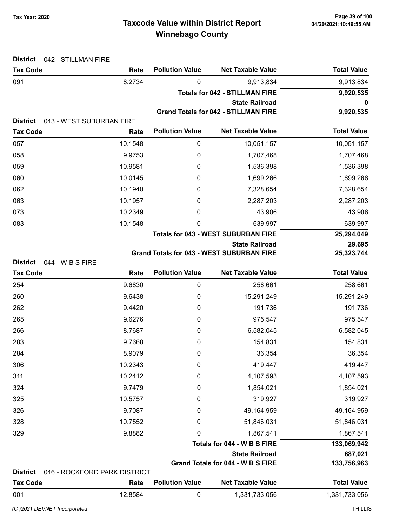# Taxcode Value within District Report Tax Year: 2020 Page 39 of 100 Winnebago County

| <b>District</b><br>042 - STILLMAN FIRE                 |                              |                                       |                                                  |                    |
|--------------------------------------------------------|------------------------------|---------------------------------------|--------------------------------------------------|--------------------|
| <b>Tax Code</b>                                        | Rate                         | <b>Pollution Value</b>                | <b>Net Taxable Value</b>                         | <b>Total Value</b> |
| 091                                                    | 8.2734                       | 0                                     | 9,913,834                                        | 9,913,834          |
|                                                        |                              | <b>Totals for 042 - STILLMAN FIRE</b> | 9,920,535                                        |                    |
|                                                        |                              |                                       | <b>State Railroad</b>                            | 0                  |
| <b>District</b>                                        | 043 - WEST SUBURBAN FIRE     |                                       | <b>Grand Totals for 042 - STILLMAN FIRE</b>      | 9,920,535          |
| <b>Tax Code</b>                                        | Rate                         | <b>Pollution Value</b>                | <b>Net Taxable Value</b>                         | <b>Total Value</b> |
| 057                                                    | 10.1548                      | 0                                     | 10,051,157                                       | 10,051,157         |
| 058                                                    | 9.9753                       | 0                                     | 1,707,468                                        | 1,707,468          |
| 059                                                    | 10.9581                      | 0                                     | 1,536,398                                        | 1,536,398          |
| 060                                                    | 10.0145                      | 0                                     | 1,699,266                                        | 1,699,266          |
| 062                                                    | 10.1940                      | 0                                     | 7,328,654                                        | 7,328,654          |
| 063                                                    | 10.1957                      | 0                                     | 2,287,203                                        | 2,287,203          |
| 073                                                    | 10.2349                      | 0                                     | 43,906                                           | 43,906             |
| 083                                                    | 10.1548                      | 0                                     | 639,997                                          | 639,997            |
|                                                        |                              |                                       | <b>Totals for 043 - WEST SUBURBAN FIRE</b>       | 25,294,049         |
|                                                        |                              |                                       | <b>State Railroad</b>                            | 29,695             |
|                                                        |                              |                                       | <b>Grand Totals for 043 - WEST SUBURBAN FIRE</b> | 25,323,744         |
| <b>District</b><br>044 - W B S FIRE<br><b>Tax Code</b> | Rate                         | <b>Pollution Value</b>                | <b>Net Taxable Value</b>                         | <b>Total Value</b> |
| 254                                                    | 9.6830                       | $\boldsymbol{0}$                      | 258,661                                          | 258,661            |
| 260                                                    | 9.6438                       | $\mathbf 0$                           | 15,291,249                                       | 15,291,249         |
| 262                                                    | 9.4420                       | 0                                     | 191,736                                          | 191,736            |
| 265                                                    | 9.6276                       | 0                                     | 975,547                                          | 975,547            |
| 266                                                    | 8.7687                       | 0                                     | 6,582,045                                        | 6,582,045          |
| 283                                                    | 9.7668                       | 0                                     | 154,831                                          | 154,831            |
| 284                                                    | 8.9079                       | 0                                     | 36,354                                           | 36,354             |
| 306                                                    | 10.2343                      | 0                                     | 419,447                                          | 419,447            |
| 311                                                    | 10.2412                      | 0                                     | 4,107,593                                        | 4,107,593          |
| 324                                                    | 9.7479                       | 0                                     | 1,854,021                                        | 1,854,021          |
| 325                                                    | 10.5757                      | 0                                     | 319,927                                          | 319,927            |
| 326                                                    | 9.7087                       | 0                                     | 49,164,959                                       | 49,164,959         |
| 328                                                    | 10.7552                      | 0                                     | 51,846,031                                       | 51,846,031         |
| 329                                                    | 9.8882                       | 0                                     | 1,867,541                                        | 1,867,541          |
|                                                        |                              |                                       | Totals for 044 - W B S FIRE                      | 133,069,942        |
|                                                        |                              |                                       | <b>State Railroad</b>                            | 687,021            |
|                                                        |                              |                                       | Grand Totals for 044 - W B S FIRE                | 133,756,963        |
| <b>District</b>                                        | 046 - ROCKFORD PARK DISTRICT |                                       |                                                  |                    |
| <b>Tax Code</b>                                        | Rate                         | <b>Pollution Value</b>                | <b>Net Taxable Value</b>                         | <b>Total Value</b> |
| 001                                                    | 12.8584                      | $\mathbf 0$                           | 1,331,733,056                                    | 1,331,733,056      |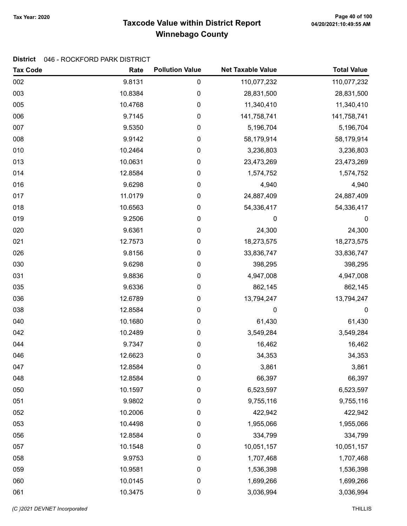# Taxcode Value within District Report Tax Year: 2020 Page 40 of 100 Winnebago County

### District 046 - ROCKFORD PARK DISTRICT

| <b>Tax Code</b> | Rate    | <b>Pollution Value</b> | <b>Net Taxable Value</b> | <b>Total Value</b> |
|-----------------|---------|------------------------|--------------------------|--------------------|
| 002             | 9.8131  | 0                      | 110,077,232              | 110,077,232        |
| 003             | 10.8384 | 0                      | 28,831,500               | 28,831,500         |
| 005             | 10.4768 | 0                      | 11,340,410               | 11,340,410         |
| 006             | 9.7145  | 0                      | 141,758,741              | 141,758,741        |
| 007             | 9.5350  | 0                      | 5,196,704                | 5,196,704          |
| 008             | 9.9142  | 0                      | 58,179,914               | 58,179,914         |
| 010             | 10.2464 | 0                      | 3,236,803                | 3,236,803          |
| 013             | 10.0631 | 0                      | 23,473,269               | 23,473,269         |
| 014             | 12.8584 | 0                      | 1,574,752                | 1,574,752          |
| 016             | 9.6298  | 0                      | 4,940                    | 4,940              |
| 017             | 11.0179 | 0                      | 24,887,409               | 24,887,409         |
| 018             | 10.6563 | 0                      | 54,336,417               | 54,336,417         |
| 019             | 9.2506  | 0                      | 0                        | $\boldsymbol{0}$   |
| 020             | 9.6361  | 0                      | 24,300                   | 24,300             |
| 021             | 12.7573 | 0                      | 18,273,575               | 18,273,575         |
| 026             | 9.8156  | 0                      | 33,836,747               | 33,836,747         |
| 030             | 9.6298  | 0                      | 398,295                  | 398,295            |
| 031             | 9.8836  | 0                      | 4,947,008                | 4,947,008          |
| 035             | 9.6336  | 0                      | 862,145                  | 862,145            |
| 036             | 12.6789 | 0                      | 13,794,247               | 13,794,247         |
| 038             | 12.8584 | 0                      | 0                        | $\boldsymbol{0}$   |
| 040             | 10.1680 | $\pmb{0}$              | 61,430                   | 61,430             |
| 042             | 10.2489 | 0                      | 3,549,284                | 3,549,284          |
| 044             | 9.7347  | $\pmb{0}$              | 16,462                   | 16,462             |
| 046             | 12.6623 | 0                      | 34,353                   | 34,353             |
| 047             | 12.8584 | 0                      | 3,861                    | 3,861              |
| 048             | 12.8584 | 0                      | 66,397                   | 66,397             |
| 050             | 10.1597 | 0                      | 6,523,597                | 6,523,597          |
| 051             | 9.9802  | 0                      | 9,755,116                | 9,755,116          |
| 052             | 10.2006 | 0                      | 422,942                  | 422,942            |
| 053             | 10.4498 | $\pmb{0}$              | 1,955,066                | 1,955,066          |
| 056             | 12.8584 | 0                      | 334,799                  | 334,799            |
| 057             | 10.1548 | 0                      | 10,051,157               | 10,051,157         |
| 058             | 9.9753  | 0                      | 1,707,468                | 1,707,468          |
| 059             | 10.9581 | 0                      | 1,536,398                | 1,536,398          |
| 060             | 10.0145 | $\pmb{0}$              | 1,699,266                | 1,699,266          |
| 061             | 10.3475 | 0                      | 3,036,994                | 3,036,994          |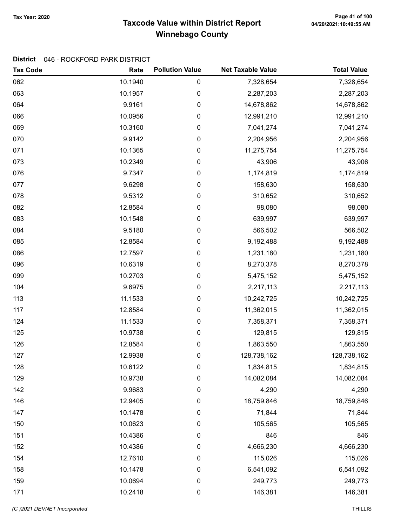# Taxcode Value within District Report Tax Year: 2020 Page 41 of 100 Winnebago County

### District 046 - ROCKFORD PARK DISTRICT

| <b>Tax Code</b> | Rate    | <b>Pollution Value</b> | <b>Net Taxable Value</b> | <b>Total Value</b> |
|-----------------|---------|------------------------|--------------------------|--------------------|
| 062             | 10.1940 | 0                      | 7,328,654                | 7,328,654          |
| 063             | 10.1957 | 0                      | 2,287,203                | 2,287,203          |
| 064             | 9.9161  | 0                      | 14,678,862               | 14,678,862         |
| 066             | 10.0956 | 0                      | 12,991,210               | 12,991,210         |
| 069             | 10.3160 | 0                      | 7,041,274                | 7,041,274          |
| 070             | 9.9142  | 0                      | 2,204,956                | 2,204,956          |
| 071             | 10.1365 | 0                      | 11,275,754               | 11,275,754         |
| 073             | 10.2349 | 0                      | 43,906                   | 43,906             |
| 076             | 9.7347  | 0                      | 1,174,819                | 1,174,819          |
| 077             | 9.6298  | 0                      | 158,630                  | 158,630            |
| 078             | 9.5312  | 0                      | 310,652                  | 310,652            |
| 082             | 12.8584 | 0                      | 98,080                   | 98,080             |
| 083             | 10.1548 | 0                      | 639,997                  | 639,997            |
| 084             | 9.5180  | 0                      | 566,502                  | 566,502            |
| 085             | 12.8584 | 0                      | 9,192,488                | 9,192,488          |
| 086             | 12.7597 | 0                      | 1,231,180                | 1,231,180          |
| 096             | 10.6319 | 0                      | 8,270,378                | 8,270,378          |
| 099             | 10.2703 | 0                      | 5,475,152                | 5,475,152          |
| 104             | 9.6975  | 0                      | 2,217,113                | 2,217,113          |
| 113             | 11.1533 | 0                      | 10,242,725               | 10,242,725         |
| 117             | 12.8584 | 0                      | 11,362,015               | 11,362,015         |
| 124             | 11.1533 | 0                      | 7,358,371                | 7,358,371          |
| 125             | 10.9738 | 0                      | 129,815                  | 129,815            |
| 126             | 12.8584 | 0                      | 1,863,550                | 1,863,550          |
| 127             | 12.9938 | 0                      | 128,738,162              | 128,738,162        |
| 128             | 10.6122 | 0                      | 1,834,815                | 1,834,815          |
| 129             | 10.9738 | 0                      | 14,082,084               | 14,082,084         |
| 142             | 9.9683  | 0                      | 4,290                    | 4,290              |
| 146             | 12.9405 | 0                      | 18,759,846               | 18,759,846         |
| 147             | 10.1478 | 0                      | 71,844                   | 71,844             |
| 150             | 10.0623 | 0                      | 105,565                  | 105,565            |
| 151             | 10.4386 | 0                      | 846                      | 846                |
| 152             | 10.4386 | 0                      | 4,666,230                | 4,666,230          |
| 154             | 12.7610 | 0                      | 115,026                  | 115,026            |
| 158             | 10.1478 | 0                      | 6,541,092                | 6,541,092          |
| 159             | 10.0694 | 0                      | 249,773                  | 249,773            |
| 171             | 10.2418 | 0                      | 146,381                  | 146,381            |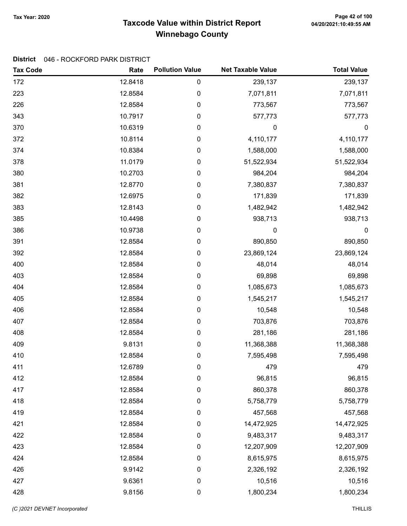# Taxcode Value within District Report Tax Year: 2020 Page 42 of 100 Winnebago County

#### District 046 - ROCKFORD PARK DISTRICT

| <b>Tax Code</b> | Rate    | <b>Pollution Value</b> | <b>Net Taxable Value</b> | <b>Total Value</b> |
|-----------------|---------|------------------------|--------------------------|--------------------|
| 172             | 12.8418 | 0                      | 239,137                  | 239,137            |
| 223             | 12.8584 | 0                      | 7,071,811                | 7,071,811          |
| 226             | 12.8584 | 0                      | 773,567                  | 773,567            |
| 343             | 10.7917 | 0                      | 577,773                  | 577,773            |
| 370             | 10.6319 | 0                      | 0                        | $\boldsymbol{0}$   |
| 372             | 10.8114 | 0                      | 4,110,177                | 4,110,177          |
| 374             | 10.8384 | 0                      | 1,588,000                | 1,588,000          |
| 378             | 11.0179 | 0                      | 51,522,934               | 51,522,934         |
| 380             | 10.2703 | 0                      | 984,204                  | 984,204            |
| 381             | 12.8770 | 0                      | 7,380,837                | 7,380,837          |
| 382             | 12.6975 | 0                      | 171,839                  | 171,839            |
| 383             | 12.8143 | 0                      | 1,482,942                | 1,482,942          |
| 385             | 10.4498 | 0                      | 938,713                  | 938,713            |
| 386             | 10.9738 | 0                      | 0                        | $\boldsymbol{0}$   |
| 391             | 12.8584 | 0                      | 890,850                  | 890,850            |
| 392             | 12.8584 | 0                      | 23,869,124               | 23,869,124         |
| 400             | 12.8584 | 0                      | 48,014                   | 48,014             |
| 403             | 12.8584 | 0                      | 69,898                   | 69,898             |
| 404             | 12.8584 | 0                      | 1,085,673                | 1,085,673          |
| 405             | 12.8584 | 0                      | 1,545,217                | 1,545,217          |
| 406             | 12.8584 | $\pmb{0}$              | 10,548                   | 10,548             |
| 407             | 12.8584 | 0                      | 703,876                  | 703,876            |
| 408             | 12.8584 | 0                      | 281,186                  | 281,186            |
| 409             | 9.8131  | 0                      | 11,368,388               | 11,368,388         |
| 410             | 12.8584 | 0                      | 7,595,498                | 7,595,498          |
| 411             | 12.6789 | 0                      | 479                      | 479                |
| 412             | 12.8584 | 0                      | 96,815                   | 96,815             |
| 417             | 12.8584 | 0                      | 860,378                  | 860,378            |
| 418             | 12.8584 | 0                      | 5,758,779                | 5,758,779          |
| 419             | 12.8584 | 0                      | 457,568                  | 457,568            |
| 421             | 12.8584 | $\pmb{0}$              | 14,472,925               | 14,472,925         |
| 422             | 12.8584 | 0                      | 9,483,317                | 9,483,317          |
| 423             | 12.8584 | 0                      | 12,207,909               | 12,207,909         |
| 424             | 12.8584 | 0                      | 8,615,975                | 8,615,975          |
| 426             | 9.9142  | 0                      | 2,326,192                | 2,326,192          |
| 427             | 9.6361  | $\pmb{0}$              | 10,516                   | 10,516             |
| 428             | 9.8156  | 0                      | 1,800,234                | 1,800,234          |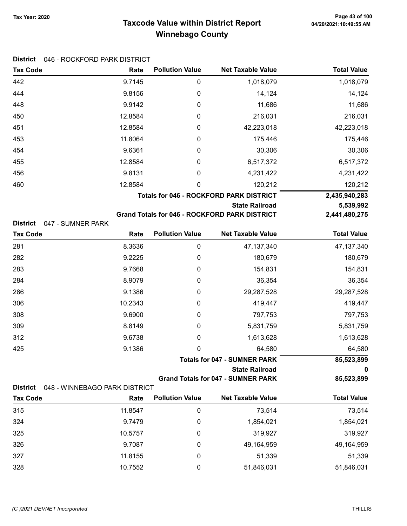### Taxcode Value within District Report Tax Year: 2020 Page 43 of 100 Winnebago County

### District 046 - ROCKFORD PARK DISTRICT

| <b>Tax Code</b>                      | Rate    | <b>Pollution Value</b> | <b>Net Taxable Value</b>                                                      | <b>Total Value</b>         |
|--------------------------------------|---------|------------------------|-------------------------------------------------------------------------------|----------------------------|
| 442                                  | 9.7145  | 0                      | 1,018,079                                                                     | 1,018,079                  |
| 444                                  | 9.8156  | 0                      | 14,124                                                                        | 14,124                     |
| 448                                  | 9.9142  | 0                      | 11,686                                                                        | 11,686                     |
| 450                                  | 12.8584 | 0                      | 216,031                                                                       | 216,031                    |
| 451                                  | 12.8584 | 0                      | 42,223,018                                                                    | 42,223,018                 |
| 453                                  | 11.8064 | 0                      | 175,446                                                                       | 175,446                    |
| 454                                  | 9.6361  | 0                      | 30,306                                                                        | 30,306                     |
| 455                                  | 12.8584 | 0                      | 6,517,372                                                                     | 6,517,372                  |
| 456                                  | 9.8131  | 0                      | 4,231,422                                                                     | 4,231,422                  |
| 460                                  | 12.8584 | 0                      | 120,212                                                                       | 120,212                    |
|                                      |         |                        | <b>Totals for 046 - ROCKFORD PARK DISTRICT</b>                                | 2,435,940,283              |
| <b>District</b><br>047 - SUMNER PARK |         |                        | <b>State Railroad</b><br><b>Grand Totals for 046 - ROCKFORD PARK DISTRICT</b> | 5,539,992<br>2,441,480,275 |
| <b>Tax Code</b>                      | Rate    | <b>Pollution Value</b> | <b>Net Taxable Value</b>                                                      | <b>Total Value</b>         |
| 281                                  | 8.3636  | 0                      | 47, 137, 340                                                                  | 47, 137, 340               |
| 282                                  | 9.2225  | 0                      | 180,679                                                                       | 180,679                    |
| 283                                  | 9.7668  | 0                      | 154,831                                                                       | 154,831                    |
| 284                                  | 8.9079  | 0                      | 36,354                                                                        | 36,354                     |
| 286                                  | 9.1386  | 0                      | 29,287,528                                                                    | 29,287,528                 |
| 306                                  | 10.2343 | 0                      | 419,447                                                                       | 419,447                    |
| 308                                  | 9.6900  | 0                      | 797,753                                                                       | 797,753                    |
| 309                                  | 8.8149  | 0                      | 5,831,759                                                                     | 5,831,759                  |
| 312                                  | 9.6738  | 0                      | 1,613,628                                                                     | 1,613,628                  |

Totals for 047 - SUMNER PARK 85,523,899

State Railroad 0 Grand Totals for 047 - SUMNER PARK 85,523,899

| District 048 - WINNEBAGO PARK DISTRICT |
|----------------------------------------|
|                                        |

| <b>Tax Code</b> | Rate    | <b>Pollution Value</b> | <b>Net Taxable Value</b> | <b>Total Value</b> |
|-----------------|---------|------------------------|--------------------------|--------------------|
| 315             | 11.8547 | 0                      | 73.514                   | 73,514             |
| 324             | 9.7479  |                        | 1,854,021                | 1,854,021          |
| 325             | 10.5757 |                        | 319,927                  | 319,927            |
| 326             | 9.7087  |                        | 49,164,959               | 49,164,959         |
| 327             | 11.8155 |                        | 51,339                   | 51,339             |
| 328             | 10.7552 |                        | 51,846,031               | 51,846,031         |

425 9.1386 0 64,580 64,580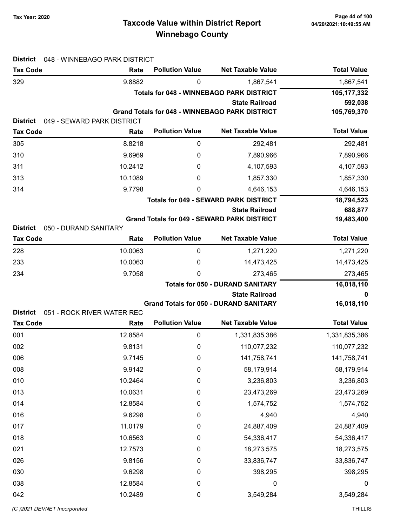# Taxcode Value within District Report Tax Year: 2020 Page 44 of 100 Winnebago County

| <b>District</b> | 048 - WINNEBAGO PARK DISTRICT |                        |                                                                  |                    |
|-----------------|-------------------------------|------------------------|------------------------------------------------------------------|--------------------|
| <b>Tax Code</b> | Rate                          | <b>Pollution Value</b> | <b>Net Taxable Value</b>                                         | <b>Total Value</b> |
| 329             | 9.8882                        | 0                      | 1,867,541                                                        | 1,867,541          |
|                 |                               |                        | <b>Totals for 048 - WINNEBAGO PARK DISTRICT</b>                  | 105,177,332        |
|                 |                               |                        | <b>State Railroad</b>                                            | 592,038            |
| <b>District</b> | 049 - SEWARD PARK DISTRICT    |                        | <b>Grand Totals for 048 - WINNEBAGO PARK DISTRICT</b>            | 105,769,370        |
| <b>Tax Code</b> | Rate                          | <b>Pollution Value</b> | <b>Net Taxable Value</b>                                         | <b>Total Value</b> |
| 305             | 8.8218                        | $\boldsymbol{0}$       | 292,481                                                          | 292,481            |
| 310             | 9.6969                        | 0                      | 7,890,966                                                        | 7,890,966          |
| 311             | 10.2412                       | 0                      | 4,107,593                                                        | 4,107,593          |
| 313             | 10.1089                       | 0                      | 1,857,330                                                        | 1,857,330          |
| 314             | 9.7798                        | 0                      | 4,646,153                                                        | 4,646,153          |
|                 |                               |                        | <b>Totals for 049 - SEWARD PARK DISTRICT</b>                     | 18,794,523         |
|                 |                               |                        | <b>State Railroad</b>                                            | 688,877            |
|                 |                               |                        | <b>Grand Totals for 049 - SEWARD PARK DISTRICT</b>               | 19,483,400         |
| <b>District</b> | 050 - DURAND SANITARY         | <b>Pollution Value</b> | <b>Net Taxable Value</b>                                         | <b>Total Value</b> |
| <b>Tax Code</b> | Rate                          |                        |                                                                  |                    |
| 228             | 10.0063                       | $\boldsymbol{0}$       | 1,271,220                                                        | 1,271,220          |
| 233             | 10.0063                       | 0                      | 14,473,425                                                       | 14,473,425         |
| 234             | 9.7058                        | $\Omega$               | 273,465                                                          | 273,465            |
|                 |                               |                        | <b>Totals for 050 - DURAND SANITARY</b><br><b>State Railroad</b> | 16,018,110<br>0    |
|                 |                               |                        | <b>Grand Totals for 050 - DURAND SANITARY</b>                    | 16,018,110         |
| <b>District</b> | 051 - ROCK RIVER WATER REC    |                        |                                                                  |                    |
| <b>Tax Code</b> | Rate                          | <b>Pollution Value</b> | <b>Net Taxable Value</b>                                         | <b>Total Value</b> |
| 001             | 12.8584                       | $\mathbf 0$            | 1,331,835,386                                                    | 1,331,835,386      |
| 002             | 9.8131                        | 0                      | 110,077,232                                                      | 110,077,232        |
| 006             | 9.7145                        | $\pmb{0}$              | 141,758,741                                                      | 141,758,741        |
| 008             | 9.9142                        | $\pmb{0}$              | 58,179,914                                                       | 58,179,914         |
| 010             | 10.2464                       | $\boldsymbol{0}$       | 3,236,803                                                        | 3,236,803          |
| 013             | 10.0631                       | $\boldsymbol{0}$       | 23,473,269                                                       | 23,473,269         |
| 014             | 12.8584                       | $\boldsymbol{0}$       | 1,574,752                                                        | 1,574,752          |
| 016             | 9.6298                        | $\boldsymbol{0}$       | 4,940                                                            | 4,940              |
| 017             | 11.0179                       | $\boldsymbol{0}$       | 24,887,409                                                       | 24,887,409         |
| 018             | 10.6563                       | $\boldsymbol{0}$       | 54,336,417                                                       | 54,336,417         |
| 021             | 12.7573                       | $\boldsymbol{0}$       | 18,273,575                                                       | 18,273,575         |
| 026             | 9.8156                        | $\boldsymbol{0}$       | 33,836,747                                                       | 33,836,747         |
| 030             |                               |                        |                                                                  |                    |
|                 | 9.6298                        | $\boldsymbol{0}$       | 398,295                                                          | 398,295            |
| 038             | 12.8584                       | $\pmb{0}$              | 0                                                                | $\boldsymbol{0}$   |
| 042             | 10.2489                       | $\pmb{0}$              | 3,549,284                                                        | 3,549,284          |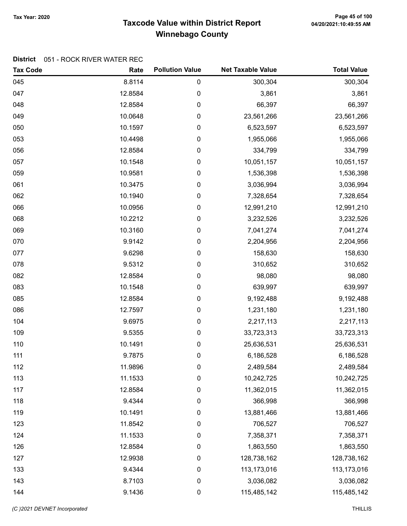# Taxcode Value within District Report Tax Year: 2020 Page 45 of 100 Winnebago County

#### District 051 - ROCK RIVER WATER REC

| <b>Tax Code</b> | Rate    | <b>Pollution Value</b> | <b>Net Taxable Value</b> | <b>Total Value</b> |
|-----------------|---------|------------------------|--------------------------|--------------------|
| 045             | 8.8114  | 0                      | 300,304                  | 300,304            |
| 047             | 12.8584 | 0                      | 3,861                    | 3,861              |
| 048             | 12.8584 | 0                      | 66,397                   | 66,397             |
| 049             | 10.0648 | 0                      | 23,561,266               | 23,561,266         |
| 050             | 10.1597 | 0                      | 6,523,597                | 6,523,597          |
| 053             | 10.4498 | 0                      | 1,955,066                | 1,955,066          |
| 056             | 12.8584 | 0                      | 334,799                  | 334,799            |
| 057             | 10.1548 | 0                      | 10,051,157               | 10,051,157         |
| 059             | 10.9581 | 0                      | 1,536,398                | 1,536,398          |
| 061             | 10.3475 | 0                      | 3,036,994                | 3,036,994          |
| 062             | 10.1940 | 0                      | 7,328,654                | 7,328,654          |
| 066             | 10.0956 | 0                      | 12,991,210               | 12,991,210         |
| 068             | 10.2212 | 0                      | 3,232,526                | 3,232,526          |
| 069             | 10.3160 | 0                      | 7,041,274                | 7,041,274          |
| 070             | 9.9142  | 0                      | 2,204,956                | 2,204,956          |
| 077             | 9.6298  | 0                      | 158,630                  | 158,630            |
| 078             | 9.5312  | 0                      | 310,652                  | 310,652            |
| 082             | 12.8584 | 0                      | 98,080                   | 98,080             |
| 083             | 10.1548 | 0                      | 639,997                  | 639,997            |
| 085             | 12.8584 | 0                      | 9,192,488                | 9,192,488          |
| 086             | 12.7597 | 0                      | 1,231,180                | 1,231,180          |
| 104             | 9.6975  | 0                      | 2,217,113                | 2,217,113          |
| 109             | 9.5355  | 0                      | 33,723,313               | 33,723,313         |
| 110             | 10.1491 | 0                      | 25,636,531               | 25,636,531         |
| 111             | 9.7875  | 0                      | 6,186,528                | 6,186,528          |
| 112             | 11.9896 | 0                      | 2,489,584                | 2,489,584          |
| 113             | 11.1533 | 0                      | 10,242,725               | 10,242,725         |
| 117             | 12.8584 | 0                      | 11,362,015               | 11,362,015         |
| 118             | 9.4344  | 0                      | 366,998                  | 366,998            |
| 119             | 10.1491 | 0                      | 13,881,466               | 13,881,466         |
| 123             | 11.8542 | 0                      | 706,527                  | 706,527            |
| 124             | 11.1533 | 0                      | 7,358,371                | 7,358,371          |
| 126             | 12.8584 | 0                      | 1,863,550                | 1,863,550          |
| 127             | 12.9938 | 0                      | 128,738,162              | 128,738,162        |
| 133             | 9.4344  | 0                      | 113,173,016              | 113,173,016        |
| 143             | 8.7103  | 0                      | 3,036,082                | 3,036,082          |
| 144             | 9.1436  | 0                      | 115,485,142              | 115,485,142        |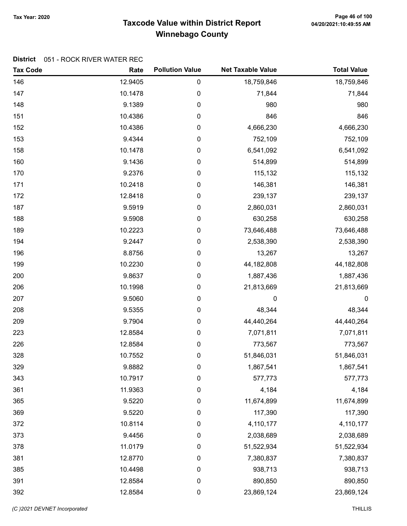# Taxcode Value within District Report Tax Year: 2020 Page 46 of 100 Winnebago County

### District 051 - ROCK RIVER WATER REC

| <b>Tax Code</b> | Rate    | <b>Pollution Value</b> | <b>Net Taxable Value</b> | <b>Total Value</b> |
|-----------------|---------|------------------------|--------------------------|--------------------|
| 146             | 12.9405 | $\pmb{0}$              | 18,759,846               | 18,759,846         |
| 147             | 10.1478 | $\pmb{0}$              | 71,844                   | 71,844             |
| 148             | 9.1389  | $\pmb{0}$              | 980                      | 980                |
| 151             | 10.4386 | $\pmb{0}$              | 846                      | 846                |
| 152             | 10.4386 | $\pmb{0}$              | 4,666,230                | 4,666,230          |
| 153             | 9.4344  | $\pmb{0}$              | 752,109                  | 752,109            |
| 158             | 10.1478 | $\pmb{0}$              | 6,541,092                | 6,541,092          |
| 160             | 9.1436  | $\pmb{0}$              | 514,899                  | 514,899            |
| 170             | 9.2376  | $\pmb{0}$              | 115,132                  | 115,132            |
| 171             | 10.2418 | $\pmb{0}$              | 146,381                  | 146,381            |
| 172             | 12.8418 | $\pmb{0}$              | 239,137                  | 239,137            |
| 187             | 9.5919  | 0                      | 2,860,031                | 2,860,031          |
| 188             | 9.5908  | $\pmb{0}$              | 630,258                  | 630,258            |
| 189             | 10.2223 | $\pmb{0}$              | 73,646,488               | 73,646,488         |
| 194             | 9.2447  | $\pmb{0}$              | 2,538,390                | 2,538,390          |
| 196             | 8.8756  | $\pmb{0}$              | 13,267                   | 13,267             |
| 199             | 10.2230 | $\pmb{0}$              | 44, 182, 808             | 44,182,808         |
| 200             | 9.8637  | $\pmb{0}$              | 1,887,436                | 1,887,436          |
| 206             | 10.1998 | 0                      | 21,813,669               | 21,813,669         |
| 207             | 9.5060  | $\pmb{0}$              | 0                        | 0                  |
| 208             | 9.5355  | $\pmb{0}$              | 48,344                   | 48,344             |
| 209             | 9.7904  | $\pmb{0}$              | 44,440,264               | 44,440,264         |
| 223             | 12.8584 | $\pmb{0}$              | 7,071,811                | 7,071,811          |
| 226             | 12.8584 | $\pmb{0}$              | 773,567                  | 773,567            |
| 328             | 10.7552 | $\pmb{0}$              | 51,846,031               | 51,846,031         |
| 329             | 9.8882  | 0                      | 1,867,541                | 1,867,541          |
| 343             | 10.7917 | $\pmb{0}$              | 577,773                  | 577,773            |
| 361             | 11.9363 | $\pmb{0}$              | 4,184                    | 4,184              |
| 365             | 9.5220  | $\boldsymbol{0}$       | 11,674,899               | 11,674,899         |
| 369             | 9.5220  | $\mathbf 0$            | 117,390                  | 117,390            |
| 372             | 10.8114 | $\pmb{0}$              | 4,110,177                | 4,110,177          |
| 373             | 9.4456  | $\pmb{0}$              | 2,038,689                | 2,038,689          |
| 378             | 11.0179 | $\pmb{0}$              | 51,522,934               | 51,522,934         |
| 381             | 12.8770 | $\pmb{0}$              | 7,380,837                | 7,380,837          |
| 385             | 10.4498 | $\boldsymbol{0}$       | 938,713                  | 938,713            |
| 391             | 12.8584 | $\pmb{0}$              | 890,850                  | 890,850            |
| 392             | 12.8584 | $\pmb{0}$              | 23,869,124               | 23,869,124         |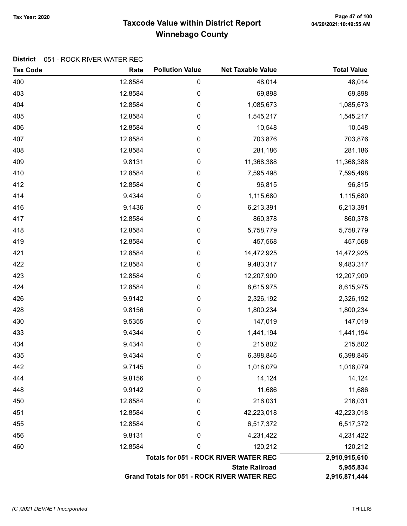# Taxcode Value within District Report Tax Year: 2020 Page 47 of 100 Winnebago County

#### District 051 - ROCK RIVER WATER REC

| <b>Tax Code</b> | Rate    | <b>Pollution Value</b> | <b>Net Taxable Value</b>                           | <b>Total Value</b> |
|-----------------|---------|------------------------|----------------------------------------------------|--------------------|
| 400             | 12.8584 | 0                      | 48,014                                             | 48,014             |
| 403             | 12.8584 | 0                      | 69,898                                             | 69,898             |
| 404             | 12.8584 | $\pmb{0}$              | 1,085,673                                          | 1,085,673          |
| 405             | 12.8584 | $\pmb{0}$              | 1,545,217                                          | 1,545,217          |
| 406             | 12.8584 | 0                      | 10,548                                             | 10,548             |
| 407             | 12.8584 | 0                      | 703,876                                            | 703,876            |
| 408             | 12.8584 | 0                      | 281,186                                            | 281,186            |
| 409             | 9.8131  | 0                      | 11,368,388                                         | 11,368,388         |
| 410             | 12.8584 | 0                      | 7,595,498                                          | 7,595,498          |
| 412             | 12.8584 | $\pmb{0}$              | 96,815                                             | 96,815             |
| 414             | 9.4344  | $\pmb{0}$              | 1,115,680                                          | 1,115,680          |
| 416             | 9.1436  | 0                      | 6,213,391                                          | 6,213,391          |
| 417             | 12.8584 | 0                      | 860,378                                            | 860,378            |
| 418             | 12.8584 | $\pmb{0}$              | 5,758,779                                          | 5,758,779          |
| 419             | 12.8584 | 0                      | 457,568                                            | 457,568            |
| 421             | 12.8584 | 0                      | 14,472,925                                         | 14,472,925         |
| 422             | 12.8584 | $\pmb{0}$              | 9,483,317                                          | 9,483,317          |
| 423             | 12.8584 | $\pmb{0}$              | 12,207,909                                         | 12,207,909         |
| 424             | 12.8584 | $\pmb{0}$              | 8,615,975                                          | 8,615,975          |
| 426             | 9.9142  | 0                      | 2,326,192                                          | 2,326,192          |
| 428             | 9.8156  | 0                      | 1,800,234                                          | 1,800,234          |
| 430             | 9.5355  | 0                      | 147,019                                            | 147,019            |
| 433             | 9.4344  | 0                      | 1,441,194                                          | 1,441,194          |
| 434             | 9.4344  | $\pmb{0}$              | 215,802                                            | 215,802            |
| 435             | 9.4344  | 0                      | 6,398,846                                          | 6,398,846          |
| 442             | 9.7145  | 0                      | 1,018,079                                          | 1,018,079          |
| 444             | 9.8156  | 0                      | 14,124                                             | 14,124             |
| 448             | 9.9142  | 0                      | 11,686                                             | 11,686             |
| 450             | 12.8584 | 0                      | 216,031                                            | 216,031            |
| 451             | 12.8584 | 0                      | 42,223,018                                         | 42,223,018         |
| 455             | 12.8584 | 0                      | 6,517,372                                          | 6,517,372          |
| 456             | 9.8131  | 0                      | 4,231,422                                          | 4,231,422          |
| 460             | 12.8584 | 0                      | 120,212                                            | 120,212            |
|                 |         |                        | <b>Totals for 051 - ROCK RIVER WATER REC</b>       | 2,910,915,610      |
|                 |         |                        | <b>State Railroad</b>                              | 5,955,834          |
|                 |         |                        | <b>Grand Totals for 051 - ROCK RIVER WATER REC</b> | 2,916,871,444      |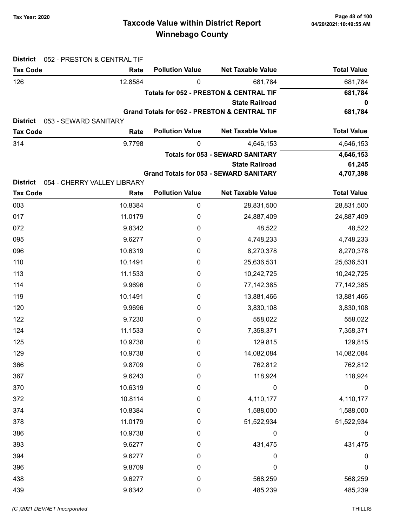| <b>District</b>                    | 052 - PRESTON & CENTRAL TIF   |                        |                                                         |                        |
|------------------------------------|-------------------------------|------------------------|---------------------------------------------------------|------------------------|
| <b>Tax Code</b>                    | Rate                          | <b>Pollution Value</b> | <b>Net Taxable Value</b>                                | <b>Total Value</b>     |
| 126                                | 12.8584                       | 0                      | 681,784                                                 | 681,784                |
|                                    |                               |                        | <b>Totals for 052 - PRESTON &amp; CENTRAL TIF</b>       | 681,784                |
|                                    |                               |                        | <b>State Railroad</b>                                   | 0                      |
|                                    |                               |                        | <b>Grand Totals for 052 - PRESTON &amp; CENTRAL TIF</b> | 681,784                |
| <b>District</b><br><b>Tax Code</b> | 053 - SEWARD SANITARY<br>Rate | <b>Pollution Value</b> | <b>Net Taxable Value</b>                                | <b>Total Value</b>     |
|                                    | 9.7798                        |                        |                                                         |                        |
| 314                                |                               | 0                      | 4,646,153<br><b>Totals for 053 - SEWARD SANITARY</b>    | 4,646,153<br>4,646,153 |
|                                    |                               |                        | <b>State Railroad</b>                                   | 61,245                 |
|                                    |                               |                        | <b>Grand Totals for 053 - SEWARD SANITARY</b>           | 4,707,398              |
| <b>District</b>                    | 054 - CHERRY VALLEY LIBRARY   |                        |                                                         |                        |
| <b>Tax Code</b>                    | Rate                          | <b>Pollution Value</b> | <b>Net Taxable Value</b>                                | <b>Total Value</b>     |
| 003                                | 10.8384                       | 0                      | 28,831,500                                              | 28,831,500             |
| 017                                | 11.0179                       | 0                      | 24,887,409                                              | 24,887,409             |
| 072                                | 9.8342                        | 0                      | 48,522                                                  | 48,522                 |
| 095                                | 9.6277                        | 0                      | 4,748,233                                               | 4,748,233              |
| 096                                | 10.6319                       | 0                      | 8,270,378                                               | 8,270,378              |
| 110                                | 10.1491                       | 0                      | 25,636,531                                              | 25,636,531             |
| 113                                | 11.1533                       | 0                      | 10,242,725                                              | 10,242,725             |
| 114                                | 9.9696                        | 0                      | 77, 142, 385                                            | 77, 142, 385           |
| 119                                | 10.1491                       | 0                      | 13,881,466                                              | 13,881,466             |
| 120                                | 9.9696                        | 0                      | 3,830,108                                               | 3,830,108              |
| 122                                | 9.7230                        | 0                      | 558,022                                                 | 558,022                |
| 124                                | 11.1533                       | 0                      | 7,358,371                                               | 7,358,371              |
| 125                                | 10.9738                       | 0                      | 129,815                                                 | 129,815                |
| 129                                | 10.9738                       | $\pmb{0}$              | 14,082,084                                              | 14,082,084             |
| 366                                | 9.8709                        | 0                      | 762,812                                                 | 762,812                |
| 367                                | 9.6243                        | 0                      | 118,924                                                 | 118,924                |
| 370                                | 10.6319                       | 0                      | 0                                                       | $\boldsymbol{0}$       |
| 372                                | 10.8114                       | 0                      | 4,110,177                                               | 4,110,177              |
| 374                                | 10.8384                       | 0                      | 1,588,000                                               | 1,588,000              |
| 378                                | 11.0179                       | 0                      | 51,522,934                                              | 51,522,934             |
| 386                                | 10.9738                       | 0                      | 0                                                       | $\boldsymbol{0}$       |
| 393                                | 9.6277                        | 0                      | 431,475                                                 | 431,475                |
| 394                                | 9.6277                        | 0                      | 0                                                       | 0                      |
| 396                                | 9.8709                        | 0                      | $\boldsymbol{0}$                                        | 0                      |
| 438                                | 9.6277                        | 0                      | 568,259                                                 | 568,259                |
| 439                                | 9.8342                        | $\pmb{0}$              | 485,239                                                 | 485,239                |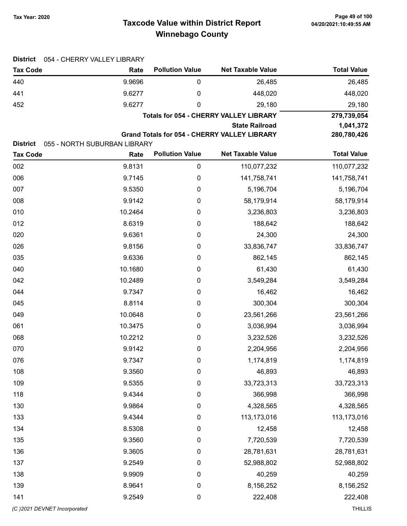# Taxcode Value within District Report Tax Year: 2020 Page 49 of 100 Winnebago County

| <b>District</b><br>054 - CHERRY VALLEY LIBRARY |                              |                        |                                               |                    |  |
|------------------------------------------------|------------------------------|------------------------|-----------------------------------------------|--------------------|--|
| <b>Tax Code</b>                                | Rate                         | <b>Pollution Value</b> | <b>Net Taxable Value</b>                      | <b>Total Value</b> |  |
| 440                                            | 9.9696                       | $\pmb{0}$              | 26,485                                        | 26,485             |  |
| 441                                            | 9.6277                       | 0                      | 448,020                                       | 448,020            |  |
| 452                                            | 9.6277                       | 0                      | 29,180                                        | 29,180             |  |
|                                                |                              |                        | <b>Totals for 054 - CHERRY VALLEY LIBRARY</b> | 279,739,054        |  |
|                                                |                              |                        | <b>State Railroad</b>                         | 1,041,372          |  |
| <b>District</b>                                | 055 - NORTH SUBURBAN LIBRARY |                        | Grand Totals for 054 - CHERRY VALLEY LIBRARY  | 280,780,426        |  |
| <b>Tax Code</b>                                | Rate                         | <b>Pollution Value</b> | <b>Net Taxable Value</b>                      | <b>Total Value</b> |  |
| 002                                            | 9.8131                       | $\pmb{0}$              | 110,077,232                                   | 110,077,232        |  |
| 006                                            | 9.7145                       | $\boldsymbol{0}$       | 141,758,741                                   | 141,758,741        |  |
| 007                                            | 9.5350                       | 0                      | 5,196,704                                     | 5,196,704          |  |
| 008                                            | 9.9142                       | $\boldsymbol{0}$       | 58,179,914                                    | 58,179,914         |  |
| 010                                            | 10.2464                      | $\boldsymbol{0}$       | 3,236,803                                     | 3,236,803          |  |
| 012                                            | 8.6319                       | $\boldsymbol{0}$       | 188,642                                       | 188,642            |  |
| 020                                            | 9.6361                       | 0                      | 24,300                                        | 24,300             |  |
| 026                                            | 9.8156                       | $\boldsymbol{0}$       | 33,836,747                                    | 33,836,747         |  |
| 035                                            | 9.6336                       | $\boldsymbol{0}$       | 862,145                                       | 862,145            |  |
| 040                                            | 10.1680                      | 0                      | 61,430                                        | 61,430             |  |
| 042                                            | 10.2489                      | $\boldsymbol{0}$       | 3,549,284                                     | 3,549,284          |  |
| 044                                            | 9.7347                       | 0                      | 16,462                                        | 16,462             |  |
| 045                                            | 8.8114                       | $\boldsymbol{0}$       | 300,304                                       | 300,304            |  |
| 049                                            | 10.0648                      | 0                      | 23,561,266                                    | 23,561,266         |  |
| 061                                            | 10.3475                      | $\boldsymbol{0}$       | 3,036,994                                     | 3,036,994          |  |
| 068                                            | 10.2212                      | $\boldsymbol{0}$       | 3,232,526                                     | 3,232,526          |  |
| 070                                            | 9.9142                       | 0                      | 2,204,956                                     | 2,204,956          |  |
| 076                                            | 9.7347                       | $\pmb{0}$              | 1,174,819                                     | 1,174,819          |  |
| 108                                            | 9.3560                       | $\pmb{0}$              | 46,893                                        | 46,893             |  |
| 109                                            | 9.5355                       | $\boldsymbol{0}$       | 33,723,313                                    | 33,723,313         |  |
| 118                                            | 9.4344                       | $\boldsymbol{0}$       | 366,998                                       | 366,998            |  |
| 130                                            | 9.9864                       | $\boldsymbol{0}$       | 4,328,565                                     | 4,328,565          |  |
| 133                                            | 9.4344                       | $\pmb{0}$              | 113,173,016                                   | 113,173,016        |  |
| 134                                            | 8.5308                       | $\pmb{0}$              | 12,458                                        | 12,458             |  |
| 135                                            | 9.3560                       | $\boldsymbol{0}$       | 7,720,539                                     | 7,720,539          |  |
| 136                                            | 9.3605                       | $\boldsymbol{0}$       | 28,781,631                                    | 28,781,631         |  |
| 137                                            | 9.2549                       | $\boldsymbol{0}$       | 52,988,802                                    | 52,988,802         |  |
| 138                                            | 9.9909                       | $\boldsymbol{0}$       | 40,259                                        | 40,259             |  |
| 139                                            | 8.9641                       | $\boldsymbol{0}$       | 8,156,252                                     | 8,156,252          |  |
| 141                                            | 9.2549                       | $\boldsymbol{0}$       | 222,408                                       | 222,408            |  |
| (C)2021 DEVNET Incorporated                    |                              |                        |                                               | <b>THILLIS</b>     |  |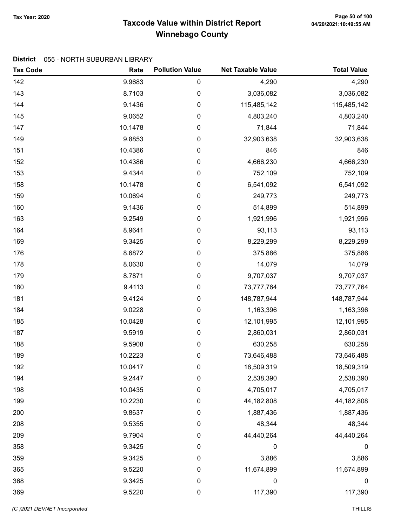# Taxcode Value within District Report Tax Year: 2020 Page 50 of 100 Winnebago County

#### District 055 - NORTH SUBURBAN LIBRARY

| <b>Tax Code</b> | Rate    | <b>Pollution Value</b> | <b>Net Taxable Value</b> | <b>Total Value</b> |
|-----------------|---------|------------------------|--------------------------|--------------------|
| 142             | 9.9683  | $\pmb{0}$              | 4,290                    | 4,290              |
| 143             | 8.7103  | $\mathbf 0$            | 3,036,082                | 3,036,082          |
| 144             | 9.1436  | $\pmb{0}$              | 115,485,142              | 115,485,142        |
| 145             | 9.0652  | $\pmb{0}$              | 4,803,240                | 4,803,240          |
| 147             | 10.1478 | $\pmb{0}$              | 71,844                   | 71,844             |
| 149             | 9.8853  | $\pmb{0}$              | 32,903,638               | 32,903,638         |
| 151             | 10.4386 | $\pmb{0}$              | 846                      | 846                |
| 152             | 10.4386 | $\boldsymbol{0}$       | 4,666,230                | 4,666,230          |
| 153             | 9.4344  | $\pmb{0}$              | 752,109                  | 752,109            |
| 158             | 10.1478 | $\pmb{0}$              | 6,541,092                | 6,541,092          |
| 159             | 10.0694 | $\pmb{0}$              | 249,773                  | 249,773            |
| 160             | 9.1436  | $\pmb{0}$              | 514,899                  | 514,899            |
| 163             | 9.2549  | $\boldsymbol{0}$       | 1,921,996                | 1,921,996          |
| 164             | 8.9641  | $\pmb{0}$              | 93,113                   | 93,113             |
| 169             | 9.3425  | $\boldsymbol{0}$       | 8,229,299                | 8,229,299          |
| 176             | 8.6872  | $\pmb{0}$              | 375,886                  | 375,886            |
| 178             | 8.0630  | $\pmb{0}$              | 14,079                   | 14,079             |
| 179             | 8.7871  | $\pmb{0}$              | 9,707,037                | 9,707,037          |
| 180             | 9.4113  | $\pmb{0}$              | 73,777,764               | 73,777,764         |
| 181             | 9.4124  | $\pmb{0}$              | 148,787,944              | 148,787,944        |
| 184             | 9.0228  | $\pmb{0}$              | 1,163,396                | 1,163,396          |
| 185             | 10.0428 | $\boldsymbol{0}$       | 12,101,995               | 12,101,995         |
| 187             | 9.5919  | $\pmb{0}$              | 2,860,031                | 2,860,031          |
| 188             | 9.5908  | $\boldsymbol{0}$       | 630,258                  | 630,258            |
| 189             | 10.2223 | $\pmb{0}$              | 73,646,488               | 73,646,488         |
| 192             | 10.0417 | 0                      | 18,509,319               | 18,509,319         |
| 194             | 9.2447  | 0                      | 2,538,390                | 2,538,390          |
| 198             | 10.0435 | $\pmb{0}$              | 4,705,017                | 4,705,017          |
| 199             | 10.2230 | $\boldsymbol{0}$       | 44, 182, 808             | 44,182,808         |
| 200             | 9.8637  | $\mathbf 0$            | 1,887,436                | 1,887,436          |
| 208             | 9.5355  | 0                      | 48,344                   | 48,344             |
| 209             | 9.7904  | $\pmb{0}$              | 44,440,264               | 44,440,264         |
| 358             | 9.3425  | $\boldsymbol{0}$       | $\boldsymbol{0}$         | $\boldsymbol{0}$   |
| 359             | 9.3425  | $\boldsymbol{0}$       | 3,886                    | 3,886              |
| 365             | 9.5220  | $\boldsymbol{0}$       | 11,674,899               | 11,674,899         |
| 368             | 9.3425  | $\boldsymbol{0}$       | 0                        | 0                  |
| 369             | 9.5220  | $\pmb{0}$              | 117,390                  | 117,390            |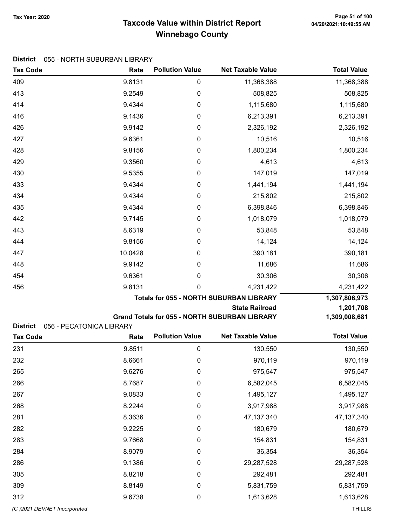# Taxcode Value within District Report Tax Year: 2020 Page 51 of 100 Winnebago County

Tax Code **Rate Pollution Value** Net Taxable Value Total Value

#### District 055 - NORTH SUBURBAN LIBRARY

| 409                                                            | 9.8131           | $\mathbf 0$                   | 11,368,388                                           | 11,368,388             |
|----------------------------------------------------------------|------------------|-------------------------------|------------------------------------------------------|------------------------|
| 413                                                            | 9.2549           | $\boldsymbol{0}$              | 508,825                                              | 508,825                |
| 414                                                            | 9.4344           | $\boldsymbol{0}$              | 1,115,680                                            | 1,115,680              |
| 416                                                            | 9.1436           | $\pmb{0}$                     | 6,213,391                                            | 6,213,391              |
| 426                                                            | 9.9142           | $\boldsymbol{0}$              | 2,326,192                                            | 2,326,192              |
| 427                                                            | 9.6361           | $\boldsymbol{0}$              | 10,516                                               | 10,516                 |
| 428                                                            | 9.8156           | 0                             | 1,800,234                                            | 1,800,234              |
| 429                                                            | 9.3560           | $\boldsymbol{0}$              | 4,613                                                | 4,613                  |
| 430                                                            | 9.5355           | $\boldsymbol{0}$              | 147,019                                              | 147,019                |
| 433                                                            | 9.4344           | $\boldsymbol{0}$              | 1,441,194                                            | 1,441,194              |
| 434                                                            | 9.4344           | $\pmb{0}$                     | 215,802                                              | 215,802                |
| 435                                                            | 9.4344           | $\boldsymbol{0}$              | 6,398,846                                            | 6,398,846              |
| 442                                                            | 9.7145           | $\boldsymbol{0}$              | 1,018,079                                            | 1,018,079              |
| 443                                                            | 8.6319           | 0                             | 53,848                                               | 53,848                 |
| 444                                                            | 9.8156           | $\boldsymbol{0}$              | 14,124                                               | 14,124                 |
| 447                                                            | 10.0428          | 0                             | 390,181                                              | 390,181                |
| 448                                                            | 9.9142           | $\boldsymbol{0}$              | 11,686                                               | 11,686                 |
| 454                                                            | 9.6361           | 0                             | 30,306                                               | 30,306                 |
| 456                                                            | 9.8131           | 0                             | 4,231,422                                            | 4,231,422              |
|                                                                |                  |                               |                                                      |                        |
|                                                                |                  |                               | <b>Totals for 055 - NORTH SUBURBAN LIBRARY</b>       | 1,307,806,973          |
|                                                                |                  |                               | <b>State Railroad</b>                                | 1,201,708              |
|                                                                |                  |                               | <b>Grand Totals for 055 - NORTH SUBURBAN LIBRARY</b> | 1,309,008,681          |
| <b>District</b><br>056 - PECATONICA LIBRARY<br><b>Tax Code</b> | Rate             | <b>Pollution Value</b>        | <b>Net Taxable Value</b>                             | <b>Total Value</b>     |
| 231                                                            |                  | $\boldsymbol{0}$              |                                                      |                        |
|                                                                | 9.8511           | 0                             | 130,550                                              | 130,550                |
| 232                                                            | 8.6661           | $\boldsymbol{0}$              | 970,119                                              | 970,119                |
| 265                                                            | 9.6276           |                               | 975,547                                              | 975,547                |
| 266<br>267                                                     | 8.7687<br>9.0833 | $\pmb{0}$<br>$\boldsymbol{0}$ | 6,582,045<br>1,495,127                               | 6,582,045              |
| 268                                                            | 8.2244           | $\boldsymbol{0}$              | 3,917,988                                            | 1,495,127<br>3,917,988 |
| 281                                                            | 8.3636           | $\boldsymbol{0}$              | 47, 137, 340                                         | 47, 137, 340           |
| 282                                                            | 9.2225           | $\boldsymbol{0}$              | 180,679                                              | 180,679                |
| 283                                                            | 9.7668           | $\boldsymbol{0}$              | 154,831                                              | 154,831                |
| 284                                                            | 8.9079           | $\boldsymbol{0}$              | 36,354                                               | 36,354                 |
| 286                                                            | 9.1386           | $\boldsymbol{0}$              | 29,287,528                                           | 29,287,528             |
| 305                                                            | 8.8218           | $\boldsymbol{0}$              | 292,481                                              | 292,481                |
| 309                                                            | 8.8149           | $\boldsymbol{0}$              | 5,831,759                                            | 5,831,759              |
| 312                                                            | 9.6738           | $\boldsymbol{0}$              | 1,613,628                                            | 1,613,628              |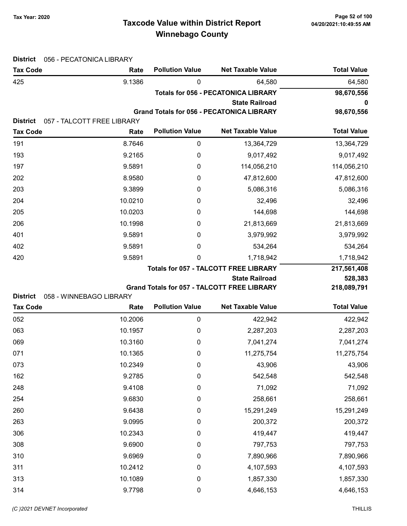# Taxcode Value within District Report Tax Year: 2020 Page 52 of 100 Winnebago County

| <b>District</b> | 056 - PECATONICA LIBRARY           |                        |                                                  |                    |
|-----------------|------------------------------------|------------------------|--------------------------------------------------|--------------------|
| <b>Tax Code</b> | Rate                               | <b>Pollution Value</b> | <b>Net Taxable Value</b>                         | <b>Total Value</b> |
| 425             | 9.1386                             | $\mathbf 0$            | 64,580                                           | 64,580             |
|                 |                                    |                        | <b>Totals for 056 - PECATONICA LIBRARY</b>       | 98,670,556         |
|                 |                                    |                        | <b>State Railroad</b>                            | 0                  |
| <b>District</b> |                                    |                        | <b>Grand Totals for 056 - PECATONICA LIBRARY</b> | 98,670,556         |
| <b>Tax Code</b> | 057 - TALCOTT FREE LIBRARY<br>Rate | <b>Pollution Value</b> | <b>Net Taxable Value</b>                         | <b>Total Value</b> |
| 191             | 8.7646                             | $\boldsymbol{0}$       | 13,364,729                                       | 13,364,729         |
| 193             | 9.2165                             | 0                      | 9,017,492                                        | 9,017,492          |
| 197             | 9.5891                             | $\boldsymbol{0}$       | 114,056,210                                      | 114,056,210        |
| 202             | 8.9580                             | $\boldsymbol{0}$       | 47,812,600                                       | 47,812,600         |
| 203             | 9.3899                             | $\boldsymbol{0}$       | 5,086,316                                        | 5,086,316          |
| 204             | 10.0210                            | 0                      | 32,496                                           | 32,496             |
| 205             | 10.0203                            | 0                      | 144,698                                          | 144,698            |
| 206             | 10.1998                            | 0                      | 21,813,669                                       | 21,813,669         |
| 401             | 9.5891                             | 0                      | 3,979,992                                        | 3,979,992          |
| 402             | 9.5891                             | 0                      | 534,264                                          | 534,264            |
| 420             | 9.5891                             | 0                      | 1,718,942                                        | 1,718,942          |
|                 |                                    |                        | <b>Totals for 057 - TALCOTT FREE LIBRARY</b>     | 217,561,408        |
|                 |                                    |                        | <b>State Railroad</b>                            | 528,383            |
|                 |                                    |                        | Grand Totals for 057 - TALCOTT FREE LIBRARY      | 218,089,791        |
| <b>District</b> | 058 - WINNEBAGO LIBRARY            |                        |                                                  |                    |
| <b>Tax Code</b> | Rate                               | <b>Pollution Value</b> | <b>Net Taxable Value</b>                         | <b>Total Value</b> |
| 052             | 10.2006                            | $\boldsymbol{0}$       | 422,942                                          | 422,942            |
| 063             | 10.1957                            | 0                      | 2,287,203                                        | 2,287,203          |
| 069             | 10.3160                            | 0                      | 7,041,274                                        | 7,041,274          |
| 071             | 10.1365                            | 0                      | 11,275,754                                       | 11,275,754         |
| 073             | 10.2349                            | $\pmb{0}$              | 43,906                                           | 43,906             |
| 162             | 9.2785                             | $\pmb{0}$              | 542,548                                          | 542,548            |
| 248             | 9.4108                             | $\boldsymbol{0}$       | 71,092                                           | 71,092             |
| 254             | 9.6830                             | $\boldsymbol{0}$       | 258,661                                          | 258,661            |
| 260             | 9.6438                             | $\boldsymbol{0}$       | 15,291,249                                       | 15,291,249         |
| 263             | 9.0995                             | $\boldsymbol{0}$       | 200,372                                          | 200,372            |
| 306             | 10.2343                            | $\pmb{0}$              | 419,447                                          | 419,447            |
| 308             | 9.6900                             | $\pmb{0}$              | 797,753                                          | 797,753            |
| 310             | 9.6969                             | $\boldsymbol{0}$       | 7,890,966                                        | 7,890,966          |
| 311             | 10.2412                            | $\boldsymbol{0}$       | 4,107,593                                        | 4,107,593          |
| 313             | 10.1089                            | $\boldsymbol{0}$       | 1,857,330                                        | 1,857,330          |
| 314             | 9.7798                             | $\pmb{0}$              | 4,646,153                                        | 4,646,153          |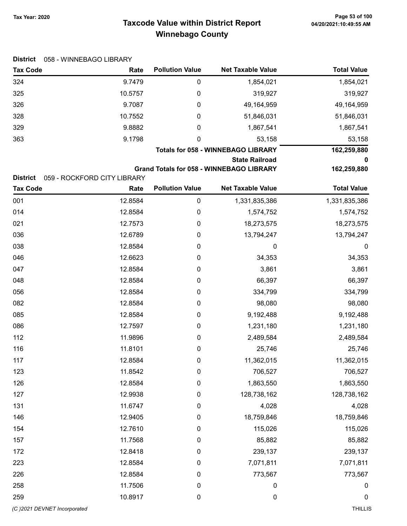# Taxcode Value within District Report Tax Year: 2020 Page 53 of 100 Winnebago County

| <b>District</b>             | 058 - WINNEBAGO LIBRARY     |                        |                                                 |                    |
|-----------------------------|-----------------------------|------------------------|-------------------------------------------------|--------------------|
| <b>Tax Code</b>             | Rate                        | <b>Pollution Value</b> | <b>Net Taxable Value</b>                        | <b>Total Value</b> |
| 324                         | 9.7479                      | 0                      | 1,854,021                                       | 1,854,021          |
| 325                         | 10.5757                     | 0                      | 319,927                                         | 319,927            |
| 326                         | 9.7087                      | 0                      | 49,164,959                                      | 49,164,959         |
| 328                         | 10.7552                     | 0                      | 51,846,031                                      | 51,846,031         |
| 329                         | 9.8882                      | 0                      | 1,867,541                                       | 1,867,541          |
| 363                         | 9.1798                      | 0                      | 53,158                                          | 53,158             |
|                             |                             |                        | <b>Totals for 058 - WINNEBAGO LIBRARY</b>       | 162,259,880        |
|                             |                             |                        | <b>State Railroad</b>                           | 0                  |
| <b>District</b>             | 059 - ROCKFORD CITY LIBRARY |                        | <b>Grand Totals for 058 - WINNEBAGO LIBRARY</b> | 162,259,880        |
| <b>Tax Code</b>             | Rate                        | <b>Pollution Value</b> | <b>Net Taxable Value</b>                        | <b>Total Value</b> |
| 001                         | 12.8584                     | 0                      | 1,331,835,386                                   | 1,331,835,386      |
| 014                         | 12.8584                     | 0                      | 1,574,752                                       | 1,574,752          |
| 021                         | 12.7573                     | 0                      | 18,273,575                                      | 18,273,575         |
| 036                         | 12.6789                     | 0                      | 13,794,247                                      | 13,794,247         |
| 038                         | 12.8584                     | 0                      | 0                                               | $\boldsymbol{0}$   |
| 046                         | 12.6623                     | 0                      | 34,353                                          | 34,353             |
| 047                         | 12.8584                     | 0                      | 3,861                                           | 3,861              |
| 048                         | 12.8584                     | 0                      | 66,397                                          | 66,397             |
| 056                         | 12.8584                     | 0                      | 334,799                                         | 334,799            |
| 082                         | 12.8584                     | 0                      | 98,080                                          | 98,080             |
| 085                         | 12.8584                     | 0                      | 9,192,488                                       | 9,192,488          |
| 086                         | 12.7597                     | 0                      | 1,231,180                                       | 1,231,180          |
| 112                         | 11.9896                     | 0                      | 2,489,584                                       | 2,489,584          |
| 116                         | 11.8101                     | 0                      | 25,746                                          | 25,746             |
| 117                         | 12.8584                     | $\pmb{0}$              | 11,362,015                                      | 11,362,015         |
| 123                         | 11.8542                     | 0                      | 706,527                                         | 706,527            |
| 126                         | 12.8584                     | 0                      | 1,863,550                                       | 1,863,550          |
| 127                         | 12.9938                     | 0                      | 128,738,162                                     | 128,738,162        |
| 131                         | 11.6747                     | 0                      | 4,028                                           | 4,028              |
| 146                         | 12.9405                     | 0                      | 18,759,846                                      | 18,759,846         |
| 154                         | 12.7610                     | 0                      | 115,026                                         | 115,026            |
| 157                         | 11.7568                     | 0                      | 85,882                                          | 85,882             |
| 172                         | 12.8418                     | 0                      | 239,137                                         | 239,137            |
| 223                         | 12.8584                     | 0                      | 7,071,811                                       | 7,071,811          |
| 226                         | 12.8584                     | 0                      | 773,567                                         | 773,567            |
| 258                         | 11.7506                     | $\boldsymbol{0}$       | 0                                               | 0                  |
| 259                         | 10.8917                     | 0                      | 0                                               | $\mathbf 0$        |
| (C)2021 DEVNET Incorporated |                             |                        |                                                 | THILLIS            |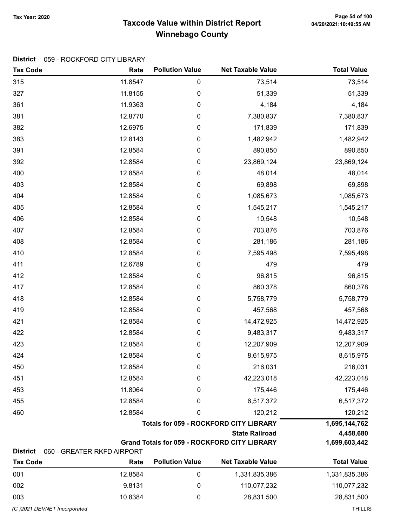### Taxcode Value within District Report Tax Year: 2020 Page 54 of 100 Winnebago County

#### District 059 - ROCKFORD CITY LIBRARY

| 0<br>315<br>11.8547<br>73,514<br>0<br>327<br>11.8155<br>51,339<br>361<br>11.9363<br>0<br>4,184<br>381<br>0<br>7,380,837<br>12.8770<br>382<br>12.6975<br>0<br>171,839 | 73,514                                                                        |
|----------------------------------------------------------------------------------------------------------------------------------------------------------------------|-------------------------------------------------------------------------------|
|                                                                                                                                                                      | 51,339<br>4,184<br>7,380,837<br>171,839<br>1,482,942<br>890,850<br>23,869,124 |
|                                                                                                                                                                      |                                                                               |
|                                                                                                                                                                      |                                                                               |
|                                                                                                                                                                      |                                                                               |
|                                                                                                                                                                      |                                                                               |
| 383<br>12.8143<br>0<br>1,482,942                                                                                                                                     |                                                                               |
| 391<br>12.8584<br>0<br>890,850                                                                                                                                       |                                                                               |
| 392<br>12.8584<br>0<br>23,869,124                                                                                                                                    |                                                                               |
| 400<br>0<br>48,014<br>12.8584                                                                                                                                        | 48,014                                                                        |
| 403<br>12.8584<br>0<br>69,898                                                                                                                                        | 69,898                                                                        |
| 404<br>12.8584<br>0<br>1,085,673                                                                                                                                     | 1,085,673                                                                     |
| 405<br>12.8584<br>0<br>1,545,217                                                                                                                                     | 1,545,217                                                                     |
| 406<br>12.8584<br>0<br>10,548                                                                                                                                        | 10,548                                                                        |
| 407<br>12.8584<br>0<br>703,876                                                                                                                                       | 703,876                                                                       |
| 408<br>0<br>281,186<br>12.8584                                                                                                                                       | 281,186                                                                       |
| 410<br>12.8584<br>0<br>7,595,498                                                                                                                                     | 7,595,498                                                                     |
| 411<br>12.6789<br>0<br>479                                                                                                                                           | 479                                                                           |
| 412<br>0<br>96,815<br>12.8584                                                                                                                                        | 96,815                                                                        |
| 417<br>12.8584<br>0<br>860,378                                                                                                                                       | 860,378                                                                       |
| 418<br>12.8584<br>0<br>5,758,779                                                                                                                                     | 5,758,779                                                                     |
| 419<br>12.8584<br>0<br>457,568                                                                                                                                       | 457,568                                                                       |
| 421<br>0<br>12.8584<br>14,472,925                                                                                                                                    | 14,472,925                                                                    |
| 422<br>12.8584<br>0<br>9,483,317                                                                                                                                     | 9,483,317                                                                     |
| 423<br>12.8584<br>0<br>12,207,909                                                                                                                                    | 12,207,909                                                                    |
| 424<br>12.8584<br>0<br>8,615,975                                                                                                                                     | 8,615,975                                                                     |
| 216,031<br>450<br>12.8584<br>0                                                                                                                                       | 216,031                                                                       |
| 12.8584<br>42,223,018<br>451<br>0                                                                                                                                    | 42,223,018                                                                    |
| 11.8064<br>453<br>0<br>175,446                                                                                                                                       | 175,446                                                                       |
| 455<br>12.8584<br>0<br>6,517,372                                                                                                                                     | 6,517,372                                                                     |
| 460<br>12.8584<br>0<br>120,212                                                                                                                                       | 120,212                                                                       |
| <b>Totals for 059 - ROCKFORD CITY LIBRARY</b>                                                                                                                        | 1,695,144,762                                                                 |
| <b>State Railroad</b>                                                                                                                                                | 4,458,680                                                                     |
| <b>Grand Totals for 059 - ROCKFORD CITY LIBRARY</b><br><b>District</b><br>060 - GREATER RKFD AIRPORT                                                                 | 1,699,603,442                                                                 |
| <b>Pollution Value</b><br><b>Net Taxable Value</b><br><b>Tax Code</b><br>Rate                                                                                        | <b>Total Value</b>                                                            |
| 001<br>12.8584<br>1,331,835,386<br>0                                                                                                                                 | 1,331,835,386                                                                 |

002 9.8131 0 110,077,232 110,077,232 003 10.8384 0 28,831,500 28,831,500 (C )2021 DEVNET Incorporated THILLIS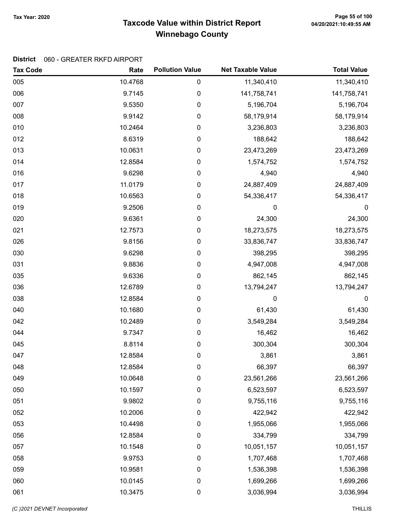# Taxcode Value within District Report Tax Year: 2020 Page 55 of 100 Winnebago County

| <b>Tax Code</b> | Rate    | <b>Pollution Value</b> | <b>Net Taxable Value</b> | <b>Total Value</b> |
|-----------------|---------|------------------------|--------------------------|--------------------|
| 005             | 10.4768 | 0                      | 11,340,410               | 11,340,410         |
| 006             | 9.7145  | 0                      | 141,758,741              | 141,758,741        |
| 007             | 9.5350  | 0                      | 5,196,704                | 5,196,704          |
| 008             | 9.9142  | 0                      | 58,179,914               | 58,179,914         |
| 010             | 10.2464 | 0                      | 3,236,803                | 3,236,803          |
| 012             | 8.6319  | $\pmb{0}$              | 188,642                  | 188,642            |
| 013             | 10.0631 | $\pmb{0}$              | 23,473,269               | 23,473,269         |
| 014             | 12.8584 | 0                      | 1,574,752                | 1,574,752          |
| 016             | 9.6298  | 0                      | 4,940                    | 4,940              |
| 017             | 11.0179 | 0                      | 24,887,409               | 24,887,409         |
| 018             | 10.6563 | 0                      | 54,336,417               | 54,336,417         |
| 019             | 9.2506  | 0                      | 0                        | $\boldsymbol{0}$   |
| 020             | 9.6361  | $\pmb{0}$              | 24,300                   | 24,300             |
| 021             | 12.7573 | $\pmb{0}$              | 18,273,575               | 18,273,575         |
| 026             | 9.8156  | 0                      | 33,836,747               | 33,836,747         |
| 030             | 9.6298  | 0                      | 398,295                  | 398,295            |
| 031             | 9.8836  | 0                      | 4,947,008                | 4,947,008          |
| 035             | 9.6336  | 0                      | 862,145                  | 862,145            |
| 036             | 12.6789 | 0                      | 13,794,247               | 13,794,247         |
| 038             | 12.8584 | 0                      | 0                        | $\mathbf 0$        |
| 040             | 10.1680 | $\pmb{0}$              | 61,430                   | 61,430             |
| 042             | 10.2489 | $\pmb{0}$              | 3,549,284                | 3,549,284          |
| 044             | 9.7347  | $\pmb{0}$              | 16,462                   | 16,462             |
| 045             | 8.8114  | $\pmb{0}$              | 300,304                  | 300,304            |
| 047             | 12.8584 | 0                      | 3,861                    | 3,861              |
| 048             | 12.8584 | 0                      | 66,397                   | 66,397             |
| 049             | 10.0648 | 0                      | 23,561,266               | 23,561,266         |
| 050             | 10.1597 | 0                      | 6,523,597                | 6,523,597          |
| 051             | 9.9802  | 0                      | 9,755,116                | 9,755,116          |
| 052             | 10.2006 | 0                      | 422,942                  | 422,942            |
| 053             | 10.4498 | $\pmb{0}$              | 1,955,066                | 1,955,066          |
| 056             | 12.8584 | 0                      | 334,799                  | 334,799            |
| 057             | 10.1548 | 0                      | 10,051,157               | 10,051,157         |
| 058             | 9.9753  | 0                      | 1,707,468                | 1,707,468          |
| 059             | 10.9581 | 0                      | 1,536,398                | 1,536,398          |
| 060             | 10.0145 | $\pmb{0}$              | 1,699,266                | 1,699,266          |
| 061             | 10.3475 | 0                      | 3,036,994                | 3,036,994          |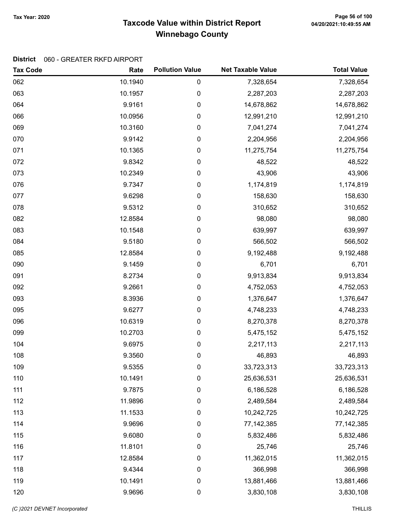# Taxcode Value within District Report Tax Year: 2020 Page 56 of 100 Winnebago County

| <b>Tax Code</b> | Rate    | <b>Pollution Value</b> | <b>Net Taxable Value</b> | <b>Total Value</b> |
|-----------------|---------|------------------------|--------------------------|--------------------|
| 062             | 10.1940 | 0                      | 7,328,654                | 7,328,654          |
| 063             | 10.1957 | 0                      | 2,287,203                | 2,287,203          |
| 064             | 9.9161  | 0                      | 14,678,862               | 14,678,862         |
| 066             | 10.0956 | 0                      | 12,991,210               | 12,991,210         |
| 069             | 10.3160 | 0                      | 7,041,274                | 7,041,274          |
| 070             | 9.9142  | 0                      | 2,204,956                | 2,204,956          |
| 071             | 10.1365 | 0                      | 11,275,754               | 11,275,754         |
| 072             | 9.8342  | 0                      | 48,522                   | 48,522             |
| 073             | 10.2349 | 0                      | 43,906                   | 43,906             |
| 076             | 9.7347  | 0                      | 1,174,819                | 1,174,819          |
| 077             | 9.6298  | 0                      | 158,630                  | 158,630            |
| 078             | 9.5312  | 0                      | 310,652                  | 310,652            |
| 082             | 12.8584 | 0                      | 98,080                   | 98,080             |
| 083             | 10.1548 | 0                      | 639,997                  | 639,997            |
| 084             | 9.5180  | 0                      | 566,502                  | 566,502            |
| 085             | 12.8584 | 0                      | 9,192,488                | 9,192,488          |
| 090             | 9.1459  | 0                      | 6,701                    | 6,701              |
| 091             | 8.2734  | 0                      | 9,913,834                | 9,913,834          |
| 092             | 9.2661  | 0                      | 4,752,053                | 4,752,053          |
| 093             | 8.3936  | 0                      | 1,376,647                | 1,376,647          |
| 095             | 9.6277  | 0                      | 4,748,233                | 4,748,233          |
| 096             | 10.6319 | 0                      | 8,270,378                | 8,270,378          |
| 099             | 10.2703 | 0                      | 5,475,152                | 5,475,152          |
| 104             | 9.6975  | 0                      | 2,217,113                | 2,217,113          |
| 108             | 9.3560  | 0                      | 46,893                   | 46,893             |
| 109             | 9.5355  | 0                      | 33,723,313               | 33,723,313         |
| 110             | 10.1491 | 0                      | 25,636,531               | 25,636,531         |
| 111             | 9.7875  | 0                      | 6,186,528                | 6,186,528          |
| 112             | 11.9896 | 0                      | 2,489,584                | 2,489,584          |
| 113             | 11.1533 | 0                      | 10,242,725               | 10,242,725         |
| 114             | 9.9696  | 0                      | 77,142,385               | 77, 142, 385       |
| 115             | 9.6080  | 0                      | 5,832,486                | 5,832,486          |
| 116             | 11.8101 | 0                      | 25,746                   | 25,746             |
| 117             | 12.8584 | 0                      | 11,362,015               | 11,362,015         |
| 118             | 9.4344  | 0                      | 366,998                  | 366,998            |
| 119             | 10.1491 | 0                      | 13,881,466               | 13,881,466         |
| 120             | 9.9696  | 0                      | 3,830,108                | 3,830,108          |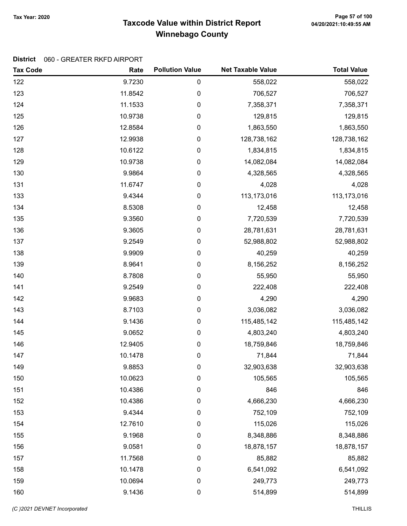# Taxcode Value within District Report Tax Year: 2020 Page 57 of 100 Winnebago County

| <b>Tax Code</b> | Rate    | <b>Pollution Value</b> | <b>Net Taxable Value</b> | <b>Total Value</b> |
|-----------------|---------|------------------------|--------------------------|--------------------|
| 122             | 9.7230  | 0                      | 558,022                  | 558,022            |
| 123             | 11.8542 | 0                      | 706,527                  | 706,527            |
| 124             | 11.1533 | $\pmb{0}$              | 7,358,371                | 7,358,371          |
| 125             | 10.9738 | 0                      | 129,815                  | 129,815            |
| 126             | 12.8584 | 0                      | 1,863,550                | 1,863,550          |
| 127             | 12.9938 | $\boldsymbol{0}$       | 128,738,162              | 128,738,162        |
| 128             | 10.6122 | $\pmb{0}$              | 1,834,815                | 1,834,815          |
| 129             | 10.9738 | $\boldsymbol{0}$       | 14,082,084               | 14,082,084         |
| 130             | 9.9864  | $\pmb{0}$              | 4,328,565                | 4,328,565          |
| 131             | 11.6747 | $\pmb{0}$              | 4,028                    | 4,028              |
| 133             | 9.4344  | $\pmb{0}$              | 113,173,016              | 113,173,016        |
| 134             | 8.5308  | 0                      | 12,458                   | 12,458             |
| 135             | 9.3560  | $\boldsymbol{0}$       | 7,720,539                | 7,720,539          |
| 136             | 9.3605  | $\pmb{0}$              | 28,781,631               | 28,781,631         |
| 137             | 9.2549  | $\boldsymbol{0}$       | 52,988,802               | 52,988,802         |
| 138             | 9.9909  | $\pmb{0}$              | 40,259                   | 40,259             |
| 139             | 8.9641  | $\pmb{0}$              | 8,156,252                | 8,156,252          |
| 140             | 8.7808  | $\pmb{0}$              | 55,950                   | 55,950             |
| 141             | 9.2549  | 0                      | 222,408                  | 222,408            |
| 142             | 9.9683  | $\boldsymbol{0}$       | 4,290                    | 4,290              |
| 143             | 8.7103  | $\pmb{0}$              | 3,036,082                | 3,036,082          |
| 144             | 9.1436  | 0                      | 115,485,142              | 115,485,142        |
| 145             | 9.0652  | 0                      | 4,803,240                | 4,803,240          |
| 146             | 12.9405 | $\pmb{0}$              | 18,759,846               | 18,759,846         |
| 147             | 10.1478 | $\pmb{0}$              | 71,844                   | 71,844             |
| 149             | 9.8853  | 0                      | 32,903,638               | 32,903,638         |
| 150             | 10.0623 | 0                      | 105,565                  | 105,565            |
| 151             | 10.4386 | $\boldsymbol{0}$       | 846                      | 846                |
| 152             | 10.4386 | 0                      | 4,666,230                | 4,666,230          |
| 153             | 9.4344  | 0                      | 752,109                  | 752,109            |
| 154             | 12.7610 | $\boldsymbol{0}$       | 115,026                  | 115,026            |
| 155             | 9.1968  | $\pmb{0}$              | 8,348,886                | 8,348,886          |
| 156             | 9.0581  | $\pmb{0}$              | 18,878,157               | 18,878,157         |
| 157             | 11.7568 | 0                      | 85,882                   | 85,882             |
| 158             | 10.1478 | 0                      | 6,541,092                | 6,541,092          |
| 159             | 10.0694 | $\boldsymbol{0}$       | 249,773                  | 249,773            |
| 160             | 9.1436  | $\boldsymbol{0}$       | 514,899                  | 514,899            |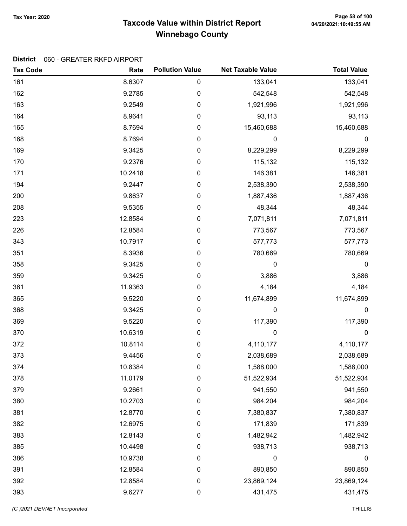# Taxcode Value within District Report Tax Year: 2020 Page 58 of 100 Winnebago County

| <b>Tax Code</b> | Rate    | <b>Pollution Value</b> | <b>Net Taxable Value</b> | <b>Total Value</b> |
|-----------------|---------|------------------------|--------------------------|--------------------|
| 161             | 8.6307  | $\pmb{0}$              | 133,041                  | 133,041            |
| 162             | 9.2785  | 0                      | 542,548                  | 542,548            |
| 163             | 9.2549  | $\pmb{0}$              | 1,921,996                | 1,921,996          |
| 164             | 8.9641  | 0                      | 93,113                   | 93,113             |
| 165             | 8.7694  | 0                      | 15,460,688               | 15,460,688         |
| 168             | 8.7694  | $\pmb{0}$              | 0                        | $\pmb{0}$          |
| 169             | 9.3425  | 0                      | 8,229,299                | 8,229,299          |
| 170             | 9.2376  | 0                      | 115,132                  | 115,132            |
| 171             | 10.2418 | 0                      | 146,381                  | 146,381            |
| 194             | 9.2447  | $\pmb{0}$              | 2,538,390                | 2,538,390          |
| 200             | 9.8637  | 0                      | 1,887,436                | 1,887,436          |
| 208             | 9.5355  | 0                      | 48,344                   | 48,344             |
| 223             | 12.8584 | 0                      | 7,071,811                | 7,071,811          |
| 226             | 12.8584 | 0                      | 773,567                  | 773,567            |
| 343             | 10.7917 | 0                      | 577,773                  | 577,773            |
| 351             | 8.3936  | 0                      | 780,669                  | 780,669            |
| 358             | 9.3425  | $\pmb{0}$              | 0                        | $\pmb{0}$          |
| 359             | 9.3425  | 0                      | 3,886                    | 3,886              |
| 361             | 11.9363 | 0                      | 4,184                    | 4,184              |
| 365             | 9.5220  | 0                      | 11,674,899               | 11,674,899         |
| 368             | 9.3425  | 0                      | 0                        | 0                  |
| 369             | 9.5220  | 0                      | 117,390                  | 117,390            |
| 370             | 10.6319 | 0                      | 0                        | $\boldsymbol{0}$   |
| 372             | 10.8114 | 0                      | 4,110,177                | 4,110,177          |
| 373             | 9.4456  | 0                      | 2,038,689                | 2,038,689          |
| 374             | 10.8384 | 0                      | 1,588,000                | 1,588,000          |
| 378             | 11.0179 | 0                      | 51,522,934               | 51,522,934         |
| 379             | 9.2661  | 0                      | 941,550                  | 941,550            |
| 380             | 10.2703 | 0                      | 984,204                  | 984,204            |
| 381             | 12.8770 | 0                      | 7,380,837                | 7,380,837          |
| 382             | 12.6975 | $\boldsymbol{0}$       | 171,839                  | 171,839            |
| 383             | 12.8143 | $\pmb{0}$              | 1,482,942                | 1,482,942          |
| 385             | 10.4498 | 0                      | 938,713                  | 938,713            |
| 386             | 10.9738 | 0                      | 0                        | $\boldsymbol{0}$   |
| 391             | 12.8584 | $\boldsymbol{0}$       | 890,850                  | 890,850            |
| 392             | 12.8584 | $\pmb{0}$              | 23,869,124               | 23,869,124         |
| 393             | 9.6277  | 0                      | 431,475                  | 431,475            |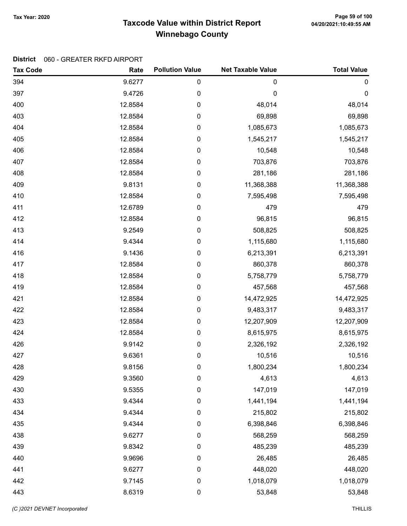# Taxcode Value within District Report Tax Year: 2020 Page 59 of 100 Winnebago County

| <b>Tax Code</b> | Rate    | <b>Pollution Value</b> | <b>Net Taxable Value</b> | <b>Total Value</b> |
|-----------------|---------|------------------------|--------------------------|--------------------|
| 394             | 9.6277  | 0                      | 0                        | $\pmb{0}$          |
| 397             | 9.4726  | 0                      | 0                        | $\mathbf 0$        |
| 400             | 12.8584 | 0                      | 48,014                   | 48,014             |
| 403             | 12.8584 | 0                      | 69,898                   | 69,898             |
| 404             | 12.8584 | 0                      | 1,085,673                | 1,085,673          |
| 405             | 12.8584 | 0                      | 1,545,217                | 1,545,217          |
| 406             | 12.8584 | 0                      | 10,548                   | 10,548             |
| 407             | 12.8584 | 0                      | 703,876                  | 703,876            |
| 408             | 12.8584 | 0                      | 281,186                  | 281,186            |
| 409             | 9.8131  | 0                      | 11,368,388               | 11,368,388         |
| 410             | 12.8584 | 0                      | 7,595,498                | 7,595,498          |
| 411             | 12.6789 | 0                      | 479                      | 479                |
| 412             | 12.8584 | 0                      | 96,815                   | 96,815             |
| 413             | 9.2549  | 0                      | 508,825                  | 508,825            |
| 414             | 9.4344  | 0                      | 1,115,680                | 1,115,680          |
| 416             | 9.1436  | 0                      | 6,213,391                | 6,213,391          |
| 417             | 12.8584 | 0                      | 860,378                  | 860,378            |
| 418             | 12.8584 | 0                      | 5,758,779                | 5,758,779          |
| 419             | 12.8584 | 0                      | 457,568                  | 457,568            |
| 421             | 12.8584 | 0                      | 14,472,925               | 14,472,925         |
| 422             | 12.8584 | 0                      | 9,483,317                | 9,483,317          |
| 423             | 12.8584 | 0                      | 12,207,909               | 12,207,909         |
| 424             | 12.8584 | 0                      | 8,615,975                | 8,615,975          |
| 426             | 9.9142  | 0                      | 2,326,192                | 2,326,192          |
| 427             | 9.6361  | 0                      | 10,516                   | 10,516             |
| 428             | 9.8156  | 0                      | 1,800,234                | 1,800,234          |
| 429             | 9.3560  | 0                      | 4,613                    | 4,613              |
| 430             | 9.5355  | 0                      | 147,019                  | 147,019            |
| 433             | 9.4344  | 0                      | 1,441,194                | 1,441,194          |
| 434             | 9.4344  | 0                      | 215,802                  | 215,802            |
| 435             | 9.4344  | $\pmb{0}$              | 6,398,846                | 6,398,846          |
| 438             | 9.6277  | 0                      | 568,259                  | 568,259            |
| 439             | 9.8342  | 0                      | 485,239                  | 485,239            |
| 440             | 9.9696  | 0                      | 26,485                   | 26,485             |
| 441             | 9.6277  | 0                      | 448,020                  | 448,020            |
| 442             | 9.7145  | $\pmb{0}$              | 1,018,079                | 1,018,079          |
| 443             | 8.6319  | 0                      | 53,848                   | 53,848             |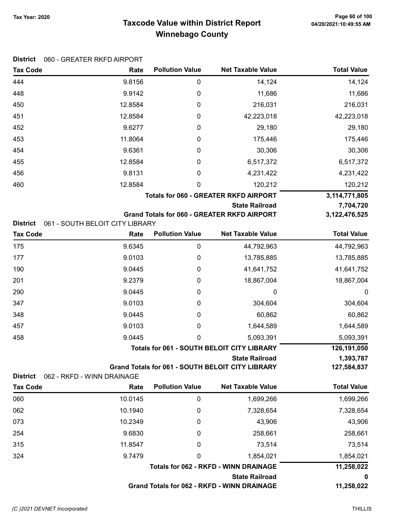### Taxcode Value within District Report Tax Year: 2020 Page 60 of 100 Winnebago County

| <b>District</b> | 060 - GREATER RKFD AIRPORT      |                        |                                                                                  |                          |
|-----------------|---------------------------------|------------------------|----------------------------------------------------------------------------------|--------------------------|
| <b>Tax Code</b> | Rate                            | <b>Pollution Value</b> | <b>Net Taxable Value</b>                                                         | <b>Total Value</b>       |
| 444             | 9.8156                          | 0                      | 14,124                                                                           | 14,124                   |
| 448             | 9.9142                          | 0                      | 11,686                                                                           | 11,686                   |
| 450             | 12.8584                         | 0                      | 216,031                                                                          | 216,031                  |
| 451             | 12.8584                         | 0                      | 42,223,018                                                                       | 42,223,018               |
| 452             | 9.6277                          | $\boldsymbol{0}$       | 29,180                                                                           | 29,180                   |
| 453             | 11.8064                         | 0                      | 175,446                                                                          | 175,446                  |
| 454             | 9.6361                          | 0                      | 30,306                                                                           | 30,306                   |
| 455             | 12.8584                         | 0                      | 6,517,372                                                                        | 6,517,372                |
| 456             | 9.8131                          | 0                      | 4,231,422                                                                        | 4,231,422                |
| 460             | 12.8584                         | 0                      | 120,212                                                                          | 120,212                  |
|                 |                                 |                        | <b>Totals for 060 - GREATER RKFD AIRPORT</b>                                     | 3,114,771,805            |
|                 |                                 |                        | <b>State Railroad</b>                                                            | 7,704,720                |
|                 |                                 |                        | <b>Grand Totals for 060 - GREATER RKFD AIRPORT</b>                               | 3, 122, 476, 525         |
| <b>District</b> | 061 - SOUTH BELOIT CITY LIBRARY | <b>Pollution Value</b> | <b>Net Taxable Value</b>                                                         | <b>Total Value</b>       |
| <b>Tax Code</b> | Rate                            |                        |                                                                                  |                          |
| 175             | 9.6345                          | $\pmb{0}$              | 44,792,963                                                                       | 44,792,963               |
| 177             | 9.0103                          | 0                      | 13,785,885                                                                       | 13,785,885               |
| 190             | 9.0445                          | 0                      | 41,641,752                                                                       | 41,641,752               |
| 201             | 9.2379                          | 0                      | 18,867,004                                                                       | 18,867,004               |
| 290             | 9.0445                          | 0                      | 0                                                                                | 0                        |
| 347             | 9.0103                          | 0                      | 304,604                                                                          | 304,604                  |
| 348             | 9.0445                          | 0                      | 60,862                                                                           | 60,862                   |
| 457             | 9.0103                          | 0                      | 1,644,589                                                                        | 1,644,589                |
| 458             | 9.0445                          | 0                      | 5,093,391                                                                        | 5,093,391                |
|                 |                                 |                        | <b>Totals for 061 - SOUTH BELOIT CITY LIBRARY</b>                                | 126,191,050              |
|                 |                                 |                        | <b>State Railroad</b><br><b>Grand Totals for 061 - SOUTH BELOIT CITY LIBRARY</b> | 1,393,787<br>127,584,837 |
| <b>District</b> | 062 - RKFD - WINN DRAINAGE      |                        |                                                                                  |                          |
| <b>Tax Code</b> | Rate                            | <b>Pollution Value</b> | <b>Net Taxable Value</b>                                                         | <b>Total Value</b>       |
| 060             | 10.0145                         | 0                      | 1,699,266                                                                        | 1,699,266                |
| 062             | 10.1940                         | 0                      | 7,328,654                                                                        | 7,328,654                |
| 073             | 10.2349                         | 0                      | 43,906                                                                           | 43,906                   |
| 254             | 9.6830                          | 0                      | 258,661                                                                          | 258,661                  |
| 315             | 11.8547                         | 0                      | 73,514                                                                           | 73,514                   |
| 324             | 9.7479                          | 0                      | 1,854,021                                                                        | 1,854,021                |
|                 |                                 |                        | <b>Totals for 062 - RKFD - WINN DRAINAGE</b>                                     | 11,258,022               |
|                 |                                 |                        |                                                                                  |                          |

State Railroad 0

Grand Totals for 062 - RKFD - WINN DRAINAGE 11,258,022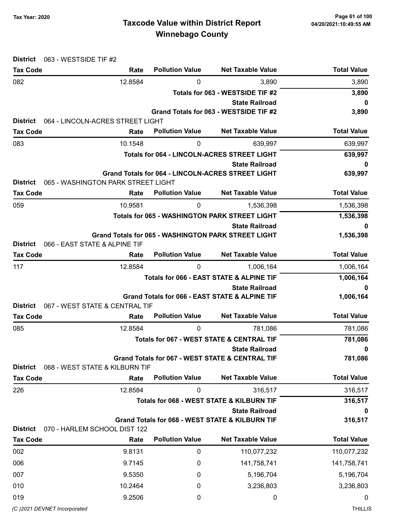# Taxcode Value within District Report Tax Year: 2020 Page 61 of 100 Winnebago County

| <b>District</b>                                | 063 - WESTSIDE TIF #2              |                             |                                                                                     |                    |
|------------------------------------------------|------------------------------------|-----------------------------|-------------------------------------------------------------------------------------|--------------------|
| <b>Tax Code</b>                                | Rate                               | <b>Pollution Value</b>      | <b>Net Taxable Value</b>                                                            | <b>Total Value</b> |
| 082                                            | 12.8584                            | 0                           | 3,890                                                                               | 3,890              |
|                                                |                                    |                             | Totals for 063 - WESTSIDE TIF #2                                                    | 3,890              |
|                                                |                                    |                             | <b>State Railroad</b>                                                               | 0                  |
| <b>District</b>                                | 064 - LINCOLN-ACRES STREET LIGHT   |                             | Grand Totals for 063 - WESTSIDE TIF #2                                              | 3,890              |
| <b>Tax Code</b>                                | Rate                               | <b>Net Taxable Value</b>    | <b>Total Value</b>                                                                  |                    |
| 083                                            | 10.1548                            | <b>Pollution Value</b><br>0 | 639,997                                                                             | 639,997            |
|                                                |                                    |                             | <b>Totals for 064 - LINCOLN-ACRES STREET LIGHT</b>                                  | 639,997            |
|                                                |                                    |                             | <b>State Railroad</b>                                                               | 0                  |
|                                                |                                    |                             | <b>Grand Totals for 064 - LINCOLN-ACRES STREET LIGHT</b>                            | 639,997            |
| <b>District</b>                                | 065 - WASHINGTON PARK STREET LIGHT |                             |                                                                                     |                    |
| <b>Tax Code</b>                                | Rate                               | <b>Pollution Value</b>      | <b>Net Taxable Value</b>                                                            | <b>Total Value</b> |
| 059                                            | 10.9581                            | 0                           | 1,536,398                                                                           | 1,536,398          |
|                                                |                                    |                             | <b>Totals for 065 - WASHINGTON PARK STREET LIGHT</b>                                | 1,536,398          |
|                                                |                                    |                             | <b>State Railroad</b><br><b>Grand Totals for 065 - WASHINGTON PARK STREET LIGHT</b> | 0                  |
| <b>District</b>                                | 066 - EAST STATE & ALPINE TIF      |                             |                                                                                     | 1,536,398          |
| <b>Tax Code</b>                                | Rate                               | <b>Pollution Value</b>      | <b>Net Taxable Value</b>                                                            | <b>Total Value</b> |
| 117                                            | 12.8584                            | 0                           | 1,006,164                                                                           | 1,006,164          |
|                                                |                                    |                             | Totals for 066 - EAST STATE & ALPINE TIF                                            | 1,006,164          |
|                                                |                                    |                             | <b>State Railroad</b>                                                               | 0                  |
| Grand Totals for 066 - EAST STATE & ALPINE TIF |                                    |                             |                                                                                     | 1,006,164          |
| <b>District</b>                                | 067 - WEST STATE & CENTRAL TIF     |                             |                                                                                     |                    |
| <b>Tax Code</b>                                | Rate                               | <b>Pollution Value</b>      | <b>Net Taxable Value</b>                                                            | <b>Total Value</b> |
| 085                                            | 12.8584                            | 0                           | 781,086                                                                             | 781,086            |
|                                                |                                    |                             | <b>Totals for 067 - WEST STATE &amp; CENTRAL TIF</b>                                | 781,086            |
|                                                |                                    |                             | <b>State Railroad</b><br><b>Grand Totals for 067 - WEST STATE &amp; CENTRAL TIF</b> | 0<br>781,086       |
| <b>District</b>                                | 068 - WEST STATE & KILBURN TIF     |                             |                                                                                     |                    |
| <b>Tax Code</b>                                | Rate                               | <b>Pollution Value</b>      | <b>Net Taxable Value</b>                                                            | <b>Total Value</b> |
| 226                                            | 12.8584                            | 0                           | 316,517                                                                             | 316,517            |
|                                                |                                    |                             | Totals for 068 - WEST STATE & KILBURN TIF                                           | 316,517            |
|                                                |                                    |                             | <b>State Railroad</b>                                                               | 0                  |
|                                                |                                    |                             | Grand Totals for 068 - WEST STATE & KILBURN TIF                                     | 316,517            |
| <b>District</b><br><b>Tax Code</b>             | 070 - HARLEM SCHOOL DIST 122       | <b>Pollution Value</b>      | <b>Net Taxable Value</b>                                                            | <b>Total Value</b> |
|                                                | Rate                               |                             |                                                                                     |                    |
| 002                                            | 9.8131                             | 0                           | 110,077,232                                                                         | 110,077,232        |
| 006                                            | 9.7145                             | 0                           | 141,758,741                                                                         | 141,758,741        |
| 007                                            | 9.5350                             | 0                           | 5,196,704                                                                           | 5,196,704          |
| 010                                            | 10.2464                            | 0                           | 3,236,803                                                                           | 3,236,803          |
| 019                                            | 9.2506                             | 0                           | 0                                                                                   | 0                  |
| (C) 2021 DEVNET Incorporated                   |                                    |                             |                                                                                     | <b>THILLIS</b>     |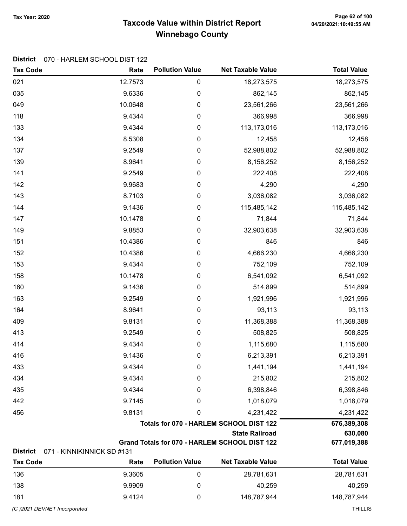# Taxcode Value within District Report Tax Year: 2020 Page 62 of 100 Winnebago County

#### District 070 - HARLEM SCHOOL DIST 122

| <b>Tax Code</b> | Rate                                                             | <b>Pollution Value</b> | <b>Net Taxable Value</b>                      | <b>Total Value</b> |
|-----------------|------------------------------------------------------------------|------------------------|-----------------------------------------------|--------------------|
| 021             | 12.7573                                                          | 0                      | 18,273,575                                    | 18,273,575         |
| 035             | 9.6336                                                           | 0                      | 862,145                                       | 862,145            |
| 049             | 10.0648                                                          | 0                      | 23,561,266                                    | 23,561,266         |
| 118             | 9.4344                                                           | 0                      | 366,998                                       | 366,998            |
| 133             | 9.4344                                                           | $\pmb{0}$              | 113,173,016                                   | 113,173,016        |
| 134             | 8.5308                                                           | 0                      | 12,458                                        | 12,458             |
| 137             | 9.2549                                                           | 0                      | 52,988,802                                    | 52,988,802         |
| 139             | 8.9641                                                           | 0                      | 8,156,252                                     | 8,156,252          |
| 141             | 9.2549                                                           | 0                      | 222,408                                       | 222,408            |
| 142             | 9.9683                                                           | 0                      | 4,290                                         | 4,290              |
| 143             | 8.7103                                                           | 0                      | 3,036,082                                     | 3,036,082          |
| 144             | 9.1436                                                           | 0                      | 115,485,142                                   | 115,485,142        |
| 147             | 10.1478                                                          | 0                      | 71,844                                        | 71,844             |
| 149             | 9.8853                                                           | $\pmb{0}$              | 32,903,638                                    | 32,903,638         |
| 151             | 10.4386                                                          | 0                      | 846                                           | 846                |
| 152             | 10.4386                                                          | 0                      | 4,666,230                                     | 4,666,230          |
| 153             | 9.4344                                                           | 0                      | 752,109                                       | 752,109            |
| 158             | 10.1478                                                          | 0                      | 6,541,092                                     | 6,541,092          |
| 160             | 9.1436                                                           | 0                      | 514,899                                       | 514,899            |
| 163             | 9.2549                                                           | 0                      | 1,921,996                                     | 1,921,996          |
| 164             | 8.9641                                                           | 0                      | 93,113                                        | 93,113             |
| 409             | 9.8131                                                           | 0                      | 11,368,388                                    | 11,368,388         |
| 413             | 9.2549                                                           | 0                      | 508,825                                       | 508,825            |
| 414             | 9.4344                                                           | 0                      | 1,115,680                                     | 1,115,680          |
| 416             | 9.1436                                                           | 0                      | 6,213,391                                     | 6,213,391          |
| 433             | 9.4344                                                           | 0                      | 1,441,194                                     | 1,441,194          |
| 434             | 9.4344                                                           | 0                      | 215,802                                       | 215,802            |
| 435             | 9.4344                                                           | 0                      | 6,398,846                                     | 6,398,846          |
| 442             | 9.7145                                                           | 0                      | 1,018,079                                     | 1,018,079          |
| 456             | 9.8131                                                           | 0                      | 4,231,422                                     | 4,231,422          |
|                 | Totals for 070 - HARLEM SCHOOL DIST 122<br><b>State Railroad</b> |                        |                                               | 676,389,308        |
|                 |                                                                  | 630,080                |                                               |                    |
| <b>District</b> | 071 - KINNIKINNICK SD #131                                       |                        | Grand Totals for 070 - HARLEM SCHOOL DIST 122 | 677,019,388        |
| <b>Tax Code</b> | Rate                                                             | <b>Pollution Value</b> | <b>Net Taxable Value</b>                      | <b>Total Value</b> |
|                 |                                                                  |                        |                                               |                    |

| 136 | 9.3605 | 28,781,631  | 28,781,631  |
|-----|--------|-------------|-------------|
| 138 | 9.9909 | 40,259      | 40,259      |
| 181 | 9.4124 | 148,787,944 | 148,787,944 |
|     |        |             |             |

(C)2021 DEVNET Incorporated THILLIS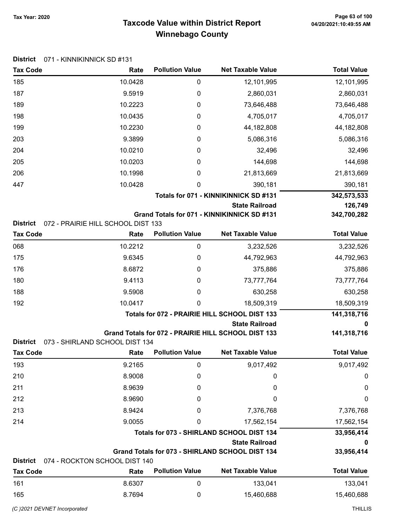District 071 - KINNIKINNICK SD #131

# Taxcode Value within District Report Tax Year: 2020 Page 63 of 100 Winnebago County

| <b>Tax Code</b>                    | Rate                                          | <b>Pollution Value</b> | <b>Net Taxable Value</b>                            | <b>Total Value</b> |
|------------------------------------|-----------------------------------------------|------------------------|-----------------------------------------------------|--------------------|
| 185                                | 10.0428                                       | 0                      | 12,101,995                                          | 12,101,995         |
| 187                                | 9.5919                                        | 0                      | 2,860,031                                           | 2,860,031          |
| 189                                | 10.2223                                       | 0                      | 73,646,488                                          | 73,646,488         |
| 198                                | 10.0435                                       | 0                      | 4,705,017                                           | 4,705,017          |
| 199                                | 10.2230                                       | 0                      | 44,182,808                                          | 44,182,808         |
| 203                                | 9.3899                                        | 0                      | 5,086,316                                           | 5,086,316          |
| 204                                | 10.0210                                       | 0                      | 32,496                                              | 32,496             |
| 205                                | 10.0203                                       | 0                      | 144,698                                             | 144,698            |
| 206                                | 10.1998                                       | 0                      | 21,813,669                                          | 21,813,669         |
| 447                                | 10.0428                                       | 0                      | 390,181                                             | 390,181            |
|                                    |                                               |                        | Totals for 071 - KINNIKINNICK SD #131               | 342,573,533        |
|                                    |                                               |                        | <b>State Railroad</b>                               | 126,749            |
| <b>District</b>                    | 072 - PRAIRIE HILL SCHOOL DIST 133            |                        | Grand Totals for 071 - KINNIKINNICK SD #131         | 342,700,282        |
| <b>Tax Code</b>                    | Rate                                          | <b>Pollution Value</b> | <b>Net Taxable Value</b>                            | <b>Total Value</b> |
| 068                                | 10.2212                                       | $\pmb{0}$              | 3,232,526                                           | 3,232,526          |
| 175                                | 9.6345                                        | 0                      | 44,792,963                                          | 44,792,963         |
| 176                                | 8.6872                                        | 0                      | 375,886                                             | 375,886            |
| 180                                | 9.4113                                        | 0                      | 73,777,764                                          | 73,777,764         |
| 188                                | 9.5908                                        | 0                      | 630,258                                             | 630,258            |
| 192                                | 10.0417                                       | 0                      | 18,509,319                                          | 18,509,319         |
|                                    | Totals for 072 - PRAIRIE HILL SCHOOL DIST 133 |                        |                                                     | 141,318,716        |
|                                    |                                               |                        | <b>State Railroad</b>                               | 0                  |
| <b>District</b>                    | 073 - SHIRLAND SCHOOL DIST 134                |                        | Grand Totals for 072 - PRAIRIE HILL SCHOOL DIST 133 | 141,318,716        |
| <b>Tax Code</b>                    | Rate                                          | <b>Pollution Value</b> | <b>Net Taxable Value</b>                            | <b>Total Value</b> |
| 193                                | 9.2165                                        | 0                      | 9,017,492                                           | 9,017,492          |
| 210                                | 8.9008                                        | 0                      | 0                                                   | 0                  |
| 211                                | 8.9639                                        | 0                      | 0                                                   | 0                  |
| 212                                | 8.9690                                        | 0                      | 0                                                   | 0                  |
| 213                                | 8.9424                                        | 0                      | 7,376,768                                           | 7,376,768          |
| 214                                | 9.0055                                        | 0                      | 17,562,154                                          | 17,562,154         |
|                                    |                                               |                        | Totals for 073 - SHIRLAND SCHOOL DIST 134           | 33,956,414         |
|                                    |                                               |                        | <b>State Railroad</b>                               | 0                  |
|                                    |                                               |                        | Grand Totals for 073 - SHIRLAND SCHOOL DIST 134     | 33,956,414         |
| <b>District</b><br><b>Tax Code</b> | 074 - ROCKTON SCHOOL DIST 140<br>Rate         | <b>Pollution Value</b> | <b>Net Taxable Value</b>                            | <b>Total Value</b> |
| 161                                | 8.6307                                        | 0                      | 133,041                                             | 133,041            |
| 165                                | 8.7694                                        | 0                      | 15,460,688                                          | 15,460,688         |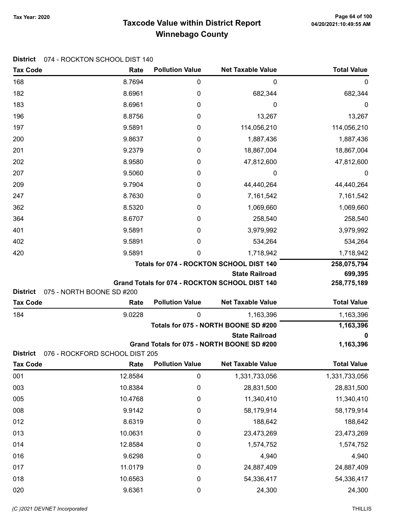# Taxcode Value within District Report Tax Year: 2020 Page 64 of 100 Winnebago County

| <b>Tax Code</b>                    | Rate                              | <b>Pollution Value</b> | <b>Net Taxable Value</b>                          | <b>Total Value</b>     |
|------------------------------------|-----------------------------------|------------------------|---------------------------------------------------|------------------------|
| 168                                | 8.7694                            | 0                      | 0                                                 | 0                      |
| 182                                | 8.6961                            | 0                      | 682,344                                           | 682,344                |
| 183                                | 8.6961                            | 0                      | 0                                                 | 0                      |
| 196                                | 8.8756                            | 0                      | 13,267                                            | 13,267                 |
| 197                                | 9.5891                            | 0                      | 114,056,210                                       | 114,056,210            |
| 200                                | 9.8637                            | 0                      | 1,887,436                                         | 1,887,436              |
| 201                                | 9.2379                            | 0                      | 18,867,004                                        | 18,867,004             |
| 202                                | 8.9580                            | 0                      | 47,812,600                                        | 47,812,600             |
| 207                                | 9.5060                            | 0                      | 0                                                 | 0                      |
| 209                                | 9.7904                            | 0                      | 44,440,264                                        | 44,440,264             |
| 247                                | 8.7630                            | 0                      | 7,161,542                                         | 7,161,542              |
| 362                                | 8.5320                            | 0                      | 1,069,660                                         | 1,069,660              |
| 364                                | 8.6707                            | 0                      | 258,540                                           | 258,540                |
| 401                                | 9.5891                            | 0                      | 3,979,992                                         | 3,979,992              |
| 402                                | 9.5891                            | 0                      | 534,264                                           | 534,264                |
| 420                                | 9.5891                            | 0                      | 1,718,942                                         | 1,718,942              |
|                                    |                                   |                        | Totals for 074 - ROCKTON SCHOOL DIST 140          | 258,075,794            |
|                                    |                                   |                        | <b>State Railroad</b>                             | 699,395                |
|                                    |                                   |                        | Grand Totals for 074 - ROCKTON SCHOOL DIST 140    | 258,775,189            |
| <b>District</b><br><b>Tax Code</b> | 075 - NORTH BOONE SD #200<br>Rate | <b>Pollution Value</b> | <b>Net Taxable Value</b>                          | <b>Total Value</b>     |
|                                    |                                   |                        |                                                   |                        |
| 184                                | 9.0228                            | 0                      | 1,163,396<br>Totals for 075 - NORTH BOONE SD #200 | 1,163,396<br>1,163,396 |
|                                    |                                   |                        | <b>State Railroad</b>                             | 0                      |
|                                    |                                   |                        | Grand Totals for 075 - NORTH BOONE SD #200        | 1,163,396              |
| <b>District</b>                    | 076 - ROCKFORD SCHOOL DIST 205    |                        |                                                   |                        |
| Tax Code                           | Rate                              | <b>Pollution Value</b> | <b>Net Taxable Value</b>                          | <b>Total Value</b>     |
| 001                                | 12.8584                           | $\pmb{0}$              | 1,331,733,056                                     | 1,331,733,056          |
| 003                                | 10.8384                           | 0                      | 28,831,500                                        | 28,831,500             |
| 005                                | 10.4768                           | 0                      | 11,340,410                                        | 11,340,410             |
| 008                                | 9.9142                            | 0                      | 58,179,914                                        | 58,179,914             |
| 012                                | 8.6319                            | $\boldsymbol{0}$       | 188,642                                           | 188,642                |
| 013                                | 10.0631                           | 0                      | 23,473,269                                        | 23,473,269             |
| 014                                | 12.8584                           | 0                      | 1,574,752                                         | 1,574,752              |
| 016                                | 9.6298                            | 0                      | 4,940                                             | 4,940                  |
| 017                                | 11.0179                           | 0                      | 24,887,409                                        | 24,887,409             |
| 018                                | 10.6563                           | 0                      | 54,336,417                                        | 54,336,417             |
|                                    |                                   |                        |                                                   |                        |
| 020                                | 9.6361                            | 0                      | 24,300                                            | 24,300                 |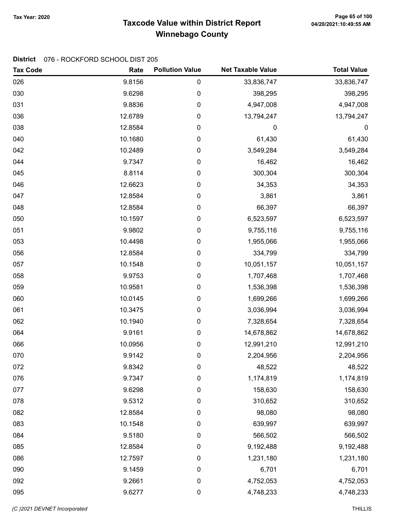# Taxcode Value within District Report Tax Year: 2020 Page 65 of 100 Winnebago County

#### District 076 - ROCKFORD SCHOOL DIST 205

| <b>Tax Code</b> | Rate    | <b>Pollution Value</b> | <b>Net Taxable Value</b> | <b>Total Value</b> |
|-----------------|---------|------------------------|--------------------------|--------------------|
| 026             | 9.8156  | 0                      | 33,836,747               | 33,836,747         |
| 030             | 9.6298  | $\mathbf 0$            | 398,295                  | 398,295            |
| 031             | 9.8836  | 0                      | 4,947,008                | 4,947,008          |
| 036             | 12.6789 | 0                      | 13,794,247               | 13,794,247         |
| 038             | 12.8584 | 0                      | 0                        | $\boldsymbol{0}$   |
| 040             | 10.1680 | 0                      | 61,430                   | 61,430             |
| 042             | 10.2489 | 0                      | 3,549,284                | 3,549,284          |
| 044             | 9.7347  | 0                      | 16,462                   | 16,462             |
| 045             | 8.8114  | 0                      | 300,304                  | 300,304            |
| 046             | 12.6623 | 0                      | 34,353                   | 34,353             |
| 047             | 12.8584 | 0                      | 3,861                    | 3,861              |
| 048             | 12.8584 | 0                      | 66,397                   | 66,397             |
| 050             | 10.1597 | 0                      | 6,523,597                | 6,523,597          |
| 051             | 9.9802  | 0                      | 9,755,116                | 9,755,116          |
| 053             | 10.4498 | 0                      | 1,955,066                | 1,955,066          |
| 056             | 12.8584 | 0                      | 334,799                  | 334,799            |
| 057             | 10.1548 | 0                      | 10,051,157               | 10,051,157         |
| 058             | 9.9753  | 0                      | 1,707,468                | 1,707,468          |
| 059             | 10.9581 | 0                      | 1,536,398                | 1,536,398          |
| 060             | 10.0145 | 0                      | 1,699,266                | 1,699,266          |
| 061             | 10.3475 | 0                      | 3,036,994                | 3,036,994          |
| 062             | 10.1940 | 0                      | 7,328,654                | 7,328,654          |
| 064             | 9.9161  | 0                      | 14,678,862               | 14,678,862         |
| 066             | 10.0956 | 0                      | 12,991,210               | 12,991,210         |
| 070             | 9.9142  | 0                      | 2,204,956                | 2,204,956          |
| 072             | 9.8342  | 0                      | 48,522                   | 48,522             |
| 076             | 9.7347  | 0                      | 1,174,819                | 1,174,819          |
| 077             | 9.6298  | $\pmb{0}$              | 158,630                  | 158,630            |
| 078             | 9.5312  | 0                      | 310,652                  | 310,652            |
| 082             | 12.8584 | $\boldsymbol{0}$       | 98,080                   | 98,080             |
| 083             | 10.1548 | $\pmb{0}$              | 639,997                  | 639,997            |
| 084             | 9.5180  | $\pmb{0}$              | 566,502                  | 566,502            |
| 085             | 12.8584 | $\pmb{0}$              | 9,192,488                | 9,192,488          |
| 086             | 12.7597 | 0                      | 1,231,180                | 1,231,180          |
| 090             | 9.1459  | $\pmb{0}$              | 6,701                    | 6,701              |
| 092             | 9.2661  | $\pmb{0}$              | 4,752,053                | 4,752,053          |
| 095             | 9.6277  | $\pmb{0}$              | 4,748,233                | 4,748,233          |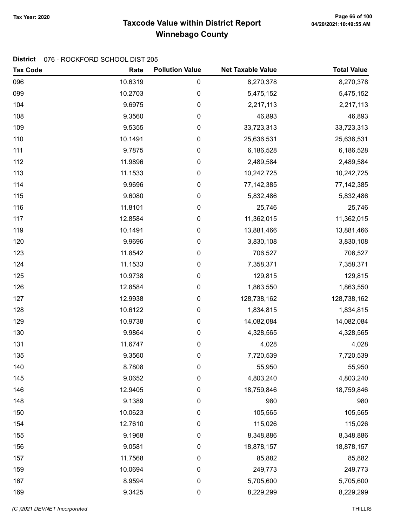# Taxcode Value within District Report Tax Year: 2020 Page 66 of 100 Winnebago County

### District 076 - ROCKFORD SCHOOL DIST 205

| <b>Tax Code</b> | Rate    | <b>Pollution Value</b> | <b>Net Taxable Value</b> | <b>Total Value</b> |
|-----------------|---------|------------------------|--------------------------|--------------------|
| 096             | 10.6319 | $\pmb{0}$              | 8,270,378                | 8,270,378          |
| 099             | 10.2703 | 0                      | 5,475,152                | 5,475,152          |
| 104             | 9.6975  | $\pmb{0}$              | 2,217,113                | 2,217,113          |
| 108             | 9.3560  | 0                      | 46,893                   | 46,893             |
| 109             | 9.5355  | 0                      | 33,723,313               | 33,723,313         |
| 110             | 10.1491 | 0                      | 25,636,531               | 25,636,531         |
| 111             | 9.7875  | 0                      | 6,186,528                | 6,186,528          |
| 112             | 11.9896 | 0                      | 2,489,584                | 2,489,584          |
| 113             | 11.1533 | 0                      | 10,242,725               | 10,242,725         |
| 114             | 9.9696  | 0                      | 77, 142, 385             | 77, 142, 385       |
| 115             | 9.6080  | $\pmb{0}$              | 5,832,486                | 5,832,486          |
| 116             | 11.8101 | $\pmb{0}$              | 25,746                   | 25,746             |
| 117             | 12.8584 | $\pmb{0}$              | 11,362,015               | 11,362,015         |
| 119             | 10.1491 | 0                      | 13,881,466               | 13,881,466         |
| 120             | 9.9696  | 0                      | 3,830,108                | 3,830,108          |
| 123             | 11.8542 | 0                      | 706,527                  | 706,527            |
| 124             | 11.1533 | 0                      | 7,358,371                | 7,358,371          |
| 125             | 10.9738 | $\pmb{0}$              | 129,815                  | 129,815            |
| 126             | 12.8584 | $\pmb{0}$              | 1,863,550                | 1,863,550          |
| 127             | 12.9938 | 0                      | 128,738,162              | 128,738,162        |
| 128             | 10.6122 | 0                      | 1,834,815                | 1,834,815          |
| 129             | 10.9738 | 0                      | 14,082,084               | 14,082,084         |
| 130             | 9.9864  | 0                      | 4,328,565                | 4,328,565          |
| 131             | 11.6747 | 0                      | 4,028                    | 4,028              |
| 135             | 9.3560  | 0                      | 7,720,539                | 7,720,539          |
| 140             | 8.7808  | 0                      | 55,950                   | 55,950             |
| 145             | 9.0652  | 0                      | 4,803,240                | 4,803,240          |
| 146             | 12.9405 | 0                      | 18,759,846               | 18,759,846         |
| 148             | 9.1389  | 0                      | 980                      | 980                |
| 150             | 10.0623 | 0                      | 105,565                  | 105,565            |
| 154             | 12.7610 | 0                      | 115,026                  | 115,026            |
| 155             | 9.1968  | 0                      | 8,348,886                | 8,348,886          |
| 156             | 9.0581  | 0                      | 18,878,157               | 18,878,157         |
| 157             | 11.7568 | 0                      | 85,882                   | 85,882             |
| 159             | 10.0694 | 0                      | 249,773                  | 249,773            |
| 167             | 8.9594  | 0                      | 5,705,600                | 5,705,600          |
| 169             | 9.3425  | 0                      | 8,229,299                | 8,229,299          |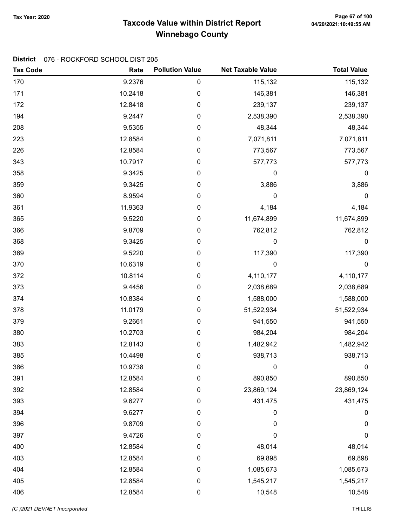# Taxcode Value within District Report Tax Year: 2020 Page 67 of 100 Winnebago County

### District 076 - ROCKFORD SCHOOL DIST 205

| <b>Tax Code</b> | Rate    | <b>Pollution Value</b> | <b>Net Taxable Value</b> | <b>Total Value</b> |
|-----------------|---------|------------------------|--------------------------|--------------------|
| 170             | 9.2376  | $\pmb{0}$              | 115,132                  | 115,132            |
| 171             | 10.2418 | 0                      | 146,381                  | 146,381            |
| 172             | 12.8418 | $\pmb{0}$              | 239,137                  | 239,137            |
| 194             | 9.2447  | 0                      | 2,538,390                | 2,538,390          |
| 208             | 9.5355  | 0                      | 48,344                   | 48,344             |
| 223             | 12.8584 | $\pmb{0}$              | 7,071,811                | 7,071,811          |
| 226             | 12.8584 | 0                      | 773,567                  | 773,567            |
| 343             | 10.7917 | 0                      | 577,773                  | 577,773            |
| 358             | 9.3425  | 0                      | 0                        | 0                  |
| 359             | 9.3425  | $\pmb{0}$              | 3,886                    | 3,886              |
| 360             | 8.9594  | 0                      | 0                        | $\mathbf 0$        |
| 361             | 11.9363 | 0                      | 4,184                    | 4,184              |
| 365             | 9.5220  | 0                      | 11,674,899               | 11,674,899         |
| 366             | 9.8709  | 0                      | 762,812                  | 762,812            |
| 368             | 9.3425  | $\pmb{0}$              | 0                        | $\boldsymbol{0}$   |
| 369             | 9.5220  | 0                      | 117,390                  | 117,390            |
| 370             | 10.6319 | $\pmb{0}$              | $\pmb{0}$                | $\pmb{0}$          |
| 372             | 10.8114 | 0                      | 4,110,177                | 4,110,177          |
| 373             | 9.4456  | 0                      | 2,038,689                | 2,038,689          |
| 374             | 10.8384 | 0                      | 1,588,000                | 1,588,000          |
| 378             | 11.0179 | 0                      | 51,522,934               | 51,522,934         |
| 379             | 9.2661  | 0                      | 941,550                  | 941,550            |
| 380             | 10.2703 | 0                      | 984,204                  | 984,204            |
| 383             | 12.8143 | 0                      | 1,482,942                | 1,482,942          |
| 385             | 10.4498 | 0                      | 938,713                  | 938,713            |
| 386             | 10.9738 | 0                      | 0                        | $\mathbf 0$        |
| 391             | 12.8584 | 0                      | 890,850                  | 890,850            |
| 392             | 12.8584 | 0                      | 23,869,124               | 23,869,124         |
| 393             | 9.6277  | 0                      | 431,475                  | 431,475            |
| 394             | 9.6277  | 0                      | 0                        | 0                  |
| 396             | 9.8709  | 0                      | $\mathbf 0$              | 0                  |
| 397             | 9.4726  | 0                      | $\mathbf 0$              | $\pmb{0}$          |
| 400             | 12.8584 | 0                      | 48,014                   | 48,014             |
| 403             | 12.8584 | 0                      | 69,898                   | 69,898             |
| 404             | 12.8584 | 0                      | 1,085,673                | 1,085,673          |
| 405             | 12.8584 | $\mathbf 0$            | 1,545,217                | 1,545,217          |
| 406             | 12.8584 | $\pmb{0}$              | 10,548                   | 10,548             |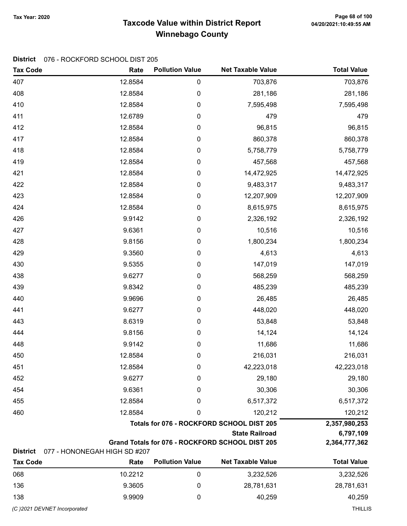# Taxcode Value within District Report Tax Year: 2020 Page 68 of 100 Winnebago County

### District 076 - ROCKFORD SCHOOL DIST 205

| <b>Tax Code</b> | Rate                         | <b>Pollution Value</b> | <b>Net Taxable Value</b>                        | <b>Total Value</b> |
|-----------------|------------------------------|------------------------|-------------------------------------------------|--------------------|
| 407             | 12.8584                      | 0                      | 703,876                                         | 703,876            |
| 408             | 12.8584                      | 0                      | 281,186                                         | 281,186            |
| 410             | 12.8584                      | 0                      | 7,595,498                                       | 7,595,498          |
| 411             | 12.6789                      | 0                      | 479                                             | 479                |
| 412             | 12.8584                      | 0                      | 96,815                                          | 96,815             |
| 417             | 12.8584                      | 0                      | 860,378                                         | 860,378            |
| 418             | 12.8584                      | 0                      | 5,758,779                                       | 5,758,779          |
| 419             | 12.8584                      | 0                      | 457,568                                         | 457,568            |
| 421             | 12.8584                      | 0                      | 14,472,925                                      | 14,472,925         |
| 422             | 12.8584                      | 0                      | 9,483,317                                       | 9,483,317          |
| 423             | 12.8584                      | 0                      | 12,207,909                                      | 12,207,909         |
| 424             | 12.8584                      | 0                      | 8,615,975                                       | 8,615,975          |
| 426             | 9.9142                       | 0                      | 2,326,192                                       | 2,326,192          |
| 427             | 9.6361                       | 0                      | 10,516                                          | 10,516             |
| 428             | 9.8156                       | 0                      | 1,800,234                                       | 1,800,234          |
| 429             | 9.3560                       | 0                      | 4,613                                           | 4,613              |
| 430             | 9.5355                       | 0                      | 147,019                                         | 147,019            |
| 438             | 9.6277                       | 0                      | 568,259                                         | 568,259            |
| 439             | 9.8342                       | 0                      | 485,239                                         | 485,239            |
| 440             | 9.9696                       | 0                      | 26,485                                          | 26,485             |
| 441             | 9.6277                       | 0                      | 448,020                                         | 448,020            |
| 443             | 8.6319                       | 0                      | 53,848                                          | 53,848             |
| 444             | 9.8156                       | 0                      | 14,124                                          | 14,124             |
| 448             | 9.9142                       | 0                      | 11,686                                          | 11,686             |
| 450             | 12.8584                      | 0                      | 216,031                                         | 216,031            |
| 451             | 12.8584                      | 0                      | 42,223,018                                      | 42,223,018         |
| 452             | 9.6277                       | 0                      | 29,180                                          | 29,180             |
| 454             | 9.6361                       | 0                      | 30,306                                          | 30,306             |
| 455             | 12.8584                      | 0                      | 6,517,372                                       | 6,517,372          |
| 460             | 12.8584                      | 0                      | 120,212                                         | 120,212            |
|                 |                              |                        | Totals for 076 - ROCKFORD SCHOOL DIST 205       | 2,357,980,253      |
|                 |                              |                        | <b>State Railroad</b>                           | 6,797,109          |
| <b>District</b> | 077 - HONONEGAH HIGH SD #207 |                        | Grand Totals for 076 - ROCKFORD SCHOOL DIST 205 | 2,364,777,362      |
| <b>Tax Code</b> | Rate                         | <b>Pollution Value</b> | <b>Net Taxable Value</b>                        | <b>Total Value</b> |
| 068             | 10.2212                      | 0                      | 3,232,526                                       | 3,232,526          |
| 136             | 9.3605                       | 0                      | 28,781,631                                      | 28,781,631         |

138 **9.9909** 9.9909 0 40,259 40,259 40,259

(C )2021 DEVNET Incorporated THILLIS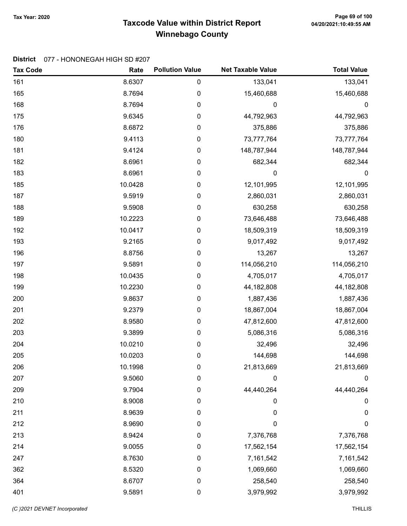# Taxcode Value within District Report Tax Year: 2020 Page 69 of 100 Winnebago County

#### District 077 - HONONEGAH HIGH SD #207

| <b>Tax Code</b> | Rate    | <b>Pollution Value</b> | <b>Net Taxable Value</b> | <b>Total Value</b> |
|-----------------|---------|------------------------|--------------------------|--------------------|
| 161             | 8.6307  | 0                      | 133,041                  | 133,041            |
| 165             | 8.7694  | $\pmb{0}$              | 15,460,688               | 15,460,688         |
| 168             | 8.7694  | $\pmb{0}$              | 0                        | $\boldsymbol{0}$   |
| 175             | 9.6345  | $\pmb{0}$              | 44,792,963               | 44,792,963         |
| 176             | 8.6872  | 0                      | 375,886                  | 375,886            |
| 180             | 9.4113  | $\pmb{0}$              | 73,777,764               | 73,777,764         |
| 181             | 9.4124  | $\pmb{0}$              | 148,787,944              | 148,787,944        |
| 182             | 8.6961  | $\pmb{0}$              | 682,344                  | 682,344            |
| 183             | 8.6961  | $\pmb{0}$              | 0                        | 0                  |
| 185             | 10.0428 | $\pmb{0}$              | 12,101,995               | 12,101,995         |
| 187             | 9.5919  | $\pmb{0}$              | 2,860,031                | 2,860,031          |
| 188             | 9.5908  | 0                      | 630,258                  | 630,258            |
| 189             | 10.2223 | $\pmb{0}$              | 73,646,488               | 73,646,488         |
| 192             | 10.0417 | $\pmb{0}$              | 18,509,319               | 18,509,319         |
| 193             | 9.2165  | $\pmb{0}$              | 9,017,492                | 9,017,492          |
| 196             | 8.8756  | $\pmb{0}$              | 13,267                   | 13,267             |
| 197             | 9.5891  | $\pmb{0}$              | 114,056,210              | 114,056,210        |
| 198             | 10.0435 | $\pmb{0}$              | 4,705,017                | 4,705,017          |
| 199             | 10.2230 | 0                      | 44, 182, 808             | 44,182,808         |
| 200             | 9.8637  | $\pmb{0}$              | 1,887,436                | 1,887,436          |
| 201             | 9.2379  | $\pmb{0}$              | 18,867,004               | 18,867,004         |
| 202             | 8.9580  | $\pmb{0}$              | 47,812,600               | 47,812,600         |
| 203             | 9.3899  | $\pmb{0}$              | 5,086,316                | 5,086,316          |
| 204             | 10.0210 | $\pmb{0}$              | 32,496                   | 32,496             |
| 205             | 10.0203 | $\pmb{0}$              | 144,698                  | 144,698            |
| 206             | 10.1998 | 0                      | 21,813,669               | 21,813,669         |
| 207             | 9.5060  | 0                      | 0                        | 0                  |
| 209             | 9.7904  | 0                      | 44,440,264               | 44,440,264         |
| 210             | 8.9008  | 0                      | 0                        | 0                  |
| 211             | 8.9639  | 0                      | 0                        | 0                  |
| 212             | 8.9690  | 0                      | $\mathbf 0$              | 0                  |
| 213             | 8.9424  | 0                      | 7,376,768                | 7,376,768          |
| 214             | 9.0055  | 0                      | 17,562,154               | 17,562,154         |
| 247             | 8.7630  | 0                      | 7,161,542                | 7,161,542          |
| 362             | 8.5320  | 0                      | 1,069,660                | 1,069,660          |
| 364             | 8.6707  | 0                      | 258,540                  | 258,540            |
| 401             | 9.5891  | $\pmb{0}$              | 3,979,992                | 3,979,992          |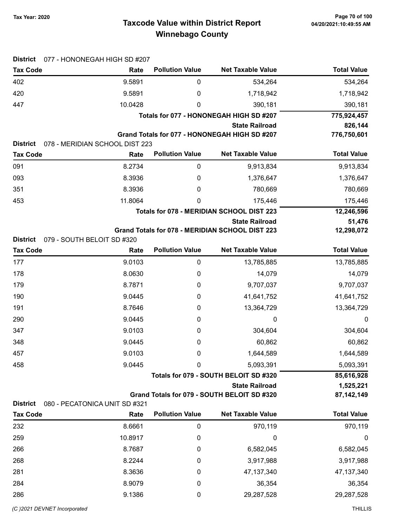# Taxcode Value within District Report Tax Year: 2020 Page 70 of 100 Winnebago County

| <b>District</b> | 077 - HONONEGAH HIGH SD #207   |                                         |                                                                      |                           |
|-----------------|--------------------------------|-----------------------------------------|----------------------------------------------------------------------|---------------------------|
| <b>Tax Code</b> | Rate                           | <b>Pollution Value</b>                  | <b>Net Taxable Value</b>                                             | <b>Total Value</b>        |
| 402             | 9.5891                         | 0                                       | 534,264                                                              | 534,264                   |
| 420             | 9.5891                         | 0                                       | 1,718,942                                                            | 1,718,942                 |
| 447             | 10.0428                        | 0                                       | 390,181                                                              | 390,181                   |
|                 |                                | Totals for 077 - HONONEGAH HIGH SD #207 | 775,924,457                                                          |                           |
|                 |                                |                                         | <b>State Railroad</b>                                                | 826,144                   |
| <b>District</b> | 078 - MERIDIAN SCHOOL DIST 223 |                                         | Grand Totals for 077 - HONONEGAH HIGH SD #207                        | 776,750,601               |
| <b>Tax Code</b> | Rate                           | <b>Pollution Value</b>                  | <b>Net Taxable Value</b>                                             | <b>Total Value</b>        |
| 091             | 8.2734                         | $\mathbf 0$                             | 9,913,834                                                            | 9,913,834                 |
| 093             | 8.3936                         | 0                                       | 1,376,647                                                            | 1,376,647                 |
| 351             | 8.3936                         | 0                                       | 780,669                                                              | 780,669                   |
| 453             | 11.8064                        | 0                                       | 175,446                                                              | 175,446                   |
|                 |                                |                                         | Totals for 078 - MERIDIAN SCHOOL DIST 223                            | 12,246,596                |
|                 |                                |                                         | <b>State Railroad</b>                                                | 51,476                    |
|                 |                                |                                         | Grand Totals for 078 - MERIDIAN SCHOOL DIST 223                      | 12,298,072                |
| <b>District</b> | 079 - SOUTH BELOIT SD #320     |                                         |                                                                      |                           |
| <b>Tax Code</b> | Rate                           | <b>Pollution Value</b>                  | <b>Net Taxable Value</b>                                             | <b>Total Value</b>        |
| 177             | 9.0103                         | $\pmb{0}$                               | 13,785,885                                                           | 13,785,885                |
| 178             | 8.0630                         | 0                                       | 14,079                                                               | 14,079                    |
| 179             | 8.7871                         | 0                                       | 9,707,037                                                            | 9,707,037                 |
| 190             | 9.0445                         | 0                                       | 41,641,752                                                           | 41,641,752                |
| 191             | 8.7646                         | 0                                       | 13,364,729                                                           | 13,364,729                |
| 290             | 9.0445                         | 0                                       | 0                                                                    | $\boldsymbol{0}$          |
| 347             | 9.0103                         | 0                                       | 304,604                                                              | 304,604                   |
| 348             | 9.0445                         | 0                                       | 60,862                                                               | 60,862                    |
| 457             | 9.0103                         | 0                                       | 1,644,589                                                            | 1,644,589                 |
| 458             | 9.0445                         | 0                                       | 5,093,391                                                            | 5,093,391                 |
|                 |                                |                                         | Totals for 079 - SOUTH BELOIT SD #320                                | 85,616,928                |
|                 |                                |                                         | <b>State Railroad</b><br>Grand Totals for 079 - SOUTH BELOIT SD #320 | 1,525,221<br>87, 142, 149 |
| <b>District</b> | 080 - PECATONICA UNIT SD #321  |                                         |                                                                      |                           |
| <b>Tax Code</b> | Rate                           | <b>Pollution Value</b>                  | <b>Net Taxable Value</b>                                             | <b>Total Value</b>        |
| 232             | 8.6661                         | $\pmb{0}$                               | 970,119                                                              | 970,119                   |
| 259             | 10.8917                        | 0                                       | 0                                                                    | $\boldsymbol{0}$          |
| 266             | 8.7687                         | 0                                       | 6,582,045                                                            | 6,582,045                 |
| 268             | 8.2244                         | 0                                       | 3,917,988                                                            | 3,917,988                 |
| 281             | 8.3636                         | 0                                       | 47, 137, 340                                                         | 47, 137, 340              |
| 284             | 8.9079                         | 0                                       | 36,354                                                               | 36,354                    |
| 286             | 9.1386                         | 0                                       | 29,287,528                                                           | 29,287,528                |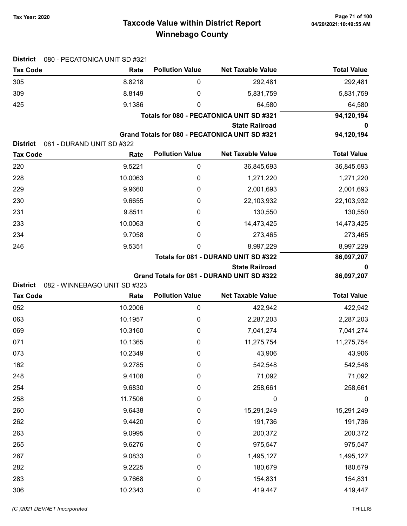# Taxcode Value within District Report Tax Year: 2020 Page 71 of 100 Winnebago County

| <b>District</b> | 080 - PECATONICA UNIT SD #321 |                        |                                                |                    |
|-----------------|-------------------------------|------------------------|------------------------------------------------|--------------------|
| <b>Tax Code</b> | Rate                          | <b>Pollution Value</b> | <b>Net Taxable Value</b>                       | <b>Total Value</b> |
| 305             | 8.8218                        | 0                      | 292,481                                        | 292,481            |
| 309             | 8.8149                        | 0                      | 5,831,759                                      | 5,831,759          |
| 425             | 9.1386                        | 0                      | 64,580                                         | 64,580             |
|                 |                               |                        | Totals for 080 - PECATONICA UNIT SD #321       | 94,120,194         |
|                 |                               |                        | <b>State Railroad</b>                          |                    |
| <b>District</b> | 081 - DURAND UNIT SD #322     |                        | Grand Totals for 080 - PECATONICA UNIT SD #321 | 94,120,194         |
| <b>Tax Code</b> | Rate                          | <b>Pollution Value</b> | <b>Net Taxable Value</b>                       | <b>Total Value</b> |
| 220             | 9.5221                        | 0                      | 36,845,693                                     | 36,845,693         |
| 228             | 10.0063                       | 0                      | 1,271,220                                      | 1,271,220          |
| 229             | 9.9660                        | 0                      | 2,001,693                                      | 2,001,693          |
| 230             | 9.6655                        | 0                      | 22,103,932                                     | 22,103,932         |
| 231             | 9.8511                        | 0                      | 130,550                                        | 130,550            |
| 233             | 10.0063                       | 0                      | 14,473,425                                     | 14,473,425         |
| 234             | 9.7058                        | 0                      | 273,465                                        | 273,465            |
| 246             | 9.5351                        | 0                      | 8,997,229                                      | 8,997,229          |
|                 |                               |                        | Totals for 081 - DURAND UNIT SD #322           | 86,097,207         |
|                 |                               |                        | <b>State Railroad</b>                          | 0                  |
|                 |                               |                        | Grand Totals for 081 - DURAND UNIT SD #322     | 86,097,207         |
| <b>District</b> | 082 - WINNEBAGO UNIT SD #323  |                        |                                                |                    |
| <b>Tax Code</b> | Rate                          | <b>Pollution Value</b> | <b>Net Taxable Value</b>                       | <b>Total Value</b> |
| 052             | 10.2006                       | $\pmb{0}$              | 422,942                                        | 422,942            |
| 063             | 10.1957                       | 0                      | 2,287,203                                      | 2,287,203          |
| 069             | 10.3160                       | 0                      | 7,041,274                                      | 7,041,274          |
| 071             | 10.1365                       | 0                      | 11,275,754                                     | 11,275,754         |
| 073             | 10.2349                       | 0                      | 43,906                                         | 43,906             |
| 162             | 9.2785                        | 0                      | 542,548                                        | 542,548            |
| 248             | 9.4108                        | 0                      | 71,092                                         | 71,092             |
| 254             | 9.6830                        | 0                      | 258,661                                        | 258,661            |
| 258             | 11.7506                       | 0                      | 0                                              | $\boldsymbol{0}$   |
| 260             | 9.6438                        | 0                      | 15,291,249                                     | 15,291,249         |
| 262             | 9.4420                        | 0                      | 191,736                                        | 191,736            |
| 263             | 9.0995                        | 0                      | 200,372                                        | 200,372            |
| 265             | 9.6276                        | 0                      | 975,547                                        | 975,547            |
| 267             | 9.0833                        | 0                      | 1,495,127                                      | 1,495,127          |
| 282             | 9.2225                        | 0                      | 180,679                                        | 180,679            |
| 283             | 9.7668                        | 0                      | 154,831                                        | 154,831            |
| 306             | 10.2343                       | $\pmb{0}$              | 419,447                                        | 419,447            |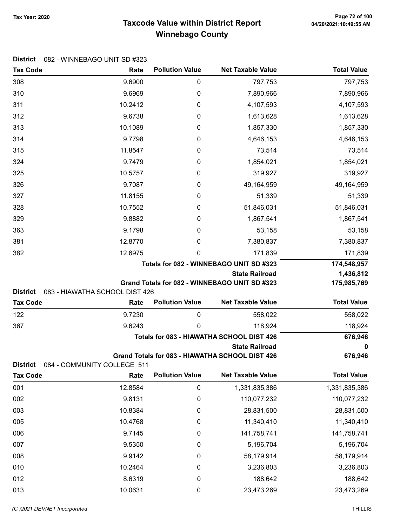# Taxcode Value within District Report Tax Year: 2020 Page 72 of 100 Winnebago County

|  | District 082 - WINNEBAGO UNIT SD #323 |
|--|---------------------------------------|
|--|---------------------------------------|

| <b>Tax Code</b> | Rate                           | <b>Pollution Value</b> | <b>Net Taxable Value</b>                             | <b>Total Value</b>    |
|-----------------|--------------------------------|------------------------|------------------------------------------------------|-----------------------|
| 308             | 9.6900                         | 0                      | 797,753                                              | 797,753               |
| 310             | 9.6969                         | 0                      | 7,890,966                                            | 7,890,966             |
| 311             | 10.2412                        | 0                      | 4,107,593                                            | 4,107,593             |
| 312             | 9.6738                         | 0                      | 1,613,628                                            | 1,613,628             |
| 313             | 10.1089                        | 0                      | 1,857,330                                            | 1,857,330             |
| 314             | 9.7798                         | 0                      | 4,646,153                                            | 4,646,153             |
| 315             | 11.8547                        | 0                      | 73,514                                               | 73,514                |
| 324             | 9.7479                         | 0                      | 1,854,021                                            | 1,854,021             |
| 325             | 10.5757                        | 0                      | 319,927                                              | 319,927               |
| 326             | 9.7087                         | 0                      | 49,164,959                                           | 49,164,959            |
| 327             | 11.8155                        | 0                      | 51,339                                               | 51,339                |
| 328             | 10.7552                        | 0                      | 51,846,031                                           | 51,846,031            |
| 329             | 9.8882                         | 0                      | 1,867,541                                            | 1,867,541             |
| 363             | 9.1798                         | 0                      | 53,158                                               | 53,158                |
| 381             | 12.8770                        | 0                      | 7,380,837                                            | 7,380,837             |
| 382             | 12.6975                        | 0                      | 171,839                                              | 171,839               |
|                 |                                |                        | Totals for 082 - WINNEBAGO UNIT SD #323              | 174,548,957           |
|                 |                                |                        | <b>State Railroad</b>                                | 1,436,812             |
| <b>District</b> | 083 - HIAWATHA SCHOOL DIST 426 |                        | Grand Totals for 082 - WINNEBAGO UNIT SD #323        | 175,985,769           |
|                 |                                |                        |                                                      |                       |
|                 |                                | <b>Pollution Value</b> | <b>Net Taxable Value</b>                             |                       |
| <b>Tax Code</b> | Rate                           |                        |                                                      | <b>Total Value</b>    |
| 122             | 9.7230                         | 0<br>0                 | 558,022                                              | 558,022               |
| 367             | 9.6243                         |                        | 118,924<br>Totals for 083 - HIAWATHA SCHOOL DIST 426 | 118,924               |
|                 |                                |                        | <b>State Railroad</b>                                | 676,946<br>0          |
|                 |                                |                        | Grand Totals for 083 - HIAWATHA SCHOOL DIST 426      | 676,946               |
| <b>District</b> | 084 - COMMUNITY COLLEGE 511    |                        |                                                      |                       |
| <b>Tax Code</b> | Rate                           | <b>Pollution Value</b> | <b>Net Taxable Value</b>                             | <b>Total Value</b>    |
| 001             | 12.8584                        | $\pmb{0}$              | 1,331,835,386                                        | 1,331,835,386         |
| 002             | 9.8131                         | 0                      | 110,077,232                                          | 110,077,232           |
| 003             | 10.8384                        | 0                      | 28,831,500                                           | 28,831,500            |
| 005             | 10.4768                        | 0                      | 11,340,410                                           | 11,340,410            |
| 006             | 9.7145                         | 0                      | 141,758,741                                          | 141,758,741           |
| 007             | 9.5350                         | 0                      | 5,196,704                                            | 5,196,704             |
| 008             | 9.9142                         | 0                      | 58,179,914                                           | 58,179,914            |
| 010             | 10.2464                        | 0                      | 3,236,803                                            | 3,236,803             |
| 012<br>013      | 8.6319<br>10.0631              | $\pmb{0}$<br>0         | 188,642<br>23,473,269                                | 188,642<br>23,473,269 |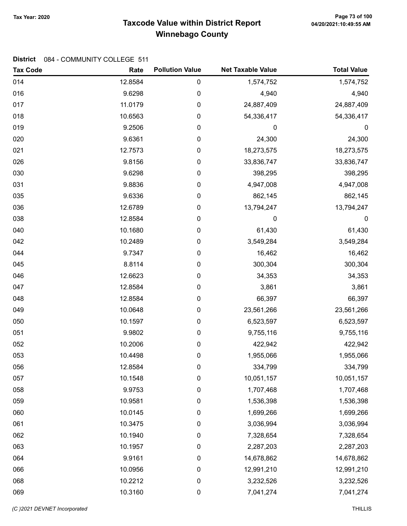# Taxcode Value within District Report Tax Year: 2020 Page 73 of 100 Winnebago County

| <b>Tax Code</b> | Rate    | <b>Pollution Value</b> | <b>Net Taxable Value</b> | <b>Total Value</b> |
|-----------------|---------|------------------------|--------------------------|--------------------|
| 014             | 12.8584 | $\pmb{0}$              | 1,574,752                | 1,574,752          |
| 016             | 9.6298  | $\mathbf 0$            | 4,940                    | 4,940              |
| 017             | 11.0179 | $\mathbf 0$            | 24,887,409               | 24,887,409         |
| 018             | 10.6563 | $\boldsymbol{0}$       | 54,336,417               | 54,336,417         |
| 019             | 9.2506  | $\boldsymbol{0}$       | $\boldsymbol{0}$         | 0                  |
| 020             | 9.6361  | 0                      | 24,300                   | 24,300             |
| 021             | 12.7573 | $\mathbf 0$            | 18,273,575               | 18,273,575         |
| 026             | 9.8156  | $\mathbf 0$            | 33,836,747               | 33,836,747         |
| 030             | 9.6298  | 0                      | 398,295                  | 398,295            |
| 031             | 9.8836  | $\mathbf 0$            | 4,947,008                | 4,947,008          |
| 035             | 9.6336  | $\mathbf 0$            | 862,145                  | 862,145            |
| 036             | 12.6789 | $\boldsymbol{0}$       | 13,794,247               | 13,794,247         |
| 038             | 12.8584 | 0                      | 0                        | $\pmb{0}$          |
| 040             | 10.1680 | $\pmb{0}$              | 61,430                   | 61,430             |
| 042             | 10.2489 | $\mathbf 0$            | 3,549,284                | 3,549,284          |
| 044             | 9.7347  | $\mathbf 0$            | 16,462                   | 16,462             |
| 045             | 8.8114  | $\mathbf 0$            | 300,304                  | 300,304            |
| 046             | 12.6623 | $\boldsymbol{0}$       | 34,353                   | 34,353             |
| 047             | 12.8584 | $\boldsymbol{0}$       | 3,861                    | 3,861              |
| 048             | 12.8584 | $\mathbf 0$            | 66,397                   | 66,397             |
| 049             | 10.0648 | $\mathbf 0$            | 23,561,266               | 23,561,266         |
| 050             | 10.1597 | $\mathbf 0$            | 6,523,597                | 6,523,597          |
| 051             | 9.9802  | $\boldsymbol{0}$       | 9,755,116                | 9,755,116          |
| 052             | 10.2006 | $\boldsymbol{0}$       | 422,942                  | 422,942            |
| 053             | 10.4498 | $\boldsymbol{0}$       | 1,955,066                | 1,955,066          |
| 056             | 12.8584 | 0                      | 334,799                  | 334,799            |
| 057             | 10.1548 | $\boldsymbol{0}$       | 10,051,157               | 10,051,157         |
| 058             | 9.9753  | $\pmb{0}$              | 1,707,468                | 1,707,468          |
| 059             | 10.9581 | 0                      | 1,536,398                | 1,536,398          |
| 060             | 10.0145 | 0                      | 1,699,266                | 1,699,266          |
| 061             | 10.3475 | 0                      | 3,036,994                | 3,036,994          |
| 062             | 10.1940 | $\mathbf 0$            | 7,328,654                | 7,328,654          |
| 063             | 10.1957 | $\mathbf 0$            | 2,287,203                | 2,287,203          |
| 064             | 9.9161  | 0                      | 14,678,862               | 14,678,862         |
| 066             | 10.0956 | 0                      | 12,991,210               | 12,991,210         |
| 068             | 10.2212 | 0                      | 3,232,526                | 3,232,526          |
| 069             | 10.3160 | $\pmb{0}$              | 7,041,274                | 7,041,274          |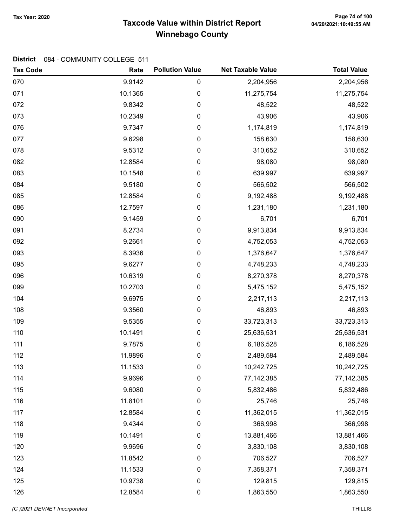# Page 74 of 100 میں Page 74 of 100<br>Taxcode Value within District Report و 120/2021:10:49:55 AM Winnebago County

| <b>Tax Code</b> | Rate    | <b>Pollution Value</b> | <b>Net Taxable Value</b> | <b>Total Value</b> |
|-----------------|---------|------------------------|--------------------------|--------------------|
| 070             | 9.9142  | 0                      | 2,204,956                | 2,204,956          |
| 071             | 10.1365 | 0                      | 11,275,754               | 11,275,754         |
| 072             | 9.8342  | 0                      | 48,522                   | 48,522             |
| 073             | 10.2349 | 0                      | 43,906                   | 43,906             |
| 076             | 9.7347  | 0                      | 1,174,819                | 1,174,819          |
| 077             | 9.6298  | 0                      | 158,630                  | 158,630            |
| 078             | 9.5312  | 0                      | 310,652                  | 310,652            |
| 082             | 12.8584 | 0                      | 98,080                   | 98,080             |
| 083             | 10.1548 | 0                      | 639,997                  | 639,997            |
| 084             | 9.5180  | 0                      | 566,502                  | 566,502            |
| 085             | 12.8584 | 0                      | 9,192,488                | 9,192,488          |
| 086             | 12.7597 | 0                      | 1,231,180                | 1,231,180          |
| 090             | 9.1459  | 0                      | 6,701                    | 6,701              |
| 091             | 8.2734  | 0                      | 9,913,834                | 9,913,834          |
| 092             | 9.2661  | 0                      | 4,752,053                | 4,752,053          |
| 093             | 8.3936  | 0                      | 1,376,647                | 1,376,647          |
| 095             | 9.6277  | 0                      | 4,748,233                | 4,748,233          |
| 096             | 10.6319 | 0                      | 8,270,378                | 8,270,378          |
| 099             | 10.2703 | 0                      | 5,475,152                | 5,475,152          |
| 104             | 9.6975  | 0                      | 2,217,113                | 2,217,113          |
| 108             | 9.3560  | 0                      | 46,893                   | 46,893             |
| 109             | 9.5355  | 0                      | 33,723,313               | 33,723,313         |
| 110             | 10.1491 | 0                      | 25,636,531               | 25,636,531         |
| 111             | 9.7875  | 0                      | 6,186,528                | 6,186,528          |
| 112             | 11.9896 | 0                      | 2,489,584                | 2,489,584          |
| 113             | 11.1533 | 0                      | 10,242,725               | 10,242,725         |
| 114             | 9.9696  | 0                      | 77, 142, 385             | 77, 142, 385       |
| 115             | 9.6080  | 0                      | 5,832,486                | 5,832,486          |
| 116             | 11.8101 | 0                      | 25,746                   | 25,746             |
| 117             | 12.8584 | 0                      | 11,362,015               | 11,362,015         |
| 118             | 9.4344  | 0                      | 366,998                  | 366,998            |
| 119             | 10.1491 | 0                      | 13,881,466               | 13,881,466         |
| 120             | 9.9696  | 0                      | 3,830,108                | 3,830,108          |
| 123             | 11.8542 | 0                      | 706,527                  | 706,527            |
| 124             | 11.1533 | 0                      | 7,358,371                | 7,358,371          |
| 125             | 10.9738 | 0                      | 129,815                  | 129,815            |
| 126             | 12.8584 | 0                      | 1,863,550                | 1,863,550          |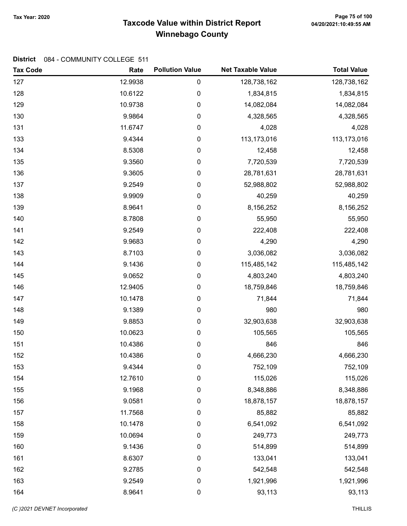# Taxcode Value within District Report Tax Year: 2020 Page 75 of 100 Winnebago County

| <b>Tax Code</b> | Rate    | <b>Pollution Value</b> | <b>Net Taxable Value</b> | <b>Total Value</b> |
|-----------------|---------|------------------------|--------------------------|--------------------|
| 127             | 12.9938 | 0                      | 128,738,162              | 128,738,162        |
| 128             | 10.6122 | 0                      | 1,834,815                | 1,834,815          |
| 129             | 10.9738 | 0                      | 14,082,084               | 14,082,084         |
| 130             | 9.9864  | 0                      | 4,328,565                | 4,328,565          |
| 131             | 11.6747 | 0                      | 4,028                    | 4,028              |
| 133             | 9.4344  | 0                      | 113,173,016              | 113,173,016        |
| 134             | 8.5308  | $\boldsymbol{0}$       | 12,458                   | 12,458             |
| 135             | 9.3560  | $\boldsymbol{0}$       | 7,720,539                | 7,720,539          |
| 136             | 9.3605  | 0                      | 28,781,631               | 28,781,631         |
| 137             | 9.2549  | 0                      | 52,988,802               | 52,988,802         |
| 138             | 9.9909  | $\boldsymbol{0}$       | 40,259                   | 40,259             |
| 139             | 8.9641  | 0                      | 8,156,252                | 8,156,252          |
| 140             | 8.7808  | 0                      | 55,950                   | 55,950             |
| 141             | 9.2549  | $\boldsymbol{0}$       | 222,408                  | 222,408            |
| 142             | 9.9683  | $\boldsymbol{0}$       | 4,290                    | 4,290              |
| 143             | 8.7103  | 0                      | 3,036,082                | 3,036,082          |
| 144             | 9.1436  | 0                      | 115,485,142              | 115,485,142        |
| 145             | 9.0652  | 0                      | 4,803,240                | 4,803,240          |
| 146             | 12.9405 | 0                      | 18,759,846               | 18,759,846         |
| 147             | 10.1478 | 0                      | 71,844                   | 71,844             |
| 148             | 9.1389  | $\boldsymbol{0}$       | 980                      | 980                |
| 149             | 9.8853  | $\boldsymbol{0}$       | 32,903,638               | 32,903,638         |
| 150             | 10.0623 | 0                      | 105,565                  | 105,565            |
| 151             | 10.4386 | $\pmb{0}$              | 846                      | 846                |
| 152             | 10.4386 | 0                      | 4,666,230                | 4,666,230          |
| 153             | 9.4344  | 0                      | 752,109                  | 752,109            |
| 154             | 12.7610 | 0                      | 115,026                  | 115,026            |
| 155             | 9.1968  | $\pmb{0}$              | 8,348,886                | 8,348,886          |
| 156             | 9.0581  | $\boldsymbol{0}$       | 18,878,157               | 18,878,157         |
| 157             | 11.7568 | $\boldsymbol{0}$       | 85,882                   | 85,882             |
| 158             | 10.1478 | $\boldsymbol{0}$       | 6,541,092                | 6,541,092          |
| 159             | 10.0694 | $\pmb{0}$              | 249,773                  | 249,773            |
| 160             | 9.1436  | $\pmb{0}$              | 514,899                  | 514,899            |
| 161             | 8.6307  | 0                      | 133,041                  | 133,041            |
| 162             | 9.2785  | $\boldsymbol{0}$       | 542,548                  | 542,548            |
| 163             | 9.2549  | $\pmb{0}$              | 1,921,996                | 1,921,996          |
| 164             | 8.9641  | $\pmb{0}$              | 93,113                   | 93,113             |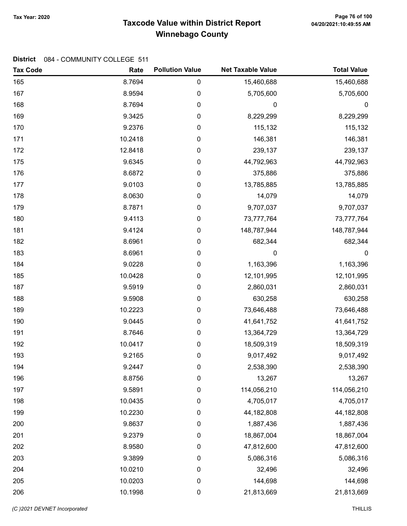# Taxcode Value within District Report Tax Year: 2020 Page 76 of 100 Winnebago County

| <b>Tax Code</b> | Rate    | <b>Pollution Value</b> | <b>Net Taxable Value</b> | <b>Total Value</b> |
|-----------------|---------|------------------------|--------------------------|--------------------|
| 165             | 8.7694  | $\pmb{0}$              | 15,460,688               | 15,460,688         |
| 167             | 8.9594  | 0                      | 5,705,600                | 5,705,600          |
| 168             | 8.7694  | $\pmb{0}$              | 0                        | $\boldsymbol{0}$   |
| 169             | 9.3425  | 0                      | 8,229,299                | 8,229,299          |
| 170             | 9.2376  | 0                      | 115,132                  | 115,132            |
| 171             | 10.2418 | $\pmb{0}$              | 146,381                  | 146,381            |
| 172             | 12.8418 | $\pmb{0}$              | 239,137                  | 239,137            |
| 175             | 9.6345  | $\pmb{0}$              | 44,792,963               | 44,792,963         |
| 176             | 8.6872  | 0                      | 375,886                  | 375,886            |
| 177             | 9.0103  | $\pmb{0}$              | 13,785,885               | 13,785,885         |
| 178             | 8.0630  | 0                      | 14,079                   | 14,079             |
| 179             | 8.7871  | 0                      | 9,707,037                | 9,707,037          |
| 180             | 9.4113  | $\pmb{0}$              | 73,777,764               | 73,777,764         |
| 181             | 9.4124  | $\pmb{0}$              | 148,787,944              | 148,787,944        |
| 182             | 8.6961  | $\pmb{0}$              | 682,344                  | 682,344            |
| 183             | 8.6961  | 0                      | 0                        | 0                  |
| 184             | 9.0228  | $\pmb{0}$              | 1,163,396                | 1,163,396          |
| 185             | 10.0428 | $\pmb{0}$              | 12,101,995               | 12,101,995         |
| 187             | 9.5919  | 0                      | 2,860,031                | 2,860,031          |
| 188             | 9.5908  | $\pmb{0}$              | 630,258                  | 630,258            |
| 189             | 10.2223 | $\pmb{0}$              | 73,646,488               | 73,646,488         |
| 190             | 9.0445  | $\pmb{0}$              | 41,641,752               | 41,641,752         |
| 191             | 8.7646  | 0                      | 13,364,729               | 13,364,729         |
| 192             | 10.0417 | $\pmb{0}$              | 18,509,319               | 18,509,319         |
| 193             | 9.2165  | 0                      | 9,017,492                | 9,017,492          |
| 194             | 9.2447  | 0                      | 2,538,390                | 2,538,390          |
| 196             | 8.8756  | $\pmb{0}$              | 13,267                   | 13,267             |
| 197             | 9.5891  | $\pmb{0}$              | 114,056,210              | 114,056,210        |
| 198             | 10.0435 | 0                      | 4,705,017                | 4,705,017          |
| 199             | 10.2230 | $\mathbf 0$            | 44, 182, 808             | 44,182,808         |
| 200             | 9.8637  | $\pmb{0}$              | 1,887,436                | 1,887,436          |
| 201             | 9.2379  | $\pmb{0}$              | 18,867,004               | 18,867,004         |
| 202             | 8.9580  | $\pmb{0}$              | 47,812,600               | 47,812,600         |
| 203             | 9.3899  | $\pmb{0}$              | 5,086,316                | 5,086,316          |
| 204             | 10.0210 | $\boldsymbol{0}$       | 32,496                   | 32,496             |
| 205             | 10.0203 | $\pmb{0}$              | 144,698                  | 144,698            |
| 206             | 10.1998 | $\pmb{0}$              | 21,813,669               | 21,813,669         |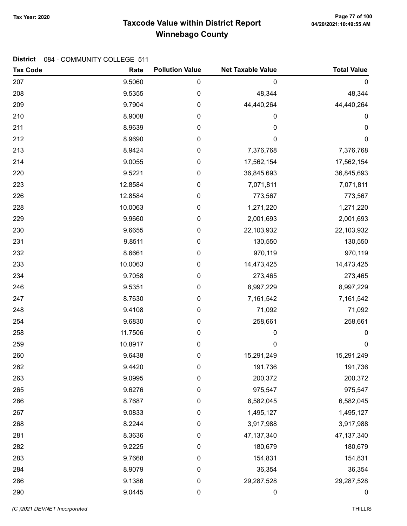# Taxcode Value within District Report Tax Year: 2020 Page 77 of 100 Winnebago County

| <b>Tax Code</b> | Rate    | <b>Pollution Value</b> | <b>Net Taxable Value</b> | <b>Total Value</b> |
|-----------------|---------|------------------------|--------------------------|--------------------|
| 207             | 9.5060  | 0                      | 0                        | $\mathbf 0$        |
| 208             | 9.5355  | 0                      | 48,344                   | 48,344             |
| 209             | 9.7904  | 0                      | 44,440,264               | 44,440,264         |
| 210             | 8.9008  | 0                      | 0                        | 0                  |
| 211             | 8.9639  | 0                      | 0                        | 0                  |
| 212             | 8.9690  | 0                      | 0                        | 0                  |
| 213             | 8.9424  | 0                      | 7,376,768                | 7,376,768          |
| 214             | 9.0055  | 0                      | 17,562,154               | 17,562,154         |
| 220             | 9.5221  | 0                      | 36,845,693               | 36,845,693         |
| 223             | 12.8584 | 0                      | 7,071,811                | 7,071,811          |
| 226             | 12.8584 | 0                      | 773,567                  | 773,567            |
| 228             | 10.0063 | 0                      | 1,271,220                | 1,271,220          |
| 229             | 9.9660  | 0                      | 2,001,693                | 2,001,693          |
| 230             | 9.6655  | 0                      | 22,103,932               | 22,103,932         |
| 231             | 9.8511  | 0                      | 130,550                  | 130,550            |
| 232             | 8.6661  | 0                      | 970,119                  | 970,119            |
| 233             | 10.0063 | 0                      | 14,473,425               | 14,473,425         |
| 234             | 9.7058  | 0                      | 273,465                  | 273,465            |
| 246             | 9.5351  | 0                      | 8,997,229                | 8,997,229          |
| 247             | 8.7630  | 0                      | 7,161,542                | 7,161,542          |
| 248             | 9.4108  | 0                      | 71,092                   | 71,092             |
| 254             | 9.6830  | 0                      | 258,661                  | 258,661            |
| 258             | 11.7506 | 0                      | 0                        | 0                  |
| 259             | 10.8917 | 0                      | $\mathbf 0$              | $\mathbf 0$        |
| 260             | 9.6438  | 0                      | 15,291,249               | 15,291,249         |
| 262             | 9.4420  | 0                      | 191,736                  | 191,736            |
| 263             | 9.0995  | 0                      | 200,372                  | 200,372            |
| 265             | 9.6276  | 0                      | 975,547                  | 975,547            |
| 266             | 8.7687  | 0                      | 6,582,045                | 6,582,045          |
| 267             | 9.0833  | 0                      | 1,495,127                | 1,495,127          |
| 268             | 8.2244  | 0                      | 3,917,988                | 3,917,988          |
| 281             | 8.3636  | 0                      | 47, 137, 340             | 47, 137, 340       |
| 282             | 9.2225  | 0                      | 180,679                  | 180,679            |
| 283             | 9.7668  | 0                      | 154,831                  | 154,831            |
| 284             | 8.9079  | 0                      | 36,354                   | 36,354             |
| 286             | 9.1386  | 0                      | 29,287,528               | 29,287,528         |
| 290             | 9.0445  | 0                      | $\boldsymbol{0}$         | $\boldsymbol{0}$   |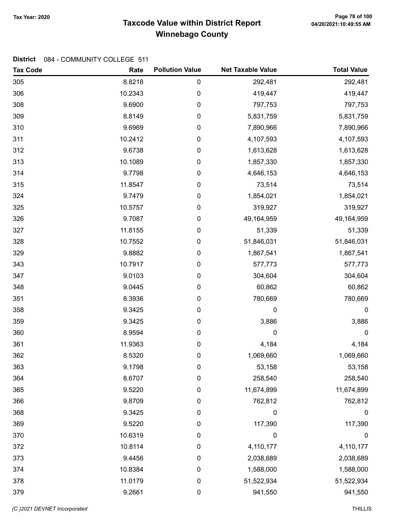# Taxcode Value within District Report Tax Year: 2020 Page 78 of 100 Winnebago County

| <b>Tax Code</b> | Rate    | <b>Pollution Value</b> | <b>Net Taxable Value</b> | <b>Total Value</b> |
|-----------------|---------|------------------------|--------------------------|--------------------|
| 305             | 8.8218  | 0                      | 292,481                  | 292,481            |
| 306             | 10.2343 | 0                      | 419,447                  | 419,447            |
| 308             | 9.6900  | 0                      | 797,753                  | 797,753            |
| 309             | 8.8149  | 0                      | 5,831,759                | 5,831,759          |
| 310             | 9.6969  | 0                      | 7,890,966                | 7,890,966          |
| 311             | 10.2412 | 0                      | 4,107,593                | 4,107,593          |
| 312             | 9.6738  | 0                      | 1,613,628                | 1,613,628          |
| 313             | 10.1089 | 0                      | 1,857,330                | 1,857,330          |
| 314             | 9.7798  | 0                      | 4,646,153                | 4,646,153          |
| 315             | 11.8547 | 0                      | 73,514                   | 73,514             |
| 324             | 9.7479  | 0                      | 1,854,021                | 1,854,021          |
| 325             | 10.5757 | 0                      | 319,927                  | 319,927            |
| 326             | 9.7087  | 0                      | 49,164,959               | 49,164,959         |
| 327             | 11.8155 | 0                      | 51,339                   | 51,339             |
| 328             | 10.7552 | 0                      | 51,846,031               | 51,846,031         |
| 329             | 9.8882  | 0                      | 1,867,541                | 1,867,541          |
| 343             | 10.7917 | 0                      | 577,773                  | 577,773            |
| 347             | 9.0103  | 0                      | 304,604                  | 304,604            |
| 348             | 9.0445  | 0                      | 60,862                   | 60,862             |
| 351             | 8.3936  | 0                      | 780,669                  | 780,669            |
| 358             | 9.3425  | 0                      | 0                        | 0                  |
| 359             | 9.3425  | 0                      | 3,886                    | 3,886              |
| 360             | 8.9594  | 0                      | 0                        | 0                  |
| 361             | 11.9363 | 0                      | 4,184                    | 4,184              |
| 362             | 8.5320  | 0                      | 1,069,660                | 1,069,660          |
| 363             | 9.1798  | 0                      | 53,158                   | 53,158             |
| 364             | 8.6707  | 0                      | 258,540                  | 258,540            |
| 365             | 9.5220  | 0                      | 11,674,899               | 11,674,899         |
| 366             | 9.8709  | 0                      | 762,812                  | 762,812            |
| 368             | 9.3425  | 0                      | 0                        | $\boldsymbol{0}$   |
| 369             | 9.5220  | $\pmb{0}$              | 117,390                  | 117,390            |
| 370             | 10.6319 | 0                      | $\boldsymbol{0}$         | $\mathbf 0$        |
| 372             | 10.8114 | 0                      | 4,110,177                | 4,110,177          |
| 373             | 9.4456  | 0                      | 2,038,689                | 2,038,689          |
| 374             | 10.8384 | 0                      | 1,588,000                | 1,588,000          |
| 378             | 11.0179 | 0                      | 51,522,934               | 51,522,934         |
| 379             | 9.2661  | 0                      | 941,550                  | 941,550            |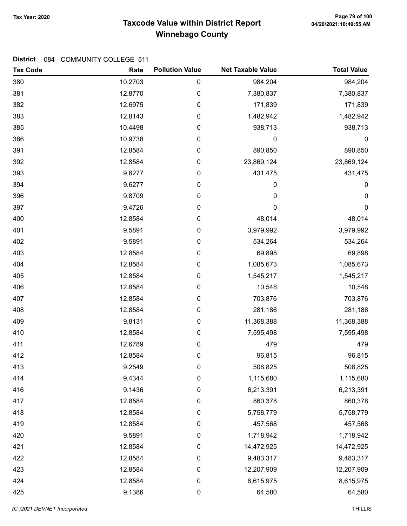# Taxcode Value within District Report Tax Year: 2020 Page 79 of 100 Winnebago County

| <b>Tax Code</b> | Rate    | <b>Pollution Value</b> | <b>Net Taxable Value</b> | <b>Total Value</b> |
|-----------------|---------|------------------------|--------------------------|--------------------|
| 380             | 10.2703 | $\mathbf 0$            | 984,204                  | 984,204            |
| 381             | 12.8770 | $\boldsymbol{0}$       | 7,380,837                | 7,380,837          |
| 382             | 12.6975 | $\mathbf 0$            | 171,839                  | 171,839            |
| 383             | 12.8143 | $\mathbf 0$            | 1,482,942                | 1,482,942          |
| 385             | 10.4498 | $\mathbf 0$            | 938,713                  | 938,713            |
| 386             | 10.9738 | $\pmb{0}$              | 0                        | $\mathbf 0$        |
| 391             | 12.8584 | $\mathbf 0$            | 890,850                  | 890,850            |
| 392             | 12.8584 | $\mathbf 0$            | 23,869,124               | 23,869,124         |
| 393             | 9.6277  | $\mathbf 0$            | 431,475                  | 431,475            |
| 394             | 9.6277  | $\pmb{0}$              | 0                        | $\pmb{0}$          |
| 396             | 9.8709  | $\mathbf 0$            | 0                        | 0                  |
| 397             | 9.4726  | $\mathbf 0$            | 0                        | 0                  |
| 400             | 12.8584 | $\boldsymbol{0}$       | 48,014                   | 48,014             |
| 401             | 9.5891  | $\mathbf 0$            | 3,979,992                | 3,979,992          |
| 402             | 9.5891  | $\mathbf 0$            | 534,264                  | 534,264            |
| 403             | 12.8584 | $\mathbf 0$            | 69,898                   | 69,898             |
| 404             | 12.8584 | $\mathbf 0$            | 1,085,673                | 1,085,673          |
| 405             | 12.8584 | $\boldsymbol{0}$       | 1,545,217                | 1,545,217          |
| 406             | 12.8584 | $\boldsymbol{0}$       | 10,548                   | 10,548             |
| 407             | 12.8584 | $\boldsymbol{0}$       | 703,876                  | 703,876            |
| 408             | 12.8584 | $\mathbf 0$            | 281,186                  | 281,186            |
| 409             | 9.8131  | $\mathbf 0$            | 11,368,388               | 11,368,388         |
| 410             | 12.8584 | $\mathbf 0$            | 7,595,498                | 7,595,498          |
| 411             | 12.6789 | $\pmb{0}$              | 479                      | 479                |
| 412             | 12.8584 | $\boldsymbol{0}$       | 96,815                   | 96,815             |
| 413             | 9.2549  | $\boldsymbol{0}$       | 508,825                  | 508,825            |
| 414             | 9.4344  | $\boldsymbol{0}$       | 1,115,680                | 1,115,680          |
| 416             | 9.1436  | $\pmb{0}$              | 6,213,391                | 6,213,391          |
| 417             | 12.8584 | 0                      | 860,378                  | 860,378            |
| 418             | 12.8584 | $\mathbf 0$            | 5,758,779                | 5,758,779          |
| 419             | 12.8584 | $\mathbf 0$            | 457,568                  | 457,568            |
| 420             | 9.5891  | $\mathbf 0$            | 1,718,942                | 1,718,942          |
| 421             | 12.8584 | $\mathbf 0$            | 14,472,925               | 14,472,925         |
| 422             | 12.8584 | 0                      | 9,483,317                | 9,483,317          |
| 423             | 12.8584 | 0                      | 12,207,909               | 12,207,909         |
| 424             | 12.8584 | $\mathbf 0$            | 8,615,975                | 8,615,975          |
| 425             | 9.1386  | $\pmb{0}$              | 64,580                   | 64,580             |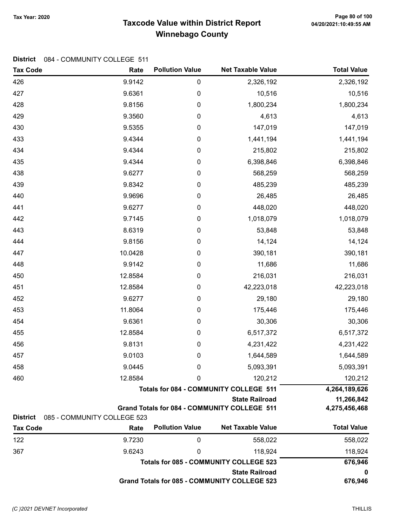# Taxcode Value within District Report Tax Year: 2020 Page 80 of 100 Winnebago County

| <b>Tax Code</b> | Rate                        | <b>Pollution Value</b> | <b>Net Taxable Value</b>                            | <b>Total Value</b> |
|-----------------|-----------------------------|------------------------|-----------------------------------------------------|--------------------|
| 426             | 9.9142                      | $\boldsymbol{0}$       | 2,326,192                                           | 2,326,192          |
| 427             | 9.6361                      | $\pmb{0}$              | 10,516                                              | 10,516             |
| 428             | 9.8156                      | $\pmb{0}$              | 1,800,234                                           | 1,800,234          |
| 429             | 9.3560                      | $\mathbf 0$            | 4,613                                               | 4,613              |
| 430             | 9.5355                      | $\boldsymbol{0}$       | 147,019                                             | 147,019            |
| 433             | 9.4344                      | $\mathbf 0$            | 1,441,194                                           | 1,441,194          |
| 434             | 9.4344                      | $\mathbf 0$            | 215,802                                             | 215,802            |
| 435             | 9.4344                      | $\mathbf 0$            | 6,398,846                                           | 6,398,846          |
| 438             | 9.6277                      | $\mathbf 0$            | 568,259                                             | 568,259            |
| 439             | 9.8342                      | $\pmb{0}$              | 485,239                                             | 485,239            |
| 440             | 9.9696                      | $\boldsymbol{0}$       | 26,485                                              | 26,485             |
| 441             | 9.6277                      | $\boldsymbol{0}$       | 448,020                                             | 448,020            |
| 442             | 9.7145                      | $\boldsymbol{0}$       | 1,018,079                                           | 1,018,079          |
| 443             | 8.6319                      | $\mathbf 0$            | 53,848                                              | 53,848             |
| 444             | 9.8156                      | $\mathbf 0$            | 14,124                                              | 14,124             |
| 447             | 10.0428                     | $\mathbf 0$            | 390,181                                             | 390,181            |
| 448             | 9.9142                      | $\boldsymbol{0}$       | 11,686                                              | 11,686             |
| 450             | 12.8584                     | $\boldsymbol{0}$       | 216,031                                             | 216,031            |
| 451             | 12.8584                     | $\boldsymbol{0}$       | 42,223,018                                          | 42,223,018         |
| 452             | 9.6277                      | $\boldsymbol{0}$       | 29,180                                              | 29,180             |
| 453             | 11.8064                     | $\mathbf 0$            | 175,446                                             | 175,446            |
| 454             | 9.6361                      | $\mathbf 0$            | 30,306                                              | 30,306             |
| 455             | 12.8584                     | $\mathbf 0$            | 6,517,372                                           | 6,517,372          |
| 456             | 9.8131                      | $\pmb{0}$              | 4,231,422                                           | 4,231,422          |
| 457             | 9.0103                      | $\pmb{0}$              | 1,644,589                                           | 1,644,589          |
| 458             | 9.0445                      | 0                      | 5,093,391                                           | 5,093,391          |
| 460             | 12.8584                     | 0                      | 120,212                                             | 120,212            |
|                 |                             |                        | <b>Totals for 084 - COMMUNITY COLLEGE 511</b>       | 4,264,189,626      |
|                 |                             |                        | <b>State Railroad</b>                               | 11,266,842         |
| <b>District</b> | 085 - COMMUNITY COLLEGE 523 |                        | Grand Totals for 084 - COMMUNITY COLLEGE 511        | 4,275,456,468      |
| <b>Tax Code</b> | Rate                        | <b>Pollution Value</b> | <b>Net Taxable Value</b>                            | <b>Total Value</b> |
| 122             | 9.7230                      | 0                      | 558,022                                             | 558,022            |
| 367             | 9.6243                      | 0                      | 118,924                                             | 118,924            |
|                 |                             |                        | <b>Totals for 085 - COMMUNITY COLLEGE 523</b>       | 676,946            |
|                 |                             | <b>State Railroad</b>  |                                                     |                    |
|                 |                             |                        | <b>Grand Totals for 085 - COMMUNITY COLLEGE 523</b> | 676,946            |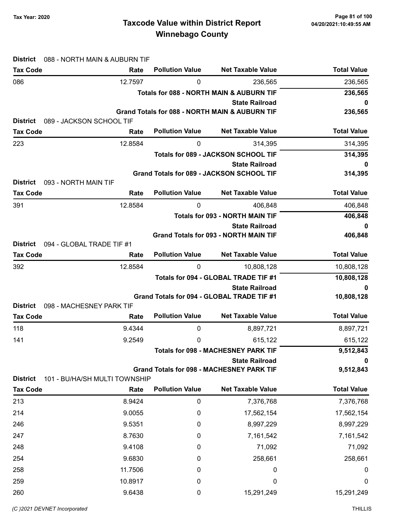# Page 81 of 100 میں Page 81 of 100<br>Taxcode Value within District Report و 20/20/2021:10:49:55 AM Winnebago County

| <b>District</b>                         | 088 - NORTH MAIN & AUBURN TIF    |                        |                                                                       |                    |
|-----------------------------------------|----------------------------------|------------------------|-----------------------------------------------------------------------|--------------------|
| <b>Tax Code</b>                         | Rate                             | <b>Pollution Value</b> | <b>Net Taxable Value</b>                                              | <b>Total Value</b> |
| 086                                     | 12.7597                          | 0                      | 236,565                                                               | 236,565            |
|                                         |                                  |                        | <b>Totals for 088 - NORTH MAIN &amp; AUBURN TIF</b>                   | 236,565            |
|                                         |                                  |                        | <b>State Railroad</b>                                                 | 0                  |
| <b>District</b>                         | 089 - JACKSON SCHOOL TIF         |                        | <b>Grand Totals for 088 - NORTH MAIN &amp; AUBURN TIF</b>             | 236,565            |
| <b>Tax Code</b>                         | Rate                             | <b>Pollution Value</b> | <b>Net Taxable Value</b>                                              | <b>Total Value</b> |
| 223                                     | 12.8584                          | 0                      | 314,395                                                               | 314,395            |
|                                         |                                  |                        | Totals for 089 - JACKSON SCHOOL TIF                                   | 314,395            |
|                                         |                                  |                        | <b>State Railroad</b>                                                 | 0                  |
|                                         |                                  |                        | Grand Totals for 089 - JACKSON SCHOOL TIF                             | 314,395            |
| 093 - NORTH MAIN TIF<br><b>District</b> |                                  |                        |                                                                       |                    |
| <b>Tax Code</b>                         | Rate                             | <b>Pollution Value</b> | <b>Net Taxable Value</b>                                              | <b>Total Value</b> |
| 391                                     | 12.8584                          | 0                      | 406,848                                                               | 406,848            |
|                                         |                                  |                        | <b>Totals for 093 - NORTH MAIN TIF</b>                                | 406,848            |
|                                         |                                  |                        | <b>State Railroad</b><br><b>Grand Totals for 093 - NORTH MAIN TIF</b> | 0<br>406,848       |
| <b>District</b>                         | 094 - GLOBAL TRADE TIF #1        |                        |                                                                       |                    |
| <b>Tax Code</b>                         | Rate                             | <b>Pollution Value</b> | <b>Net Taxable Value</b>                                              | <b>Total Value</b> |
| 392                                     | 12.8584                          | $\mathbf{0}$           | 10,808,128                                                            | 10,808,128         |
|                                         |                                  |                        | Totals for 094 - GLOBAL TRADE TIF #1                                  | 10,808,128         |
|                                         |                                  |                        | <b>State Railroad</b>                                                 | 0                  |
|                                         |                                  |                        | Grand Totals for 094 - GLOBAL TRADE TIF #1                            | 10,808,128         |
| <b>District</b><br><b>Tax Code</b>      | 098 - MACHESNEY PARK TIF<br>Rate | <b>Pollution Value</b> | <b>Net Taxable Value</b>                                              | <b>Total Value</b> |
| 118                                     | 9.4344                           | 0                      | 8,897,721                                                             | 8,897,721          |
| 141                                     | 9.2549                           | 0                      | 615,122                                                               | 615,122            |
|                                         |                                  |                        | <b>Totals for 098 - MACHESNEY PARK TIF</b>                            | 9,512,843          |
|                                         |                                  |                        | <b>State Railroad</b>                                                 | 0                  |
|                                         |                                  |                        | <b>Grand Totals for 098 - MACHESNEY PARK TIF</b>                      | 9,512,843          |
| <b>District</b>                         | 101 - BU/HA/SH MULTI TOWNSHIP    |                        |                                                                       |                    |
| <b>Tax Code</b>                         | Rate                             | <b>Pollution Value</b> | <b>Net Taxable Value</b>                                              | <b>Total Value</b> |
| 213                                     | 8.9424                           | 0                      | 7,376,768                                                             | 7,376,768          |
| 214                                     | 9.0055                           | 0                      | 17,562,154                                                            | 17,562,154         |
| 246                                     | 9.5351                           | 0                      | 8,997,229                                                             | 8,997,229          |
| 247                                     | 8.7630                           | 0                      | 7,161,542                                                             | 7,161,542          |
| 248                                     | 9.4108                           | 0                      | 71,092                                                                | 71,092             |
| 254                                     | 9.6830                           | 0                      | 258,661                                                               | 258,661            |
| 258                                     | 11.7506                          | 0                      | 0                                                                     | $\boldsymbol{0}$   |
| 259                                     | 10.8917                          | 0                      | 0                                                                     | 0                  |
| 260                                     | 9.6438                           | 0                      | 15,291,249                                                            | 15,291,249         |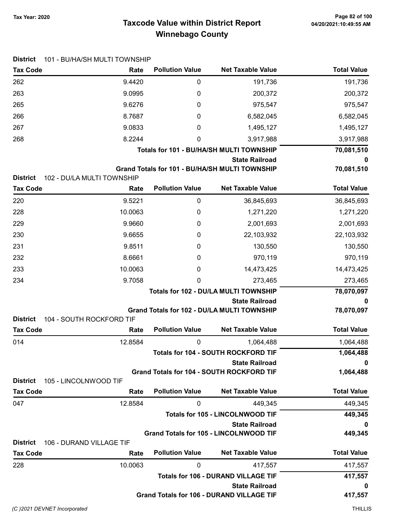# Taxcode Value within District Report Tax Year: 2020 Page 82 of 100 Winnebago County

| <b>District</b>                    | 101 - BU/HA/SH MULTI TOWNSHIP      |                        |                                                                |                    |
|------------------------------------|------------------------------------|------------------------|----------------------------------------------------------------|--------------------|
| <b>Tax Code</b>                    | Rate                               | <b>Pollution Value</b> | <b>Net Taxable Value</b>                                       | <b>Total Value</b> |
| 262                                | 9.4420                             | 0                      | 191,736                                                        | 191,736            |
| 263                                | 9.0995                             | 0                      | 200,372                                                        | 200,372            |
| 265                                | 9.6276                             | 0                      | 975,547                                                        | 975,547            |
| 266                                | 8.7687                             | 0                      | 6,582,045                                                      | 6,582,045          |
| 267                                | 9.0833                             | 0                      | 1,495,127                                                      | 1,495,127          |
| 268                                | 8.2244                             | $\Omega$               | 3,917,988                                                      | 3,917,988          |
|                                    |                                    |                        | Totals for 101 - BU/HA/SH MULTI TOWNSHIP                       | 70,081,510         |
|                                    |                                    |                        | <b>State Railroad</b>                                          | 0                  |
|                                    |                                    |                        | Grand Totals for 101 - BU/HA/SH MULTI TOWNSHIP                 | 70,081,510         |
| <b>District</b><br><b>Tax Code</b> | 102 - DU/LA MULTI TOWNSHIP<br>Rate | <b>Pollution Value</b> | <b>Net Taxable Value</b>                                       | <b>Total Value</b> |
| 220                                | 9.5221                             |                        |                                                                |                    |
|                                    | 10.0063                            | 0                      | 36,845,693                                                     | 36,845,693         |
| 228                                |                                    | 0                      | 1,271,220                                                      | 1,271,220          |
| 229                                | 9.9660                             | 0                      | 2,001,693                                                      | 2,001,693          |
| 230                                | 9.6655                             | 0                      | 22,103,932                                                     | 22,103,932         |
| 231                                | 9.8511                             | 0                      | 130,550                                                        | 130,550            |
| 232                                | 8.6661                             | 0                      | 970,119                                                        | 970,119            |
| 233                                | 10.0063                            | 0                      | 14,473,425                                                     | 14,473,425         |
| 234                                | 9.7058                             | $\mathbf{0}$           | 273,465                                                        | 273,465            |
|                                    |                                    |                        | Totals for 102 - DU/LA MULTI TOWNSHIP<br><b>State Railroad</b> | 78,070,097         |
|                                    |                                    |                        | Grand Totals for 102 - DU/LA MULTI TOWNSHIP                    | 0<br>78,070,097    |
| <b>District</b>                    | 104 - SOUTH ROCKFORD TIF           |                        |                                                                |                    |
| <b>Tax Code</b>                    | Rate                               | <b>Pollution Value</b> | <b>Net Taxable Value</b>                                       | <b>Total Value</b> |
| 014                                | 12.8584                            | 0                      | 1,064,488                                                      | 1,064,488          |
|                                    |                                    |                        | Totals for 104 - SOUTH ROCKFORD TIF                            | 1,064,488          |
|                                    |                                    |                        | <b>State Railroad</b>                                          | 0                  |
|                                    |                                    |                        | <b>Grand Totals for 104 - SOUTH ROCKFORD TIF</b>               | 1,064,488          |
| <b>District</b><br><b>Tax Code</b> | 105 - LINCOLNWOOD TIF<br>Rate      | <b>Pollution Value</b> | <b>Net Taxable Value</b>                                       | <b>Total Value</b> |
| 047                                | 12.8584                            | 0                      | 449,345                                                        | 449,345            |
|                                    |                                    |                        | <b>Totals for 105 - LINCOLNWOOD TIF</b>                        | 449,345            |
|                                    |                                    |                        | <b>State Railroad</b>                                          | 0                  |
|                                    |                                    |                        | <b>Grand Totals for 105 - LINCOLNWOOD TIF</b>                  | 449,345            |
| <b>District</b>                    | 106 - DURAND VILLAGE TIF           |                        |                                                                |                    |
| <b>Tax Code</b>                    | Rate                               | <b>Pollution Value</b> | <b>Net Taxable Value</b>                                       | <b>Total Value</b> |
| 228                                | 10.0063                            | 0                      | 417,557                                                        | 417,557            |
|                                    |                                    |                        | <b>Totals for 106 - DURAND VILLAGE TIF</b>                     | 417,557            |
|                                    |                                    |                        | <b>State Railroad</b>                                          | 0                  |
|                                    |                                    |                        | <b>Grand Totals for 106 - DURAND VILLAGE TIF</b>               | 417,557            |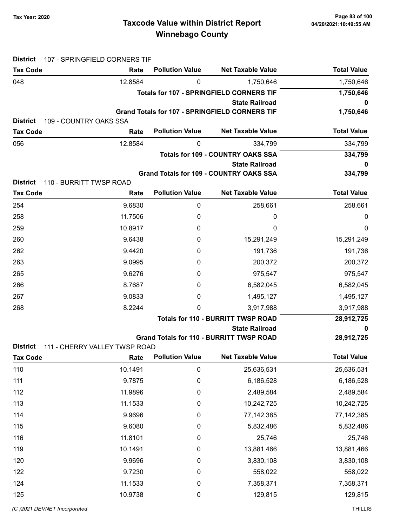# Taxcode Value within District Report Tax Year: 2020 Page 83 of 100 Winnebago County

| <b>District</b>              | 107 - SPRINGFIELD CORNERS TIF  |                        |                                                       |                    |
|------------------------------|--------------------------------|------------------------|-------------------------------------------------------|--------------------|
| <b>Tax Code</b>              | Rate                           | <b>Pollution Value</b> | <b>Net Taxable Value</b>                              | <b>Total Value</b> |
| 048                          | 12.8584                        | 0                      | 1,750,646                                             | 1,750,646          |
|                              |                                |                        | <b>Totals for 107 - SPRINGFIELD CORNERS TIF</b>       | 1,750,646          |
|                              |                                |                        | <b>State Railroad</b>                                 | 0                  |
| <b>District</b>              |                                |                        | <b>Grand Totals for 107 - SPRINGFIELD CORNERS TIF</b> | 1,750,646          |
| <b>Tax Code</b>              | 109 - COUNTRY OAKS SSA<br>Rate | <b>Pollution Value</b> | <b>Net Taxable Value</b>                              | <b>Total Value</b> |
| 056                          | 12.8584                        | 0                      | 334,799                                               | 334,799            |
|                              |                                |                        | <b>Totals for 109 - COUNTRY OAKS SSA</b>              | 334,799            |
|                              |                                |                        | <b>State Railroad</b>                                 | 0                  |
|                              |                                |                        | <b>Grand Totals for 109 - COUNTRY OAKS SSA</b>        | 334,799            |
| <b>District</b>              | 110 - BURRITT TWSP ROAD        |                        |                                                       |                    |
| <b>Tax Code</b>              | Rate                           | <b>Pollution Value</b> | <b>Net Taxable Value</b>                              | <b>Total Value</b> |
| 254                          | 9.6830                         | $\boldsymbol{0}$       | 258,661                                               | 258,661            |
| 258                          | 11.7506                        | 0                      | 0                                                     | 0                  |
| 259                          | 10.8917                        | 0                      | 0                                                     | 0                  |
| 260                          | 9.6438                         | 0                      | 15,291,249                                            | 15,291,249         |
| 262                          | 9.4420                         | 0                      | 191,736                                               | 191,736            |
| 263                          | 9.0995                         | 0                      | 200,372                                               | 200,372            |
| 265                          | 9.6276                         | 0                      | 975,547                                               | 975,547            |
| 266                          | 8.7687                         | 0                      | 6,582,045                                             | 6,582,045          |
| 267                          | 9.0833                         | 0                      | 1,495,127                                             | 1,495,127          |
| 268                          | 8.2244                         | 0                      | 3,917,988                                             | 3,917,988          |
|                              |                                |                        | <b>Totals for 110 - BURRITT TWSP ROAD</b>             | 28,912,725         |
|                              |                                |                        | <b>State Railroad</b>                                 | 0                  |
| <b>District</b>              | 111 - CHERRY VALLEY TWSP ROAD  |                        | <b>Grand Totals for 110 - BURRITT TWSP ROAD</b>       | 28,912,725         |
| <b>Tax Code</b>              | Rate                           | <b>Pollution Value</b> | <b>Net Taxable Value</b>                              | <b>Total Value</b> |
| 110                          | 10.1491                        | $\mathbf 0$            | 25,636,531                                            | 25,636,531         |
| 111                          | 9.7875                         | $\boldsymbol{0}$       | 6,186,528                                             | 6,186,528          |
| 112                          | 11.9896                        | $\mathbf 0$            | 2,489,584                                             | 2,489,584          |
| 113                          | 11.1533                        | $\mathbf 0$            | 10,242,725                                            | 10,242,725         |
| 114                          | 9.9696                         | 0                      | 77, 142, 385                                          | 77, 142, 385       |
| 115                          | 9.6080                         | 0                      | 5,832,486                                             | 5,832,486          |
| 116                          | 11.8101                        | 0                      | 25,746                                                | 25,746             |
| 119                          | 10.1491                        | 0                      | 13,881,466                                            | 13,881,466         |
| 120                          | 9.9696                         | 0                      | 3,830,108                                             | 3,830,108          |
| 122                          | 9.7230                         | 0                      | 558,022                                               | 558,022            |
| 124                          | 11.1533                        | 0                      | 7,358,371                                             | 7,358,371          |
| 125                          | 10.9738                        | 0                      | 129,815                                               | 129,815            |
|                              |                                |                        |                                                       |                    |
| (C) 2021 DEVNET Incorporated |                                |                        |                                                       | <b>THILLIS</b>     |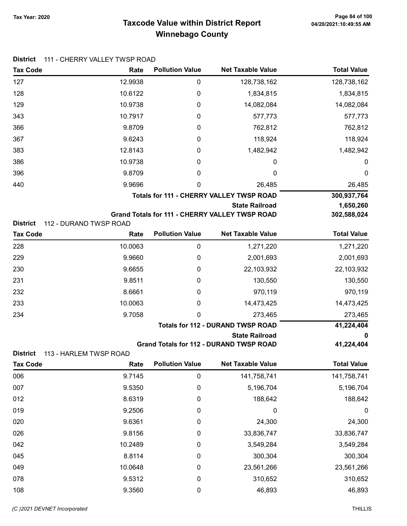# Taxcode Value within District Report Tax Year: 2020 Page 84 of 100 Winnebago County

| <b>Tax Code</b>                           | Rate    | <b>Pollution Value</b> | <b>Net Taxable Value</b>                              | <b>Total Value</b> |
|-------------------------------------------|---------|------------------------|-------------------------------------------------------|--------------------|
| 127                                       | 12.9938 | 0                      | 128,738,162                                           | 128,738,162        |
| 128                                       | 10.6122 | 0                      | 1,834,815                                             | 1,834,815          |
| 129                                       | 10.9738 | 0                      | 14,082,084                                            | 14,082,084         |
| 343                                       | 10.7917 | 0                      | 577,773                                               | 577,773            |
| 366                                       | 9.8709  | 0                      | 762,812                                               | 762,812            |
| 367                                       | 9.6243  | 0                      | 118,924                                               | 118,924            |
| 383                                       | 12.8143 | 0                      | 1,482,942                                             | 1,482,942          |
| 386                                       | 10.9738 | 0                      | 0                                                     | 0                  |
| 396                                       | 9.8709  | 0                      | 0                                                     | 0                  |
| 440                                       | 9.9696  | 0                      | 26,485                                                | 26,485             |
|                                           |         |                        | <b>Totals for 111 - CHERRY VALLEY TWSP ROAD</b>       | 300,937,764        |
|                                           |         |                        | <b>State Railroad</b>                                 | 1,650,260          |
| <b>District</b><br>112 - DURAND TWSP ROAD |         |                        | <b>Grand Totals for 111 - CHERRY VALLEY TWSP ROAD</b> | 302,588,024        |
| <b>Tax Code</b>                           | Rate    | <b>Pollution Value</b> | <b>Net Taxable Value</b>                              | <b>Total Value</b> |
| 228                                       | 10.0063 | $\boldsymbol{0}$       | 1,271,220                                             | 1,271,220          |
| 229                                       | 9.9660  | 0                      | 2,001,693                                             | 2,001,693          |
| 230                                       | 9.6655  | 0                      | 22,103,932                                            | 22,103,932         |
| 231                                       | 9.8511  | 0                      | 130,550                                               | 130,550            |
| 232                                       | 8.6661  | 0                      | 970,119                                               | 970,119            |
| 233                                       | 10.0063 | 0                      | 14,473,425                                            | 14,473,425         |
| 234                                       | 9.7058  | 0                      | 273,465                                               | 273,465            |
|                                           |         |                        | <b>Totals for 112 - DURAND TWSP ROAD</b>              | 41,224,404         |
|                                           |         |                        | <b>State Railroad</b>                                 | 0                  |
| <b>District</b><br>113 - HARLEM TWSP ROAD |         |                        | <b>Grand Totals for 112 - DURAND TWSP ROAD</b>        | 41,224,404         |
| Tax Code                                  | Rate    | <b>Pollution Value</b> | <b>Net Taxable Value</b>                              | <b>Total Value</b> |
| 006                                       | 9.7145  | $\pmb{0}$              | 141,758,741                                           | 141,758,741        |
| 007                                       | 9.5350  | 0                      | 5,196,704                                             | 5,196,704          |
| 012                                       | 8.6319  | 0                      | 188,642                                               | 188,642            |
| 019                                       | 9.2506  | 0                      | 0                                                     | 0                  |
| 020                                       | 9.6361  | $\boldsymbol{0}$       | 24,300                                                | 24,300             |
| 026                                       | 9.8156  | 0                      | 33,836,747                                            | 33,836,747         |
| 042                                       | 10.2489 | 0                      | 3,549,284                                             | 3,549,284          |
| 045                                       | 8.8114  | 0                      | 300,304                                               | 300,304            |
| 049                                       | 10.0648 | 0                      | 23,561,266                                            | 23,561,266         |
| 078                                       | 9.5312  | 0                      | 310,652                                               | 310,652            |
| 108                                       | 9.3560  | 0                      | 46,893                                                | 46,893             |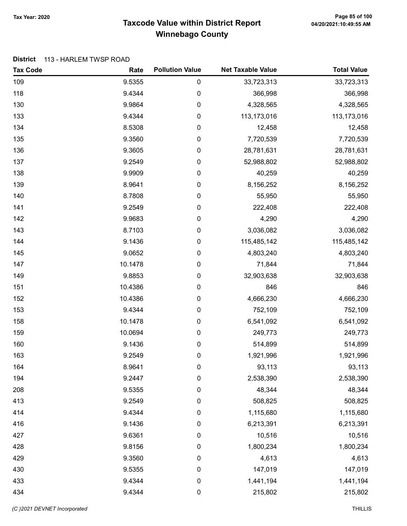# Taxcode Value within District Report Tax Year: 2020 Page 85 of 100 Winnebago County

#### District 113 - HARLEM TWSP ROAD

| <b>Tax Code</b> | Rate    | <b>Pollution Value</b> | <b>Net Taxable Value</b> | <b>Total Value</b> |
|-----------------|---------|------------------------|--------------------------|--------------------|
| 109             | 9.5355  | 0                      | 33,723,313               | 33,723,313         |
| 118             | 9.4344  | 0                      | 366,998                  | 366,998            |
| 130             | 9.9864  | $\pmb{0}$              | 4,328,565                | 4,328,565          |
| 133             | 9.4344  | 0                      | 113,173,016              | 113,173,016        |
| 134             | 8.5308  | 0                      | 12,458                   | 12,458             |
| 135             | 9.3560  | $\pmb{0}$              | 7,720,539                | 7,720,539          |
| 136             | 9.3605  | $\pmb{0}$              | 28,781,631               | 28,781,631         |
| 137             | 9.2549  | $\boldsymbol{0}$       | 52,988,802               | 52,988,802         |
| 138             | 9.9909  | 0                      | 40,259                   | 40,259             |
| 139             | 8.9641  | $\pmb{0}$              | 8,156,252                | 8,156,252          |
| 140             | 8.7808  | 0                      | 55,950                   | 55,950             |
| 141             | 9.2549  | 0                      | 222,408                  | 222,408            |
| 142             | 9.9683  | $\boldsymbol{0}$       | 4,290                    | 4,290              |
| 143             | 8.7103  | $\boldsymbol{0}$       | 3,036,082                | 3,036,082          |
| 144             | 9.1436  | $\boldsymbol{0}$       | 115,485,142              | 115,485,142        |
| 145             | 9.0652  | 0                      | 4,803,240                | 4,803,240          |
| 147             | 10.1478 | $\pmb{0}$              | 71,844                   | 71,844             |
| 149             | 9.8853  | $\pmb{0}$              | 32,903,638               | 32,903,638         |
| 151             | 10.4386 | $\pmb{0}$              | 846                      | 846                |
| 152             | 10.4386 | 0                      | 4,666,230                | 4,666,230          |
| 153             | 9.4344  | $\boldsymbol{0}$       | 752,109                  | 752,109            |
| 158             | 10.1478 | $\boldsymbol{0}$       | 6,541,092                | 6,541,092          |
| 159             | 10.0694 | 0                      | 249,773                  | 249,773            |
| 160             | 9.1436  | $\pmb{0}$              | 514,899                  | 514,899            |
| 163             | 9.2549  | 0                      | 1,921,996                | 1,921,996          |
| 164             | 8.9641  | 0                      | 93,113                   | 93,113             |
| 194             | 9.2447  | 0                      | 2,538,390                | 2,538,390          |
| 208             | 9.5355  | $\pmb{0}$              | 48,344                   | 48,344             |
| 413             | 9.2549  | $\pmb{0}$              | 508,825                  | 508,825            |
| 414             | 9.4344  | 0                      | 1,115,680                | 1,115,680          |
| 416             | 9.1436  | 0                      | 6,213,391                | 6,213,391          |
| 427             | 9.6361  | $\pmb{0}$              | 10,516                   | 10,516             |
| 428             | 9.8156  | $\pmb{0}$              | 1,800,234                | 1,800,234          |
| 429             | 9.3560  | 0                      | 4,613                    | 4,613              |
| 430             | 9.5355  | $\boldsymbol{0}$       | 147,019                  | 147,019            |
| 433             | 9.4344  | $\pmb{0}$              | 1,441,194                | 1,441,194          |
| 434             | 9.4344  | $\pmb{0}$              | 215,802                  | 215,802            |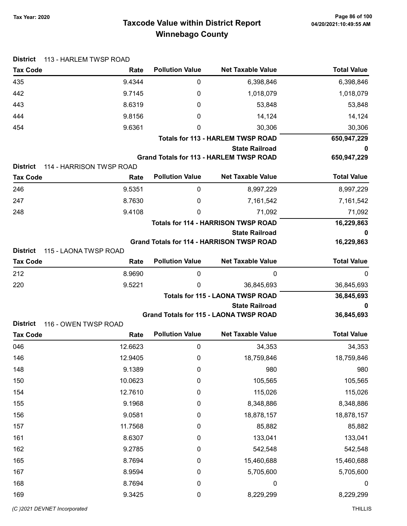| <b>District</b> | 113 - HARLEM TWSP ROAD   |                        |                                                                        |                    |
|-----------------|--------------------------|------------------------|------------------------------------------------------------------------|--------------------|
| <b>Tax Code</b> | Rate                     | <b>Pollution Value</b> | <b>Net Taxable Value</b>                                               | <b>Total Value</b> |
| 435             | 9.4344                   | 0                      | 6,398,846                                                              | 6,398,846          |
| 442             | 9.7145                   | 0                      | 1,018,079                                                              | 1,018,079          |
| 443             | 8.6319                   | 0                      | 53,848                                                                 | 53,848             |
| 444             | 9.8156                   | 0                      | 14,124                                                                 | 14,124             |
| 454             | 9.6361                   | 0                      | 30,306                                                                 | 30,306             |
|                 |                          |                        | <b>Totals for 113 - HARLEM TWSP ROAD</b>                               | 650,947,229        |
|                 |                          |                        | <b>State Railroad</b>                                                  | 0                  |
| <b>District</b> | 114 - HARRISON TWSP ROAD |                        | <b>Grand Totals for 113 - HARLEM TWSP ROAD</b>                         | 650,947,229        |
| <b>Tax Code</b> | Rate                     | <b>Pollution Value</b> | <b>Net Taxable Value</b>                                               | <b>Total Value</b> |
| 246             | 9.5351                   | 0                      | 8,997,229                                                              | 8,997,229          |
| 247             | 8.7630                   | 0                      | 7,161,542                                                              | 7,161,542          |
| 248             | 9.4108                   | 0                      | 71,092                                                                 | 71,092             |
|                 |                          |                        | <b>Totals for 114 - HARRISON TWSP ROAD</b>                             | 16,229,863         |
|                 |                          |                        | <b>State Railroad</b>                                                  | 0                  |
|                 |                          |                        | <b>Grand Totals for 114 - HARRISON TWSP ROAD</b>                       | 16,229,863         |
| <b>District</b> | 115 - LAONA TWSP ROAD    |                        |                                                                        |                    |
| <b>Tax Code</b> | Rate                     | <b>Pollution Value</b> | <b>Net Taxable Value</b>                                               | <b>Total Value</b> |
| 212             | 8.9690                   | 0                      | 0                                                                      | 0                  |
| 220             | 9.5221                   | 0                      | 36,845,693                                                             | 36,845,693         |
|                 |                          |                        | <b>Totals for 115 - LAONA TWSP ROAD</b>                                | 36,845,693         |
|                 |                          |                        | <b>State Railroad</b><br><b>Grand Totals for 115 - LAONA TWSP ROAD</b> | 36,845,693         |
| <b>District</b> | 116 - OWEN TWSP ROAD     |                        |                                                                        |                    |
| <b>Tax Code</b> | Rate                     | <b>Pollution Value</b> | <b>Net Taxable Value</b>                                               | <b>Total Value</b> |
| 046             | 12.6623                  | 0                      | 34,353                                                                 | 34,353             |
| 146             | 12.9405                  | $\pmb{0}$              | 18,759,846                                                             | 18,759,846         |
| 148             | 9.1389                   | $\pmb{0}$              | 980                                                                    | 980                |
| 150             | 10.0623                  | $\boldsymbol{0}$       | 105,565                                                                | 105,565            |
| 154             | 12.7610                  | 0                      | 115,026                                                                | 115,026            |
| 155             | 9.1968                   | 0                      | 8,348,886                                                              | 8,348,886          |
| 156             | 9.0581                   | 0                      | 18,878,157                                                             | 18,878,157         |
| 157             | 11.7568                  | 0                      | 85,882                                                                 | 85,882             |
| 161             | 8.6307                   | 0                      | 133,041                                                                | 133,041            |
| 162             | 9.2785                   | 0                      | 542,548                                                                | 542,548            |
| 165             | 8.7694                   | 0                      | 15,460,688                                                             | 15,460,688         |
| 167             | 8.9594                   | 0                      | 5,705,600                                                              | 5,705,600          |
| 168             | 8.7694                   | $\mathbf 0$            | $\boldsymbol{0}$                                                       | $\boldsymbol{0}$   |
| 169             | 9.3425                   | 0                      | 8,229,299                                                              | 8,229,299          |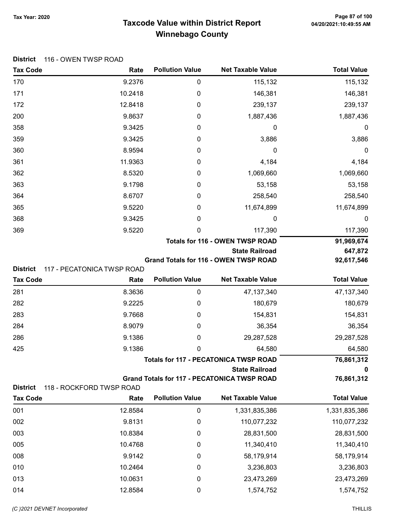# Taxcode Value within District Report Tax Year: 2020 Page 87 of 100 Winnebago County

| <b>District</b><br><b>Tax Code</b> | 116 - OWEN TWSP ROAD<br>Rate | <b>Pollution Value</b> | <b>Net Taxable Value</b>                           | <b>Total Value</b>      |
|------------------------------------|------------------------------|------------------------|----------------------------------------------------|-------------------------|
| 170                                | 9.2376                       | 0                      | 115,132                                            | 115,132                 |
| 171                                | 10.2418                      | $\mathbf 0$            | 146,381                                            | 146,381                 |
| 172                                | 12.8418                      | 0                      | 239,137                                            | 239,137                 |
| 200                                | 9.8637                       | 0                      | 1,887,436                                          | 1,887,436               |
| 358                                | 9.3425                       | 0                      | 0                                                  | 0                       |
| 359                                | 9.3425                       | 0                      | 3,886                                              | 3,886                   |
| 360                                | 8.9594                       | 0                      | 0                                                  | 0                       |
| 361                                | 11.9363                      | 0                      | 4,184                                              | 4,184                   |
| 362                                | 8.5320                       | 0                      | 1,069,660                                          | 1,069,660               |
| 363                                | 9.1798                       | 0                      | 53,158                                             | 53,158                  |
| 364                                | 8.6707                       | 0                      | 258,540                                            | 258,540                 |
| 365                                | 9.5220                       | 0                      | 11,674,899                                         | 11,674,899              |
| 368                                | 9.3425                       | 0                      | 0                                                  | 0                       |
| 369                                | 9.5220                       | 0                      | 117,390                                            | 117,390                 |
|                                    |                              |                        | <b>Totals for 116 - OWEN TWSP ROAD</b>             | 91,969,674              |
|                                    |                              |                        | <b>State Railroad</b>                              | 647,872                 |
| <b>District</b>                    | 117 - PECATONICA TWSP ROAD   |                        | Grand Totals for 116 - OWEN TWSP ROAD              | 92,617,546              |
| <b>Tax Code</b>                    | Rate                         | <b>Pollution Value</b> | <b>Net Taxable Value</b>                           | <b>Total Value</b>      |
| 281                                | 8.3636                       | $\pmb{0}$              | 47, 137, 340                                       | 47, 137, 340            |
| 282                                | 9.2225                       | 0                      | 180,679                                            | 180,679                 |
| 283                                | 9.7668                       | 0                      | 154,831                                            | 154,831                 |
| 284                                | 8.9079                       | 0                      | 36,354                                             | 36,354                  |
| 286                                | 9.1386                       | 0                      | 29,287,528                                         | 29,287,528              |
| 425                                | 9.1386                       | 0                      | 64,580                                             | 64,580                  |
|                                    |                              |                        | <b>Totals for 117 - PECATONICA TWSP ROAD</b>       | 76,861,312              |
|                                    |                              |                        | <b>State Railroad</b>                              | o                       |
|                                    |                              |                        | <b>Grand Totals for 117 - PECATONICA TWSP ROAD</b> | 76,861,312              |
| <b>District</b>                    | 118 - ROCKFORD TWSP ROAD     | <b>Pollution Value</b> | <b>Net Taxable Value</b>                           | <b>Total Value</b>      |
| <b>Tax Code</b>                    | Rate                         |                        |                                                    |                         |
| 001                                | 12.8584                      | 0                      | 1,331,835,386                                      | 1,331,835,386           |
| 002                                | 9.8131                       | 0                      | 110,077,232                                        | 110,077,232             |
| 003                                | 10.8384                      | 0                      | 28,831,500                                         | 28,831,500              |
| 005                                | 10.4768                      | 0                      | 11,340,410                                         | 11,340,410              |
|                                    |                              |                        |                                                    |                         |
| 008                                | 9.9142                       | 0                      | 58,179,914                                         | 58,179,914              |
| 010<br>013                         | 10.2464<br>10.0631           | 0<br>0                 | 3,236,803<br>23,473,269                            | 3,236,803<br>23,473,269 |

014 12.8584 0 1,574,752 1,574,752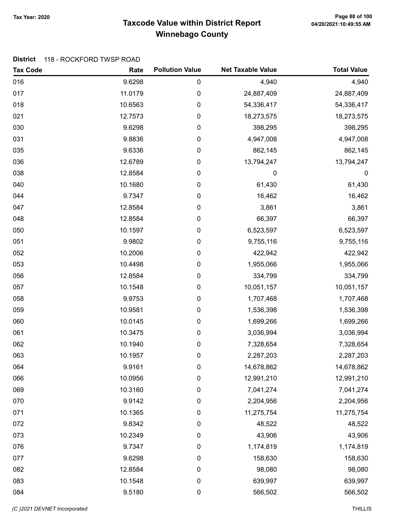# Taxcode Value within District Report Tax Year: 2020 Page 88 of 100 Winnebago County

#### District 118 - ROCKFORD TWSP ROAD

| <b>Tax Code</b> | Rate    | <b>Pollution Value</b> | <b>Net Taxable Value</b> | <b>Total Value</b> |
|-----------------|---------|------------------------|--------------------------|--------------------|
| 016             | 9.6298  | 0                      | 4,940                    | 4,940              |
| 017             | 11.0179 | 0                      | 24,887,409               | 24,887,409         |
| 018             | 10.6563 | 0                      | 54,336,417               | 54,336,417         |
| 021             | 12.7573 | 0                      | 18,273,575               | 18,273,575         |
| 030             | 9.6298  | 0                      | 398,295                  | 398,295            |
| 031             | 9.8836  | 0                      | 4,947,008                | 4,947,008          |
| 035             | 9.6336  | 0                      | 862,145                  | 862,145            |
| 036             | 12.6789 | 0                      | 13,794,247               | 13,794,247         |
| 038             | 12.8584 | 0                      | 0                        | 0                  |
| 040             | 10.1680 | 0                      | 61,430                   | 61,430             |
| 044             | 9.7347  | 0                      | 16,462                   | 16,462             |
| 047             | 12.8584 | 0                      | 3,861                    | 3,861              |
| 048             | 12.8584 | 0                      | 66,397                   | 66,397             |
| 050             | 10.1597 | 0                      | 6,523,597                | 6,523,597          |
| 051             | 9.9802  | 0                      | 9,755,116                | 9,755,116          |
| 052             | 10.2006 | 0                      | 422,942                  | 422,942            |
| 053             | 10.4498 | 0                      | 1,955,066                | 1,955,066          |
| 056             | 12.8584 | 0                      | 334,799                  | 334,799            |
| 057             | 10.1548 | 0                      | 10,051,157               | 10,051,157         |
| 058             | 9.9753  | 0                      | 1,707,468                | 1,707,468          |
| 059             | 10.9581 | 0                      | 1,536,398                | 1,536,398          |
| 060             | 10.0145 | 0                      | 1,699,266                | 1,699,266          |
| 061             | 10.3475 | 0                      | 3,036,994                | 3,036,994          |
| 062             | 10.1940 | 0                      | 7,328,654                | 7,328,654          |
| 063             | 10.1957 | 0                      | 2,287,203                | 2,287,203          |
| 064             | 9.9161  | 0                      | 14,678,862               | 14,678,862         |
| 066             | 10.0956 | 0                      | 12,991,210               | 12,991,210         |
| 069             | 10.3160 | 0                      | 7,041,274                | 7,041,274          |
| 070             | 9.9142  | 0                      | 2,204,956                | 2,204,956          |
| 071             | 10.1365 | 0                      | 11,275,754               | 11,275,754         |
| 072             | 9.8342  | $\pmb{0}$              | 48,522                   | 48,522             |
| 073             | 10.2349 | $\pmb{0}$              | 43,906                   | 43,906             |
| 076             | 9.7347  | 0                      | 1,174,819                | 1,174,819          |
| 077             | 9.6298  | 0                      | 158,630                  | 158,630            |
| 082             | 12.8584 | 0                      | 98,080                   | 98,080             |
| 083             | 10.1548 | $\pmb{0}$              | 639,997                  | 639,997            |
| 084             | 9.5180  | $\pmb{0}$              | 566,502                  | 566,502            |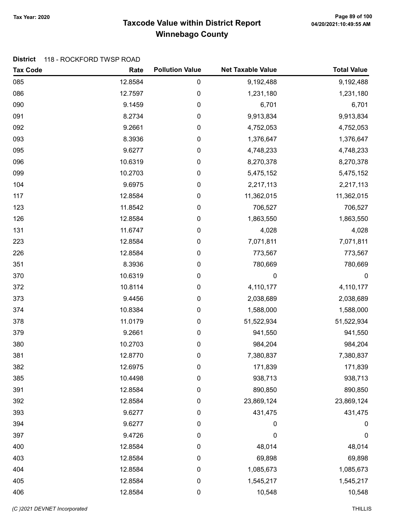# Taxcode Value within District Report Tax Year: 2020 Page 89 of 100 Winnebago County

#### District 118 - ROCKFORD TWSP ROAD

| <b>Tax Code</b> | Rate    | <b>Pollution Value</b> | <b>Net Taxable Value</b> | <b>Total Value</b> |
|-----------------|---------|------------------------|--------------------------|--------------------|
| 085             | 12.8584 | $\pmb{0}$              | 9,192,488                | 9,192,488          |
| 086             | 12.7597 | 0                      | 1,231,180                | 1,231,180          |
| 090             | 9.1459  | 0                      | 6,701                    | 6,701              |
| 091             | 8.2734  | 0                      | 9,913,834                | 9,913,834          |
| 092             | 9.2661  | 0                      | 4,752,053                | 4,752,053          |
| 093             | 8.3936  | 0                      | 1,376,647                | 1,376,647          |
| 095             | 9.6277  | $\pmb{0}$              | 4,748,233                | 4,748,233          |
| 096             | 10.6319 | $\boldsymbol{0}$       | 8,270,378                | 8,270,378          |
| 099             | 10.2703 | 0                      | 5,475,152                | 5,475,152          |
| 104             | 9.6975  | 0                      | 2,217,113                | 2,217,113          |
| 117             | 12.8584 | 0                      | 11,362,015               | 11,362,015         |
| 123             | 11.8542 | 0                      | 706,527                  | 706,527            |
| 126             | 12.8584 | 0                      | 1,863,550                | 1,863,550          |
| 131             | 11.6747 | $\pmb{0}$              | 4,028                    | 4,028              |
| 223             | 12.8584 | $\boldsymbol{0}$       | 7,071,811                | 7,071,811          |
| 226             | 12.8584 | 0                      | 773,567                  | 773,567            |
| 351             | 8.3936  | 0                      | 780,669                  | 780,669            |
| 370             | 10.6319 | 0                      | 0                        | $\mathbf 0$        |
| 372             | 10.8114 | 0                      | 4,110,177                | 4,110,177          |
| 373             | 9.4456  | 0                      | 2,038,689                | 2,038,689          |
| 374             | 10.8384 | $\pmb{0}$              | 1,588,000                | 1,588,000          |
| 378             | 11.0179 | $\pmb{0}$              | 51,522,934               | 51,522,934         |
| 379             | 9.2661  | 0                      | 941,550                  | 941,550            |
| 380             | 10.2703 | $\boldsymbol{0}$       | 984,204                  | 984,204            |
| 381             | 12.8770 | $\pmb{0}$              | 7,380,837                | 7,380,837          |
| 382             | 12.6975 | 0                      | 171,839                  | 171,839            |
| 385             | 10.4498 | 0                      | 938,713                  | 938,713            |
| 391             | 12.8584 | 0                      | 890,850                  | 890,850            |
| 392             | 12.8584 | $\boldsymbol{0}$       | 23,869,124               | 23,869,124         |
| 393             | 9.6277  | $\pmb{0}$              | 431,475                  | 431,475            |
| 394             | 9.6277  | $\boldsymbol{0}$       | 0                        | 0                  |
| 397             | 9.4726  | $\pmb{0}$              | $\mathbf 0$              | $\boldsymbol{0}$   |
| 400             | 12.8584 | $\boldsymbol{0}$       | 48,014                   | 48,014             |
| 403             | 12.8584 | 0                      | 69,898                   | 69,898             |
| 404             | 12.8584 | 0                      | 1,085,673                | 1,085,673          |
| 405             | 12.8584 | $\pmb{0}$              | 1,545,217                | 1,545,217          |
| 406             | 12.8584 | $\pmb{0}$              | 10,548                   | 10,548             |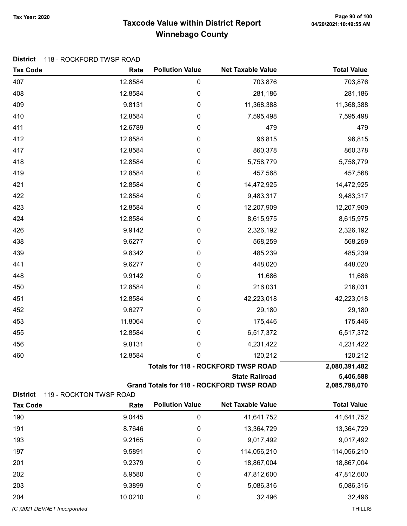#### Taxcode Value within District Report Tax Year: 2020 Page 90 of 100 Winnebago County

#### District 118 - ROCKFORD TWSP ROAD

| 703,876<br>407<br>12.8584<br>0<br>703,876<br>408<br>0<br>281,186<br>281,186<br>12.8584<br>409<br>9.8131<br>0<br>11,368,388<br>11,368,388<br>410<br>12.8584<br>0<br>7,595,498<br>7,595,498<br>411<br>12.6789<br>0<br>479<br>479<br>412<br>12.8584<br>0<br>96,815<br>96,815<br>417<br>12.8584<br>0<br>860,378<br>860,378<br>418<br>12.8584<br>5,758,779<br>5,758,779<br>0<br>419<br>0<br>12.8584<br>457,568<br>457,568<br>421<br>12.8584<br>14,472,925<br>0<br>14,472,925<br>422<br>0<br>9,483,317<br>12.8584<br>9,483,317<br>423<br>12.8584<br>0<br>12,207,909<br>12,207,909 |
|-----------------------------------------------------------------------------------------------------------------------------------------------------------------------------------------------------------------------------------------------------------------------------------------------------------------------------------------------------------------------------------------------------------------------------------------------------------------------------------------------------------------------------------------------------------------------------|
|                                                                                                                                                                                                                                                                                                                                                                                                                                                                                                                                                                             |
|                                                                                                                                                                                                                                                                                                                                                                                                                                                                                                                                                                             |
|                                                                                                                                                                                                                                                                                                                                                                                                                                                                                                                                                                             |
|                                                                                                                                                                                                                                                                                                                                                                                                                                                                                                                                                                             |
|                                                                                                                                                                                                                                                                                                                                                                                                                                                                                                                                                                             |
|                                                                                                                                                                                                                                                                                                                                                                                                                                                                                                                                                                             |
|                                                                                                                                                                                                                                                                                                                                                                                                                                                                                                                                                                             |
|                                                                                                                                                                                                                                                                                                                                                                                                                                                                                                                                                                             |
|                                                                                                                                                                                                                                                                                                                                                                                                                                                                                                                                                                             |
|                                                                                                                                                                                                                                                                                                                                                                                                                                                                                                                                                                             |
|                                                                                                                                                                                                                                                                                                                                                                                                                                                                                                                                                                             |
|                                                                                                                                                                                                                                                                                                                                                                                                                                                                                                                                                                             |
| 424<br>12.8584<br>0<br>8,615,975<br>8,615,975                                                                                                                                                                                                                                                                                                                                                                                                                                                                                                                               |
| 426<br>9.9142<br>0<br>2,326,192<br>2,326,192                                                                                                                                                                                                                                                                                                                                                                                                                                                                                                                                |
| 438<br>9.6277<br>568,259<br>568,259<br>0                                                                                                                                                                                                                                                                                                                                                                                                                                                                                                                                    |
| 439<br>9.8342<br>0<br>485,239<br>485,239                                                                                                                                                                                                                                                                                                                                                                                                                                                                                                                                    |
| 441<br>9.6277<br>448,020<br>448,020<br>0                                                                                                                                                                                                                                                                                                                                                                                                                                                                                                                                    |
| 0<br>11,686<br>11,686<br>448<br>9.9142                                                                                                                                                                                                                                                                                                                                                                                                                                                                                                                                      |
| 450<br>12.8584<br>0<br>216,031<br>216,031                                                                                                                                                                                                                                                                                                                                                                                                                                                                                                                                   |
| 12.8584<br>0<br>42,223,018<br>42,223,018<br>451                                                                                                                                                                                                                                                                                                                                                                                                                                                                                                                             |
| 452<br>9.6277<br>0<br>29,180<br>29,180                                                                                                                                                                                                                                                                                                                                                                                                                                                                                                                                      |
| 453<br>11.8064<br>175,446<br>0<br>175,446                                                                                                                                                                                                                                                                                                                                                                                                                                                                                                                                   |
| 455<br>12.8584<br>0<br>6,517,372<br>6,517,372                                                                                                                                                                                                                                                                                                                                                                                                                                                                                                                               |
| 456<br>9.8131<br>0<br>4,231,422<br>4,231,422                                                                                                                                                                                                                                                                                                                                                                                                                                                                                                                                |
| 460<br>12.8584<br>0<br>120,212<br>120,212                                                                                                                                                                                                                                                                                                                                                                                                                                                                                                                                   |
| <b>Totals for 118 - ROCKFORD TWSP ROAD</b><br>2,080,391,482                                                                                                                                                                                                                                                                                                                                                                                                                                                                                                                 |
| <b>State Railroad</b><br>5,406,588                                                                                                                                                                                                                                                                                                                                                                                                                                                                                                                                          |
| <b>Grand Totals for 118 - ROCKFORD TWSP ROAD</b><br>2,085,798,070<br><b>District</b><br>119 - ROCKTON TWSP ROAD                                                                                                                                                                                                                                                                                                                                                                                                                                                             |
| <b>Pollution Value</b><br><b>Net Taxable Value</b><br><b>Total Value</b><br><b>Tax Code</b><br>Rate                                                                                                                                                                                                                                                                                                                                                                                                                                                                         |
| 190<br>9.0445<br>0<br>41,641,752<br>41,641,752                                                                                                                                                                                                                                                                                                                                                                                                                                                                                                                              |
| 191<br>8.7646<br>13,364,729<br>13,364,729<br>0                                                                                                                                                                                                                                                                                                                                                                                                                                                                                                                              |
| 9,017,492<br>193<br>9.2165<br>9,017,492<br>0                                                                                                                                                                                                                                                                                                                                                                                                                                                                                                                                |
| 197<br>9.5891<br>114,056,210<br>114,056,210<br>0                                                                                                                                                                                                                                                                                                                                                                                                                                                                                                                            |
| 201<br>9.2379<br>0<br>18,867,004<br>18,867,004                                                                                                                                                                                                                                                                                                                                                                                                                                                                                                                              |
| 202<br>47,812,600<br>8.9580<br>0<br>47,812,600                                                                                                                                                                                                                                                                                                                                                                                                                                                                                                                              |

203 9.3899 0 5,086,316 5,086,316 204 10.0210 0 32,496 32,496

(C )2021 DEVNET Incorporated THILLIS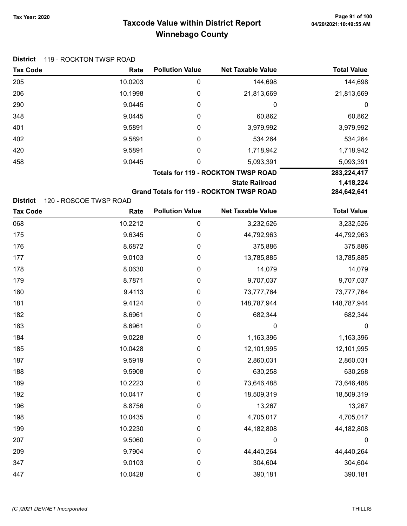# Taxcode Value within District Report Tax Year: 2020 Page 91 of 100 Winnebago County

| <b>Tax Code</b> | Rate                                      | <b>Pollution Value</b> | <b>Net Taxable Value</b> | <b>Total Value</b> |
|-----------------|-------------------------------------------|------------------------|--------------------------|--------------------|
| 205             | 10.0203                                   | 0                      | 144,698                  | 144,698            |
| 206             | 10.1998                                   | 0                      | 21,813,669               | 21,813,669         |
| 290             | 9.0445                                    | 0                      | 0                        | 0                  |
| 348             | 9.0445                                    | 0                      | 60,862                   | 60,862             |
| 401             | 9.5891                                    | 0                      | 3,979,992                | 3,979,992          |
| 402             | 9.5891                                    | 0                      | 534,264                  | 534,264            |
| 420             | 9.5891                                    | 0                      | 1,718,942                | 1,718,942          |
| 458             | 9.0445                                    | 0                      | 5,093,391                | 5,093,391          |
|                 | <b>Totals for 119 - ROCKTON TWSP ROAD</b> |                        |                          | 283,224,417        |
|                 | <b>State Railroad</b>                     |                        |                          | 1,418,224          |
|                 | <b>DOA GAD GAA</b>                        |                        |                          |                    |

Grand Totals for 119 - ROCKTON TWSP ROAD 284,642,641

District 120 - ROSCOE TWSP ROAD

| <b>Tax Code</b> | Rate    | <b>Pollution Value</b> | <b>Net Taxable Value</b> | <b>Total Value</b> |
|-----------------|---------|------------------------|--------------------------|--------------------|
| 068             | 10.2212 | $\boldsymbol{0}$       | 3,232,526                | 3,232,526          |
| 175             | 9.6345  | $\pmb{0}$              | 44,792,963               | 44,792,963         |
| 176             | 8.6872  | $\boldsymbol{0}$       | 375,886                  | 375,886            |
| 177             | 9.0103  | $\boldsymbol{0}$       | 13,785,885               | 13,785,885         |
| 178             | 8.0630  | $\boldsymbol{0}$       | 14,079                   | 14,079             |
| 179             | 8.7871  | $\boldsymbol{0}$       | 9,707,037                | 9,707,037          |
| 180             | 9.4113  | $\pmb{0}$              | 73,777,764               | 73,777,764         |
| 181             | 9.4124  | $\boldsymbol{0}$       | 148,787,944              | 148,787,944        |
| 182             | 8.6961  | $\boldsymbol{0}$       | 682,344                  | 682,344            |
| 183             | 8.6961  | $\boldsymbol{0}$       | 0                        | $\mathbf 0$        |
| 184             | 9.0228  | $\boldsymbol{0}$       | 1,163,396                | 1,163,396          |
| 185             | 10.0428 | $\boldsymbol{0}$       | 12,101,995               | 12,101,995         |
| 187             | 9.5919  | $\boldsymbol{0}$       | 2,860,031                | 2,860,031          |
| 188             | 9.5908  | $\pmb{0}$              | 630,258                  | 630,258            |
| 189             | 10.2223 | $\pmb{0}$              | 73,646,488               | 73,646,488         |
| 192             | 10.0417 | $\pmb{0}$              | 18,509,319               | 18,509,319         |
| 196             | 8.8756  | $\boldsymbol{0}$       | 13,267                   | 13,267             |
| 198             | 10.0435 | $\boldsymbol{0}$       | 4,705,017                | 4,705,017          |
| 199             | 10.2230 | $\boldsymbol{0}$       | 44,182,808               | 44,182,808         |
| 207             | 9.5060  | $\boldsymbol{0}$       | $\mathbf 0$              | $\mathbf 0$        |
| 209             | 9.7904  | $\boldsymbol{0}$       | 44,440,264               | 44,440,264         |
| 347             | 9.0103  | $\boldsymbol{0}$       | 304,604                  | 304,604            |
| 447             | 10.0428 | $\pmb{0}$              | 390,181                  | 390,181            |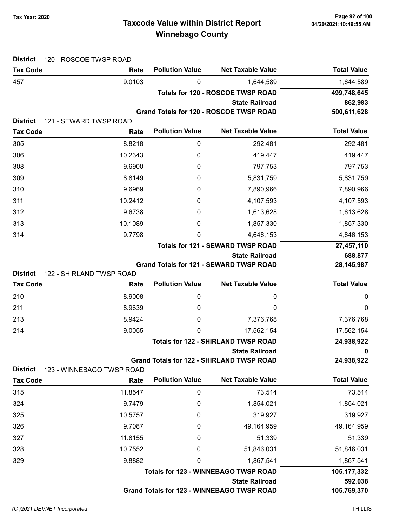# Taxcode Value within District Report Tax Year: 2020 Page 92 of 100 Winnebago County

| <b>District</b>                    | 120 - ROSCOE TWSP ROAD         |                        |                                                  |                    |
|------------------------------------|--------------------------------|------------------------|--------------------------------------------------|--------------------|
| <b>Tax Code</b>                    | Rate                           | <b>Pollution Value</b> | <b>Net Taxable Value</b>                         | <b>Total Value</b> |
| 457                                | 9.0103                         | 0                      | 1,644,589                                        | 1,644,589          |
|                                    |                                |                        | <b>Totals for 120 - ROSCOE TWSP ROAD</b>         | 499,748,645        |
|                                    |                                |                        | <b>State Railroad</b>                            | 862,983            |
|                                    |                                |                        | Grand Totals for 120 - ROSCOE TWSP ROAD          | 500,611,628        |
| <b>District</b><br><b>Tax Code</b> | 121 - SEWARD TWSP ROAD<br>Rate | <b>Pollution Value</b> | <b>Net Taxable Value</b>                         | <b>Total Value</b> |
| 305                                | 8.8218                         | 0                      | 292,481                                          | 292,481            |
| 306                                | 10.2343                        | 0                      | 419,447                                          | 419,447            |
| 308                                | 9.6900                         | 0                      | 797,753                                          | 797,753            |
| 309                                | 8.8149                         | 0                      | 5,831,759                                        | 5,831,759          |
| 310                                | 9.6969                         | 0                      | 7,890,966                                        | 7,890,966          |
| 311                                | 10.2412                        | 0                      | 4,107,593                                        | 4,107,593          |
| 312                                | 9.6738                         | 0                      | 1,613,628                                        | 1,613,628          |
| 313                                | 10.1089                        | 0                      | 1,857,330                                        | 1,857,330          |
| 314                                | 9.7798                         | 0                      | 4,646,153                                        | 4,646,153          |
|                                    |                                |                        | <b>Totals for 121 - SEWARD TWSP ROAD</b>         | 27,457,110         |
|                                    |                                |                        | <b>State Railroad</b>                            | 688,877            |
|                                    |                                |                        | Grand Totals for 121 - SEWARD TWSP ROAD          | 28, 145, 987       |
| <b>District</b>                    | 122 - SHIRLAND TWSP ROAD       |                        |                                                  |                    |
| <b>Tax Code</b>                    | Rate                           | <b>Pollution Value</b> | <b>Net Taxable Value</b>                         | <b>Total Value</b> |
| 210                                | 8.9008                         | 0                      | 0                                                | 0                  |
| 211                                | 8.9639                         | 0                      | 0                                                | 0                  |
| 213                                | 8.9424                         | 0                      | 7,376,768                                        | 7,376,768          |
| 214                                | 9.0055                         | 0                      | 17,562,154                                       | 17,562,154         |
|                                    |                                |                        | <b>Totals for 122 - SHIRLAND TWSP ROAD</b>       | 24,938,922         |
|                                    |                                |                        | <b>State Railroad</b>                            | 0                  |
| <b>District</b>                    | 123 - WINNEBAGO TWSP ROAD      |                        | <b>Grand Totals for 122 - SHIRLAND TWSP ROAD</b> | 24,938,922         |
| <b>Tax Code</b>                    | Rate                           | <b>Pollution Value</b> | <b>Net Taxable Value</b>                         | <b>Total Value</b> |
| 315                                | 11.8547                        | 0                      | 73,514                                           | 73,514             |
| 324                                | 9.7479                         | 0                      | 1,854,021                                        | 1,854,021          |
| 325                                | 10.5757                        | 0                      | 319,927                                          | 319,927            |
| 326                                | 9.7087                         | 0                      | 49,164,959                                       | 49,164,959         |
| 327                                | 11.8155                        | 0                      | 51,339                                           | 51,339             |
| 328                                | 10.7552                        | 0                      | 51,846,031                                       | 51,846,031         |
| 329                                | 9.8882                         | 0                      | 1,867,541                                        | 1,867,541          |
|                                    |                                |                        | <b>Totals for 123 - WINNEBAGO TWSP ROAD</b>      | 105,177,332        |
|                                    |                                |                        | <b>State Railroad</b>                            | 592,038            |
|                                    |                                |                        | Grand Totals for 123 - WINNEBAGO TWSP ROAD       | 105,769,370        |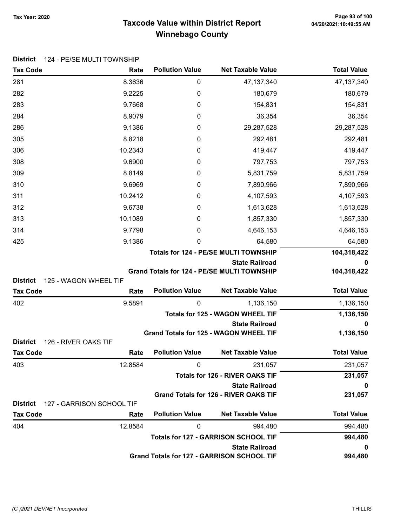# Taxcode Value within District Report Tax Year: 2020 Page 93 of 100 Winnebago County

| <b>Tax Code</b>                         | Rate                      | <b>Pollution Value</b> | <b>Net Taxable Value</b>                                            | <b>Total Value</b> |
|-----------------------------------------|---------------------------|------------------------|---------------------------------------------------------------------|--------------------|
| 281                                     | 8.3636                    | $\boldsymbol{0}$       | 47, 137, 340                                                        | 47, 137, 340       |
| 282                                     | 9.2225                    | 0                      | 180,679                                                             | 180,679            |
| 283                                     | 9.7668                    | 0                      | 154,831                                                             | 154,831            |
| 284                                     | 8.9079                    | 0                      | 36,354                                                              | 36,354             |
| 286                                     | 9.1386                    | 0                      | 29,287,528                                                          | 29,287,528         |
| 305                                     | 8.8218                    | 0                      | 292,481                                                             | 292,481            |
| 306                                     | 10.2343                   | 0                      | 419,447                                                             | 419,447            |
| 308                                     | 9.6900                    | 0                      | 797,753                                                             | 797,753            |
| 309                                     | 8.8149                    | 0                      | 5,831,759                                                           | 5,831,759          |
| 310                                     | 9.6969                    | 0                      | 7,890,966                                                           | 7,890,966          |
| 311                                     | 10.2412                   | 0                      | 4,107,593                                                           | 4,107,593          |
| 312                                     | 9.6738                    | 0                      | 1,613,628                                                           | 1,613,628          |
| 313                                     | 10.1089                   | 0                      | 1,857,330                                                           | 1,857,330          |
| 314                                     | 9.7798                    | 0                      | 4,646,153                                                           | 4,646,153          |
| 425                                     | 9.1386                    | 0                      | 64,580                                                              | 64,580             |
|                                         |                           |                        | Totals for 124 - PE/SE MULTI TOWNSHIP                               | 104,318,422        |
|                                         |                           |                        | <b>State Railroad</b>                                               | 0                  |
|                                         |                           |                        | Grand Totals for 124 - PE/SE MULTI TOWNSHIP                         | 104,318,422        |
| <b>District</b>                         | 125 - WAGON WHEEL TIF     |                        |                                                                     |                    |
| <b>Tax Code</b>                         | Rate                      | <b>Pollution Value</b> | <b>Net Taxable Value</b>                                            | <b>Total Value</b> |
| 402                                     | 9.5891                    | $\mathbf{0}$           | 1,136,150                                                           | 1,136,150          |
|                                         |                           |                        | <b>Totals for 125 - WAGON WHEEL TIF</b><br><b>State Railroad</b>    | 1,136,150          |
|                                         |                           |                        | Grand Totals for 125 - WAGON WHEEL TIF                              | 0<br>1,136,150     |
| <b>District</b><br>126 - RIVER OAKS TIF |                           |                        |                                                                     |                    |
| <b>Tax Code</b>                         | Rate                      | <b>Pollution Value</b> | <b>Net Taxable Value</b>                                            | <b>Total Value</b> |
| 403                                     | 12.8584                   | 0                      | 231,057                                                             | 231,057            |
|                                         |                           |                        | <b>Totals for 126 - RIVER OAKS TIF</b>                              | 231,057            |
|                                         |                           |                        | <b>State Railroad</b>                                               | 0                  |
|                                         |                           |                        | <b>Grand Totals for 126 - RIVER OAKS TIF</b>                        | 231,057            |
| <b>District</b>                         | 127 - GARRISON SCHOOL TIF |                        |                                                                     |                    |
| <b>Tax Code</b>                         | Rate                      | <b>Pollution Value</b> | <b>Net Taxable Value</b>                                            | <b>Total Value</b> |
| 404                                     | 12.8584                   | 0                      | 994,480                                                             | 994,480            |
|                                         |                           |                        | <b>Totals for 127 - GARRISON SCHOOL TIF</b>                         | 994,480            |
|                                         |                           |                        | <b>State Railroad</b><br>Grand Totals for 127 - GARRISON SCHOOL TIF | 0<br>994,480       |
|                                         |                           |                        |                                                                     |                    |

District 124 - PE/SE MULTI TOWNSHIP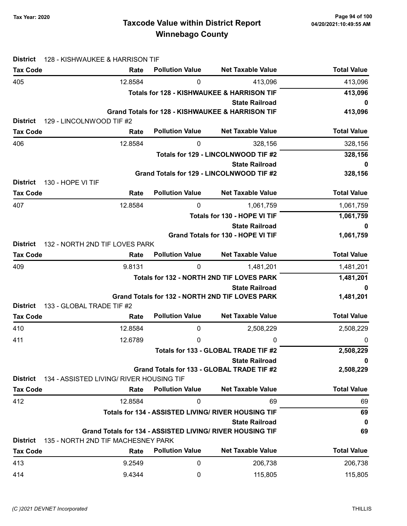# Taxcode Value within District Report Tax Year: 2020 Page 94 of 100 Winnebago County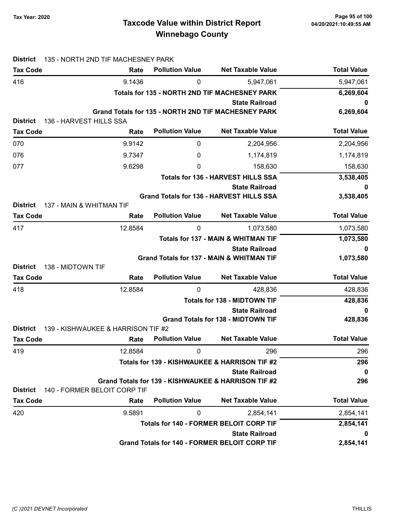| <b>District</b>                            | 135 - NORTH 2ND TIF MACHESNEY PARK             |                                     |                                                                   |                    |
|--------------------------------------------|------------------------------------------------|-------------------------------------|-------------------------------------------------------------------|--------------------|
| <b>Tax Code</b>                            | Rate                                           | <b>Pollution Value</b>              | <b>Net Taxable Value</b>                                          | <b>Total Value</b> |
| 416                                        | 9.1436                                         | 0                                   | 5,947,061                                                         | 5,947,061          |
|                                            |                                                |                                     | <b>Totals for 135 - NORTH 2ND TIF MACHESNEY PARK</b>              | 6,269,604          |
|                                            |                                                |                                     | <b>State Railroad</b>                                             | 0                  |
| <b>District</b><br>136 - HARVEST HILLS SSA |                                                |                                     | Grand Totals for 135 - NORTH 2ND TIF MACHESNEY PARK               | 6,269,604          |
| <b>Tax Code</b>                            | Rate                                           | <b>Pollution Value</b>              | <b>Net Taxable Value</b>                                          | <b>Total Value</b> |
|                                            |                                                |                                     |                                                                   |                    |
| 070                                        | 9.9142                                         | 0                                   | 2,204,956                                                         | 2,204,956          |
| 076                                        | 9.7347                                         | 0                                   | 1,174,819                                                         | 1,174,819          |
| 077                                        | 9.6298                                         | 0                                   | 158,630                                                           | 158,630            |
|                                            |                                                |                                     | <b>Totals for 136 - HARVEST HILLS SSA</b>                         | 3,538,405          |
|                                            |                                                |                                     | <b>State Railroad</b><br>Grand Totals for 136 - HARVEST HILLS SSA | 0<br>3,538,405     |
| <b>District</b>                            | 137 - MAIN & WHITMAN TIF                       |                                     |                                                                   |                    |
| <b>Tax Code</b>                            | Rate                                           | <b>Pollution Value</b>              | <b>Net Taxable Value</b>                                          | <b>Total Value</b> |
| 417                                        | 12.8584                                        | 0                                   | 1,073,580                                                         | 1,073,580          |
|                                            |                                                |                                     | Totals for 137 - MAIN & WHITMAN TIF                               | 1,073,580          |
|                                            |                                                |                                     | <b>State Railroad</b>                                             | 0                  |
|                                            |                                                |                                     | <b>Grand Totals for 137 - MAIN &amp; WHITMAN TIF</b>              | 1,073,580          |
| <b>District</b><br>138 - MIDTOWN TIF       |                                                |                                     |                                                                   |                    |
| <b>Tax Code</b>                            | Rate                                           | <b>Pollution Value</b>              | <b>Net Taxable Value</b>                                          | <b>Total Value</b> |
| 418                                        | 12.8584                                        | 0                                   | 428,836                                                           | 428,836<br>428,836 |
|                                            |                                                | <b>Totals for 138 - MIDTOWN TIF</b> |                                                                   |                    |
|                                            |                                                |                                     | <b>State Railroad</b>                                             | 0                  |
| <b>District</b>                            | 139 - KISHWAUKEE & HARRISON TIF #2             |                                     | <b>Grand Totals for 138 - MIDTOWN TIF</b>                         | 428,836            |
| <b>Tax Code</b>                            | Rate                                           | <b>Pollution Value</b>              | <b>Net Taxable Value</b>                                          | <b>Total Value</b> |
| 419                                        | 12.8584                                        | 0                                   | 296                                                               | 296                |
|                                            |                                                |                                     | Totals for 139 - KISHWAUKEE & HARRISON TIF #2                     | 296                |
|                                            |                                                |                                     | <b>State Railroad</b>                                             | $\mathbf 0$        |
|                                            |                                                |                                     | Grand Totals for 139 - KISHWAUKEE & HARRISON TIF #2               | 296                |
| <b>District</b>                            | 140 - FORMER BELOIT CORP TIF                   |                                     |                                                                   |                    |
| <b>Tax Code</b>                            | Rate                                           | <b>Pollution Value</b>              | <b>Net Taxable Value</b>                                          | <b>Total Value</b> |
| 420                                        | 9.5891                                         | 0                                   | 2,854,141                                                         | 2,854,141          |
|                                            | <b>Totals for 140 - FORMER BELOIT CORP TIF</b> |                                     |                                                                   | 2,854,141          |
|                                            |                                                |                                     | <b>State Railroad</b>                                             | 0                  |
|                                            |                                                |                                     | <b>Grand Totals for 140 - FORMER BELOIT CORP TIF</b>              | 2,854,141          |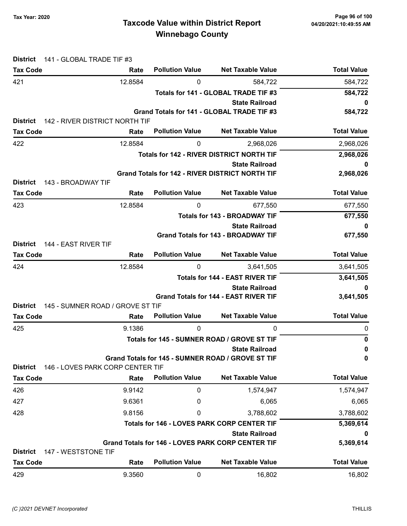# Taxcode Value within District Report Tax Year: 2020 Page 96 of 100 Winnebago County

| <b>District</b><br><b>Tax Code</b>      | 141 - GLOBAL TRADE TIF #3<br>Rate | <b>Pollution Value</b>                      | <b>Net Taxable Value</b>                                                   | <b>Total Value</b> |
|-----------------------------------------|-----------------------------------|---------------------------------------------|----------------------------------------------------------------------------|--------------------|
| 421                                     | 12.8584                           | 0                                           | 584,722                                                                    | 584,722            |
|                                         |                                   |                                             | Totals for 141 - GLOBAL TRADE TIF #3                                       | 584,722            |
|                                         |                                   |                                             | <b>State Railroad</b>                                                      | 0                  |
|                                         |                                   |                                             | Grand Totals for 141 - GLOBAL TRADE TIF #3                                 | 584,722            |
| <b>District</b>                         | 142 - RIVER DISTRICT NORTH TIF    |                                             |                                                                            |                    |
| <b>Tax Code</b>                         | Rate                              | <b>Pollution Value</b>                      | <b>Net Taxable Value</b>                                                   | <b>Total Value</b> |
| 422                                     | 12.8584                           | 0                                           | 2,968,026                                                                  | 2,968,026          |
|                                         |                                   |                                             | <b>Totals for 142 - RIVER DISTRICT NORTH TIF</b>                           | 2,968,026          |
|                                         | <b>State Railroad</b>             |                                             |                                                                            | 0                  |
| <b>District</b><br>143 - BROADWAY TIF   |                                   |                                             | <b>Grand Totals for 142 - RIVER DISTRICT NORTH TIF</b>                     | 2,968,026          |
| <b>Tax Code</b>                         | Rate                              | <b>Pollution Value</b>                      | <b>Net Taxable Value</b>                                                   | <b>Total Value</b> |
|                                         |                                   |                                             |                                                                            |                    |
| 423                                     | 12.8584                           | 0                                           | 677,550<br><b>Totals for 143 - BROADWAY TIF</b>                            | 677,550            |
|                                         |                                   |                                             | <b>State Railroad</b>                                                      | 677,550<br>0       |
|                                         |                                   |                                             | <b>Grand Totals for 143 - BROADWAY TIF</b>                                 | 677,550            |
| 144 - EAST RIVER TIF<br><b>District</b> |                                   |                                             |                                                                            |                    |
| <b>Tax Code</b>                         | Rate                              | <b>Pollution Value</b>                      | <b>Net Taxable Value</b>                                                   | <b>Total Value</b> |
| 424                                     | 12.8584                           | 0                                           | 3,641,505                                                                  | 3,641,505          |
|                                         |                                   |                                             | <b>Totals for 144 - EAST RIVER TIF</b>                                     | 3,641,505          |
|                                         |                                   |                                             | <b>State Railroad</b>                                                      | 0                  |
|                                         |                                   |                                             | <b>Grand Totals for 144 - EAST RIVER TIF</b>                               | 3,641,505          |
| <b>District</b>                         | 145 - SUMNER ROAD / GROVE ST TIF  | <b>Pollution Value</b>                      |                                                                            | <b>Total Value</b> |
| <b>Tax Code</b>                         | Rate                              |                                             | <b>Net Taxable Value</b>                                                   |                    |
| 425                                     | 9.1386                            | 0                                           | 0                                                                          | 0<br>$\mathbf 0$   |
|                                         |                                   | Totals for 145 - SUMNER ROAD / GROVE ST TIF |                                                                            |                    |
|                                         |                                   |                                             | <b>State Railroad</b><br>Grand Totals for 145 - SUMNER ROAD / GROVE ST TIF | 0<br>0             |
| <b>District</b>                         | 146 - LOVES PARK CORP CENTER TIF  |                                             |                                                                            |                    |
| <b>Tax Code</b>                         | Rate                              | <b>Pollution Value</b>                      | <b>Net Taxable Value</b>                                                   | <b>Total Value</b> |
| 426                                     | 9.9142                            | 0                                           | 1,574,947                                                                  | 1,574,947          |
| 427                                     | 9.6361                            | 0                                           | 6,065                                                                      | 6,065              |
| 428                                     | 9.8156                            | 0                                           | 3,788,602                                                                  | 3,788,602          |
|                                         |                                   |                                             | <b>Totals for 146 - LOVES PARK CORP CENTER TIF</b>                         | 5,369,614          |
|                                         |                                   |                                             | <b>State Railroad</b>                                                      | 0                  |
|                                         |                                   |                                             | <b>Grand Totals for 146 - LOVES PARK CORP CENTER TIF</b>                   | 5,369,614          |
| <b>District</b><br>147 - WESTSTONE TIF  |                                   |                                             |                                                                            |                    |
| <b>Tax Code</b>                         | Rate                              | <b>Pollution Value</b>                      | <b>Net Taxable Value</b>                                                   | <b>Total Value</b> |
| 429                                     | 9.3560                            | 0                                           | 16,802                                                                     | 16,802             |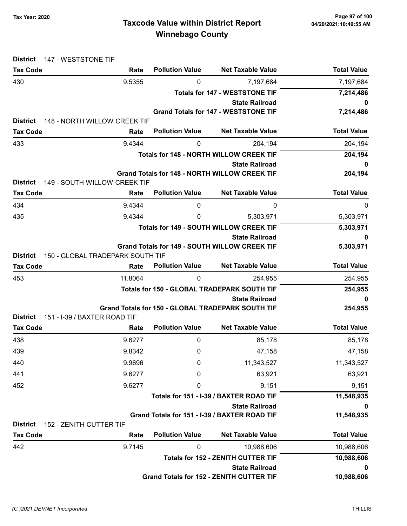| <b>District</b><br>147 - WESTSTONE TIF |                                      |                                       |                                                                               |                        |
|----------------------------------------|--------------------------------------|---------------------------------------|-------------------------------------------------------------------------------|------------------------|
| <b>Tax Code</b>                        | Rate                                 | <b>Pollution Value</b>                | <b>Net Taxable Value</b>                                                      | <b>Total Value</b>     |
| 430                                    | 9.5355                               | 0                                     | 7,197,684                                                                     | 7,197,684<br>7,214,486 |
|                                        |                                      | <b>Totals for 147 - WESTSTONE TIF</b> |                                                                               |                        |
|                                        |                                      |                                       | <b>State Railroad</b><br><b>Grand Totals for 147 - WESTSTONE TIF</b>          | 0<br>7,214,486         |
| <b>District</b>                        | 148 - NORTH WILLOW CREEK TIF         |                                       |                                                                               |                        |
| <b>Tax Code</b>                        | Rate                                 | <b>Pollution Value</b>                | <b>Net Taxable Value</b>                                                      | <b>Total Value</b>     |
| 433                                    | 9.4344                               | 0                                     | 204,194                                                                       | 204,194                |
|                                        |                                      |                                       | <b>Totals for 148 - NORTH WILLOW CREEK TIF</b>                                | 204,194                |
|                                        |                                      |                                       | <b>State Railroad</b>                                                         | 0                      |
|                                        |                                      |                                       | <b>Grand Totals for 148 - NORTH WILLOW CREEK TIF</b>                          | 204,194                |
| <b>District</b>                        | 149 - SOUTH WILLOW CREEK TIF         | <b>Pollution Value</b>                | <b>Net Taxable Value</b>                                                      | <b>Total Value</b>     |
| <b>Tax Code</b>                        | Rate                                 |                                       |                                                                               |                        |
| 434                                    | 9.4344                               | 0                                     | 0                                                                             | 0                      |
| 435                                    | 9.4344                               | 0                                     | 5,303,971                                                                     | 5,303,971              |
|                                        |                                      |                                       | <b>Totals for 149 - SOUTH WILLOW CREEK TIF</b>                                | 5,303,971              |
|                                        |                                      |                                       | <b>State Railroad</b><br><b>Grand Totals for 149 - SOUTH WILLOW CREEK TIF</b> | 0<br>5,303,971         |
| <b>District</b>                        | 150 - GLOBAL TRADEPARK SOUTH TIF     |                                       |                                                                               |                        |
| <b>Tax Code</b>                        | Rate                                 | <b>Pollution Value</b>                | <b>Net Taxable Value</b>                                                      | <b>Total Value</b>     |
| 453                                    | 11.8064                              | 0                                     | 254,955                                                                       | 254,955                |
|                                        |                                      |                                       | Totals for 150 - GLOBAL TRADEPARK SOUTH TIF                                   | 254,955                |
|                                        |                                      |                                       | <b>State Railroad</b>                                                         | 0                      |
|                                        |                                      |                                       | Grand Totals for 150 - GLOBAL TRADEPARK SOUTH TIF                             | 254,955                |
| <b>District</b><br><b>Tax Code</b>     | 151 - I-39 / BAXTER ROAD TIF<br>Rate | <b>Pollution Value</b>                | <b>Net Taxable Value</b>                                                      | <b>Total Value</b>     |
| 438                                    | 9.6277                               | $\mathbf{0}$                          | 85,178                                                                        | 85,178                 |
| 439                                    | 9.8342                               | 0                                     | 47,158                                                                        | 47,158                 |
| 440                                    | 9.9696                               | 0                                     | 11,343,527                                                                    | 11,343,527             |
| 441                                    | 9.6277                               | 0                                     | 63,921                                                                        | 63,921                 |
| 452                                    | 9.6277                               | 0                                     | 9,151                                                                         | 9,151                  |
|                                        |                                      |                                       | Totals for 151 - I-39 / BAXTER ROAD TIF                                       | 11,548,935             |
|                                        |                                      |                                       | <b>State Railroad</b>                                                         | 0                      |
|                                        |                                      |                                       | Grand Totals for 151 - I-39 / BAXTER ROAD TIF                                 | 11,548,935             |
| <b>District</b>                        | 152 - ZENITH CUTTER TIF              |                                       |                                                                               |                        |
| <b>Tax Code</b>                        | Rate                                 | <b>Pollution Value</b>                | <b>Net Taxable Value</b>                                                      | <b>Total Value</b>     |
| 442                                    | 9.7145                               | $\mathbf 0$                           | 10,988,606                                                                    | 10,988,606             |
|                                        |                                      |                                       | <b>Totals for 152 - ZENITH CUTTER TIF</b>                                     | 10,988,606             |
|                                        |                                      |                                       | <b>State Railroad</b>                                                         | 0                      |
|                                        |                                      |                                       | <b>Grand Totals for 152 - ZENITH CUTTER TIF</b>                               | 10,988,606             |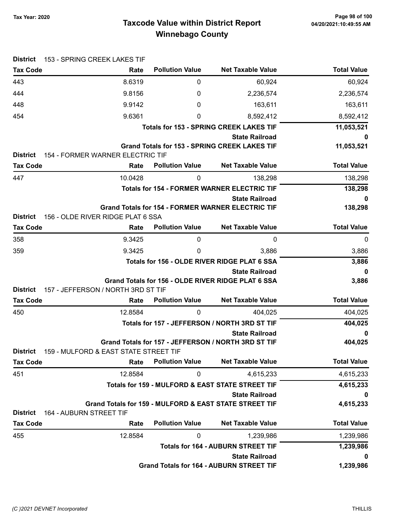# Taxcode Value within District Report Tax Year: 2020 Page 98 of 100 Winnebago County

| <b>District</b>                    | 153 - SPRING CREEK LAKES TIF                  |                        |                                                                             |                        |
|------------------------------------|-----------------------------------------------|------------------------|-----------------------------------------------------------------------------|------------------------|
| <b>Tax Code</b>                    | Rate                                          | <b>Pollution Value</b> | <b>Net Taxable Value</b>                                                    | <b>Total Value</b>     |
| 443                                | 8.6319                                        | 0                      | 60,924                                                                      | 60,924                 |
| 444                                | 9.8156                                        | 0                      | 2,236,574                                                                   | 2,236,574              |
| 448                                | 9.9142                                        | 0                      | 163,611                                                                     | 163,611                |
| 454                                | 9.6361                                        | 0                      | 8,592,412                                                                   | 8,592,412              |
|                                    |                                               |                        | <b>Totals for 153 - SPRING CREEK LAKES TIF</b>                              | 11,053,521             |
|                                    |                                               |                        | <b>State Railroad</b>                                                       | 0                      |
| <b>District</b>                    | 154 - FORMER WARNER ELECTRIC TIF              |                        | <b>Grand Totals for 153 - SPRING CREEK LAKES TIF</b>                        | 11,053,521             |
| <b>Tax Code</b>                    | Rate                                          | <b>Pollution Value</b> | <b>Net Taxable Value</b>                                                    | <b>Total Value</b>     |
| 447                                | 10.0428                                       | 0                      | 138,298                                                                     | 138,298                |
|                                    |                                               |                        | <b>Totals for 154 - FORMER WARNER ELECTRIC TIF</b>                          | 138,298                |
|                                    |                                               |                        | <b>State Railroad</b>                                                       | 0                      |
|                                    |                                               |                        | <b>Grand Totals for 154 - FORMER WARNER ELECTRIC TIF</b>                    | 138,298                |
| <b>District</b>                    | 156 - OLDE RIVER RIDGE PLAT 6 SSA             |                        |                                                                             |                        |
| <b>Tax Code</b>                    | Rate                                          | <b>Pollution Value</b> | <b>Net Taxable Value</b>                                                    | <b>Total Value</b>     |
| 358                                | 9.3425                                        | 0                      | 0                                                                           | 0                      |
| 359                                | 9.3425                                        | 0                      | 3,886                                                                       | 3,886                  |
|                                    |                                               |                        | Totals for 156 - OLDE RIVER RIDGE PLAT 6 SSA                                | 3,886                  |
|                                    |                                               |                        | <b>State Railroad</b><br>Grand Totals for 156 - OLDE RIVER RIDGE PLAT 6 SSA | 0<br>3,886             |
| <b>District</b>                    | 157 - JEFFERSON / NORTH 3RD ST TIF            |                        |                                                                             |                        |
| <b>Tax Code</b>                    | Rate                                          | <b>Pollution Value</b> | <b>Net Taxable Value</b>                                                    | <b>Total Value</b>     |
| 450                                | 12.8584                                       | 0                      | 404,025                                                                     | 404,025                |
|                                    |                                               |                        | Totals for 157 - JEFFERSON / NORTH 3RD ST TIF                               | 404,025                |
|                                    |                                               |                        | <b>State Railroad</b>                                                       | $\mathbf 0$            |
|                                    |                                               |                        | Grand Totals for 157 - JEFFERSON / NORTH 3RD ST TIF                         | 404,025                |
| <b>District</b><br><b>Tax Code</b> | 159 - MULFORD & EAST STATE STREET TIF<br>Rate | <b>Pollution Value</b> | <b>Net Taxable Value</b>                                                    | <b>Total Value</b>     |
|                                    |                                               |                        |                                                                             |                        |
| 451                                | 12.8584                                       | 0                      | 4,615,233<br>Totals for 159 - MULFORD & EAST STATE STREET TIF               | 4,615,233<br>4,615,233 |
|                                    |                                               |                        | <b>State Railroad</b>                                                       | 0                      |
|                                    |                                               |                        | Grand Totals for 159 - MULFORD & EAST STATE STREET TIF                      | 4,615,233              |
| <b>District</b>                    | 164 - AUBURN STREET TIF                       |                        |                                                                             |                        |
| <b>Tax Code</b>                    | Rate                                          | <b>Pollution Value</b> | <b>Net Taxable Value</b>                                                    | <b>Total Value</b>     |
| 455                                | 12.8584                                       | 0                      | 1,239,986                                                                   | 1,239,986              |
|                                    |                                               |                        | <b>Totals for 164 - AUBURN STREET TIF</b>                                   | 1,239,986              |
|                                    |                                               |                        | <b>State Railroad</b>                                                       | 0                      |
|                                    |                                               |                        | <b>Grand Totals for 164 - AUBURN STREET TIF</b>                             | 1,239,986              |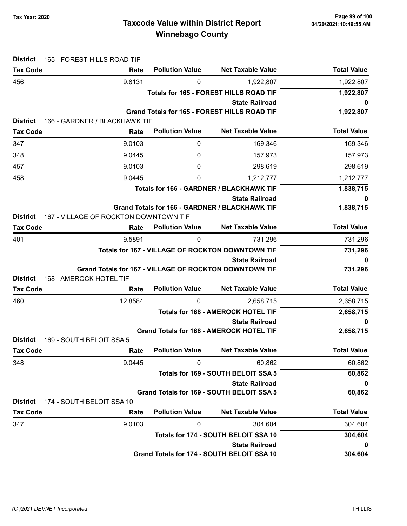# Taxcode Value within District Report Tax Year: 2020 Page 99 of 100 Winnebago County

| <b>District</b>                    | 165 - FOREST HILLS ROAD TIF                            |                        |                                                               |                    |
|------------------------------------|--------------------------------------------------------|------------------------|---------------------------------------------------------------|--------------------|
| <b>Tax Code</b>                    | Rate                                                   | <b>Pollution Value</b> | <b>Net Taxable Value</b>                                      | <b>Total Value</b> |
| 456                                | 9.8131                                                 | 0                      | 1,922,807                                                     | 1,922,807          |
|                                    |                                                        |                        | Totals for 165 - FOREST HILLS ROAD TIF                        | 1,922,807          |
|                                    |                                                        |                        | <b>State Railroad</b>                                         | 0                  |
|                                    |                                                        |                        | <b>Grand Totals for 165 - FOREST HILLS ROAD TIF</b>           | 1,922,807          |
| <b>District</b>                    | 166 - GARDNER / BLACKHAWK TIF                          | <b>Pollution Value</b> |                                                               | <b>Total Value</b> |
| <b>Tax Code</b>                    | Rate                                                   |                        | <b>Net Taxable Value</b>                                      |                    |
| 347                                | 9.0103                                                 | 0                      | 169,346                                                       | 169,346            |
| 348                                | 9.0445                                                 | 0                      | 157,973                                                       | 157,973            |
| 457                                | 9.0103                                                 | 0                      | 298,619                                                       | 298,619            |
| 458                                | 9.0445                                                 | 0                      | 1,212,777                                                     | 1,212,777          |
|                                    |                                                        |                        | Totals for 166 - GARDNER / BLACKHAWK TIF                      | 1,838,715          |
|                                    |                                                        |                        | <b>State Railroad</b>                                         | 0                  |
|                                    | 167 - VILLAGE OF ROCKTON DOWNTOWN TIF                  |                        | Grand Totals for 166 - GARDNER / BLACKHAWK TIF                | 1,838,715          |
| <b>District</b><br><b>Tax Code</b> | Rate                                                   | <b>Pollution Value</b> | <b>Net Taxable Value</b>                                      | <b>Total Value</b> |
| 401                                | 9.5891                                                 | 0                      | 731,296                                                       | 731,296            |
|                                    |                                                        |                        | Totals for 167 - VILLAGE OF ROCKTON DOWNTOWN TIF              |                    |
|                                    |                                                        |                        | <b>State Railroad</b>                                         | 731,296<br>0       |
|                                    | Grand Totals for 167 - VILLAGE OF ROCKTON DOWNTOWN TIF |                        |                                                               | 731,296            |
| <b>District</b>                    | 168 - AMEROCK HOTEL TIF                                |                        |                                                               |                    |
| <b>Tax Code</b>                    | Rate                                                   | <b>Pollution Value</b> | <b>Net Taxable Value</b>                                      | <b>Total Value</b> |
| 460                                | 12.8584                                                | 0                      | 2,658,715                                                     | 2,658,715          |
|                                    | <b>Totals for 168 - AMEROCK HOTEL TIF</b>              |                        |                                                               | 2,658,715          |
|                                    |                                                        |                        | <b>State Railroad</b>                                         | 0                  |
|                                    |                                                        |                        | <b>Grand Totals for 168 - AMEROCK HOTEL TIF</b>               | 2,658,715          |
| <b>District</b>                    | 169 - SOUTH BELOIT SSA 5                               |                        |                                                               |                    |
| <b>Tax Code</b>                    | Rate                                                   | <b>Pollution Value</b> | <b>Net Taxable Value</b>                                      | <b>Total Value</b> |
| 348                                | 9.0445                                                 | 0                      | 60,862                                                        | 60,862             |
|                                    |                                                        |                        | Totals for 169 - SOUTH BELOIT SSA 5                           | 60,862             |
|                                    |                                                        |                        | <b>State Railroad</b>                                         | 0                  |
|                                    |                                                        |                        | Grand Totals for 169 - SOUTH BELOIT SSA 5                     | 60,862             |
| <b>District</b>                    | 174 - SOUTH BELOIT SSA 10                              | <b>Pollution Value</b> | <b>Net Taxable Value</b>                                      | <b>Total Value</b> |
| <b>Tax Code</b>                    | Rate                                                   |                        |                                                               |                    |
| 347                                | 9.0103                                                 | 0                      | 304,604                                                       | 304,604            |
|                                    |                                                        |                        | Totals for 174 - SOUTH BELOIT SSA 10<br><b>State Railroad</b> | 304,604            |
|                                    |                                                        |                        | Grand Totals for 174 - SOUTH BELOIT SSA 10                    | 0<br>304,604       |
|                                    |                                                        |                        |                                                               |                    |